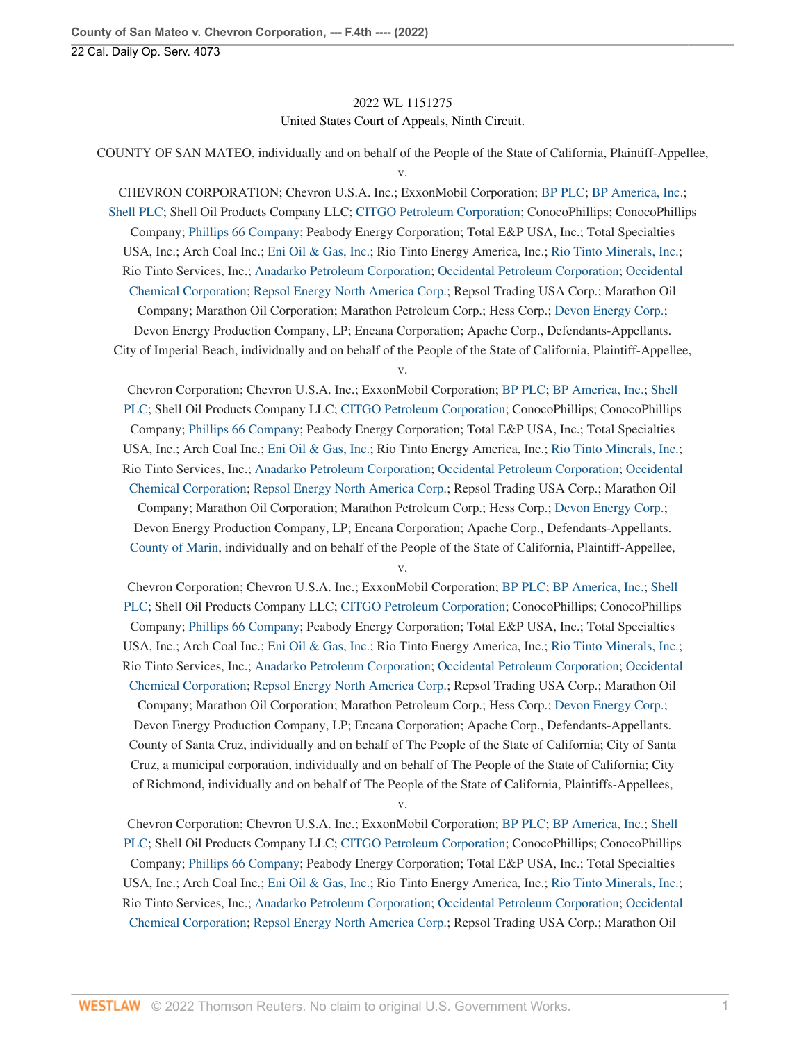### 2022 WL 1151275 United States Court of Appeals, Ninth Circuit.

COUNTY OF SAN MATEO, individually and on behalf of the People of the State of California, Plaintiff-Appellee,

v.

CHEVRON CORPORATION; Chevron U.S.A. Inc.; ExxonMobil Corporation; [BP PLC](http://www.westlaw.com/Search/Results.html?query=advanced%3a+WCAID(IE1BD8E0442AB11DDB3360014224D2780)&saveJuris=False&contentType=BUSINESS-INVESTIGATOR&startIndex=1&contextData=(sc.Default)&categoryPageUrl=Home%2fCompanyInvestigator&originationContext=document&vr=3.0&rs=cblt1.0&transitionType=DocumentItem); [BP America, Inc.](http://www.westlaw.com/Search/Results.html?query=advanced%3a+WCAID(IFB65D501636011E080258F0E01953BF2)&saveJuris=False&contentType=BUSINESS-INVESTIGATOR&startIndex=1&contextData=(sc.Default)&categoryPageUrl=Home%2fCompanyInvestigator&originationContext=document&vr=3.0&rs=cblt1.0&transitionType=DocumentItem); [Shell PLC;](http://www.westlaw.com/Search/Results.html?query=advanced%3a+WCAID(I255847A141ED11DDAD6B0014224D2780)&saveJuris=False&contentType=BUSINESS-INVESTIGATOR&startIndex=1&contextData=(sc.Default)&categoryPageUrl=Home%2fCompanyInvestigator&originationContext=document&vr=3.0&rs=cblt1.0&transitionType=DocumentItem) Shell Oil Products Company LLC; [CITGO Petroleum Corporation;](http://www.westlaw.com/Search/Results.html?query=advanced%3a+WCAID(I556171DFB03411DD90D1001E4FDD5DBB)&saveJuris=False&contentType=BUSINESS-INVESTIGATOR&startIndex=1&contextData=(sc.Default)&categoryPageUrl=Home%2fCompanyInvestigator&originationContext=document&vr=3.0&rs=cblt1.0&transitionType=DocumentItem) ConocoPhillips; ConocoPhillips Company; [Phillips 66 Company;](http://www.westlaw.com/Search/Results.html?query=advanced%3a+WCAID(I5CD7F5B0312A11E1B815E65CAFA6A0B6)&saveJuris=False&contentType=BUSINESS-INVESTIGATOR&startIndex=1&contextData=(sc.Default)&categoryPageUrl=Home%2fCompanyInvestigator&originationContext=document&vr=3.0&rs=cblt1.0&transitionType=DocumentItem) Peabody Energy Corporation; Total E&P USA, Inc.; Total Specialties USA, Inc.; Arch Coal Inc.; [Eni Oil & Gas, Inc.](http://www.westlaw.com/Search/Results.html?query=advanced%3a+WCAID(I53F4DAF051AE11E0AC41D1485CFE0042)&saveJuris=False&contentType=BUSINESS-INVESTIGATOR&startIndex=1&contextData=(sc.Default)&categoryPageUrl=Home%2fCompanyInvestigator&originationContext=document&vr=3.0&rs=cblt1.0&transitionType=DocumentItem); Rio Tinto Energy America, Inc.; [Rio Tinto Minerals, Inc.;](http://www.westlaw.com/Search/Results.html?query=advanced%3a+WCAID(I66F96FD0E2D811DE916D8A11856AA63E)&saveJuris=False&contentType=BUSINESS-INVESTIGATOR&startIndex=1&contextData=(sc.Default)&categoryPageUrl=Home%2fCompanyInvestigator&originationContext=document&vr=3.0&rs=cblt1.0&transitionType=DocumentItem) Rio Tinto Services, Inc.; [Anadarko Petroleum Corporation](http://www.westlaw.com/Search/Results.html?query=advanced%3a+WCAID(I9B81550141EA11DDAD6B0014224D2780)&saveJuris=False&contentType=BUSINESS-INVESTIGATOR&startIndex=1&contextData=(sc.Default)&categoryPageUrl=Home%2fCompanyInvestigator&originationContext=document&vr=3.0&rs=cblt1.0&transitionType=DocumentItem); [Occidental Petroleum Corporation](http://www.westlaw.com/Search/Results.html?query=advanced%3a+WCAID(ID85DD9C0682911DD82B4DAB9B6754007)&saveJuris=False&contentType=BUSINESS-INVESTIGATOR&startIndex=1&contextData=(sc.Default)&categoryPageUrl=Home%2fCompanyInvestigator&originationContext=document&vr=3.0&rs=cblt1.0&transitionType=DocumentItem); [Occidental](http://www.westlaw.com/Search/Results.html?query=advanced%3a+WCAID(IF89271F0626911E080258F0E01953BF2)&saveJuris=False&contentType=BUSINESS-INVESTIGATOR&startIndex=1&contextData=(sc.Default)&categoryPageUrl=Home%2fCompanyInvestigator&originationContext=document&vr=3.0&rs=cblt1.0&transitionType=DocumentItem) [Chemical Corporation](http://www.westlaw.com/Search/Results.html?query=advanced%3a+WCAID(IF89271F0626911E080258F0E01953BF2)&saveJuris=False&contentType=BUSINESS-INVESTIGATOR&startIndex=1&contextData=(sc.Default)&categoryPageUrl=Home%2fCompanyInvestigator&originationContext=document&vr=3.0&rs=cblt1.0&transitionType=DocumentItem); [Repsol Energy North America Corp.;](http://www.westlaw.com/Search/Results.html?query=advanced%3a+WCAID(IFB3F7F40E2C911DE916D8A11856AA63E)&saveJuris=False&contentType=BUSINESS-INVESTIGATOR&startIndex=1&contextData=(sc.Default)&categoryPageUrl=Home%2fCompanyInvestigator&originationContext=document&vr=3.0&rs=cblt1.0&transitionType=DocumentItem) Repsol Trading USA Corp.; Marathon Oil Company; Marathon Oil Corporation; Marathon Petroleum Corp.; Hess Corp.; [Devon Energy Corp.;](http://www.westlaw.com/Search/Results.html?query=advanced%3a+WCAID(I9609CBC441EA11DDAD6B0014224D2780)&saveJuris=False&contentType=BUSINESS-INVESTIGATOR&startIndex=1&contextData=(sc.Default)&categoryPageUrl=Home%2fCompanyInvestigator&originationContext=document&vr=3.0&rs=cblt1.0&transitionType=DocumentItem) Devon Energy Production Company, LP; Encana Corporation; Apache Corp., Defendants-Appellants. City of Imperial Beach, individually and on behalf of the People of the State of California, Plaintiff-Appellee,

v.

Chevron Corporation; Chevron U.S.A. Inc.; ExxonMobil Corporation; [BP PLC;](http://www.westlaw.com/Search/Results.html?query=advanced%3a+WCAID(IE1BD8E0442AB11DDB3360014224D2780)&saveJuris=False&contentType=BUSINESS-INVESTIGATOR&startIndex=1&contextData=(sc.Default)&categoryPageUrl=Home%2fCompanyInvestigator&originationContext=document&vr=3.0&rs=cblt1.0&transitionType=DocumentItem) [BP America, Inc.](http://www.westlaw.com/Search/Results.html?query=advanced%3a+WCAID(IFB65D501636011E080258F0E01953BF2)&saveJuris=False&contentType=BUSINESS-INVESTIGATOR&startIndex=1&contextData=(sc.Default)&categoryPageUrl=Home%2fCompanyInvestigator&originationContext=document&vr=3.0&rs=cblt1.0&transitionType=DocumentItem); [Shell](http://www.westlaw.com/Search/Results.html?query=advanced%3a+WCAID(I255847A141ED11DDAD6B0014224D2780)&saveJuris=False&contentType=BUSINESS-INVESTIGATOR&startIndex=1&contextData=(sc.Default)&categoryPageUrl=Home%2fCompanyInvestigator&originationContext=document&vr=3.0&rs=cblt1.0&transitionType=DocumentItem) [PLC](http://www.westlaw.com/Search/Results.html?query=advanced%3a+WCAID(I255847A141ED11DDAD6B0014224D2780)&saveJuris=False&contentType=BUSINESS-INVESTIGATOR&startIndex=1&contextData=(sc.Default)&categoryPageUrl=Home%2fCompanyInvestigator&originationContext=document&vr=3.0&rs=cblt1.0&transitionType=DocumentItem); Shell Oil Products Company LLC; [CITGO Petroleum Corporation](http://www.westlaw.com/Search/Results.html?query=advanced%3a+WCAID(I556171DFB03411DD90D1001E4FDD5DBB)&saveJuris=False&contentType=BUSINESS-INVESTIGATOR&startIndex=1&contextData=(sc.Default)&categoryPageUrl=Home%2fCompanyInvestigator&originationContext=document&vr=3.0&rs=cblt1.0&transitionType=DocumentItem); ConocoPhillips; ConocoPhillips Company; [Phillips 66 Company;](http://www.westlaw.com/Search/Results.html?query=advanced%3a+WCAID(I5CD7F5B0312A11E1B815E65CAFA6A0B6)&saveJuris=False&contentType=BUSINESS-INVESTIGATOR&startIndex=1&contextData=(sc.Default)&categoryPageUrl=Home%2fCompanyInvestigator&originationContext=document&vr=3.0&rs=cblt1.0&transitionType=DocumentItem) Peabody Energy Corporation; Total E&P USA, Inc.; Total Specialties USA, Inc.; Arch Coal Inc.; [Eni Oil & Gas, Inc.](http://www.westlaw.com/Search/Results.html?query=advanced%3a+WCAID(I53F4DAF051AE11E0AC41D1485CFE0042)&saveJuris=False&contentType=BUSINESS-INVESTIGATOR&startIndex=1&contextData=(sc.Default)&categoryPageUrl=Home%2fCompanyInvestigator&originationContext=document&vr=3.0&rs=cblt1.0&transitionType=DocumentItem); Rio Tinto Energy America, Inc.; [Rio Tinto Minerals, Inc.;](http://www.westlaw.com/Search/Results.html?query=advanced%3a+WCAID(I66F96FD0E2D811DE916D8A11856AA63E)&saveJuris=False&contentType=BUSINESS-INVESTIGATOR&startIndex=1&contextData=(sc.Default)&categoryPageUrl=Home%2fCompanyInvestigator&originationContext=document&vr=3.0&rs=cblt1.0&transitionType=DocumentItem) Rio Tinto Services, Inc.; [Anadarko Petroleum Corporation](http://www.westlaw.com/Search/Results.html?query=advanced%3a+WCAID(I9B81550141EA11DDAD6B0014224D2780)&saveJuris=False&contentType=BUSINESS-INVESTIGATOR&startIndex=1&contextData=(sc.Default)&categoryPageUrl=Home%2fCompanyInvestigator&originationContext=document&vr=3.0&rs=cblt1.0&transitionType=DocumentItem); [Occidental Petroleum Corporation](http://www.westlaw.com/Search/Results.html?query=advanced%3a+WCAID(ID85DD9C0682911DD82B4DAB9B6754007)&saveJuris=False&contentType=BUSINESS-INVESTIGATOR&startIndex=1&contextData=(sc.Default)&categoryPageUrl=Home%2fCompanyInvestigator&originationContext=document&vr=3.0&rs=cblt1.0&transitionType=DocumentItem); [Occidental](http://www.westlaw.com/Search/Results.html?query=advanced%3a+WCAID(IF89271F0626911E080258F0E01953BF2)&saveJuris=False&contentType=BUSINESS-INVESTIGATOR&startIndex=1&contextData=(sc.Default)&categoryPageUrl=Home%2fCompanyInvestigator&originationContext=document&vr=3.0&rs=cblt1.0&transitionType=DocumentItem) [Chemical Corporation](http://www.westlaw.com/Search/Results.html?query=advanced%3a+WCAID(IF89271F0626911E080258F0E01953BF2)&saveJuris=False&contentType=BUSINESS-INVESTIGATOR&startIndex=1&contextData=(sc.Default)&categoryPageUrl=Home%2fCompanyInvestigator&originationContext=document&vr=3.0&rs=cblt1.0&transitionType=DocumentItem); [Repsol Energy North America Corp.;](http://www.westlaw.com/Search/Results.html?query=advanced%3a+WCAID(IFB3F7F40E2C911DE916D8A11856AA63E)&saveJuris=False&contentType=BUSINESS-INVESTIGATOR&startIndex=1&contextData=(sc.Default)&categoryPageUrl=Home%2fCompanyInvestigator&originationContext=document&vr=3.0&rs=cblt1.0&transitionType=DocumentItem) Repsol Trading USA Corp.; Marathon Oil Company; Marathon Oil Corporation; Marathon Petroleum Corp.; Hess Corp.; [Devon Energy Corp.;](http://www.westlaw.com/Search/Results.html?query=advanced%3a+WCAID(I9609CBC441EA11DDAD6B0014224D2780)&saveJuris=False&contentType=BUSINESS-INVESTIGATOR&startIndex=1&contextData=(sc.Default)&categoryPageUrl=Home%2fCompanyInvestigator&originationContext=document&vr=3.0&rs=cblt1.0&transitionType=DocumentItem) Devon Energy Production Company, LP; Encana Corporation; Apache Corp., Defendants-Appellants. [County of Marin](http://www.westlaw.com/Search/Results.html?query=advanced%3a+WCAID(I3A0357C0E19111E08A8CB3D43F8F9383)&saveJuris=False&contentType=BUSINESS-INVESTIGATOR&startIndex=1&contextData=(sc.Default)&categoryPageUrl=Home%2fCompanyInvestigator&originationContext=document&vr=3.0&rs=cblt1.0&transitionType=DocumentItem), individually and on behalf of the People of the State of California, Plaintiff-Appellee,

v.

Chevron Corporation; Chevron U.S.A. Inc.; ExxonMobil Corporation; [BP PLC;](http://www.westlaw.com/Search/Results.html?query=advanced%3a+WCAID(IE1BD8E0442AB11DDB3360014224D2780)&saveJuris=False&contentType=BUSINESS-INVESTIGATOR&startIndex=1&contextData=(sc.Default)&categoryPageUrl=Home%2fCompanyInvestigator&originationContext=document&vr=3.0&rs=cblt1.0&transitionType=DocumentItem) [BP America, Inc.](http://www.westlaw.com/Search/Results.html?query=advanced%3a+WCAID(IFB65D501636011E080258F0E01953BF2)&saveJuris=False&contentType=BUSINESS-INVESTIGATOR&startIndex=1&contextData=(sc.Default)&categoryPageUrl=Home%2fCompanyInvestigator&originationContext=document&vr=3.0&rs=cblt1.0&transitionType=DocumentItem); [Shell](http://www.westlaw.com/Search/Results.html?query=advanced%3a+WCAID(I255847A141ED11DDAD6B0014224D2780)&saveJuris=False&contentType=BUSINESS-INVESTIGATOR&startIndex=1&contextData=(sc.Default)&categoryPageUrl=Home%2fCompanyInvestigator&originationContext=document&vr=3.0&rs=cblt1.0&transitionType=DocumentItem) [PLC](http://www.westlaw.com/Search/Results.html?query=advanced%3a+WCAID(I255847A141ED11DDAD6B0014224D2780)&saveJuris=False&contentType=BUSINESS-INVESTIGATOR&startIndex=1&contextData=(sc.Default)&categoryPageUrl=Home%2fCompanyInvestigator&originationContext=document&vr=3.0&rs=cblt1.0&transitionType=DocumentItem); Shell Oil Products Company LLC; [CITGO Petroleum Corporation](http://www.westlaw.com/Search/Results.html?query=advanced%3a+WCAID(I556171DFB03411DD90D1001E4FDD5DBB)&saveJuris=False&contentType=BUSINESS-INVESTIGATOR&startIndex=1&contextData=(sc.Default)&categoryPageUrl=Home%2fCompanyInvestigator&originationContext=document&vr=3.0&rs=cblt1.0&transitionType=DocumentItem); ConocoPhillips; ConocoPhillips Company; [Phillips 66 Company;](http://www.westlaw.com/Search/Results.html?query=advanced%3a+WCAID(I5CD7F5B0312A11E1B815E65CAFA6A0B6)&saveJuris=False&contentType=BUSINESS-INVESTIGATOR&startIndex=1&contextData=(sc.Default)&categoryPageUrl=Home%2fCompanyInvestigator&originationContext=document&vr=3.0&rs=cblt1.0&transitionType=DocumentItem) Peabody Energy Corporation; Total E&P USA, Inc.; Total Specialties USA, Inc.; Arch Coal Inc.; [Eni Oil & Gas, Inc.](http://www.westlaw.com/Search/Results.html?query=advanced%3a+WCAID(I53F4DAF051AE11E0AC41D1485CFE0042)&saveJuris=False&contentType=BUSINESS-INVESTIGATOR&startIndex=1&contextData=(sc.Default)&categoryPageUrl=Home%2fCompanyInvestigator&originationContext=document&vr=3.0&rs=cblt1.0&transitionType=DocumentItem); Rio Tinto Energy America, Inc.; [Rio Tinto Minerals, Inc.;](http://www.westlaw.com/Search/Results.html?query=advanced%3a+WCAID(I66F96FD0E2D811DE916D8A11856AA63E)&saveJuris=False&contentType=BUSINESS-INVESTIGATOR&startIndex=1&contextData=(sc.Default)&categoryPageUrl=Home%2fCompanyInvestigator&originationContext=document&vr=3.0&rs=cblt1.0&transitionType=DocumentItem) Rio Tinto Services, Inc.; [Anadarko Petroleum Corporation](http://www.westlaw.com/Search/Results.html?query=advanced%3a+WCAID(I9B81550141EA11DDAD6B0014224D2780)&saveJuris=False&contentType=BUSINESS-INVESTIGATOR&startIndex=1&contextData=(sc.Default)&categoryPageUrl=Home%2fCompanyInvestigator&originationContext=document&vr=3.0&rs=cblt1.0&transitionType=DocumentItem); [Occidental Petroleum Corporation](http://www.westlaw.com/Search/Results.html?query=advanced%3a+WCAID(ID85DD9C0682911DD82B4DAB9B6754007)&saveJuris=False&contentType=BUSINESS-INVESTIGATOR&startIndex=1&contextData=(sc.Default)&categoryPageUrl=Home%2fCompanyInvestigator&originationContext=document&vr=3.0&rs=cblt1.0&transitionType=DocumentItem); [Occidental](http://www.westlaw.com/Search/Results.html?query=advanced%3a+WCAID(IF89271F0626911E080258F0E01953BF2)&saveJuris=False&contentType=BUSINESS-INVESTIGATOR&startIndex=1&contextData=(sc.Default)&categoryPageUrl=Home%2fCompanyInvestigator&originationContext=document&vr=3.0&rs=cblt1.0&transitionType=DocumentItem) [Chemical Corporation](http://www.westlaw.com/Search/Results.html?query=advanced%3a+WCAID(IF89271F0626911E080258F0E01953BF2)&saveJuris=False&contentType=BUSINESS-INVESTIGATOR&startIndex=1&contextData=(sc.Default)&categoryPageUrl=Home%2fCompanyInvestigator&originationContext=document&vr=3.0&rs=cblt1.0&transitionType=DocumentItem); [Repsol Energy North America Corp.;](http://www.westlaw.com/Search/Results.html?query=advanced%3a+WCAID(IFB3F7F40E2C911DE916D8A11856AA63E)&saveJuris=False&contentType=BUSINESS-INVESTIGATOR&startIndex=1&contextData=(sc.Default)&categoryPageUrl=Home%2fCompanyInvestigator&originationContext=document&vr=3.0&rs=cblt1.0&transitionType=DocumentItem) Repsol Trading USA Corp.; Marathon Oil Company; Marathon Oil Corporation; Marathon Petroleum Corp.; Hess Corp.; [Devon Energy Corp.;](http://www.westlaw.com/Search/Results.html?query=advanced%3a+WCAID(I9609CBC441EA11DDAD6B0014224D2780)&saveJuris=False&contentType=BUSINESS-INVESTIGATOR&startIndex=1&contextData=(sc.Default)&categoryPageUrl=Home%2fCompanyInvestigator&originationContext=document&vr=3.0&rs=cblt1.0&transitionType=DocumentItem) Devon Energy Production Company, LP; Encana Corporation; Apache Corp., Defendants-Appellants. County of Santa Cruz, individually and on behalf of The People of the State of California; City of Santa Cruz, a municipal corporation, individually and on behalf of The People of the State of California; City of Richmond, individually and on behalf of The People of the State of California, Plaintiffs-Appellees,

v.

Chevron Corporation; Chevron U.S.A. Inc.; ExxonMobil Corporation; [BP PLC;](http://www.westlaw.com/Search/Results.html?query=advanced%3a+WCAID(IE1BD8E0442AB11DDB3360014224D2780)&saveJuris=False&contentType=BUSINESS-INVESTIGATOR&startIndex=1&contextData=(sc.Default)&categoryPageUrl=Home%2fCompanyInvestigator&originationContext=document&vr=3.0&rs=cblt1.0&transitionType=DocumentItem) [BP America, Inc.](http://www.westlaw.com/Search/Results.html?query=advanced%3a+WCAID(IFB65D501636011E080258F0E01953BF2)&saveJuris=False&contentType=BUSINESS-INVESTIGATOR&startIndex=1&contextData=(sc.Default)&categoryPageUrl=Home%2fCompanyInvestigator&originationContext=document&vr=3.0&rs=cblt1.0&transitionType=DocumentItem); [Shell](http://www.westlaw.com/Search/Results.html?query=advanced%3a+WCAID(I255847A141ED11DDAD6B0014224D2780)&saveJuris=False&contentType=BUSINESS-INVESTIGATOR&startIndex=1&contextData=(sc.Default)&categoryPageUrl=Home%2fCompanyInvestigator&originationContext=document&vr=3.0&rs=cblt1.0&transitionType=DocumentItem) [PLC](http://www.westlaw.com/Search/Results.html?query=advanced%3a+WCAID(I255847A141ED11DDAD6B0014224D2780)&saveJuris=False&contentType=BUSINESS-INVESTIGATOR&startIndex=1&contextData=(sc.Default)&categoryPageUrl=Home%2fCompanyInvestigator&originationContext=document&vr=3.0&rs=cblt1.0&transitionType=DocumentItem); Shell Oil Products Company LLC; [CITGO Petroleum Corporation](http://www.westlaw.com/Search/Results.html?query=advanced%3a+WCAID(I556171DFB03411DD90D1001E4FDD5DBB)&saveJuris=False&contentType=BUSINESS-INVESTIGATOR&startIndex=1&contextData=(sc.Default)&categoryPageUrl=Home%2fCompanyInvestigator&originationContext=document&vr=3.0&rs=cblt1.0&transitionType=DocumentItem); ConocoPhillips; ConocoPhillips Company; [Phillips 66 Company;](http://www.westlaw.com/Search/Results.html?query=advanced%3a+WCAID(I5CD7F5B0312A11E1B815E65CAFA6A0B6)&saveJuris=False&contentType=BUSINESS-INVESTIGATOR&startIndex=1&contextData=(sc.Default)&categoryPageUrl=Home%2fCompanyInvestigator&originationContext=document&vr=3.0&rs=cblt1.0&transitionType=DocumentItem) Peabody Energy Corporation; Total E&P USA, Inc.; Total Specialties USA, Inc.; Arch Coal Inc.; [Eni Oil & Gas, Inc.](http://www.westlaw.com/Search/Results.html?query=advanced%3a+WCAID(I53F4DAF051AE11E0AC41D1485CFE0042)&saveJuris=False&contentType=BUSINESS-INVESTIGATOR&startIndex=1&contextData=(sc.Default)&categoryPageUrl=Home%2fCompanyInvestigator&originationContext=document&vr=3.0&rs=cblt1.0&transitionType=DocumentItem); Rio Tinto Energy America, Inc.; [Rio Tinto Minerals, Inc.;](http://www.westlaw.com/Search/Results.html?query=advanced%3a+WCAID(I66F96FD0E2D811DE916D8A11856AA63E)&saveJuris=False&contentType=BUSINESS-INVESTIGATOR&startIndex=1&contextData=(sc.Default)&categoryPageUrl=Home%2fCompanyInvestigator&originationContext=document&vr=3.0&rs=cblt1.0&transitionType=DocumentItem) Rio Tinto Services, Inc.; [Anadarko Petroleum Corporation](http://www.westlaw.com/Search/Results.html?query=advanced%3a+WCAID(I9B81550141EA11DDAD6B0014224D2780)&saveJuris=False&contentType=BUSINESS-INVESTIGATOR&startIndex=1&contextData=(sc.Default)&categoryPageUrl=Home%2fCompanyInvestigator&originationContext=document&vr=3.0&rs=cblt1.0&transitionType=DocumentItem); [Occidental Petroleum Corporation](http://www.westlaw.com/Search/Results.html?query=advanced%3a+WCAID(ID85DD9C0682911DD82B4DAB9B6754007)&saveJuris=False&contentType=BUSINESS-INVESTIGATOR&startIndex=1&contextData=(sc.Default)&categoryPageUrl=Home%2fCompanyInvestigator&originationContext=document&vr=3.0&rs=cblt1.0&transitionType=DocumentItem); [Occidental](http://www.westlaw.com/Search/Results.html?query=advanced%3a+WCAID(IF89271F0626911E080258F0E01953BF2)&saveJuris=False&contentType=BUSINESS-INVESTIGATOR&startIndex=1&contextData=(sc.Default)&categoryPageUrl=Home%2fCompanyInvestigator&originationContext=document&vr=3.0&rs=cblt1.0&transitionType=DocumentItem) [Chemical Corporation](http://www.westlaw.com/Search/Results.html?query=advanced%3a+WCAID(IF89271F0626911E080258F0E01953BF2)&saveJuris=False&contentType=BUSINESS-INVESTIGATOR&startIndex=1&contextData=(sc.Default)&categoryPageUrl=Home%2fCompanyInvestigator&originationContext=document&vr=3.0&rs=cblt1.0&transitionType=DocumentItem); [Repsol Energy North America Corp.;](http://www.westlaw.com/Search/Results.html?query=advanced%3a+WCAID(IFB3F7F40E2C911DE916D8A11856AA63E)&saveJuris=False&contentType=BUSINESS-INVESTIGATOR&startIndex=1&contextData=(sc.Default)&categoryPageUrl=Home%2fCompanyInvestigator&originationContext=document&vr=3.0&rs=cblt1.0&transitionType=DocumentItem) Repsol Trading USA Corp.; Marathon Oil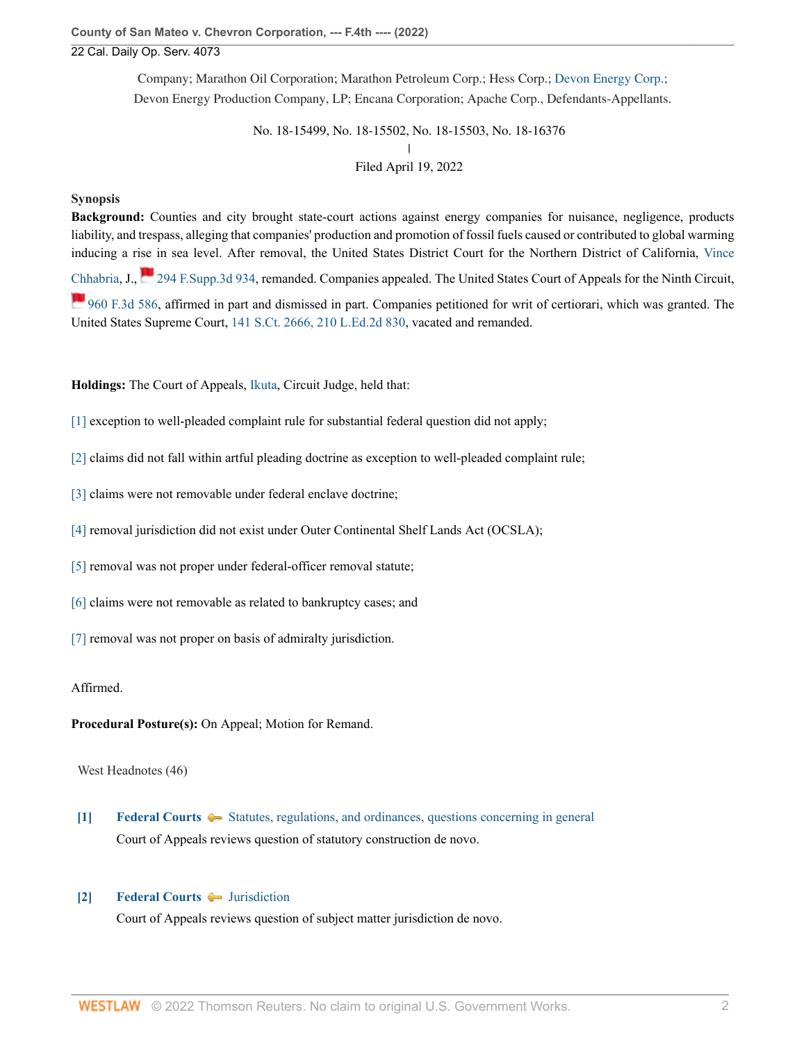Company; Marathon Oil Corporation; Marathon Petroleum Corp.; Hess Corp.; [Devon Energy Corp.;](http://www.westlaw.com/Search/Results.html?query=advanced%3a+WCAID(I9609CBC441EA11DDAD6B0014224D2780)&saveJuris=False&contentType=BUSINESS-INVESTIGATOR&startIndex=1&contextData=(sc.Default)&categoryPageUrl=Home%2fCompanyInvestigator&originationContext=document&vr=3.0&rs=cblt1.0&transitionType=DocumentItem) Devon Energy Production Company, LP; Encana Corporation; Apache Corp., Defendants-Appellants.

> No. 18-15499, No. 18-15502, No. 18-15503, No. 18-16376 | Filed April 19, 2022

### **Synopsis**

**Background:** Counties and city brought state-court actions against energy companies for nuisance, negligence, products liability, and trespass, alleging that companies' production and promotion of fossil fuels caused or contributed to global warming inducing a rise in sea level. After removal, the United States District Court for the Northern District of California, [Vince](http://www.westlaw.com/Link/Document/FullText?findType=h&pubNum=176284&cite=0483909701&originatingDoc=I13d9d0c0c01911eca998bccac2217b4d&refType=RQ&originationContext=document&vr=3.0&rs=cblt1.0&transitionType=DocumentItem&contextData=(sc.Search)) [Chhabria,](http://www.westlaw.com/Link/Document/FullText?findType=h&pubNum=176284&cite=0483909701&originatingDoc=I13d9d0c0c01911eca998bccac2217b4d&refType=RQ&originationContext=document&vr=3.0&rs=cblt1.0&transitionType=DocumentItem&contextData=(sc.Search)) J., [294 F.Supp.3d 934](http://www.westlaw.com/Link/Document/FullText?findType=Y&serNum=2044125687&pubNum=0007903&originatingDoc=I13d9d0c0c01911eca998bccac2217b4d&refType=RP&originationContext=document&vr=3.0&rs=cblt1.0&transitionType=DocumentItem&contextData=(sc.Search)), remanded. Companies appealed. The United States Court of Appeals for the Ninth Circuit, [960 F.3d 586,](http://www.westlaw.com/Link/Document/FullText?findType=Y&serNum=2051128797&pubNum=0000506&originatingDoc=I13d9d0c0c01911eca998bccac2217b4d&refType=RP&originationContext=document&vr=3.0&rs=cblt1.0&transitionType=DocumentItem&contextData=(sc.Search)) affirmed in part and dismissed in part. Companies petitioned for writ of certiorari, which was granted. The United States Supreme Court, [141 S.Ct. 2666, 210 L.Ed.2d 830](http://www.westlaw.com/Link/Document/FullText?findType=Y&serNum=2053680184&pubNum=0000708&originatingDoc=I13d9d0c0c01911eca998bccac2217b4d&refType=RP&originationContext=document&vr=3.0&rs=cblt1.0&transitionType=DocumentItem&contextData=(sc.Search)), vacated and remanded.

**Holdings:** The Court of Appeals, [Ikuta,](http://www.westlaw.com/Link/Document/FullText?findType=h&pubNum=176284&cite=0229586101&originatingDoc=I13d9d0c0c01911eca998bccac2217b4d&refType=RQ&originationContext=document&vr=3.0&rs=cblt1.0&transitionType=DocumentItem&contextData=(sc.Search)) Circuit Judge, held that:

- [\[1\]](#page-2-0) exception to well-pleaded complaint rule for substantial federal question did not apply;
- [\[2\]](#page-2-1) claims did not fall within artful pleading doctrine as exception to well-pleaded complaint rule;
- [\[3\]](#page-3-0) claims were not removable under federal enclave doctrine;
- [\[4\]](#page-4-0) removal jurisdiction did not exist under Outer Continental Shelf Lands Act (OCSLA);
- [\[5\]](#page-6-0) removal was not proper under federal-officer removal statute;
- [\[6\]](#page-7-0) claims were not removable as related to bankruptcy cases; and
- [\[7\]](#page-8-0) removal was not proper on basis of admiralty jurisdiction.

### Affirmed.

**Procedural Posture(s):** On Appeal; Motion for Remand.

West Headnotes (46)

<span id="page-1-0"></span>**[\[1\]](#page-13-0) [Federal Courts](http://www.westlaw.com/Browse/Home/KeyNumber/170B/View.html?docGuid=I13d9d0c0c01911eca998bccac2217b4d&originationContext=document&vr=3.0&rs=cblt1.0&transitionType=DocumentItem&contextData=(sc.Search))**  $\bullet\bullet$  [Statutes, regulations, and ordinances, questions concerning in general](http://www.westlaw.com/Browse/Home/KeyNumber/170Bk3574/View.html?docGuid=I13d9d0c0c01911eca998bccac2217b4d&originationContext=document&vr=3.0&rs=cblt1.0&transitionType=DocumentItem&contextData=(sc.Search)) Court of Appeals reviews question of statutory construction de novo.

# <span id="page-1-1"></span>**[\[2\]](#page-13-1) [Federal Courts](http://www.westlaw.com/Browse/Home/KeyNumber/170B/View.html?docGuid=I13d9d0c0c01911eca998bccac2217b4d&originationContext=document&vr=3.0&rs=cblt1.0&transitionType=DocumentItem&contextData=(sc.Search))**  $\bullet$  [Jurisdiction](http://www.westlaw.com/Browse/Home/KeyNumber/170Bk3581/View.html?docGuid=I13d9d0c0c01911eca998bccac2217b4d&originationContext=document&vr=3.0&rs=cblt1.0&transitionType=DocumentItem&contextData=(sc.Search))

Court of Appeals reviews question of subject matter jurisdiction de novo.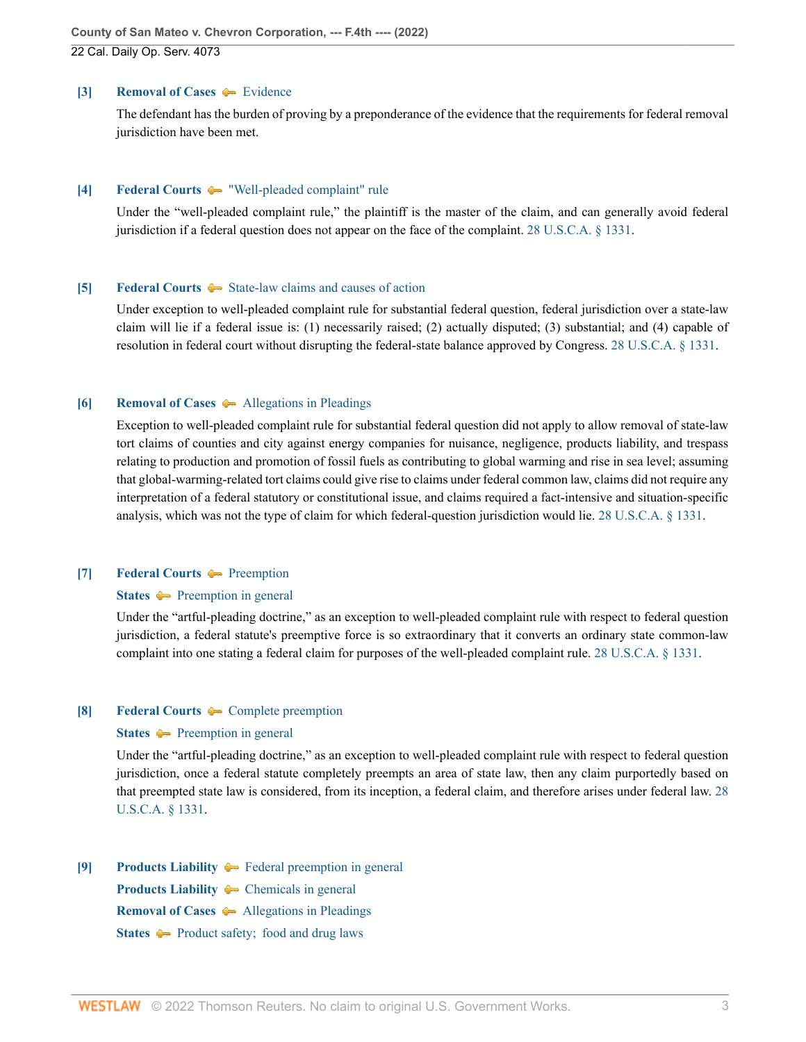<span id="page-2-2"></span>**[\[3\]](#page-13-2) [Removal of Cases](http://www.westlaw.com/Browse/Home/KeyNumber/334/View.html?docGuid=I13d9d0c0c01911eca998bccac2217b4d&originationContext=document&vr=3.0&rs=cblt1.0&transitionType=DocumentItem&contextData=(sc.Search))**  $\blacklozenge$  **[Evidence](http://www.westlaw.com/Browse/Home/KeyNumber/334k107(7)/View.html?docGuid=I13d9d0c0c01911eca998bccac2217b4d&originationContext=document&vr=3.0&rs=cblt1.0&transitionType=DocumentItem&contextData=(sc.Search))** 

The defendant has the burden of proving by a preponderance of the evidence that the requirements for federal removal jurisdiction have been met.

### <span id="page-2-3"></span>**[\[4\]](#page-13-3) [Federal Courts](http://www.westlaw.com/Browse/Home/KeyNumber/170B/View.html?docGuid=I13d9d0c0c01911eca998bccac2217b4d&originationContext=document&vr=3.0&rs=cblt1.0&transitionType=DocumentItem&contextData=(sc.Search))** ["Well-pleaded complaint" rule](http://www.westlaw.com/Browse/Home/KeyNumber/170Bk2350/View.html?docGuid=I13d9d0c0c01911eca998bccac2217b4d&originationContext=document&vr=3.0&rs=cblt1.0&transitionType=DocumentItem&contextData=(sc.Search))

Under the "well-pleaded complaint rule," the plaintiff is the master of the claim, and can generally avoid federal jurisdiction if a federal question does not appear on the face of the complaint. [28 U.S.C.A. § 1331.](http://www.westlaw.com/Link/Document/FullText?findType=L&pubNum=1000546&cite=28USCAS1331&originatingDoc=I13d9d0c0c01911eca998bccac2217b4d&refType=LQ&originationContext=document&vr=3.0&rs=cblt1.0&transitionType=DocumentItem&contextData=(sc.Search))

#### <span id="page-2-4"></span>**[\[5\]](#page-13-4) [Federal Courts](http://www.westlaw.com/Browse/Home/KeyNumber/170B/View.html?docGuid=I13d9d0c0c01911eca998bccac2217b4d&originationContext=document&vr=3.0&rs=cblt1.0&transitionType=DocumentItem&contextData=(sc.Search))**  $\bullet\bullet$  [State-law claims and causes of action](http://www.westlaw.com/Browse/Home/KeyNumber/170Bk2217/View.html?docGuid=I13d9d0c0c01911eca998bccac2217b4d&originationContext=document&vr=3.0&rs=cblt1.0&transitionType=DocumentItem&contextData=(sc.Search))

Under exception to well-pleaded complaint rule for substantial federal question, federal jurisdiction over a state-law claim will lie if a federal issue is: (1) necessarily raised; (2) actually disputed; (3) substantial; and (4) capable of resolution in federal court without disrupting the federal-state balance approved by Congress. [28 U.S.C.A. § 1331.](http://www.westlaw.com/Link/Document/FullText?findType=L&pubNum=1000546&cite=28USCAS1331&originatingDoc=I13d9d0c0c01911eca998bccac2217b4d&refType=LQ&originationContext=document&vr=3.0&rs=cblt1.0&transitionType=DocumentItem&contextData=(sc.Search))

### <span id="page-2-0"></span>**[\[6\]](#page-15-0) [Removal of Cases](http://www.westlaw.com/Browse/Home/KeyNumber/334/View.html?docGuid=I13d9d0c0c01911eca998bccac2217b4d&originationContext=document&vr=3.0&rs=cblt1.0&transitionType=DocumentItem&contextData=(sc.Search))**  $\blacklozenge$  **[Allegations in Pleadings](http://www.westlaw.com/Browse/Home/KeyNumber/334k25/View.html?docGuid=I13d9d0c0c01911eca998bccac2217b4d&originationContext=document&vr=3.0&rs=cblt1.0&transitionType=DocumentItem&contextData=(sc.Search))**

Exception to well-pleaded complaint rule for substantial federal question did not apply to allow removal of state-law tort claims of counties and city against energy companies for nuisance, negligence, products liability, and trespass relating to production and promotion of fossil fuels as contributing to global warming and rise in sea level; assuming that global-warming-related tort claims could give rise to claims under federal common law, claims did not require any interpretation of a federal statutory or constitutional issue, and claims required a fact-intensive and situation-specific analysis, which was not the type of claim for which federal-question jurisdiction would lie. [28 U.S.C.A. § 1331.](http://www.westlaw.com/Link/Document/FullText?findType=L&pubNum=1000546&cite=28USCAS1331&originatingDoc=I13d9d0c0c01911eca998bccac2217b4d&refType=LQ&originationContext=document&vr=3.0&rs=cblt1.0&transitionType=DocumentItem&contextData=(sc.Search))

#### <span id="page-2-5"></span>**[\[7\]](#page-15-1) [Federal Courts](http://www.westlaw.com/Browse/Home/KeyNumber/170B/View.html?docGuid=I13d9d0c0c01911eca998bccac2217b4d&originationContext=document&vr=3.0&rs=cblt1.0&transitionType=DocumentItem&contextData=(sc.Search)) [Preemption](http://www.westlaw.com/Browse/Home/KeyNumber/170Bk2218/View.html?docGuid=I13d9d0c0c01911eca998bccac2217b4d&originationContext=document&vr=3.0&rs=cblt1.0&transitionType=DocumentItem&contextData=(sc.Search))**

### **[States](http://www.westlaw.com/Browse/Home/KeyNumber/360/View.html?docGuid=I13d9d0c0c01911eca998bccac2217b4d&originationContext=document&vr=3.0&rs=cblt1.0&transitionType=DocumentItem&contextData=(sc.Search))**  $\rightarrow$  [Preemption in general](http://www.westlaw.com/Browse/Home/KeyNumber/360k18.3/View.html?docGuid=I13d9d0c0c01911eca998bccac2217b4d&originationContext=document&vr=3.0&rs=cblt1.0&transitionType=DocumentItem&contextData=(sc.Search))

Under the "artful-pleading doctrine," as an exception to well-pleaded complaint rule with respect to federal question jurisdiction, a federal statute's preemptive force is so extraordinary that it converts an ordinary state common-law complaint into one stating a federal claim for purposes of the well-pleaded complaint rule. [28 U.S.C.A. § 1331.](http://www.westlaw.com/Link/Document/FullText?findType=L&pubNum=1000546&cite=28USCAS1331&originatingDoc=I13d9d0c0c01911eca998bccac2217b4d&refType=LQ&originationContext=document&vr=3.0&rs=cblt1.0&transitionType=DocumentItem&contextData=(sc.Search))

#### <span id="page-2-6"></span>**[\[8\]](#page-15-2) [Federal Courts](http://www.westlaw.com/Browse/Home/KeyNumber/170B/View.html?docGuid=I13d9d0c0c01911eca998bccac2217b4d&originationContext=document&vr=3.0&rs=cblt1.0&transitionType=DocumentItem&contextData=(sc.Search))**  $\blacktriangleright$  [Complete preemption](http://www.westlaw.com/Browse/Home/KeyNumber/170Bk2218(2)/View.html?docGuid=I13d9d0c0c01911eca998bccac2217b4d&originationContext=document&vr=3.0&rs=cblt1.0&transitionType=DocumentItem&contextData=(sc.Search))

#### **[States](http://www.westlaw.com/Browse/Home/KeyNumber/360/View.html?docGuid=I13d9d0c0c01911eca998bccac2217b4d&originationContext=document&vr=3.0&rs=cblt1.0&transitionType=DocumentItem&contextData=(sc.Search))**  $\bullet\bullet$  [Preemption in general](http://www.westlaw.com/Browse/Home/KeyNumber/360k18.3/View.html?docGuid=I13d9d0c0c01911eca998bccac2217b4d&originationContext=document&vr=3.0&rs=cblt1.0&transitionType=DocumentItem&contextData=(sc.Search))

Under the "artful-pleading doctrine," as an exception to well-pleaded complaint rule with respect to federal question jurisdiction, once a federal statute completely preempts an area of state law, then any claim purportedly based on that preempted state law is considered, from its inception, a federal claim, and therefore arises under federal law. [28](http://www.westlaw.com/Link/Document/FullText?findType=L&pubNum=1000546&cite=28USCAS1331&originatingDoc=I13d9d0c0c01911eca998bccac2217b4d&refType=LQ&originationContext=document&vr=3.0&rs=cblt1.0&transitionType=DocumentItem&contextData=(sc.Search)) [U.S.C.A. § 1331](http://www.westlaw.com/Link/Document/FullText?findType=L&pubNum=1000546&cite=28USCAS1331&originatingDoc=I13d9d0c0c01911eca998bccac2217b4d&refType=LQ&originationContext=document&vr=3.0&rs=cblt1.0&transitionType=DocumentItem&contextData=(sc.Search)).

<span id="page-2-1"></span>**[\[9\]](#page-15-3) [Products Liability](http://www.westlaw.com/Browse/Home/KeyNumber/313A/View.html?docGuid=I13d9d0c0c01911eca998bccac2217b4d&originationContext=document&vr=3.0&rs=cblt1.0&transitionType=DocumentItem&contextData=(sc.Search))**  $\blacktriangleright$  [Federal preemption in general](http://www.westlaw.com/Browse/Home/KeyNumber/313Ak106/View.html?docGuid=I13d9d0c0c01911eca998bccac2217b4d&originationContext=document&vr=3.0&rs=cblt1.0&transitionType=DocumentItem&contextData=(sc.Search)) **[Products Liability](http://www.westlaw.com/Browse/Home/KeyNumber/313A/View.html?docGuid=I13d9d0c0c01911eca998bccac2217b4d&originationContext=document&vr=3.0&rs=cblt1.0&transitionType=DocumentItem&contextData=(sc.Search))**  $\bullet$  [Chemicals in general](http://www.westlaw.com/Browse/Home/KeyNumber/313Ak217/View.html?docGuid=I13d9d0c0c01911eca998bccac2217b4d&originationContext=document&vr=3.0&rs=cblt1.0&transitionType=DocumentItem&contextData=(sc.Search)) **[Removal of Cases](http://www.westlaw.com/Browse/Home/KeyNumber/334/View.html?docGuid=I13d9d0c0c01911eca998bccac2217b4d&originationContext=document&vr=3.0&rs=cblt1.0&transitionType=DocumentItem&contextData=(sc.Search))**  $\blacklozenge$  [Allegations in Pleadings](http://www.westlaw.com/Browse/Home/KeyNumber/334k25/View.html?docGuid=I13d9d0c0c01911eca998bccac2217b4d&originationContext=document&vr=3.0&rs=cblt1.0&transitionType=DocumentItem&contextData=(sc.Search)) **[States](http://www.westlaw.com/Browse/Home/KeyNumber/360/View.html?docGuid=I13d9d0c0c01911eca998bccac2217b4d&originationContext=document&vr=3.0&rs=cblt1.0&transitionType=DocumentItem&contextData=(sc.Search))**  $\blacklozenge$  Product safety; food and drug laws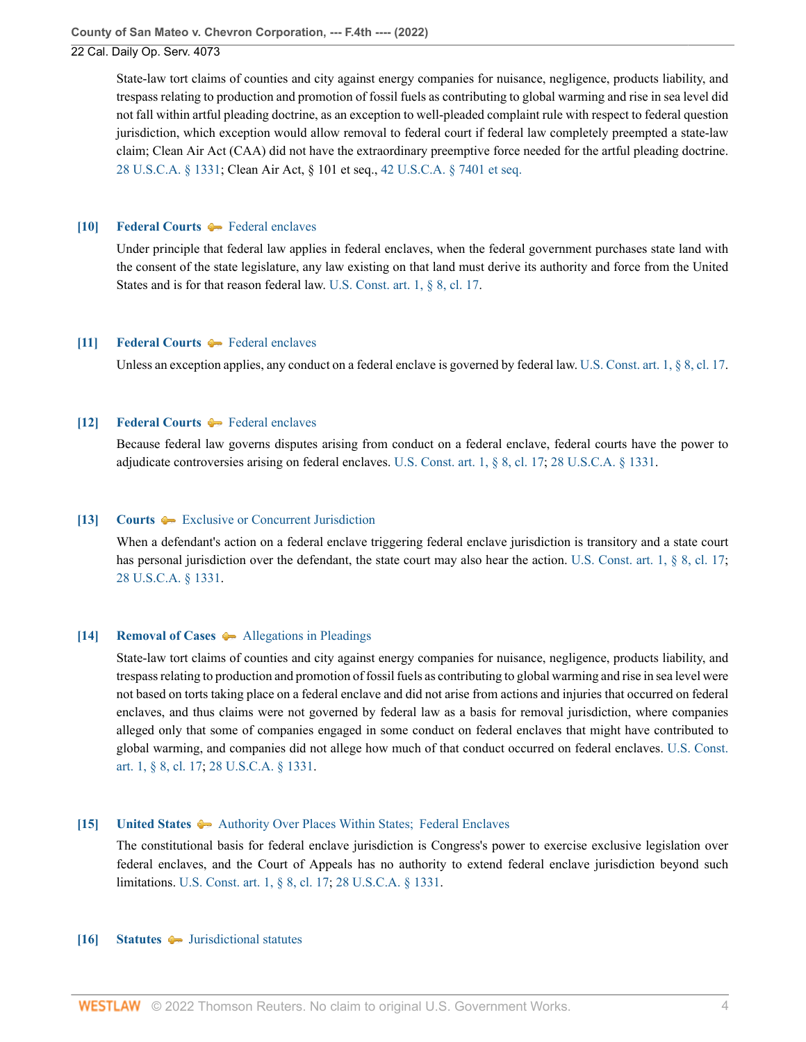State-law tort claims of counties and city against energy companies for nuisance, negligence, products liability, and trespass relating to production and promotion of fossil fuels as contributing to global warming and rise in sea level did not fall within artful pleading doctrine, as an exception to well-pleaded complaint rule with respect to federal question jurisdiction, which exception would allow removal to federal court if federal law completely preempted a state-law claim; Clean Air Act (CAA) did not have the extraordinary preemptive force needed for the artful pleading doctrine. [28 U.S.C.A. § 1331;](http://www.westlaw.com/Link/Document/FullText?findType=L&pubNum=1000546&cite=28USCAS1331&originatingDoc=I13d9d0c0c01911eca998bccac2217b4d&refType=LQ&originationContext=document&vr=3.0&rs=cblt1.0&transitionType=DocumentItem&contextData=(sc.Search)) Clean Air Act, § 101 et seq., [42 U.S.C.A. § 7401 et seq.](http://www.westlaw.com/Link/Document/FullText?findType=L&pubNum=1000546&cite=42USCAS7401&originatingDoc=I13d9d0c0c01911eca998bccac2217b4d&refType=LQ&originationContext=document&vr=3.0&rs=cblt1.0&transitionType=DocumentItem&contextData=(sc.Search))

### <span id="page-3-1"></span>**[\[10\]](#page-16-0) [Federal Courts](http://www.westlaw.com/Browse/Home/KeyNumber/170B/View.html?docGuid=I13d9d0c0c01911eca998bccac2217b4d&originationContext=document&vr=3.0&rs=cblt1.0&transitionType=DocumentItem&contextData=(sc.Search))**  $\blacktriangleright$  **[Federal enclaves](http://www.westlaw.com/Browse/Home/KeyNumber/170Bk2253/View.html?docGuid=I13d9d0c0c01911eca998bccac2217b4d&originationContext=document&vr=3.0&rs=cblt1.0&transitionType=DocumentItem&contextData=(sc.Search))**

Under principle that federal law applies in federal enclaves, when the federal government purchases state land with the consent of the state legislature, any law existing on that land must derive its authority and force from the United States and is for that reason federal law. [U.S. Const. art. 1, § 8, cl. 17.](http://www.westlaw.com/Link/Document/FullText?findType=L&pubNum=1000583&cite=USCOARTIS8CL17&originatingDoc=I13d9d0c0c01911eca998bccac2217b4d&refType=LQ&originationContext=document&vr=3.0&rs=cblt1.0&transitionType=DocumentItem&contextData=(sc.Search))

#### <span id="page-3-2"></span>**[\[11\]](#page-16-1) [Federal Courts](http://www.westlaw.com/Browse/Home/KeyNumber/170B/View.html?docGuid=I13d9d0c0c01911eca998bccac2217b4d&originationContext=document&vr=3.0&rs=cblt1.0&transitionType=DocumentItem&contextData=(sc.Search))**  $\blacklozenge$  **[Federal enclaves](http://www.westlaw.com/Browse/Home/KeyNumber/170Bk2253/View.html?docGuid=I13d9d0c0c01911eca998bccac2217b4d&originationContext=document&vr=3.0&rs=cblt1.0&transitionType=DocumentItem&contextData=(sc.Search))**

Unless an exception applies, any conduct on a federal enclave is governed by federal law. [U.S. Const. art. 1, § 8, cl. 17](http://www.westlaw.com/Link/Document/FullText?findType=L&pubNum=1000583&cite=USCOARTIS8CL17&originatingDoc=I13d9d0c0c01911eca998bccac2217b4d&refType=LQ&originationContext=document&vr=3.0&rs=cblt1.0&transitionType=DocumentItem&contextData=(sc.Search)).

### <span id="page-3-3"></span>**[\[12\]](#page-16-2) [Federal Courts](http://www.westlaw.com/Browse/Home/KeyNumber/170B/View.html?docGuid=I13d9d0c0c01911eca998bccac2217b4d&originationContext=document&vr=3.0&rs=cblt1.0&transitionType=DocumentItem&contextData=(sc.Search))**  $\blacktriangleright$  **[Federal enclaves](http://www.westlaw.com/Browse/Home/KeyNumber/170Bk2253/View.html?docGuid=I13d9d0c0c01911eca998bccac2217b4d&originationContext=document&vr=3.0&rs=cblt1.0&transitionType=DocumentItem&contextData=(sc.Search))**

Because federal law governs disputes arising from conduct on a federal enclave, federal courts have the power to adjudicate controversies arising on federal enclaves. [U.S. Const. art. 1, § 8, cl. 17](http://www.westlaw.com/Link/Document/FullText?findType=L&pubNum=1000583&cite=USCOARTIS8CL17&originatingDoc=I13d9d0c0c01911eca998bccac2217b4d&refType=LQ&originationContext=document&vr=3.0&rs=cblt1.0&transitionType=DocumentItem&contextData=(sc.Search)); [28 U.S.C.A. § 1331.](http://www.westlaw.com/Link/Document/FullText?findType=L&pubNum=1000546&cite=28USCAS1331&originatingDoc=I13d9d0c0c01911eca998bccac2217b4d&refType=LQ&originationContext=document&vr=3.0&rs=cblt1.0&transitionType=DocumentItem&contextData=(sc.Search))

### <span id="page-3-4"></span>**[\[13\]](#page-16-3) [Courts](http://www.westlaw.com/Browse/Home/KeyNumber/106/View.html?docGuid=I13d9d0c0c01911eca998bccac2217b4d&originationContext=document&vr=3.0&rs=cblt1.0&transitionType=DocumentItem&contextData=(sc.Search))**  $\rightarrow$  [Exclusive or Concurrent Jurisdiction](http://www.westlaw.com/Browse/Home/KeyNumber/106k489/View.html?docGuid=I13d9d0c0c01911eca998bccac2217b4d&originationContext=document&vr=3.0&rs=cblt1.0&transitionType=DocumentItem&contextData=(sc.Search))

When a defendant's action on a federal enclave triggering federal enclave jurisdiction is transitory and a state court has personal jurisdiction over the defendant, the state court may also hear the action. [U.S. Const. art. 1, § 8, cl. 17;](http://www.westlaw.com/Link/Document/FullText?findType=L&pubNum=1000583&cite=USCOARTIS8CL17&originatingDoc=I13d9d0c0c01911eca998bccac2217b4d&refType=LQ&originationContext=document&vr=3.0&rs=cblt1.0&transitionType=DocumentItem&contextData=(sc.Search)) [28 U.S.C.A. § 1331.](http://www.westlaw.com/Link/Document/FullText?findType=L&pubNum=1000546&cite=28USCAS1331&originatingDoc=I13d9d0c0c01911eca998bccac2217b4d&refType=LQ&originationContext=document&vr=3.0&rs=cblt1.0&transitionType=DocumentItem&contextData=(sc.Search))

#### <span id="page-3-0"></span>**[\[14\]](#page-16-4) [Removal of Cases](http://www.westlaw.com/Browse/Home/KeyNumber/334/View.html?docGuid=I13d9d0c0c01911eca998bccac2217b4d&originationContext=document&vr=3.0&rs=cblt1.0&transitionType=DocumentItem&contextData=(sc.Search))**  $\blacklozenge$  **[Allegations in Pleadings](http://www.westlaw.com/Browse/Home/KeyNumber/334k25/View.html?docGuid=I13d9d0c0c01911eca998bccac2217b4d&originationContext=document&vr=3.0&rs=cblt1.0&transitionType=DocumentItem&contextData=(sc.Search))**

State-law tort claims of counties and city against energy companies for nuisance, negligence, products liability, and trespass relating to production and promotion of fossil fuels as contributing to global warming and rise in sea level were not based on torts taking place on a federal enclave and did not arise from actions and injuries that occurred on federal enclaves, and thus claims were not governed by federal law as a basis for removal jurisdiction, where companies alleged only that some of companies engaged in some conduct on federal enclaves that might have contributed to global warming, and companies did not allege how much of that conduct occurred on federal enclaves. [U.S. Const.](http://www.westlaw.com/Link/Document/FullText?findType=L&pubNum=1000583&cite=USCOARTIS8CL17&originatingDoc=I13d9d0c0c01911eca998bccac2217b4d&refType=LQ&originationContext=document&vr=3.0&rs=cblt1.0&transitionType=DocumentItem&contextData=(sc.Search)) [art. 1, § 8, cl. 17;](http://www.westlaw.com/Link/Document/FullText?findType=L&pubNum=1000583&cite=USCOARTIS8CL17&originatingDoc=I13d9d0c0c01911eca998bccac2217b4d&refType=LQ&originationContext=document&vr=3.0&rs=cblt1.0&transitionType=DocumentItem&contextData=(sc.Search)) [28 U.S.C.A. § 1331](http://www.westlaw.com/Link/Document/FullText?findType=L&pubNum=1000546&cite=28USCAS1331&originatingDoc=I13d9d0c0c01911eca998bccac2217b4d&refType=LQ&originationContext=document&vr=3.0&rs=cblt1.0&transitionType=DocumentItem&contextData=(sc.Search)).

## <span id="page-3-5"></span>**[\[15\]](#page-17-0) [United States](http://www.westlaw.com/Browse/Home/KeyNumber/393/View.html?docGuid=I13d9d0c0c01911eca998bccac2217b4d&originationContext=document&vr=3.0&rs=cblt1.0&transitionType=DocumentItem&contextData=(sc.Search))**  $\blacklozenge$  **Authority Over Places Within States; Federal Enclaves**

The constitutional basis for federal enclave jurisdiction is Congress's power to exercise exclusive legislation over federal enclaves, and the Court of Appeals has no authority to extend federal enclave jurisdiction beyond such limitations. [U.S. Const. art. 1, § 8, cl. 17](http://www.westlaw.com/Link/Document/FullText?findType=L&pubNum=1000583&cite=USCOARTIS8CL17&originatingDoc=I13d9d0c0c01911eca998bccac2217b4d&refType=LQ&originationContext=document&vr=3.0&rs=cblt1.0&transitionType=DocumentItem&contextData=(sc.Search)); [28 U.S.C.A. § 1331](http://www.westlaw.com/Link/Document/FullText?findType=L&pubNum=1000546&cite=28USCAS1331&originatingDoc=I13d9d0c0c01911eca998bccac2217b4d&refType=LQ&originationContext=document&vr=3.0&rs=cblt1.0&transitionType=DocumentItem&contextData=(sc.Search)).

#### <span id="page-3-6"></span>**[\[16\]](#page-17-1) [Statutes](http://www.westlaw.com/Browse/Home/KeyNumber/361/View.html?docGuid=I13d9d0c0c01911eca998bccac2217b4d&originationContext=document&vr=3.0&rs=cblt1.0&transitionType=DocumentItem&contextData=(sc.Search))** [Jurisdictional statutes](http://www.westlaw.com/Browse/Home/KeyNumber/361k1312/View.html?docGuid=I13d9d0c0c01911eca998bccac2217b4d&originationContext=document&vr=3.0&rs=cblt1.0&transitionType=DocumentItem&contextData=(sc.Search))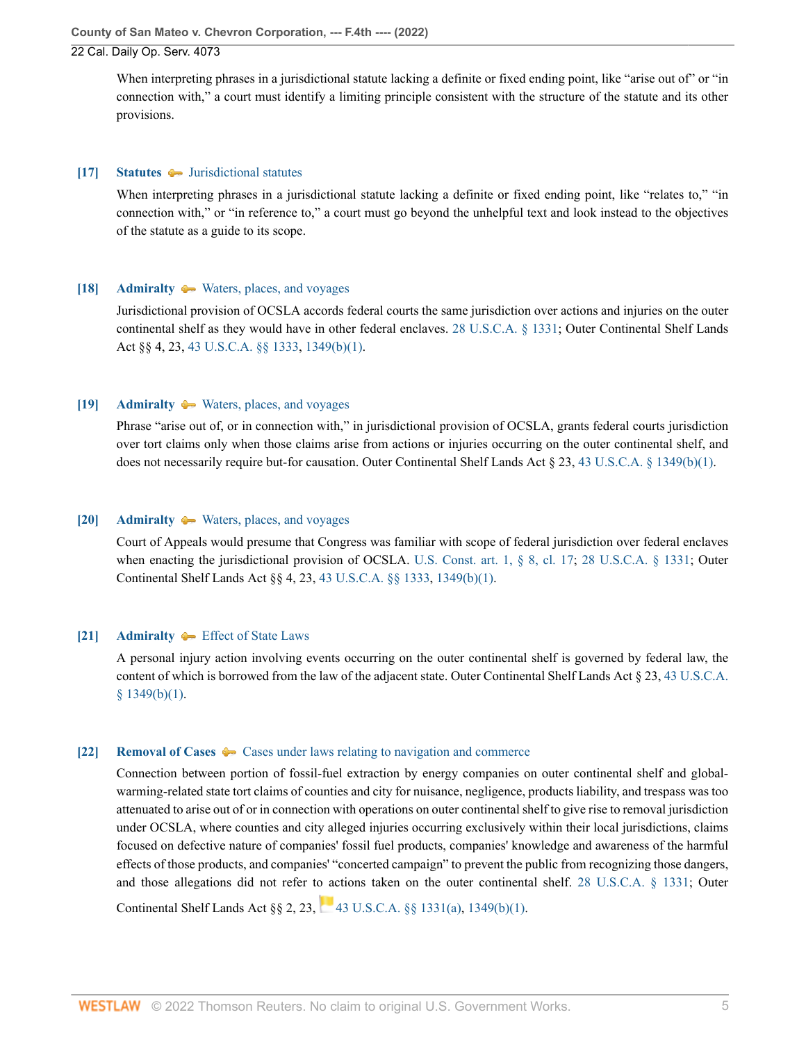When interpreting phrases in a jurisdictional statute lacking a definite or fixed ending point, like "arise out of" or "in connection with," a court must identify a limiting principle consistent with the structure of the statute and its other provisions.

#### <span id="page-4-1"></span>**[\[17\]](#page-17-2) [Statutes](http://www.westlaw.com/Browse/Home/KeyNumber/361/View.html?docGuid=I13d9d0c0c01911eca998bccac2217b4d&originationContext=document&vr=3.0&rs=cblt1.0&transitionType=DocumentItem&contextData=(sc.Search))** [Jurisdictional statutes](http://www.westlaw.com/Browse/Home/KeyNumber/361k1312/View.html?docGuid=I13d9d0c0c01911eca998bccac2217b4d&originationContext=document&vr=3.0&rs=cblt1.0&transitionType=DocumentItem&contextData=(sc.Search))

When interpreting phrases in a jurisdictional statute lacking a definite or fixed ending point, like "relates to," "in connection with," or "in reference to," a court must go beyond the unhelpful text and look instead to the objectives of the statute as a guide to its scope.

### <span id="page-4-2"></span>**[\[18\]](#page-18-0) [Admiralty](http://www.westlaw.com/Browse/Home/KeyNumber/16/View.html?docGuid=I13d9d0c0c01911eca998bccac2217b4d&originationContext=document&vr=3.0&rs=cblt1.0&transitionType=DocumentItem&contextData=(sc.Search))**  $\bullet\bullet$  [Waters, places, and voyages](http://www.westlaw.com/Browse/Home/KeyNumber/16k4/View.html?docGuid=I13d9d0c0c01911eca998bccac2217b4d&originationContext=document&vr=3.0&rs=cblt1.0&transitionType=DocumentItem&contextData=(sc.Search))

Jurisdictional provision of OCSLA accords federal courts the same jurisdiction over actions and injuries on the outer continental shelf as they would have in other federal enclaves. [28 U.S.C.A. § 1331](http://www.westlaw.com/Link/Document/FullText?findType=L&pubNum=1000546&cite=28USCAS1331&originatingDoc=I13d9d0c0c01911eca998bccac2217b4d&refType=LQ&originationContext=document&vr=3.0&rs=cblt1.0&transitionType=DocumentItem&contextData=(sc.Search)); Outer Continental Shelf Lands Act §§ 4, 23, [43 U.S.C.A. §§ 1333](http://www.westlaw.com/Link/Document/FullText?findType=L&pubNum=1000546&cite=43USCAS1333&originatingDoc=I13d9d0c0c01911eca998bccac2217b4d&refType=LQ&originationContext=document&vr=3.0&rs=cblt1.0&transitionType=DocumentItem&contextData=(sc.Search)), [1349\(b\)\(1\)](http://www.westlaw.com/Link/Document/FullText?findType=L&pubNum=1000546&cite=43USCAS1349&originatingDoc=I13d9d0c0c01911eca998bccac2217b4d&refType=SP&originationContext=document&vr=3.0&rs=cblt1.0&transitionType=DocumentItem&contextData=(sc.Search)#co_pp_3fed000053a85).

### <span id="page-4-3"></span>**[\[19\]](#page-18-1) [Admiralty](http://www.westlaw.com/Browse/Home/KeyNumber/16/View.html?docGuid=I13d9d0c0c01911eca998bccac2217b4d&originationContext=document&vr=3.0&rs=cblt1.0&transitionType=DocumentItem&contextData=(sc.Search))**  $\blacktriangleright$  [Waters, places, and voyages](http://www.westlaw.com/Browse/Home/KeyNumber/16k4/View.html?docGuid=I13d9d0c0c01911eca998bccac2217b4d&originationContext=document&vr=3.0&rs=cblt1.0&transitionType=DocumentItem&contextData=(sc.Search))

Phrase "arise out of, or in connection with," in jurisdictional provision of OCSLA, grants federal courts jurisdiction over tort claims only when those claims arise from actions or injuries occurring on the outer continental shelf, and does not necessarily require but-for causation. Outer Continental Shelf Lands Act § 23, [43 U.S.C.A. § 1349\(b\)\(1\).](http://www.westlaw.com/Link/Document/FullText?findType=L&pubNum=1000546&cite=43USCAS1349&originatingDoc=I13d9d0c0c01911eca998bccac2217b4d&refType=SP&originationContext=document&vr=3.0&rs=cblt1.0&transitionType=DocumentItem&contextData=(sc.Search)#co_pp_3fed000053a85)

#### <span id="page-4-4"></span>**[\[20\]](#page-18-2) [Admiralty](http://www.westlaw.com/Browse/Home/KeyNumber/16/View.html?docGuid=I13d9d0c0c01911eca998bccac2217b4d&originationContext=document&vr=3.0&rs=cblt1.0&transitionType=DocumentItem&contextData=(sc.Search))**  $\bullet\bullet$  [Waters, places, and voyages](http://www.westlaw.com/Browse/Home/KeyNumber/16k4/View.html?docGuid=I13d9d0c0c01911eca998bccac2217b4d&originationContext=document&vr=3.0&rs=cblt1.0&transitionType=DocumentItem&contextData=(sc.Search))

Court of Appeals would presume that Congress was familiar with scope of federal jurisdiction over federal enclaves when enacting the jurisdictional provision of OCSLA. [U.S. Const. art. 1, § 8, cl. 17;](http://www.westlaw.com/Link/Document/FullText?findType=L&pubNum=1000583&cite=USCOARTIS8CL17&originatingDoc=I13d9d0c0c01911eca998bccac2217b4d&refType=LQ&originationContext=document&vr=3.0&rs=cblt1.0&transitionType=DocumentItem&contextData=(sc.Search)) [28 U.S.C.A. § 1331](http://www.westlaw.com/Link/Document/FullText?findType=L&pubNum=1000546&cite=28USCAS1331&originatingDoc=I13d9d0c0c01911eca998bccac2217b4d&refType=LQ&originationContext=document&vr=3.0&rs=cblt1.0&transitionType=DocumentItem&contextData=(sc.Search)); Outer Continental Shelf Lands Act §§ 4, 23, [43 U.S.C.A. §§ 1333,](http://www.westlaw.com/Link/Document/FullText?findType=L&pubNum=1000546&cite=43USCAS1333&originatingDoc=I13d9d0c0c01911eca998bccac2217b4d&refType=LQ&originationContext=document&vr=3.0&rs=cblt1.0&transitionType=DocumentItem&contextData=(sc.Search)) [1349\(b\)\(1\)](http://www.westlaw.com/Link/Document/FullText?findType=L&pubNum=1000546&cite=43USCAS1349&originatingDoc=I13d9d0c0c01911eca998bccac2217b4d&refType=SP&originationContext=document&vr=3.0&rs=cblt1.0&transitionType=DocumentItem&contextData=(sc.Search)#co_pp_3fed000053a85).

#### <span id="page-4-5"></span>**[\[21\]](#page-18-3) [Admiralty](http://www.westlaw.com/Browse/Home/KeyNumber/16/View.html?docGuid=I13d9d0c0c01911eca998bccac2217b4d&originationContext=document&vr=3.0&rs=cblt1.0&transitionType=DocumentItem&contextData=(sc.Search))**  $\blacktriangleright$  [Effect of State Laws](http://www.westlaw.com/Browse/Home/KeyNumber/16k1.20/View.html?docGuid=I13d9d0c0c01911eca998bccac2217b4d&originationContext=document&vr=3.0&rs=cblt1.0&transitionType=DocumentItem&contextData=(sc.Search))

A personal injury action involving events occurring on the outer continental shelf is governed by federal law, the content of which is borrowed from the law of the adjacent state. Outer Continental Shelf Lands Act § 23, [43 U.S.C.A.](http://www.westlaw.com/Link/Document/FullText?findType=L&pubNum=1000546&cite=43USCAS1349&originatingDoc=I13d9d0c0c01911eca998bccac2217b4d&refType=SP&originationContext=document&vr=3.0&rs=cblt1.0&transitionType=DocumentItem&contextData=(sc.Search)#co_pp_3fed000053a85)  $§$  1349(b)(1).

#### <span id="page-4-0"></span>**[\[22\]](#page-19-0) [Removal of Cases](http://www.westlaw.com/Browse/Home/KeyNumber/334/View.html?docGuid=I13d9d0c0c01911eca998bccac2217b4d&originationContext=document&vr=3.0&rs=cblt1.0&transitionType=DocumentItem&contextData=(sc.Search))**  $\blacktriangleright$  [Cases under laws relating to navigation and commerce](http://www.westlaw.com/Browse/Home/KeyNumber/334k19(5)/View.html?docGuid=I13d9d0c0c01911eca998bccac2217b4d&originationContext=document&vr=3.0&rs=cblt1.0&transitionType=DocumentItem&contextData=(sc.Search))

Connection between portion of fossil-fuel extraction by energy companies on outer continental shelf and globalwarming-related state tort claims of counties and city for nuisance, negligence, products liability, and trespass was too attenuated to arise out of or in connection with operations on outer continental shelf to give rise to removal jurisdiction under OCSLA, where counties and city alleged injuries occurring exclusively within their local jurisdictions, claims focused on defective nature of companies' fossil fuel products, companies' knowledge and awareness of the harmful effects of those products, and companies' "concerted campaign" to prevent the public from recognizing those dangers, and those allegations did not refer to actions taken on the outer continental shelf. [28 U.S.C.A. § 1331;](http://www.westlaw.com/Link/Document/FullText?findType=L&pubNum=1000546&cite=28USCAS1331&originatingDoc=I13d9d0c0c01911eca998bccac2217b4d&refType=LQ&originationContext=document&vr=3.0&rs=cblt1.0&transitionType=DocumentItem&contextData=(sc.Search)) Outer

Continental Shelf Lands Act §§ 2, 23, [43 U.S.C.A. §§ 1331\(a\),](http://www.westlaw.com/Link/Document/FullText?findType=L&pubNum=1000546&cite=43USCAS1331&originatingDoc=I13d9d0c0c01911eca998bccac2217b4d&refType=SP&originationContext=document&vr=3.0&rs=cblt1.0&transitionType=DocumentItem&contextData=(sc.Search)#co_pp_8b3b0000958a4) [1349\(b\)\(1\).](http://www.westlaw.com/Link/Document/FullText?findType=L&pubNum=1000546&cite=43USCAS1349&originatingDoc=I13d9d0c0c01911eca998bccac2217b4d&refType=SP&originationContext=document&vr=3.0&rs=cblt1.0&transitionType=DocumentItem&contextData=(sc.Search)#co_pp_3fed000053a85)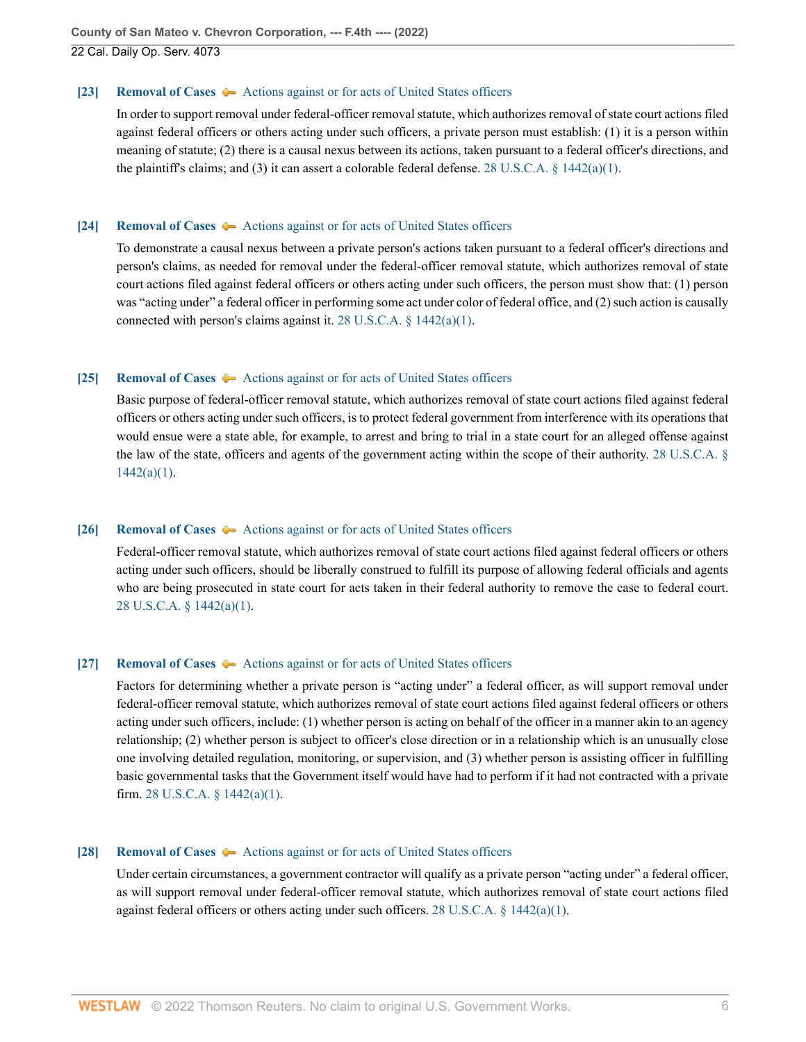### <span id="page-5-0"></span>**[\[23\]](#page-20-0) [Removal of Cases](http://www.westlaw.com/Browse/Home/KeyNumber/334/View.html?docGuid=I13d9d0c0c01911eca998bccac2217b4d&originationContext=document&vr=3.0&rs=cblt1.0&transitionType=DocumentItem&contextData=(sc.Search))**  $\blacklozenge$  **[Actions against or for acts of United States officers](http://www.westlaw.com/Browse/Home/KeyNumber/334k21/View.html?docGuid=I13d9d0c0c01911eca998bccac2217b4d&originationContext=document&vr=3.0&rs=cblt1.0&transitionType=DocumentItem&contextData=(sc.Search))**

In order to support removal under federal-officer removal statute, which authorizes removal of state court actions filed against federal officers or others acting under such officers, a private person must establish: (1) it is a person within meaning of statute; (2) there is a causal nexus between its actions, taken pursuant to a federal officer's directions, and the plaintiff's claims; and (3) it can assert a colorable federal defense. 28 U.S.C.A.  $\S$  1442(a)(1).

### <span id="page-5-1"></span>**[\[24\]](#page-20-1) [Removal of Cases](http://www.westlaw.com/Browse/Home/KeyNumber/334/View.html?docGuid=I13d9d0c0c01911eca998bccac2217b4d&originationContext=document&vr=3.0&rs=cblt1.0&transitionType=DocumentItem&contextData=(sc.Search))**  $\blacklozenge$  [Actions against or for acts of United States officers](http://www.westlaw.com/Browse/Home/KeyNumber/334k21/View.html?docGuid=I13d9d0c0c01911eca998bccac2217b4d&originationContext=document&vr=3.0&rs=cblt1.0&transitionType=DocumentItem&contextData=(sc.Search))

To demonstrate a causal nexus between a private person's actions taken pursuant to a federal officer's directions and person's claims, as needed for removal under the federal-officer removal statute, which authorizes removal of state court actions filed against federal officers or others acting under such officers, the person must show that: (1) person was "acting under" a federal officer in performing some act under color of federal office, and (2) such action is causally connected with person's claims against it. 28 U.S.C.A.  $\S$  1442(a)(1).

### <span id="page-5-2"></span>**[\[25\]](#page-20-2) [Removal of Cases](http://www.westlaw.com/Browse/Home/KeyNumber/334/View.html?docGuid=I13d9d0c0c01911eca998bccac2217b4d&originationContext=document&vr=3.0&rs=cblt1.0&transitionType=DocumentItem&contextData=(sc.Search))**  $\blacktriangleright$  [Actions against or for acts of United States officers](http://www.westlaw.com/Browse/Home/KeyNumber/334k21/View.html?docGuid=I13d9d0c0c01911eca998bccac2217b4d&originationContext=document&vr=3.0&rs=cblt1.0&transitionType=DocumentItem&contextData=(sc.Search))

Basic purpose of federal-officer removal statute, which authorizes removal of state court actions filed against federal officers or others acting under such officers, is to protect federal government from interference with its operations that would ensue were a state able, for example, to arrest and bring to trial in a state court for an alleged offense against the law of the state, officers and agents of the government acting within the scope of their authority. [28 U.S.C.A. §](http://www.westlaw.com/Link/Document/FullText?findType=L&pubNum=1000546&cite=28USCAS1442&originatingDoc=I13d9d0c0c01911eca998bccac2217b4d&refType=SP&originationContext=document&vr=3.0&rs=cblt1.0&transitionType=DocumentItem&contextData=(sc.Search)#co_pp_7b9b000044381)  $1442(a)(1)$ .

### <span id="page-5-3"></span>**[\[26\]](#page-20-3) [Removal of Cases](http://www.westlaw.com/Browse/Home/KeyNumber/334/View.html?docGuid=I13d9d0c0c01911eca998bccac2217b4d&originationContext=document&vr=3.0&rs=cblt1.0&transitionType=DocumentItem&contextData=(sc.Search))**  $\blacktriangleright$  [Actions against or for acts of United States officers](http://www.westlaw.com/Browse/Home/KeyNumber/334k21/View.html?docGuid=I13d9d0c0c01911eca998bccac2217b4d&originationContext=document&vr=3.0&rs=cblt1.0&transitionType=DocumentItem&contextData=(sc.Search))

Federal-officer removal statute, which authorizes removal of state court actions filed against federal officers or others acting under such officers, should be liberally construed to fulfill its purpose of allowing federal officials and agents who are being prosecuted in state court for acts taken in their federal authority to remove the case to federal court. [28 U.S.C.A. § 1442\(a\)\(1\)](http://www.westlaw.com/Link/Document/FullText?findType=L&pubNum=1000546&cite=28USCAS1442&originatingDoc=I13d9d0c0c01911eca998bccac2217b4d&refType=SP&originationContext=document&vr=3.0&rs=cblt1.0&transitionType=DocumentItem&contextData=(sc.Search)#co_pp_7b9b000044381).

### <span id="page-5-4"></span>**[\[27\]](#page-21-0) [Removal of Cases](http://www.westlaw.com/Browse/Home/KeyNumber/334/View.html?docGuid=I13d9d0c0c01911eca998bccac2217b4d&originationContext=document&vr=3.0&rs=cblt1.0&transitionType=DocumentItem&contextData=(sc.Search))**  $\blacklozenge$  **[Actions against or for acts of United States officers](http://www.westlaw.com/Browse/Home/KeyNumber/334k21/View.html?docGuid=I13d9d0c0c01911eca998bccac2217b4d&originationContext=document&vr=3.0&rs=cblt1.0&transitionType=DocumentItem&contextData=(sc.Search))**

Factors for determining whether a private person is "acting under" a federal officer, as will support removal under federal-officer removal statute, which authorizes removal of state court actions filed against federal officers or others acting under such officers, include: (1) whether person is acting on behalf of the officer in a manner akin to an agency relationship; (2) whether person is subject to officer's close direction or in a relationship which is an unusually close one involving detailed regulation, monitoring, or supervision, and (3) whether person is assisting officer in fulfilling basic governmental tasks that the Government itself would have had to perform if it had not contracted with a private firm. [28 U.S.C.A. § 1442\(a\)\(1\).](http://www.westlaw.com/Link/Document/FullText?findType=L&pubNum=1000546&cite=28USCAS1442&originatingDoc=I13d9d0c0c01911eca998bccac2217b4d&refType=SP&originationContext=document&vr=3.0&rs=cblt1.0&transitionType=DocumentItem&contextData=(sc.Search)#co_pp_7b9b000044381)

### <span id="page-5-5"></span>**[\[28\]](#page-21-1) [Removal of Cases](http://www.westlaw.com/Browse/Home/KeyNumber/334/View.html?docGuid=I13d9d0c0c01911eca998bccac2217b4d&originationContext=document&vr=3.0&rs=cblt1.0&transitionType=DocumentItem&contextData=(sc.Search))**  $\blacklozenge$  **[Actions against or for acts of United States officers](http://www.westlaw.com/Browse/Home/KeyNumber/334k21/View.html?docGuid=I13d9d0c0c01911eca998bccac2217b4d&originationContext=document&vr=3.0&rs=cblt1.0&transitionType=DocumentItem&contextData=(sc.Search))**

Under certain circumstances, a government contractor will qualify as a private person "acting under" a federal officer, as will support removal under federal-officer removal statute, which authorizes removal of state court actions filed against federal officers or others acting under such officers. [28 U.S.C.A. § 1442\(a\)\(1\)](http://www.westlaw.com/Link/Document/FullText?findType=L&pubNum=1000546&cite=28USCAS1442&originatingDoc=I13d9d0c0c01911eca998bccac2217b4d&refType=SP&originationContext=document&vr=3.0&rs=cblt1.0&transitionType=DocumentItem&contextData=(sc.Search)#co_pp_7b9b000044381).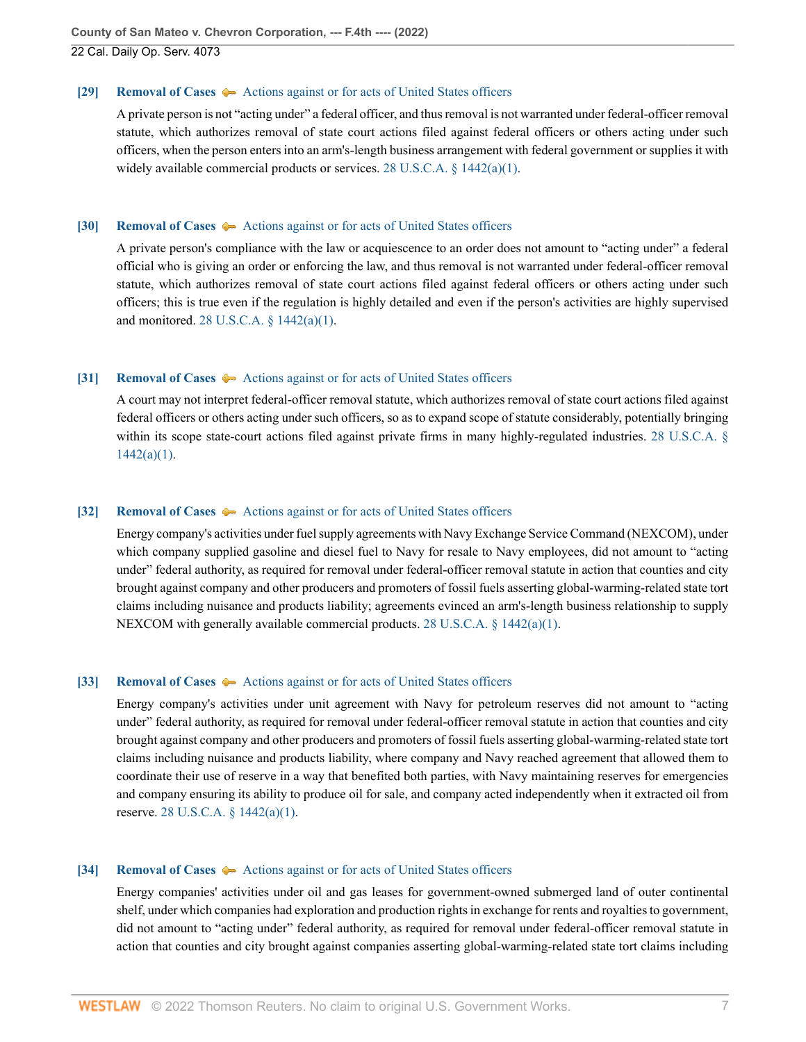### <span id="page-6-1"></span>**[\[29\]](#page-21-2) [Removal of Cases](http://www.westlaw.com/Browse/Home/KeyNumber/334/View.html?docGuid=I13d9d0c0c01911eca998bccac2217b4d&originationContext=document&vr=3.0&rs=cblt1.0&transitionType=DocumentItem&contextData=(sc.Search))**  $\blacklozenge$  **[Actions against or for acts of United States officers](http://www.westlaw.com/Browse/Home/KeyNumber/334k21/View.html?docGuid=I13d9d0c0c01911eca998bccac2217b4d&originationContext=document&vr=3.0&rs=cblt1.0&transitionType=DocumentItem&contextData=(sc.Search))**

A private person is not "acting under" a federal officer, and thus removal is not warranted under federal-officer removal statute, which authorizes removal of state court actions filed against federal officers or others acting under such officers, when the person enters into an arm's-length business arrangement with federal government or supplies it with widely available commercial products or services. [28 U.S.C.A. § 1442\(a\)\(1\)](http://www.westlaw.com/Link/Document/FullText?findType=L&pubNum=1000546&cite=28USCAS1442&originatingDoc=I13d9d0c0c01911eca998bccac2217b4d&refType=SP&originationContext=document&vr=3.0&rs=cblt1.0&transitionType=DocumentItem&contextData=(sc.Search)#co_pp_7b9b000044381).

### <span id="page-6-2"></span>**[\[30\]](#page-21-3) [Removal of Cases](http://www.westlaw.com/Browse/Home/KeyNumber/334/View.html?docGuid=I13d9d0c0c01911eca998bccac2217b4d&originationContext=document&vr=3.0&rs=cblt1.0&transitionType=DocumentItem&contextData=(sc.Search))**  $\blacktriangleright$  [Actions against or for acts of United States officers](http://www.westlaw.com/Browse/Home/KeyNumber/334k21/View.html?docGuid=I13d9d0c0c01911eca998bccac2217b4d&originationContext=document&vr=3.0&rs=cblt1.0&transitionType=DocumentItem&contextData=(sc.Search))

A private person's compliance with the law or acquiescence to an order does not amount to "acting under" a federal official who is giving an order or enforcing the law, and thus removal is not warranted under federal-officer removal statute, which authorizes removal of state court actions filed against federal officers or others acting under such officers; this is true even if the regulation is highly detailed and even if the person's activities are highly supervised and monitored. [28 U.S.C.A. § 1442\(a\)\(1\)](http://www.westlaw.com/Link/Document/FullText?findType=L&pubNum=1000546&cite=28USCAS1442&originatingDoc=I13d9d0c0c01911eca998bccac2217b4d&refType=SP&originationContext=document&vr=3.0&rs=cblt1.0&transitionType=DocumentItem&contextData=(sc.Search)#co_pp_7b9b000044381).

### <span id="page-6-3"></span>**[\[31\]](#page-21-4) [Removal of Cases](http://www.westlaw.com/Browse/Home/KeyNumber/334/View.html?docGuid=I13d9d0c0c01911eca998bccac2217b4d&originationContext=document&vr=3.0&rs=cblt1.0&transitionType=DocumentItem&contextData=(sc.Search))**  $\blacktriangleright$  [Actions against or for acts of United States officers](http://www.westlaw.com/Browse/Home/KeyNumber/334k21/View.html?docGuid=I13d9d0c0c01911eca998bccac2217b4d&originationContext=document&vr=3.0&rs=cblt1.0&transitionType=DocumentItem&contextData=(sc.Search))

A court may not interpret federal-officer removal statute, which authorizes removal of state court actions filed against federal officers or others acting under such officers, so as to expand scope of statute considerably, potentially bringing within its scope state-court actions filed against private firms in many highly-regulated industries. [28 U.S.C.A. §](http://www.westlaw.com/Link/Document/FullText?findType=L&pubNum=1000546&cite=28USCAS1442&originatingDoc=I13d9d0c0c01911eca998bccac2217b4d&refType=SP&originationContext=document&vr=3.0&rs=cblt1.0&transitionType=DocumentItem&contextData=(sc.Search)#co_pp_7b9b000044381)  $1442(a)(1)$ .

### <span id="page-6-0"></span>**[\[32\]](#page-22-0) [Removal of Cases](http://www.westlaw.com/Browse/Home/KeyNumber/334/View.html?docGuid=I13d9d0c0c01911eca998bccac2217b4d&originationContext=document&vr=3.0&rs=cblt1.0&transitionType=DocumentItem&contextData=(sc.Search))**  $\blacklozenge$  **[Actions against or for acts of United States officers](http://www.westlaw.com/Browse/Home/KeyNumber/334k21/View.html?docGuid=I13d9d0c0c01911eca998bccac2217b4d&originationContext=document&vr=3.0&rs=cblt1.0&transitionType=DocumentItem&contextData=(sc.Search))**

Energy company's activities under fuel supply agreements with Navy Exchange Service Command (NEXCOM), under which company supplied gasoline and diesel fuel to Navy for resale to Navy employees, did not amount to "acting under" federal authority, as required for removal under federal-officer removal statute in action that counties and city brought against company and other producers and promoters of fossil fuels asserting global-warming-related state tort claims including nuisance and products liability; agreements evinced an arm's-length business relationship to supply NEXCOM with generally available commercial products. 28 U.S.C.A.  $\S$  1442(a)(1).

### <span id="page-6-4"></span>**[\[33\]](#page-22-1) [Removal of Cases](http://www.westlaw.com/Browse/Home/KeyNumber/334/View.html?docGuid=I13d9d0c0c01911eca998bccac2217b4d&originationContext=document&vr=3.0&rs=cblt1.0&transitionType=DocumentItem&contextData=(sc.Search))**  $\blacktriangleright$  [Actions against or for acts of United States officers](http://www.westlaw.com/Browse/Home/KeyNumber/334k21/View.html?docGuid=I13d9d0c0c01911eca998bccac2217b4d&originationContext=document&vr=3.0&rs=cblt1.0&transitionType=DocumentItem&contextData=(sc.Search))

Energy company's activities under unit agreement with Navy for petroleum reserves did not amount to "acting under" federal authority, as required for removal under federal-officer removal statute in action that counties and city brought against company and other producers and promoters of fossil fuels asserting global-warming-related state tort claims including nuisance and products liability, where company and Navy reached agreement that allowed them to coordinate their use of reserve in a way that benefited both parties, with Navy maintaining reserves for emergencies and company ensuring its ability to produce oil for sale, and company acted independently when it extracted oil from reserve. [28 U.S.C.A. § 1442\(a\)\(1\)](http://www.westlaw.com/Link/Document/FullText?findType=L&pubNum=1000546&cite=28USCAS1442&originatingDoc=I13d9d0c0c01911eca998bccac2217b4d&refType=SP&originationContext=document&vr=3.0&rs=cblt1.0&transitionType=DocumentItem&contextData=(sc.Search)#co_pp_7b9b000044381).

### <span id="page-6-5"></span>**[\[34\]](#page-22-2) [Removal of Cases](http://www.westlaw.com/Browse/Home/KeyNumber/334/View.html?docGuid=I13d9d0c0c01911eca998bccac2217b4d&originationContext=document&vr=3.0&rs=cblt1.0&transitionType=DocumentItem&contextData=(sc.Search))**  $\blacktriangleright$  [Actions against or for acts of United States officers](http://www.westlaw.com/Browse/Home/KeyNumber/334k21/View.html?docGuid=I13d9d0c0c01911eca998bccac2217b4d&originationContext=document&vr=3.0&rs=cblt1.0&transitionType=DocumentItem&contextData=(sc.Search))

Energy companies' activities under oil and gas leases for government-owned submerged land of outer continental shelf, under which companies had exploration and production rights in exchange for rents and royalties to government, did not amount to "acting under" federal authority, as required for removal under federal-officer removal statute in action that counties and city brought against companies asserting global-warming-related state tort claims including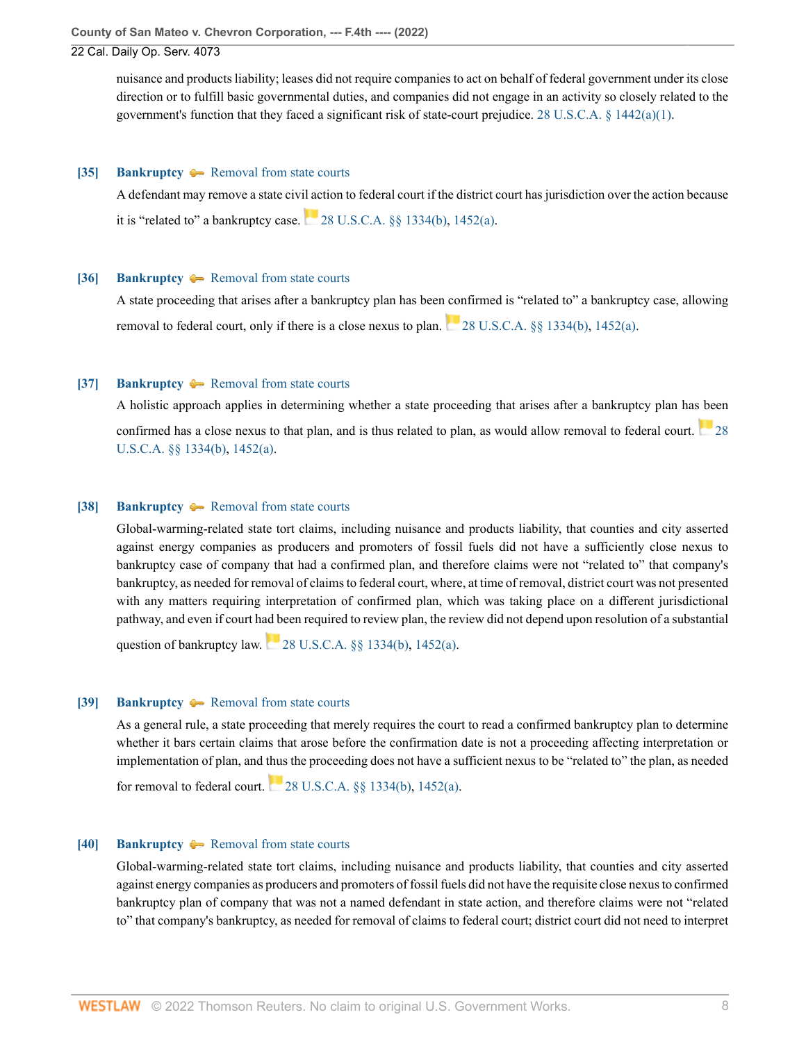nuisance and products liability; leases did not require companies to act on behalf of federal government under its close direction or to fulfill basic governmental duties, and companies did not engage in an activity so closely related to the government's function that they faced a significant risk of state-court prejudice. [28 U.S.C.A. § 1442\(a\)\(1\)](http://www.westlaw.com/Link/Document/FullText?findType=L&pubNum=1000546&cite=28USCAS1442&originatingDoc=I13d9d0c0c01911eca998bccac2217b4d&refType=SP&originationContext=document&vr=3.0&rs=cblt1.0&transitionType=DocumentItem&contextData=(sc.Search)#co_pp_7b9b000044381).

#### <span id="page-7-1"></span>**[\[35\]](#page-23-0) [Bankruptcy](http://www.westlaw.com/Browse/Home/KeyNumber/51/View.html?docGuid=I13d9d0c0c01911eca998bccac2217b4d&originationContext=document&vr=3.0&rs=cblt1.0&transitionType=DocumentItem&contextData=(sc.Search))**  $\blacktriangleright$  [Removal from state courts](http://www.westlaw.com/Browse/Home/KeyNumber/51k2095.5/View.html?docGuid=I13d9d0c0c01911eca998bccac2217b4d&originationContext=document&vr=3.0&rs=cblt1.0&transitionType=DocumentItem&contextData=(sc.Search))

A defendant may remove a state civil action to federal court if the district court has jurisdiction over the action because itis "related to" a bankruptcy case.  $\Box$  [28 U.S.C.A. §§ 1334\(b\),](http://www.westlaw.com/Link/Document/FullText?findType=L&pubNum=1000546&cite=28USCAS1334&originatingDoc=I13d9d0c0c01911eca998bccac2217b4d&refType=SP&originationContext=document&vr=3.0&rs=cblt1.0&transitionType=DocumentItem&contextData=(sc.Search)#co_pp_a83b000018c76) [1452\(a\).](http://www.westlaw.com/Link/Document/FullText?findType=L&pubNum=1000546&cite=28USCAS1452&originatingDoc=I13d9d0c0c01911eca998bccac2217b4d&refType=SP&originationContext=document&vr=3.0&rs=cblt1.0&transitionType=DocumentItem&contextData=(sc.Search)#co_pp_8b3b0000958a4)

#### <span id="page-7-2"></span>**[\[36\]](#page-23-1) [Bankruptcy](http://www.westlaw.com/Browse/Home/KeyNumber/51/View.html?docGuid=I13d9d0c0c01911eca998bccac2217b4d&originationContext=document&vr=3.0&rs=cblt1.0&transitionType=DocumentItem&contextData=(sc.Search)) A** [Removal from state courts](http://www.westlaw.com/Browse/Home/KeyNumber/51k2095.5/View.html?docGuid=I13d9d0c0c01911eca998bccac2217b4d&originationContext=document&vr=3.0&rs=cblt1.0&transitionType=DocumentItem&contextData=(sc.Search))

A state proceeding that arises after a bankruptcy plan has been confirmed is "related to" a bankruptcy case, allowing removalto federal court, only if there is a close nexus to plan.  $28 \text{ U.S.C.A.}$  §§ 1334(b), [1452\(a\)](http://www.westlaw.com/Link/Document/FullText?findType=L&pubNum=1000546&cite=28USCAS1452&originatingDoc=I13d9d0c0c01911eca998bccac2217b4d&refType=SP&originationContext=document&vr=3.0&rs=cblt1.0&transitionType=DocumentItem&contextData=(sc.Search)#co_pp_8b3b0000958a4).

#### <span id="page-7-3"></span>**[\[37\]](#page-24-0) [Bankruptcy](http://www.westlaw.com/Browse/Home/KeyNumber/51/View.html?docGuid=I13d9d0c0c01911eca998bccac2217b4d&originationContext=document&vr=3.0&rs=cblt1.0&transitionType=DocumentItem&contextData=(sc.Search))**  $\blacklozenge$  **[Removal from state courts](http://www.westlaw.com/Browse/Home/KeyNumber/51k2095.5/View.html?docGuid=I13d9d0c0c01911eca998bccac2217b4d&originationContext=document&vr=3.0&rs=cblt1.0&transitionType=DocumentItem&contextData=(sc.Search))**

A holistic approach applies in determining whether a state proceeding that arises after a bankruptcy plan has been confirmed has a close nexus to that plan, and is thus related to plan, as would allow removal to federal court. [28](http://www.westlaw.com/Link/Document/FullText?findType=L&pubNum=1000546&cite=28USCAS1334&originatingDoc=I13d9d0c0c01911eca998bccac2217b4d&refType=SP&originationContext=document&vr=3.0&rs=cblt1.0&transitionType=DocumentItem&contextData=(sc.Search)#co_pp_a83b000018c76) [U.S.C.A. §§ 1334\(b\),](http://www.westlaw.com/Link/Document/FullText?findType=L&pubNum=1000546&cite=28USCAS1334&originatingDoc=I13d9d0c0c01911eca998bccac2217b4d&refType=SP&originationContext=document&vr=3.0&rs=cblt1.0&transitionType=DocumentItem&contextData=(sc.Search)#co_pp_a83b000018c76) [1452\(a\).](http://www.westlaw.com/Link/Document/FullText?findType=L&pubNum=1000546&cite=28USCAS1452&originatingDoc=I13d9d0c0c01911eca998bccac2217b4d&refType=SP&originationContext=document&vr=3.0&rs=cblt1.0&transitionType=DocumentItem&contextData=(sc.Search)#co_pp_8b3b0000958a4)

#### <span id="page-7-0"></span>**[\[38\]](#page-24-1) [Bankruptcy](http://www.westlaw.com/Browse/Home/KeyNumber/51/View.html?docGuid=I13d9d0c0c01911eca998bccac2217b4d&originationContext=document&vr=3.0&rs=cblt1.0&transitionType=DocumentItem&contextData=(sc.Search))**  $\blacklozenge$  **[Removal from state courts](http://www.westlaw.com/Browse/Home/KeyNumber/51k2095.5/View.html?docGuid=I13d9d0c0c01911eca998bccac2217b4d&originationContext=document&vr=3.0&rs=cblt1.0&transitionType=DocumentItem&contextData=(sc.Search))**

Global-warming-related state tort claims, including nuisance and products liability, that counties and city asserted against energy companies as producers and promoters of fossil fuels did not have a sufficiently close nexus to bankruptcy case of company that had a confirmed plan, and therefore claims were not "related to" that company's bankruptcy, as needed for removal of claims to federal court, where, at time of removal, district court was not presented with any matters requiring interpretation of confirmed plan, which was taking place on a different jurisdictional pathway, and even if court had been required to review plan, the review did not depend upon resolution of a substantial

question of bankruptcy law.  $\sim$  [28 U.S.C.A. §§ 1334\(b\)](http://www.westlaw.com/Link/Document/FullText?findType=L&pubNum=1000546&cite=28USCAS1334&originatingDoc=I13d9d0c0c01911eca998bccac2217b4d&refType=SP&originationContext=document&vr=3.0&rs=cblt1.0&transitionType=DocumentItem&contextData=(sc.Search)#co_pp_a83b000018c76), [1452\(a\).](http://www.westlaw.com/Link/Document/FullText?findType=L&pubNum=1000546&cite=28USCAS1452&originatingDoc=I13d9d0c0c01911eca998bccac2217b4d&refType=SP&originationContext=document&vr=3.0&rs=cblt1.0&transitionType=DocumentItem&contextData=(sc.Search)#co_pp_8b3b0000958a4)

### <span id="page-7-4"></span>**[\[39\]](#page-24-2) [Bankruptcy](http://www.westlaw.com/Browse/Home/KeyNumber/51/View.html?docGuid=I13d9d0c0c01911eca998bccac2217b4d&originationContext=document&vr=3.0&rs=cblt1.0&transitionType=DocumentItem&contextData=(sc.Search))**  $\blacklozenge$  **[Removal from state courts](http://www.westlaw.com/Browse/Home/KeyNumber/51k2095.5/View.html?docGuid=I13d9d0c0c01911eca998bccac2217b4d&originationContext=document&vr=3.0&rs=cblt1.0&transitionType=DocumentItem&contextData=(sc.Search))**

As a general rule, a state proceeding that merely requires the court to read a confirmed bankruptcy plan to determine whether it bars certain claims that arose before the confirmation date is not a proceeding affecting interpretation or implementation of plan, and thus the proceeding does not have a sufficient nexus to be "related to" the plan, as needed

for removal to federal court.  $28 \text{ U.S. C.A. }$   $88 \text{ 1334(b). }$  [1452\(a\).](http://www.westlaw.com/Link/Document/FullText?findType=L&pubNum=1000546&cite=28USCAS1452&originatingDoc=I13d9d0c0c01911eca998bccac2217b4d&refType=SP&originationContext=document&vr=3.0&rs=cblt1.0&transitionType=DocumentItem&contextData=(sc.Search)#co_pp_8b3b0000958a4)

# <span id="page-7-5"></span>**[\[40\]](#page-25-0) [Bankruptcy](http://www.westlaw.com/Browse/Home/KeyNumber/51/View.html?docGuid=I13d9d0c0c01911eca998bccac2217b4d&originationContext=document&vr=3.0&rs=cblt1.0&transitionType=DocumentItem&contextData=(sc.Search))**  $\blacklozenge$  **[Removal from state courts](http://www.westlaw.com/Browse/Home/KeyNumber/51k2095.5/View.html?docGuid=I13d9d0c0c01911eca998bccac2217b4d&originationContext=document&vr=3.0&rs=cblt1.0&transitionType=DocumentItem&contextData=(sc.Search))**

Global-warming-related state tort claims, including nuisance and products liability, that counties and city asserted against energy companies as producers and promoters of fossil fuels did not have the requisite close nexus to confirmed bankruptcy plan of company that was not a named defendant in state action, and therefore claims were not "related to" that company's bankruptcy, as needed for removal of claims to federal court; district court did not need to interpret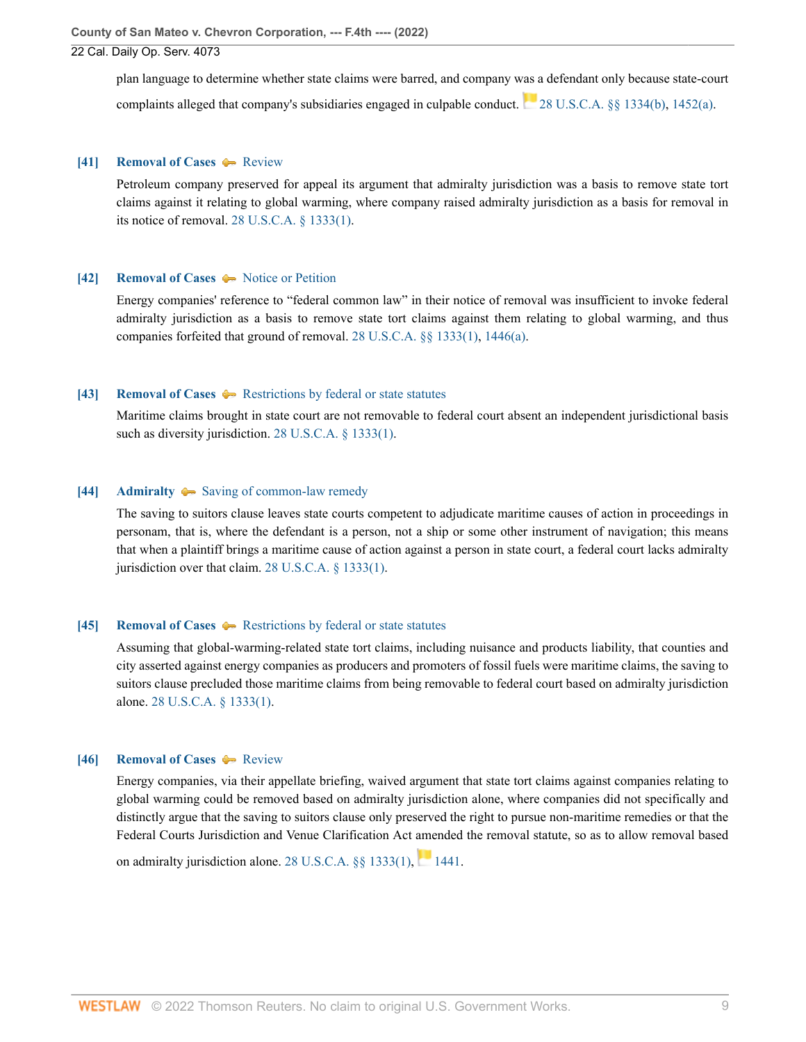plan language to determine whether state claims were barred, and company was a defendant only because state-court complaintsalleged that company's subsidiaries engaged in culpable conduct. [28 U.S.C.A. §§ 1334\(b\),](http://www.westlaw.com/Link/Document/FullText?findType=L&pubNum=1000546&cite=28USCAS1334&originatingDoc=I13d9d0c0c01911eca998bccac2217b4d&refType=SP&originationContext=document&vr=3.0&rs=cblt1.0&transitionType=DocumentItem&contextData=(sc.Search)#co_pp_a83b000018c76) [1452\(a\).](http://www.westlaw.com/Link/Document/FullText?findType=L&pubNum=1000546&cite=28USCAS1452&originatingDoc=I13d9d0c0c01911eca998bccac2217b4d&refType=SP&originationContext=document&vr=3.0&rs=cblt1.0&transitionType=DocumentItem&contextData=(sc.Search)#co_pp_8b3b0000958a4)

#### <span id="page-8-1"></span>**[\[41\]](#page-25-1) [Removal of Cases](http://www.westlaw.com/Browse/Home/KeyNumber/334/View.html?docGuid=I13d9d0c0c01911eca998bccac2217b4d&originationContext=document&vr=3.0&rs=cblt1.0&transitionType=DocumentItem&contextData=(sc.Search))**  $\blacklozenge$  **[Review](http://www.westlaw.com/Browse/Home/KeyNumber/334k107(9)/View.html?docGuid=I13d9d0c0c01911eca998bccac2217b4d&originationContext=document&vr=3.0&rs=cblt1.0&transitionType=DocumentItem&contextData=(sc.Search))**

Petroleum company preserved for appeal its argument that admiralty jurisdiction was a basis to remove state tort claims against it relating to global warming, where company raised admiralty jurisdiction as a basis for removal in its notice of removal. [28 U.S.C.A. § 1333\(1\).](http://www.westlaw.com/Link/Document/FullText?findType=L&pubNum=1000546&cite=28USCAS1333&originatingDoc=I13d9d0c0c01911eca998bccac2217b4d&refType=SP&originationContext=document&vr=3.0&rs=cblt1.0&transitionType=DocumentItem&contextData=(sc.Search)#co_pp_f1c50000821b0)

#### <span id="page-8-2"></span>**[\[42\]](#page-25-2) [Removal of Cases](http://www.westlaw.com/Browse/Home/KeyNumber/334/View.html?docGuid=I13d9d0c0c01911eca998bccac2217b4d&originationContext=document&vr=3.0&rs=cblt1.0&transitionType=DocumentItem&contextData=(sc.Search))**  $\blacklozenge$  [Notice or Petition](http://www.westlaw.com/Browse/Home/KeyNumber/334k86/View.html?docGuid=I13d9d0c0c01911eca998bccac2217b4d&originationContext=document&vr=3.0&rs=cblt1.0&transitionType=DocumentItem&contextData=(sc.Search))

Energy companies' reference to "federal common law" in their notice of removal was insufficient to invoke federal admiralty jurisdiction as a basis to remove state tort claims against them relating to global warming, and thus companies forfeited that ground of removal. [28 U.S.C.A. §§ 1333\(1\)](http://www.westlaw.com/Link/Document/FullText?findType=L&pubNum=1000546&cite=28USCAS1333&originatingDoc=I13d9d0c0c01911eca998bccac2217b4d&refType=SP&originationContext=document&vr=3.0&rs=cblt1.0&transitionType=DocumentItem&contextData=(sc.Search)#co_pp_f1c50000821b0), [1446\(a\)](http://www.westlaw.com/Link/Document/FullText?findType=L&pubNum=1000546&cite=28USCAS1446&originatingDoc=I13d9d0c0c01911eca998bccac2217b4d&refType=SP&originationContext=document&vr=3.0&rs=cblt1.0&transitionType=DocumentItem&contextData=(sc.Search)#co_pp_8b3b0000958a4).

#### <span id="page-8-3"></span>**[\[43\]](#page-25-3) [Removal of Cases](http://www.westlaw.com/Browse/Home/KeyNumber/334/View.html?docGuid=I13d9d0c0c01911eca998bccac2217b4d&originationContext=document&vr=3.0&rs=cblt1.0&transitionType=DocumentItem&contextData=(sc.Search))**  $\blacklozenge$  **[Restrictions by federal or state statutes](http://www.westlaw.com/Browse/Home/KeyNumber/334k3/View.html?docGuid=I13d9d0c0c01911eca998bccac2217b4d&originationContext=document&vr=3.0&rs=cblt1.0&transitionType=DocumentItem&contextData=(sc.Search))**

Maritime claims brought in state court are not removable to federal court absent an independent jurisdictional basis such as diversity jurisdiction. [28 U.S.C.A. § 1333\(1\).](http://www.westlaw.com/Link/Document/FullText?findType=L&pubNum=1000546&cite=28USCAS1333&originatingDoc=I13d9d0c0c01911eca998bccac2217b4d&refType=SP&originationContext=document&vr=3.0&rs=cblt1.0&transitionType=DocumentItem&contextData=(sc.Search)#co_pp_f1c50000821b0)

### <span id="page-8-4"></span>**[\[44\]](#page-25-4) [Admiralty](http://www.westlaw.com/Browse/Home/KeyNumber/16/View.html?docGuid=I13d9d0c0c01911eca998bccac2217b4d&originationContext=document&vr=3.0&rs=cblt1.0&transitionType=DocumentItem&contextData=(sc.Search))**  $\blacklozenge$  [Saving of common-law remedy](http://www.westlaw.com/Browse/Home/KeyNumber/16k2/View.html?docGuid=I13d9d0c0c01911eca998bccac2217b4d&originationContext=document&vr=3.0&rs=cblt1.0&transitionType=DocumentItem&contextData=(sc.Search))

The saving to suitors clause leaves state courts competent to adjudicate maritime causes of action in proceedings in personam, that is, where the defendant is a person, not a ship or some other instrument of navigation; this means that when a plaintiff brings a maritime cause of action against a person in state court, a federal court lacks admiralty jurisdiction over that claim. [28 U.S.C.A. § 1333\(1\)](http://www.westlaw.com/Link/Document/FullText?findType=L&pubNum=1000546&cite=28USCAS1333&originatingDoc=I13d9d0c0c01911eca998bccac2217b4d&refType=SP&originationContext=document&vr=3.0&rs=cblt1.0&transitionType=DocumentItem&contextData=(sc.Search)#co_pp_f1c50000821b0).

### <span id="page-8-0"></span>**[\[45\]](#page-25-5) [Removal of Cases](http://www.westlaw.com/Browse/Home/KeyNumber/334/View.html?docGuid=I13d9d0c0c01911eca998bccac2217b4d&originationContext=document&vr=3.0&rs=cblt1.0&transitionType=DocumentItem&contextData=(sc.Search))**  $\blacklozenge$  **[Restrictions by federal or state statutes](http://www.westlaw.com/Browse/Home/KeyNumber/334k3/View.html?docGuid=I13d9d0c0c01911eca998bccac2217b4d&originationContext=document&vr=3.0&rs=cblt1.0&transitionType=DocumentItem&contextData=(sc.Search))**

Assuming that global-warming-related state tort claims, including nuisance and products liability, that counties and city asserted against energy companies as producers and promoters of fossil fuels were maritime claims, the saving to suitors clause precluded those maritime claims from being removable to federal court based on admiralty jurisdiction alone. [28 U.S.C.A. § 1333\(1\).](http://www.westlaw.com/Link/Document/FullText?findType=L&pubNum=1000546&cite=28USCAS1333&originatingDoc=I13d9d0c0c01911eca998bccac2217b4d&refType=SP&originationContext=document&vr=3.0&rs=cblt1.0&transitionType=DocumentItem&contextData=(sc.Search)#co_pp_f1c50000821b0)

#### <span id="page-8-5"></span>**[\[46\]](#page-25-6) [Removal of Cases](http://www.westlaw.com/Browse/Home/KeyNumber/334/View.html?docGuid=I13d9d0c0c01911eca998bccac2217b4d&originationContext=document&vr=3.0&rs=cblt1.0&transitionType=DocumentItem&contextData=(sc.Search))**  $\blacklozenge$  **[Review](http://www.westlaw.com/Browse/Home/KeyNumber/334k107(9)/View.html?docGuid=I13d9d0c0c01911eca998bccac2217b4d&originationContext=document&vr=3.0&rs=cblt1.0&transitionType=DocumentItem&contextData=(sc.Search))**

Energy companies, via their appellate briefing, waived argument that state tort claims against companies relating to global warming could be removed based on admiralty jurisdiction alone, where companies did not specifically and distinctly argue that the saving to suitors clause only preserved the right to pursue non-maritime remedies or that the Federal Courts Jurisdiction and Venue Clarification Act amended the removal statute, so as to allow removal based

onadmiralty jurisdiction alone. 28 U.S.C.A.  $\S$ § 1333(1), [1441.](http://www.westlaw.com/Link/Document/FullText?findType=L&pubNum=1000546&cite=28USCAS1441&originatingDoc=I13d9d0c0c01911eca998bccac2217b4d&refType=LQ&originationContext=document&vr=3.0&rs=cblt1.0&transitionType=DocumentItem&contextData=(sc.Search))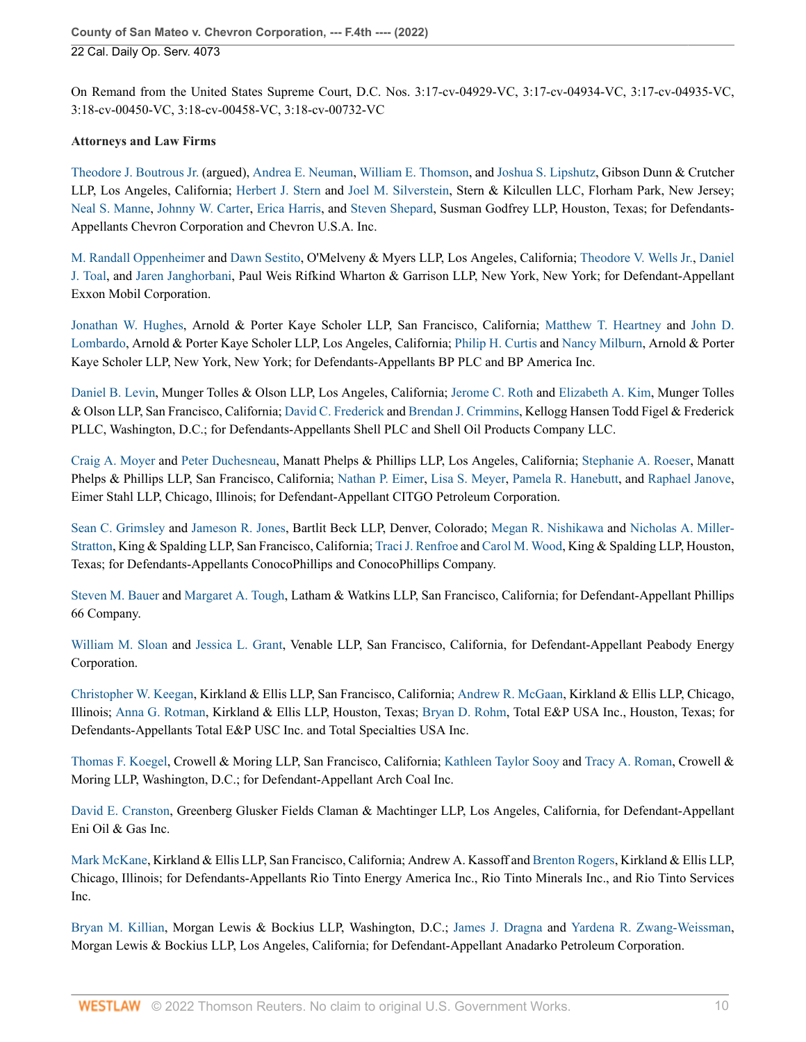On Remand from the United States Supreme Court, D.C. Nos. 3:17-cv-04929-VC, 3:17-cv-04934-VC, 3:17-cv-04935-VC, 3:18-cv-00450-VC, 3:18-cv-00458-VC, 3:18-cv-00732-VC

# **Attorneys and Law Firms**

[Theodore J. Boutrous Jr.](http://www.westlaw.com/Link/Document/FullText?findType=h&pubNum=176284&cite=0249452601&originatingDoc=I13d9d0c0c01911eca998bccac2217b4d&refType=RQ&originationContext=document&vr=3.0&rs=cblt1.0&transitionType=DocumentItem&contextData=(sc.Search)) (argued), [Andrea E. Neuman](http://www.westlaw.com/Link/Document/FullText?findType=h&pubNum=176284&cite=0219145101&originatingDoc=I13d9d0c0c01911eca998bccac2217b4d&refType=RQ&originationContext=document&vr=3.0&rs=cblt1.0&transitionType=DocumentItem&contextData=(sc.Search)), [William E. Thomson](http://www.westlaw.com/Link/Document/FullText?findType=h&pubNum=176284&cite=0260274001&originatingDoc=I13d9d0c0c01911eca998bccac2217b4d&refType=RQ&originationContext=document&vr=3.0&rs=cblt1.0&transitionType=DocumentItem&contextData=(sc.Search)), and [Joshua S. Lipshutz,](http://www.westlaw.com/Link/Document/FullText?findType=h&pubNum=176284&cite=0422064701&originatingDoc=I13d9d0c0c01911eca998bccac2217b4d&refType=RQ&originationContext=document&vr=3.0&rs=cblt1.0&transitionType=DocumentItem&contextData=(sc.Search)) Gibson Dunn & Crutcher LLP, Los Angeles, California; [Herbert J. Stern](http://www.westlaw.com/Link/Document/FullText?findType=h&pubNum=176284&cite=0153620201&originatingDoc=I13d9d0c0c01911eca998bccac2217b4d&refType=RQ&originationContext=document&vr=3.0&rs=cblt1.0&transitionType=DocumentItem&contextData=(sc.Search)) and [Joel M. Silverstein](http://www.westlaw.com/Link/Document/FullText?findType=h&pubNum=176284&cite=0160399201&originatingDoc=I13d9d0c0c01911eca998bccac2217b4d&refType=RQ&originationContext=document&vr=3.0&rs=cblt1.0&transitionType=DocumentItem&contextData=(sc.Search)), Stern & Kilcullen LLC, Florham Park, New Jersey; [Neal S. Manne](http://www.westlaw.com/Link/Document/FullText?findType=h&pubNum=176284&cite=0165654001&originatingDoc=I13d9d0c0c01911eca998bccac2217b4d&refType=RQ&originationContext=document&vr=3.0&rs=cblt1.0&transitionType=DocumentItem&contextData=(sc.Search)), [Johnny W. Carter,](http://www.westlaw.com/Link/Document/FullText?findType=h&pubNum=176284&cite=0322650301&originatingDoc=I13d9d0c0c01911eca998bccac2217b4d&refType=RQ&originationContext=document&vr=3.0&rs=cblt1.0&transitionType=DocumentItem&contextData=(sc.Search)) [Erica Harris,](http://www.westlaw.com/Link/Document/FullText?findType=h&pubNum=176284&cite=0322650601&originatingDoc=I13d9d0c0c01911eca998bccac2217b4d&refType=RQ&originationContext=document&vr=3.0&rs=cblt1.0&transitionType=DocumentItem&contextData=(sc.Search)) and [Steven Shepard](http://www.westlaw.com/Link/Document/FullText?findType=h&pubNum=176284&cite=0488805899&originatingDoc=I13d9d0c0c01911eca998bccac2217b4d&refType=RQ&originationContext=document&vr=3.0&rs=cblt1.0&transitionType=DocumentItem&contextData=(sc.Search)), Susman Godfrey LLP, Houston, Texas; for Defendants-Appellants Chevron Corporation and Chevron U.S.A. Inc.

[M. Randall Oppenheimer](http://www.westlaw.com/Link/Document/FullText?findType=h&pubNum=176284&cite=0325176301&originatingDoc=I13d9d0c0c01911eca998bccac2217b4d&refType=RQ&originationContext=document&vr=3.0&rs=cblt1.0&transitionType=DocumentItem&contextData=(sc.Search)) and [Dawn Sestito](http://www.westlaw.com/Link/Document/FullText?findType=h&pubNum=176284&cite=0325256101&originatingDoc=I13d9d0c0c01911eca998bccac2217b4d&refType=RQ&originationContext=document&vr=3.0&rs=cblt1.0&transitionType=DocumentItem&contextData=(sc.Search)), O'Melveny & Myers LLP, Los Angeles, California; [Theodore V. Wells Jr.](http://www.westlaw.com/Link/Document/FullText?findType=h&pubNum=176284&cite=0327945501&originatingDoc=I13d9d0c0c01911eca998bccac2217b4d&refType=RQ&originationContext=document&vr=3.0&rs=cblt1.0&transitionType=DocumentItem&contextData=(sc.Search)), [Daniel](http://www.westlaw.com/Link/Document/FullText?findType=h&pubNum=176284&cite=0195643601&originatingDoc=I13d9d0c0c01911eca998bccac2217b4d&refType=RQ&originationContext=document&vr=3.0&rs=cblt1.0&transitionType=DocumentItem&contextData=(sc.Search)) [J. Toal,](http://www.westlaw.com/Link/Document/FullText?findType=h&pubNum=176284&cite=0195643601&originatingDoc=I13d9d0c0c01911eca998bccac2217b4d&refType=RQ&originationContext=document&vr=3.0&rs=cblt1.0&transitionType=DocumentItem&contextData=(sc.Search)) and [Jaren Janghorbani](http://www.westlaw.com/Link/Document/FullText?findType=h&pubNum=176284&cite=0413892901&originatingDoc=I13d9d0c0c01911eca998bccac2217b4d&refType=RQ&originationContext=document&vr=3.0&rs=cblt1.0&transitionType=DocumentItem&contextData=(sc.Search)), Paul Weis Rifkind Wharton & Garrison LLP, New York, New York; for Defendant-Appellant Exxon Mobil Corporation.

[Jonathan W. Hughes](http://www.westlaw.com/Link/Document/FullText?findType=h&pubNum=176284&cite=0318853801&originatingDoc=I13d9d0c0c01911eca998bccac2217b4d&refType=RQ&originationContext=document&vr=3.0&rs=cblt1.0&transitionType=DocumentItem&contextData=(sc.Search)), Arnold & Porter Kaye Scholer LLP, San Francisco, California; [Matthew T. Heartney](http://www.westlaw.com/Link/Document/FullText?findType=h&pubNum=176284&cite=0105440501&originatingDoc=I13d9d0c0c01911eca998bccac2217b4d&refType=RQ&originationContext=document&vr=3.0&rs=cblt1.0&transitionType=DocumentItem&contextData=(sc.Search)) and [John D.](http://www.westlaw.com/Link/Document/FullText?findType=h&pubNum=176284&cite=0319565201&originatingDoc=I13d9d0c0c01911eca998bccac2217b4d&refType=RQ&originationContext=document&vr=3.0&rs=cblt1.0&transitionType=DocumentItem&contextData=(sc.Search)) [Lombardo,](http://www.westlaw.com/Link/Document/FullText?findType=h&pubNum=176284&cite=0319565201&originatingDoc=I13d9d0c0c01911eca998bccac2217b4d&refType=RQ&originationContext=document&vr=3.0&rs=cblt1.0&transitionType=DocumentItem&contextData=(sc.Search)) Arnold & Porter Kaye Scholer LLP, Los Angeles, California; [Philip H. Curtis](http://www.westlaw.com/Link/Document/FullText?findType=h&pubNum=176284&cite=0204318201&originatingDoc=I13d9d0c0c01911eca998bccac2217b4d&refType=RQ&originationContext=document&vr=3.0&rs=cblt1.0&transitionType=DocumentItem&contextData=(sc.Search)) and [Nancy Milburn](http://www.westlaw.com/Link/Document/FullText?findType=h&pubNum=176284&cite=0167867101&originatingDoc=I13d9d0c0c01911eca998bccac2217b4d&refType=RQ&originationContext=document&vr=3.0&rs=cblt1.0&transitionType=DocumentItem&contextData=(sc.Search)), Arnold & Porter Kaye Scholer LLP, New York, New York; for Defendants-Appellants BP PLC and BP America Inc.

[Daniel B. Levin,](http://www.westlaw.com/Link/Document/FullText?findType=h&pubNum=176284&cite=0325609301&originatingDoc=I13d9d0c0c01911eca998bccac2217b4d&refType=RQ&originationContext=document&vr=3.0&rs=cblt1.0&transitionType=DocumentItem&contextData=(sc.Search)) Munger Tolles & Olson LLP, Los Angeles, California; [Jerome C. Roth](http://www.westlaw.com/Link/Document/FullText?findType=h&pubNum=176284&cite=0257573601&originatingDoc=I13d9d0c0c01911eca998bccac2217b4d&refType=RQ&originationContext=document&vr=3.0&rs=cblt1.0&transitionType=DocumentItem&contextData=(sc.Search)) and [Elizabeth A. Kim,](http://www.westlaw.com/Link/Document/FullText?findType=h&pubNum=176284&cite=0501485799&originatingDoc=I13d9d0c0c01911eca998bccac2217b4d&refType=RQ&originationContext=document&vr=3.0&rs=cblt1.0&transitionType=DocumentItem&contextData=(sc.Search)) Munger Tolles & Olson LLP, San Francisco, California; [David C. Frederick](http://www.westlaw.com/Link/Document/FullText?findType=h&pubNum=176284&cite=0137639601&originatingDoc=I13d9d0c0c01911eca998bccac2217b4d&refType=RQ&originationContext=document&vr=3.0&rs=cblt1.0&transitionType=DocumentItem&contextData=(sc.Search)) and [Brendan J. Crimmins,](http://www.westlaw.com/Link/Document/FullText?findType=h&pubNum=176284&cite=0371937701&originatingDoc=I13d9d0c0c01911eca998bccac2217b4d&refType=RQ&originationContext=document&vr=3.0&rs=cblt1.0&transitionType=DocumentItem&contextData=(sc.Search)) Kellogg Hansen Todd Figel & Frederick PLLC, Washington, D.C.; for Defendants-Appellants Shell PLC and Shell Oil Products Company LLC.

[Craig A. Moyer](http://www.westlaw.com/Link/Document/FullText?findType=h&pubNum=176284&cite=0168291301&originatingDoc=I13d9d0c0c01911eca998bccac2217b4d&refType=RQ&originationContext=document&vr=3.0&rs=cblt1.0&transitionType=DocumentItem&contextData=(sc.Search)) and [Peter Duchesneau,](http://www.westlaw.com/Link/Document/FullText?findType=h&pubNum=176284&cite=0259121101&originatingDoc=I13d9d0c0c01911eca998bccac2217b4d&refType=RQ&originationContext=document&vr=3.0&rs=cblt1.0&transitionType=DocumentItem&contextData=(sc.Search)) Manatt Phelps & Phillips LLP, Los Angeles, California; [Stephanie A. Roeser,](http://www.westlaw.com/Link/Document/FullText?findType=h&pubNum=176284&cite=0500219799&originatingDoc=I13d9d0c0c01911eca998bccac2217b4d&refType=RQ&originationContext=document&vr=3.0&rs=cblt1.0&transitionType=DocumentItem&contextData=(sc.Search)) Manatt Phelps & Phillips LLP, San Francisco, California; [Nathan P. Eimer](http://www.westlaw.com/Link/Document/FullText?findType=h&pubNum=176284&cite=0179068301&originatingDoc=I13d9d0c0c01911eca998bccac2217b4d&refType=RQ&originationContext=document&vr=3.0&rs=cblt1.0&transitionType=DocumentItem&contextData=(sc.Search)), [Lisa S. Meyer](http://www.westlaw.com/Link/Document/FullText?findType=h&pubNum=176284&cite=0110556501&originatingDoc=I13d9d0c0c01911eca998bccac2217b4d&refType=RQ&originationContext=document&vr=3.0&rs=cblt1.0&transitionType=DocumentItem&contextData=(sc.Search)), [Pamela R. Hanebutt,](http://www.westlaw.com/Link/Document/FullText?findType=h&pubNum=176284&cite=0196811401&originatingDoc=I13d9d0c0c01911eca998bccac2217b4d&refType=RQ&originationContext=document&vr=3.0&rs=cblt1.0&transitionType=DocumentItem&contextData=(sc.Search)) and [Raphael Janove,](http://www.westlaw.com/Link/Document/FullText?findType=h&pubNum=176284&cite=0488911099&originatingDoc=I13d9d0c0c01911eca998bccac2217b4d&refType=RQ&originationContext=document&vr=3.0&rs=cblt1.0&transitionType=DocumentItem&contextData=(sc.Search)) Eimer Stahl LLP, Chicago, Illinois; for Defendant-Appellant CITGO Petroleum Corporation.

[Sean C. Grimsley](http://www.westlaw.com/Link/Document/FullText?findType=h&pubNum=176284&cite=0375875501&originatingDoc=I13d9d0c0c01911eca998bccac2217b4d&refType=RQ&originationContext=document&vr=3.0&rs=cblt1.0&transitionType=DocumentItem&contextData=(sc.Search)) and [Jameson R. Jones](http://www.westlaw.com/Link/Document/FullText?findType=h&pubNum=176284&cite=0430917401&originatingDoc=I13d9d0c0c01911eca998bccac2217b4d&refType=RQ&originationContext=document&vr=3.0&rs=cblt1.0&transitionType=DocumentItem&contextData=(sc.Search)), Bartlit Beck LLP, Denver, Colorado; [Megan R. Nishikawa](http://www.westlaw.com/Link/Document/FullText?findType=h&pubNum=176284&cite=0441728601&originatingDoc=I13d9d0c0c01911eca998bccac2217b4d&refType=RQ&originationContext=document&vr=3.0&rs=cblt1.0&transitionType=DocumentItem&contextData=(sc.Search)) and [Nicholas A. Miller-](http://www.westlaw.com/Link/Document/FullText?findType=h&pubNum=176284&cite=0506255701&originatingDoc=I13d9d0c0c01911eca998bccac2217b4d&refType=RQ&originationContext=document&vr=3.0&rs=cblt1.0&transitionType=DocumentItem&contextData=(sc.Search))[Stratton,](http://www.westlaw.com/Link/Document/FullText?findType=h&pubNum=176284&cite=0506255701&originatingDoc=I13d9d0c0c01911eca998bccac2217b4d&refType=RQ&originationContext=document&vr=3.0&rs=cblt1.0&transitionType=DocumentItem&contextData=(sc.Search)) King & Spalding LLP, San Francisco, California; [Traci J. Renfroe](http://www.westlaw.com/Link/Document/FullText?findType=h&pubNum=176284&cite=0200243301&originatingDoc=I13d9d0c0c01911eca998bccac2217b4d&refType=RQ&originationContext=document&vr=3.0&rs=cblt1.0&transitionType=DocumentItem&contextData=(sc.Search)) and [Carol M. Wood](http://www.westlaw.com/Link/Document/FullText?findType=h&pubNum=176284&cite=0122208701&originatingDoc=I13d9d0c0c01911eca998bccac2217b4d&refType=RQ&originationContext=document&vr=3.0&rs=cblt1.0&transitionType=DocumentItem&contextData=(sc.Search)), King & Spalding LLP, Houston, Texas; for Defendants-Appellants ConocoPhillips and ConocoPhillips Company.

[Steven M. Bauer](http://www.westlaw.com/Link/Document/FullText?findType=h&pubNum=176284&cite=0127366101&originatingDoc=I13d9d0c0c01911eca998bccac2217b4d&refType=RQ&originationContext=document&vr=3.0&rs=cblt1.0&transitionType=DocumentItem&contextData=(sc.Search)) and [Margaret A. Tough](http://www.westlaw.com/Link/Document/FullText?findType=h&pubNum=176284&cite=0328816801&originatingDoc=I13d9d0c0c01911eca998bccac2217b4d&refType=RQ&originationContext=document&vr=3.0&rs=cblt1.0&transitionType=DocumentItem&contextData=(sc.Search)), Latham & Watkins LLP, San Francisco, California; for Defendant-Appellant Phillips 66 Company.

[William M. Sloan](http://www.westlaw.com/Link/Document/FullText?findType=h&pubNum=176284&cite=0313066501&originatingDoc=I13d9d0c0c01911eca998bccac2217b4d&refType=RQ&originationContext=document&vr=3.0&rs=cblt1.0&transitionType=DocumentItem&contextData=(sc.Search)) and [Jessica L. Grant,](http://www.westlaw.com/Link/Document/FullText?findType=h&pubNum=176284&cite=0141750501&originatingDoc=I13d9d0c0c01911eca998bccac2217b4d&refType=RQ&originationContext=document&vr=3.0&rs=cblt1.0&transitionType=DocumentItem&contextData=(sc.Search)) Venable LLP, San Francisco, California, for Defendant-Appellant Peabody Energy Corporation.

[Christopher W. Keegan](http://www.westlaw.com/Link/Document/FullText?findType=h&pubNum=176284&cite=0335530201&originatingDoc=I13d9d0c0c01911eca998bccac2217b4d&refType=RQ&originationContext=document&vr=3.0&rs=cblt1.0&transitionType=DocumentItem&contextData=(sc.Search)), Kirkland & Ellis LLP, San Francisco, California; [Andrew R. McGaan,](http://www.westlaw.com/Link/Document/FullText?findType=h&pubNum=176284&cite=0363331301&originatingDoc=I13d9d0c0c01911eca998bccac2217b4d&refType=RQ&originationContext=document&vr=3.0&rs=cblt1.0&transitionType=DocumentItem&contextData=(sc.Search)) Kirkland & Ellis LLP, Chicago, Illinois; [Anna G. Rotman](http://www.westlaw.com/Link/Document/FullText?findType=h&pubNum=176284&cite=0388443401&originatingDoc=I13d9d0c0c01911eca998bccac2217b4d&refType=RQ&originationContext=document&vr=3.0&rs=cblt1.0&transitionType=DocumentItem&contextData=(sc.Search)), Kirkland & Ellis LLP, Houston, Texas; [Bryan D. Rohm,](http://www.westlaw.com/Link/Document/FullText?findType=h&pubNum=176284&cite=0443651301&originatingDoc=I13d9d0c0c01911eca998bccac2217b4d&refType=RQ&originationContext=document&vr=3.0&rs=cblt1.0&transitionType=DocumentItem&contextData=(sc.Search)) Total E&P USA Inc., Houston, Texas; for Defendants-Appellants Total E&P USC Inc. and Total Specialties USA Inc.

[Thomas F. Koegel](http://www.westlaw.com/Link/Document/FullText?findType=h&pubNum=176284&cite=0171837701&originatingDoc=I13d9d0c0c01911eca998bccac2217b4d&refType=RQ&originationContext=document&vr=3.0&rs=cblt1.0&transitionType=DocumentItem&contextData=(sc.Search)), Crowell & Moring LLP, San Francisco, California; [Kathleen Taylor Sooy](http://www.westlaw.com/Link/Document/FullText?findType=h&pubNum=176284&cite=0323244401&originatingDoc=I13d9d0c0c01911eca998bccac2217b4d&refType=RQ&originationContext=document&vr=3.0&rs=cblt1.0&transitionType=DocumentItem&contextData=(sc.Search)) and [Tracy A. Roman,](http://www.westlaw.com/Link/Document/FullText?findType=h&pubNum=176284&cite=0132774601&originatingDoc=I13d9d0c0c01911eca998bccac2217b4d&refType=RQ&originationContext=document&vr=3.0&rs=cblt1.0&transitionType=DocumentItem&contextData=(sc.Search)) Crowell & Moring LLP, Washington, D.C.; for Defendant-Appellant Arch Coal Inc.

[David E. Cranston,](http://www.westlaw.com/Link/Document/FullText?findType=h&pubNum=176284&cite=0213672901&originatingDoc=I13d9d0c0c01911eca998bccac2217b4d&refType=RQ&originationContext=document&vr=3.0&rs=cblt1.0&transitionType=DocumentItem&contextData=(sc.Search)) Greenberg Glusker Fields Claman & Machtinger LLP, Los Angeles, California, for Defendant-Appellant Eni Oil & Gas Inc.

[Mark McKane,](http://www.westlaw.com/Link/Document/FullText?findType=h&pubNum=176284&cite=0319469401&originatingDoc=I13d9d0c0c01911eca998bccac2217b4d&refType=RQ&originationContext=document&vr=3.0&rs=cblt1.0&transitionType=DocumentItem&contextData=(sc.Search)) Kirkland & Ellis LLP, San Francisco, California; Andrew A. Kassoff and [Brenton Rogers](http://www.westlaw.com/Link/Document/FullText?findType=h&pubNum=176284&cite=0370488701&originatingDoc=I13d9d0c0c01911eca998bccac2217b4d&refType=RQ&originationContext=document&vr=3.0&rs=cblt1.0&transitionType=DocumentItem&contextData=(sc.Search)), Kirkland & Ellis LLP, Chicago, Illinois; for Defendants-Appellants Rio Tinto Energy America Inc., Rio Tinto Minerals Inc., and Rio Tinto Services Inc.

[Bryan M. Killian](http://www.westlaw.com/Link/Document/FullText?findType=h&pubNum=176284&cite=0408470101&originatingDoc=I13d9d0c0c01911eca998bccac2217b4d&refType=RQ&originationContext=document&vr=3.0&rs=cblt1.0&transitionType=DocumentItem&contextData=(sc.Search)), Morgan Lewis & Bockius LLP, Washington, D.C.; [James J. Dragna](http://www.westlaw.com/Link/Document/FullText?findType=h&pubNum=176284&cite=0186079901&originatingDoc=I13d9d0c0c01911eca998bccac2217b4d&refType=RQ&originationContext=document&vr=3.0&rs=cblt1.0&transitionType=DocumentItem&contextData=(sc.Search)) and [Yardena R. Zwang-Weissman](http://www.westlaw.com/Link/Document/FullText?findType=h&pubNum=176284&cite=0371776401&originatingDoc=I13d9d0c0c01911eca998bccac2217b4d&refType=RQ&originationContext=document&vr=3.0&rs=cblt1.0&transitionType=DocumentItem&contextData=(sc.Search)), Morgan Lewis & Bockius LLP, Los Angeles, California; for Defendant-Appellant Anadarko Petroleum Corporation.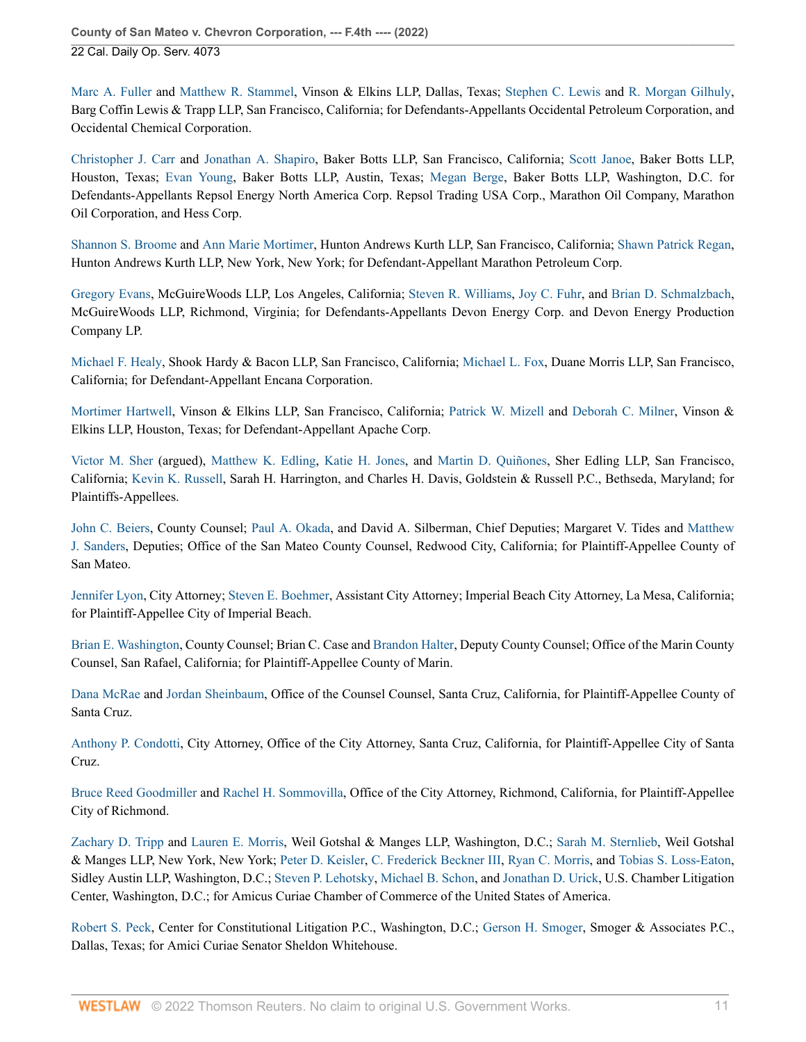[Marc A. Fuller](http://www.westlaw.com/Link/Document/FullText?findType=h&pubNum=176284&cite=0329964101&originatingDoc=I13d9d0c0c01911eca998bccac2217b4d&refType=RQ&originationContext=document&vr=3.0&rs=cblt1.0&transitionType=DocumentItem&contextData=(sc.Search)) and [Matthew R. Stammel](http://www.westlaw.com/Link/Document/FullText?findType=h&pubNum=176284&cite=0327141901&originatingDoc=I13d9d0c0c01911eca998bccac2217b4d&refType=RQ&originationContext=document&vr=3.0&rs=cblt1.0&transitionType=DocumentItem&contextData=(sc.Search)), Vinson & Elkins LLP, Dallas, Texas; [Stephen C. Lewis](http://www.westlaw.com/Link/Document/FullText?findType=h&pubNum=176284&cite=0213689701&originatingDoc=I13d9d0c0c01911eca998bccac2217b4d&refType=RQ&originationContext=document&vr=3.0&rs=cblt1.0&transitionType=DocumentItem&contextData=(sc.Search)) and [R. Morgan Gilhuly](http://www.westlaw.com/Link/Document/FullText?findType=h&pubNum=176284&cite=0173605601&originatingDoc=I13d9d0c0c01911eca998bccac2217b4d&refType=RQ&originationContext=document&vr=3.0&rs=cblt1.0&transitionType=DocumentItem&contextData=(sc.Search)), Barg Coffin Lewis & Trapp LLP, San Francisco, California; for Defendants-Appellants Occidental Petroleum Corporation, and Occidental Chemical Corporation.

[Christopher J. Carr](http://www.westlaw.com/Link/Document/FullText?findType=h&pubNum=176284&cite=0272275201&originatingDoc=I13d9d0c0c01911eca998bccac2217b4d&refType=RQ&originationContext=document&vr=3.0&rs=cblt1.0&transitionType=DocumentItem&contextData=(sc.Search)) and [Jonathan A. Shapiro](http://www.westlaw.com/Link/Document/FullText?findType=h&pubNum=176284&cite=0150919001&originatingDoc=I13d9d0c0c01911eca998bccac2217b4d&refType=RQ&originationContext=document&vr=3.0&rs=cblt1.0&transitionType=DocumentItem&contextData=(sc.Search)), Baker Botts LLP, San Francisco, California; [Scott Janoe,](http://www.westlaw.com/Link/Document/FullText?findType=h&pubNum=176284&cite=0330214301&originatingDoc=I13d9d0c0c01911eca998bccac2217b4d&refType=RQ&originationContext=document&vr=3.0&rs=cblt1.0&transitionType=DocumentItem&contextData=(sc.Search)) Baker Botts LLP, Houston, Texas; [Evan Young](http://www.westlaw.com/Link/Document/FullText?findType=h&pubNum=176284&cite=0421481001&originatingDoc=I13d9d0c0c01911eca998bccac2217b4d&refType=RQ&originationContext=document&vr=3.0&rs=cblt1.0&transitionType=DocumentItem&contextData=(sc.Search)), Baker Botts LLP, Austin, Texas; [Megan Berge,](http://www.westlaw.com/Link/Document/FullText?findType=h&pubNum=176284&cite=0389804401&originatingDoc=I13d9d0c0c01911eca998bccac2217b4d&refType=RQ&originationContext=document&vr=3.0&rs=cblt1.0&transitionType=DocumentItem&contextData=(sc.Search)) Baker Botts LLP, Washington, D.C. for Defendants-Appellants Repsol Energy North America Corp. Repsol Trading USA Corp., Marathon Oil Company, Marathon Oil Corporation, and Hess Corp.

[Shannon S. Broome](http://www.westlaw.com/Link/Document/FullText?findType=h&pubNum=176284&cite=0183272301&originatingDoc=I13d9d0c0c01911eca998bccac2217b4d&refType=RQ&originationContext=document&vr=3.0&rs=cblt1.0&transitionType=DocumentItem&contextData=(sc.Search)) and [Ann Marie Mortimer](http://www.westlaw.com/Link/Document/FullText?findType=h&pubNum=176284&cite=0246464801&originatingDoc=I13d9d0c0c01911eca998bccac2217b4d&refType=RQ&originationContext=document&vr=3.0&rs=cblt1.0&transitionType=DocumentItem&contextData=(sc.Search)), Hunton Andrews Kurth LLP, San Francisco, California; [Shawn Patrick Regan,](http://www.westlaw.com/Link/Document/FullText?findType=h&pubNum=176284&cite=0329241501&originatingDoc=I13d9d0c0c01911eca998bccac2217b4d&refType=RQ&originationContext=document&vr=3.0&rs=cblt1.0&transitionType=DocumentItem&contextData=(sc.Search)) Hunton Andrews Kurth LLP, New York, New York; for Defendant-Appellant Marathon Petroleum Corp.

[Gregory Evans,](http://www.westlaw.com/Link/Document/FullText?findType=h&pubNum=176284&cite=0215208401&originatingDoc=I13d9d0c0c01911eca998bccac2217b4d&refType=RQ&originationContext=document&vr=3.0&rs=cblt1.0&transitionType=DocumentItem&contextData=(sc.Search)) McGuireWoods LLP, Los Angeles, California; [Steven R. Williams,](http://www.westlaw.com/Link/Document/FullText?findType=h&pubNum=176284&cite=0140093601&originatingDoc=I13d9d0c0c01911eca998bccac2217b4d&refType=RQ&originationContext=document&vr=3.0&rs=cblt1.0&transitionType=DocumentItem&contextData=(sc.Search)) [Joy C. Fuhr,](http://www.westlaw.com/Link/Document/FullText?findType=h&pubNum=176284&cite=0330546901&originatingDoc=I13d9d0c0c01911eca998bccac2217b4d&refType=RQ&originationContext=document&vr=3.0&rs=cblt1.0&transitionType=DocumentItem&contextData=(sc.Search)) and [Brian D. Schmalzbach](http://www.westlaw.com/Link/Document/FullText?findType=h&pubNum=176284&cite=0468923201&originatingDoc=I13d9d0c0c01911eca998bccac2217b4d&refType=RQ&originationContext=document&vr=3.0&rs=cblt1.0&transitionType=DocumentItem&contextData=(sc.Search)), McGuireWoods LLP, Richmond, Virginia; for Defendants-Appellants Devon Energy Corp. and Devon Energy Production Company LP.

[Michael F. Healy](http://www.westlaw.com/Link/Document/FullText?findType=h&pubNum=176284&cite=0162506301&originatingDoc=I13d9d0c0c01911eca998bccac2217b4d&refType=RQ&originationContext=document&vr=3.0&rs=cblt1.0&transitionType=DocumentItem&contextData=(sc.Search)), Shook Hardy & Bacon LLP, San Francisco, California; [Michael L. Fox,](http://www.westlaw.com/Link/Document/FullText?findType=h&pubNum=176284&cite=0338727801&originatingDoc=I13d9d0c0c01911eca998bccac2217b4d&refType=RQ&originationContext=document&vr=3.0&rs=cblt1.0&transitionType=DocumentItem&contextData=(sc.Search)) Duane Morris LLP, San Francisco, California; for Defendant-Appellant Encana Corporation.

[Mortimer Hartwell,](http://www.westlaw.com/Link/Document/FullText?findType=h&pubNum=176284&cite=0187336601&originatingDoc=I13d9d0c0c01911eca998bccac2217b4d&refType=RQ&originationContext=document&vr=3.0&rs=cblt1.0&transitionType=DocumentItem&contextData=(sc.Search)) Vinson & Elkins LLP, San Francisco, California; [Patrick W. Mizell](http://www.westlaw.com/Link/Document/FullText?findType=h&pubNum=176284&cite=0133315301&originatingDoc=I13d9d0c0c01911eca998bccac2217b4d&refType=RQ&originationContext=document&vr=3.0&rs=cblt1.0&transitionType=DocumentItem&contextData=(sc.Search)) and [Deborah C. Milner,](http://www.westlaw.com/Link/Document/FullText?findType=h&pubNum=176284&cite=0360624801&originatingDoc=I13d9d0c0c01911eca998bccac2217b4d&refType=RQ&originationContext=document&vr=3.0&rs=cblt1.0&transitionType=DocumentItem&contextData=(sc.Search)) Vinson & Elkins LLP, Houston, Texas; for Defendant-Appellant Apache Corp.

[Victor M. Sher](http://www.westlaw.com/Link/Document/FullText?findType=h&pubNum=176284&cite=0288291601&originatingDoc=I13d9d0c0c01911eca998bccac2217b4d&refType=RQ&originationContext=document&vr=3.0&rs=cblt1.0&transitionType=DocumentItem&contextData=(sc.Search)) (argued), [Matthew K. Edling](http://www.westlaw.com/Link/Document/FullText?findType=h&pubNum=176284&cite=0401657601&originatingDoc=I13d9d0c0c01911eca998bccac2217b4d&refType=RQ&originationContext=document&vr=3.0&rs=cblt1.0&transitionType=DocumentItem&contextData=(sc.Search)), [Katie H. Jones,](http://www.westlaw.com/Link/Document/FullText?findType=h&pubNum=176284&cite=0508169301&originatingDoc=I13d9d0c0c01911eca998bccac2217b4d&refType=RQ&originationContext=document&vr=3.0&rs=cblt1.0&transitionType=DocumentItem&contextData=(sc.Search)) and [Martin D. Quiñones,](http://www.westlaw.com/Link/Document/FullText?findType=h&pubNum=176284&cite=0476143601&originatingDoc=I13d9d0c0c01911eca998bccac2217b4d&refType=RQ&originationContext=document&vr=3.0&rs=cblt1.0&transitionType=DocumentItem&contextData=(sc.Search)) Sher Edling LLP, San Francisco, California; [Kevin K. Russell](http://www.westlaw.com/Link/Document/FullText?findType=h&pubNum=176284&cite=0223495501&originatingDoc=I13d9d0c0c01911eca998bccac2217b4d&refType=RQ&originationContext=document&vr=3.0&rs=cblt1.0&transitionType=DocumentItem&contextData=(sc.Search)), Sarah H. Harrington, and Charles H. Davis, Goldstein & Russell P.C., Bethseda, Maryland; for Plaintiffs-Appellees.

[John C. Beiers,](http://www.westlaw.com/Link/Document/FullText?findType=h&pubNum=176284&cite=0205254001&originatingDoc=I13d9d0c0c01911eca998bccac2217b4d&refType=RQ&originationContext=document&vr=3.0&rs=cblt1.0&transitionType=DocumentItem&contextData=(sc.Search)) County Counsel; [Paul A. Okada,](http://www.westlaw.com/Link/Document/FullText?findType=h&pubNum=176284&cite=0156929501&originatingDoc=I13d9d0c0c01911eca998bccac2217b4d&refType=RQ&originationContext=document&vr=3.0&rs=cblt1.0&transitionType=DocumentItem&contextData=(sc.Search)) and David A. Silberman, Chief Deputies; Margaret V. Tides and [Matthew](http://www.westlaw.com/Link/Document/FullText?findType=h&pubNum=176284&cite=0389127701&originatingDoc=I13d9d0c0c01911eca998bccac2217b4d&refType=RQ&originationContext=document&vr=3.0&rs=cblt1.0&transitionType=DocumentItem&contextData=(sc.Search)) [J. Sanders](http://www.westlaw.com/Link/Document/FullText?findType=h&pubNum=176284&cite=0389127701&originatingDoc=I13d9d0c0c01911eca998bccac2217b4d&refType=RQ&originationContext=document&vr=3.0&rs=cblt1.0&transitionType=DocumentItem&contextData=(sc.Search)), Deputies; Office of the San Mateo County Counsel, Redwood City, California; for Plaintiff-Appellee County of San Mateo.

[Jennifer Lyon,](http://www.westlaw.com/Link/Document/FullText?findType=h&pubNum=176284&cite=0368876301&originatingDoc=I13d9d0c0c01911eca998bccac2217b4d&refType=RQ&originationContext=document&vr=3.0&rs=cblt1.0&transitionType=DocumentItem&contextData=(sc.Search)) City Attorney; [Steven E. Boehmer](http://www.westlaw.com/Link/Document/FullText?findType=h&pubNum=176284&cite=0195386901&originatingDoc=I13d9d0c0c01911eca998bccac2217b4d&refType=RQ&originationContext=document&vr=3.0&rs=cblt1.0&transitionType=DocumentItem&contextData=(sc.Search)), Assistant City Attorney; Imperial Beach City Attorney, La Mesa, California; for Plaintiff-Appellee City of Imperial Beach.

[Brian E. Washington](http://www.westlaw.com/Link/Document/FullText?findType=h&pubNum=176284&cite=0178550401&originatingDoc=I13d9d0c0c01911eca998bccac2217b4d&refType=RQ&originationContext=document&vr=3.0&rs=cblt1.0&transitionType=DocumentItem&contextData=(sc.Search)), County Counsel; Brian C. Case and [Brandon Halter,](http://www.westlaw.com/Link/Document/FullText?findType=h&pubNum=176284&cite=0475316101&originatingDoc=I13d9d0c0c01911eca998bccac2217b4d&refType=RQ&originationContext=document&vr=3.0&rs=cblt1.0&transitionType=DocumentItem&contextData=(sc.Search)) Deputy County Counsel; Office of the Marin County Counsel, San Rafael, California; for Plaintiff-Appellee County of Marin.

[Dana McRae](http://www.westlaw.com/Link/Document/FullText?findType=h&pubNum=176284&cite=0197132601&originatingDoc=I13d9d0c0c01911eca998bccac2217b4d&refType=RQ&originationContext=document&vr=3.0&rs=cblt1.0&transitionType=DocumentItem&contextData=(sc.Search)) and [Jordan Sheinbaum,](http://www.westlaw.com/Link/Document/FullText?findType=h&pubNum=176284&cite=0353597001&originatingDoc=I13d9d0c0c01911eca998bccac2217b4d&refType=RQ&originationContext=document&vr=3.0&rs=cblt1.0&transitionType=DocumentItem&contextData=(sc.Search)) Office of the Counsel Counsel, Santa Cruz, California, for Plaintiff-Appellee County of Santa Cruz.

[Anthony P. Condotti,](http://www.westlaw.com/Link/Document/FullText?findType=h&pubNum=176284&cite=0221868801&originatingDoc=I13d9d0c0c01911eca998bccac2217b4d&refType=RQ&originationContext=document&vr=3.0&rs=cblt1.0&transitionType=DocumentItem&contextData=(sc.Search)) City Attorney, Office of the City Attorney, Santa Cruz, California, for Plaintiff-Appellee City of Santa Cruz.

[Bruce Reed Goodmiller](http://www.westlaw.com/Link/Document/FullText?findType=h&pubNum=176284&cite=0213891701&originatingDoc=I13d9d0c0c01911eca998bccac2217b4d&refType=RQ&originationContext=document&vr=3.0&rs=cblt1.0&transitionType=DocumentItem&contextData=(sc.Search)) and [Rachel H. Sommovilla,](http://www.westlaw.com/Link/Document/FullText?findType=h&pubNum=176284&cite=0344215701&originatingDoc=I13d9d0c0c01911eca998bccac2217b4d&refType=RQ&originationContext=document&vr=3.0&rs=cblt1.0&transitionType=DocumentItem&contextData=(sc.Search)) Office of the City Attorney, Richmond, California, for Plaintiff-Appellee City of Richmond.

[Zachary D. Tripp](http://www.westlaw.com/Link/Document/FullText?findType=h&pubNum=176284&cite=0421397601&originatingDoc=I13d9d0c0c01911eca998bccac2217b4d&refType=RQ&originationContext=document&vr=3.0&rs=cblt1.0&transitionType=DocumentItem&contextData=(sc.Search)) and [Lauren E. Morris,](http://www.westlaw.com/Link/Document/FullText?findType=h&pubNum=176284&cite=0505595701&originatingDoc=I13d9d0c0c01911eca998bccac2217b4d&refType=RQ&originationContext=document&vr=3.0&rs=cblt1.0&transitionType=DocumentItem&contextData=(sc.Search)) Weil Gotshal & Manges LLP, Washington, D.C.; [Sarah M. Sternlieb,](http://www.westlaw.com/Link/Document/FullText?findType=h&pubNum=176284&cite=0484272601&originatingDoc=I13d9d0c0c01911eca998bccac2217b4d&refType=RQ&originationContext=document&vr=3.0&rs=cblt1.0&transitionType=DocumentItem&contextData=(sc.Search)) Weil Gotshal & Manges LLP, New York, New York; [Peter D. Keisler](http://www.westlaw.com/Link/Document/FullText?findType=h&pubNum=176284&cite=0164477401&originatingDoc=I13d9d0c0c01911eca998bccac2217b4d&refType=RQ&originationContext=document&vr=3.0&rs=cblt1.0&transitionType=DocumentItem&contextData=(sc.Search)), [C. Frederick Beckner III,](http://www.westlaw.com/Link/Document/FullText?findType=h&pubNum=176284&cite=0201709101&originatingDoc=I13d9d0c0c01911eca998bccac2217b4d&refType=RQ&originationContext=document&vr=3.0&rs=cblt1.0&transitionType=DocumentItem&contextData=(sc.Search)) [Ryan C. Morris](http://www.westlaw.com/Link/Document/FullText?findType=h&pubNum=176284&cite=0381136601&originatingDoc=I13d9d0c0c01911eca998bccac2217b4d&refType=RQ&originationContext=document&vr=3.0&rs=cblt1.0&transitionType=DocumentItem&contextData=(sc.Search)), and [Tobias S. Loss-Eaton](http://www.westlaw.com/Link/Document/FullText?findType=h&pubNum=176284&cite=0455946601&originatingDoc=I13d9d0c0c01911eca998bccac2217b4d&refType=RQ&originationContext=document&vr=3.0&rs=cblt1.0&transitionType=DocumentItem&contextData=(sc.Search)), Sidley Austin LLP, Washington, D.C.; [Steven P. Lehotsky](http://www.westlaw.com/Link/Document/FullText?findType=h&pubNum=176284&cite=0359937201&originatingDoc=I13d9d0c0c01911eca998bccac2217b4d&refType=RQ&originationContext=document&vr=3.0&rs=cblt1.0&transitionType=DocumentItem&contextData=(sc.Search)), [Michael B. Schon,](http://www.westlaw.com/Link/Document/FullText?findType=h&pubNum=176284&cite=0421542701&originatingDoc=I13d9d0c0c01911eca998bccac2217b4d&refType=RQ&originationContext=document&vr=3.0&rs=cblt1.0&transitionType=DocumentItem&contextData=(sc.Search)) and [Jonathan D. Urick,](http://www.westlaw.com/Link/Document/FullText?findType=h&pubNum=176284&cite=0499657199&originatingDoc=I13d9d0c0c01911eca998bccac2217b4d&refType=RQ&originationContext=document&vr=3.0&rs=cblt1.0&transitionType=DocumentItem&contextData=(sc.Search)) U.S. Chamber Litigation Center, Washington, D.C.; for Amicus Curiae Chamber of Commerce of the United States of America.

[Robert S. Peck,](http://www.westlaw.com/Link/Document/FullText?findType=h&pubNum=176284&cite=0107633201&originatingDoc=I13d9d0c0c01911eca998bccac2217b4d&refType=RQ&originationContext=document&vr=3.0&rs=cblt1.0&transitionType=DocumentItem&contextData=(sc.Search)) Center for Constitutional Litigation P.C., Washington, D.C.; [Gerson H. Smoger,](http://www.westlaw.com/Link/Document/FullText?findType=h&pubNum=176284&cite=0120055301&originatingDoc=I13d9d0c0c01911eca998bccac2217b4d&refType=RQ&originationContext=document&vr=3.0&rs=cblt1.0&transitionType=DocumentItem&contextData=(sc.Search)) Smoger & Associates P.C., Dallas, Texas; for Amici Curiae Senator Sheldon Whitehouse.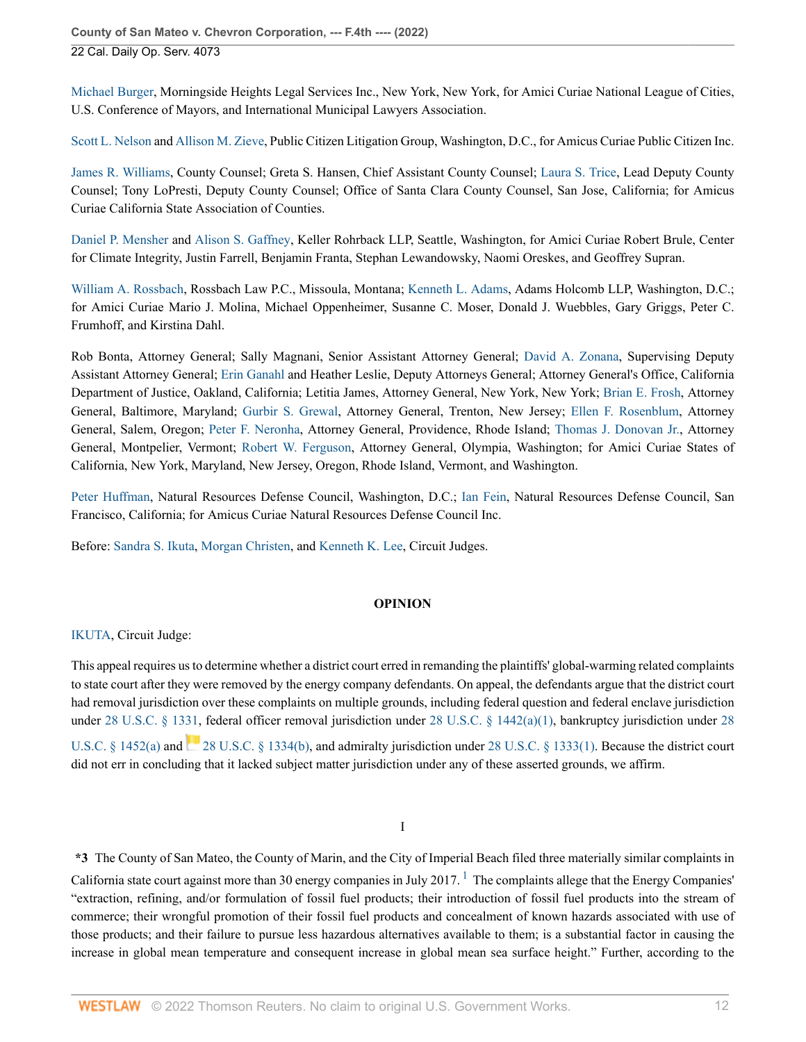[Michael Burger,](http://www.westlaw.com/Link/Document/FullText?findType=h&pubNum=176284&cite=0145068601&originatingDoc=I13d9d0c0c01911eca998bccac2217b4d&refType=RQ&originationContext=document&vr=3.0&rs=cblt1.0&transitionType=DocumentItem&contextData=(sc.Search)) Morningside Heights Legal Services Inc., New York, New York, for Amici Curiae National League of Cities, U.S. Conference of Mayors, and International Municipal Lawyers Association.

[Scott L. Nelson](http://www.westlaw.com/Link/Document/FullText?findType=h&pubNum=176284&cite=0115880301&originatingDoc=I13d9d0c0c01911eca998bccac2217b4d&refType=RQ&originationContext=document&vr=3.0&rs=cblt1.0&transitionType=DocumentItem&contextData=(sc.Search)) and [Allison M. Zieve,](http://www.westlaw.com/Link/Document/FullText?findType=h&pubNum=176284&cite=0132128601&originatingDoc=I13d9d0c0c01911eca998bccac2217b4d&refType=RQ&originationContext=document&vr=3.0&rs=cblt1.0&transitionType=DocumentItem&contextData=(sc.Search)) Public Citizen Litigation Group, Washington, D.C., for Amicus Curiae Public Citizen Inc.

[James R. Williams](http://www.westlaw.com/Link/Document/FullText?findType=h&pubNum=176284&cite=0176829901&originatingDoc=I13d9d0c0c01911eca998bccac2217b4d&refType=RQ&originationContext=document&vr=3.0&rs=cblt1.0&transitionType=DocumentItem&contextData=(sc.Search)), County Counsel; Greta S. Hansen, Chief Assistant County Counsel; [Laura S. Trice](http://www.westlaw.com/Link/Document/FullText?findType=h&pubNum=176284&cite=0467221201&originatingDoc=I13d9d0c0c01911eca998bccac2217b4d&refType=RQ&originationContext=document&vr=3.0&rs=cblt1.0&transitionType=DocumentItem&contextData=(sc.Search)), Lead Deputy County Counsel; Tony LoPresti, Deputy County Counsel; Office of Santa Clara County Counsel, San Jose, California; for Amicus Curiae California State Association of Counties.

[Daniel P. Mensher](http://www.westlaw.com/Link/Document/FullText?findType=h&pubNum=176284&cite=0486294601&originatingDoc=I13d9d0c0c01911eca998bccac2217b4d&refType=RQ&originationContext=document&vr=3.0&rs=cblt1.0&transitionType=DocumentItem&contextData=(sc.Search)) and [Alison S. Gaffney,](http://www.westlaw.com/Link/Document/FullText?findType=h&pubNum=176284&cite=0467024201&originatingDoc=I13d9d0c0c01911eca998bccac2217b4d&refType=RQ&originationContext=document&vr=3.0&rs=cblt1.0&transitionType=DocumentItem&contextData=(sc.Search)) Keller Rohrback LLP, Seattle, Washington, for Amici Curiae Robert Brule, Center for Climate Integrity, Justin Farrell, Benjamin Franta, Stephan Lewandowsky, Naomi Oreskes, and Geoffrey Supran.

[William A. Rossbach,](http://www.westlaw.com/Link/Document/FullText?findType=h&pubNum=176284&cite=0129406201&originatingDoc=I13d9d0c0c01911eca998bccac2217b4d&refType=RQ&originationContext=document&vr=3.0&rs=cblt1.0&transitionType=DocumentItem&contextData=(sc.Search)) Rossbach Law P.C., Missoula, Montana; [Kenneth L. Adams](http://www.westlaw.com/Link/Document/FullText?findType=h&pubNum=176284&cite=0139096601&originatingDoc=I13d9d0c0c01911eca998bccac2217b4d&refType=RQ&originationContext=document&vr=3.0&rs=cblt1.0&transitionType=DocumentItem&contextData=(sc.Search)), Adams Holcomb LLP, Washington, D.C.; for Amici Curiae Mario J. Molina, Michael Oppenheimer, Susanne C. Moser, Donald J. Wuebbles, Gary Griggs, Peter C. Frumhoff, and Kirstina Dahl.

Rob Bonta, Attorney General; Sally Magnani, Senior Assistant Attorney General; [David A. Zonana](http://www.westlaw.com/Link/Document/FullText?findType=h&pubNum=176284&cite=0147944201&originatingDoc=I13d9d0c0c01911eca998bccac2217b4d&refType=RQ&originationContext=document&vr=3.0&rs=cblt1.0&transitionType=DocumentItem&contextData=(sc.Search)), Supervising Deputy Assistant Attorney General; [Erin Ganahl](http://www.westlaw.com/Link/Document/FullText?findType=h&pubNum=176284&cite=0391530901&originatingDoc=I13d9d0c0c01911eca998bccac2217b4d&refType=RQ&originationContext=document&vr=3.0&rs=cblt1.0&transitionType=DocumentItem&contextData=(sc.Search)) and Heather Leslie, Deputy Attorneys General; Attorney General's Office, California Department of Justice, Oakland, California; Letitia James, Attorney General, New York, New York; [Brian E. Frosh](http://www.westlaw.com/Link/Document/FullText?findType=h&pubNum=176284&cite=0161972801&originatingDoc=I13d9d0c0c01911eca998bccac2217b4d&refType=RQ&originationContext=document&vr=3.0&rs=cblt1.0&transitionType=DocumentItem&contextData=(sc.Search)), Attorney General, Baltimore, Maryland; [Gurbir S. Grewal,](http://www.westlaw.com/Link/Document/FullText?findType=h&pubNum=176284&cite=0321584601&originatingDoc=I13d9d0c0c01911eca998bccac2217b4d&refType=RQ&originationContext=document&vr=3.0&rs=cblt1.0&transitionType=DocumentItem&contextData=(sc.Search)) Attorney General, Trenton, New Jersey; [Ellen F. Rosenblum,](http://www.westlaw.com/Link/Document/FullText?findType=h&pubNum=176284&cite=0195907701&originatingDoc=I13d9d0c0c01911eca998bccac2217b4d&refType=RQ&originationContext=document&vr=3.0&rs=cblt1.0&transitionType=DocumentItem&contextData=(sc.Search)) Attorney General, Salem, Oregon; [Peter F. Neronha,](http://www.westlaw.com/Link/Document/FullText?findType=h&pubNum=176284&cite=0198286801&originatingDoc=I13d9d0c0c01911eca998bccac2217b4d&refType=RQ&originationContext=document&vr=3.0&rs=cblt1.0&transitionType=DocumentItem&contextData=(sc.Search)) Attorney General, Providence, Rhode Island; [Thomas J. Donovan Jr.](http://www.westlaw.com/Link/Document/FullText?findType=h&pubNum=176284&cite=0503287499&originatingDoc=I13d9d0c0c01911eca998bccac2217b4d&refType=RQ&originationContext=document&vr=3.0&rs=cblt1.0&transitionType=DocumentItem&contextData=(sc.Search)), Attorney General, Montpelier, Vermont; [Robert W. Ferguson,](http://www.westlaw.com/Link/Document/FullText?findType=h&pubNum=176284&cite=0487670501&originatingDoc=I13d9d0c0c01911eca998bccac2217b4d&refType=RQ&originationContext=document&vr=3.0&rs=cblt1.0&transitionType=DocumentItem&contextData=(sc.Search)) Attorney General, Olympia, Washington; for Amici Curiae States of California, New York, Maryland, New Jersey, Oregon, Rhode Island, Vermont, and Washington.

[Peter Huffman,](http://www.westlaw.com/Link/Document/FullText?findType=h&pubNum=176284&cite=0418248401&originatingDoc=I13d9d0c0c01911eca998bccac2217b4d&refType=RQ&originationContext=document&vr=3.0&rs=cblt1.0&transitionType=DocumentItem&contextData=(sc.Search)) Natural Resources Defense Council, Washington, D.C.; [Ian Fein,](http://www.westlaw.com/Link/Document/FullText?findType=h&pubNum=176284&cite=0498049799&originatingDoc=I13d9d0c0c01911eca998bccac2217b4d&refType=RQ&originationContext=document&vr=3.0&rs=cblt1.0&transitionType=DocumentItem&contextData=(sc.Search)) Natural Resources Defense Council, San Francisco, California; for Amicus Curiae Natural Resources Defense Council Inc.

Before: [Sandra S. Ikuta,](http://www.westlaw.com/Link/Document/FullText?findType=h&pubNum=176284&cite=0229586101&originatingDoc=I13d9d0c0c01911eca998bccac2217b4d&refType=RQ&originationContext=document&vr=3.0&rs=cblt1.0&transitionType=DocumentItem&contextData=(sc.Search)) [Morgan Christen,](http://www.westlaw.com/Link/Document/FullText?findType=h&pubNum=176284&cite=0106367801&originatingDoc=I13d9d0c0c01911eca998bccac2217b4d&refType=RQ&originationContext=document&vr=3.0&rs=cblt1.0&transitionType=DocumentItem&contextData=(sc.Search)) and [Kenneth K. Lee](http://www.westlaw.com/Link/Document/FullText?findType=h&pubNum=176284&cite=0515394301&originatingDoc=I13d9d0c0c01911eca998bccac2217b4d&refType=RQ&originationContext=document&vr=3.0&rs=cblt1.0&transitionType=DocumentItem&contextData=(sc.Search)), Circuit Judges.

# **OPINION**

[IKUTA](http://www.westlaw.com/Link/Document/FullText?findType=h&pubNum=176284&cite=0229586101&originatingDoc=I13d9d0c0c01911eca998bccac2217b4d&refType=RQ&originationContext=document&vr=3.0&rs=cblt1.0&transitionType=DocumentItem&contextData=(sc.Search)), Circuit Judge:

This appeal requires us to determine whether a district court erred in remanding the plaintiffs' global-warming related complaints to state court after they were removed by the energy company defendants. On appeal, the defendants argue that the district court had removal jurisdiction over these complaints on multiple grounds, including federal question and federal enclave jurisdiction under [28 U.S.C. § 1331,](http://www.westlaw.com/Link/Document/FullText?findType=L&pubNum=1000546&cite=28USCAS1331&originatingDoc=I13d9d0c0c01911eca998bccac2217b4d&refType=LQ&originationContext=document&vr=3.0&rs=cblt1.0&transitionType=DocumentItem&contextData=(sc.Search)) federal officer removal jurisdiction under [28 U.S.C. § 1442\(a\)\(1\)](http://www.westlaw.com/Link/Document/FullText?findType=L&pubNum=1000546&cite=28USCAS1442&originatingDoc=I13d9d0c0c01911eca998bccac2217b4d&refType=RB&originationContext=document&vr=3.0&rs=cblt1.0&transitionType=DocumentItem&contextData=(sc.Search)#co_pp_7b9b000044381), bankruptcy jurisdiction under [28](http://www.westlaw.com/Link/Document/FullText?findType=L&pubNum=1000546&cite=28USCAS1452&originatingDoc=I13d9d0c0c01911eca998bccac2217b4d&refType=RB&originationContext=document&vr=3.0&rs=cblt1.0&transitionType=DocumentItem&contextData=(sc.Search)#co_pp_8b3b0000958a4) [U.S.C. § 1452\(a\)](http://www.westlaw.com/Link/Document/FullText?findType=L&pubNum=1000546&cite=28USCAS1452&originatingDoc=I13d9d0c0c01911eca998bccac2217b4d&refType=RB&originationContext=document&vr=3.0&rs=cblt1.0&transitionType=DocumentItem&contextData=(sc.Search)#co_pp_8b3b0000958a4) and<sup>2</sup> [28 U.S.C. § 1334\(b\)](http://www.westlaw.com/Link/Document/FullText?findType=L&pubNum=1000546&cite=28USCAS1334&originatingDoc=I13d9d0c0c01911eca998bccac2217b4d&refType=RB&originationContext=document&vr=3.0&rs=cblt1.0&transitionType=DocumentItem&contextData=(sc.Search)#co_pp_a83b000018c76), and admiralty jurisdiction under [28 U.S.C. § 1333\(1\).](http://www.westlaw.com/Link/Document/FullText?findType=L&pubNum=1000546&cite=28USCAS1333&originatingDoc=I13d9d0c0c01911eca998bccac2217b4d&refType=RB&originationContext=document&vr=3.0&rs=cblt1.0&transitionType=DocumentItem&contextData=(sc.Search)#co_pp_f1c50000821b0) Because the district court

did not err in concluding that it lacked subject matter jurisdiction under any of these asserted grounds, we affirm.

### <span id="page-11-0"></span>I

**\*3** The County of San Mateo, the County of Marin, and the City of Imperial Beach filed three materially similar complaints in California state court against more than 30 energy companies in July 20[1](#page-26-0)7. <sup>1</sup> The complaints allege that the Energy Companies' "extraction, refining, and/or formulation of fossil fuel products; their introduction of fossil fuel products into the stream of commerce; their wrongful promotion of their fossil fuel products and concealment of known hazards associated with use of those products; and their failure to pursue less hazardous alternatives available to them; is a substantial factor in causing the increase in global mean temperature and consequent increase in global mean sea surface height." Further, according to the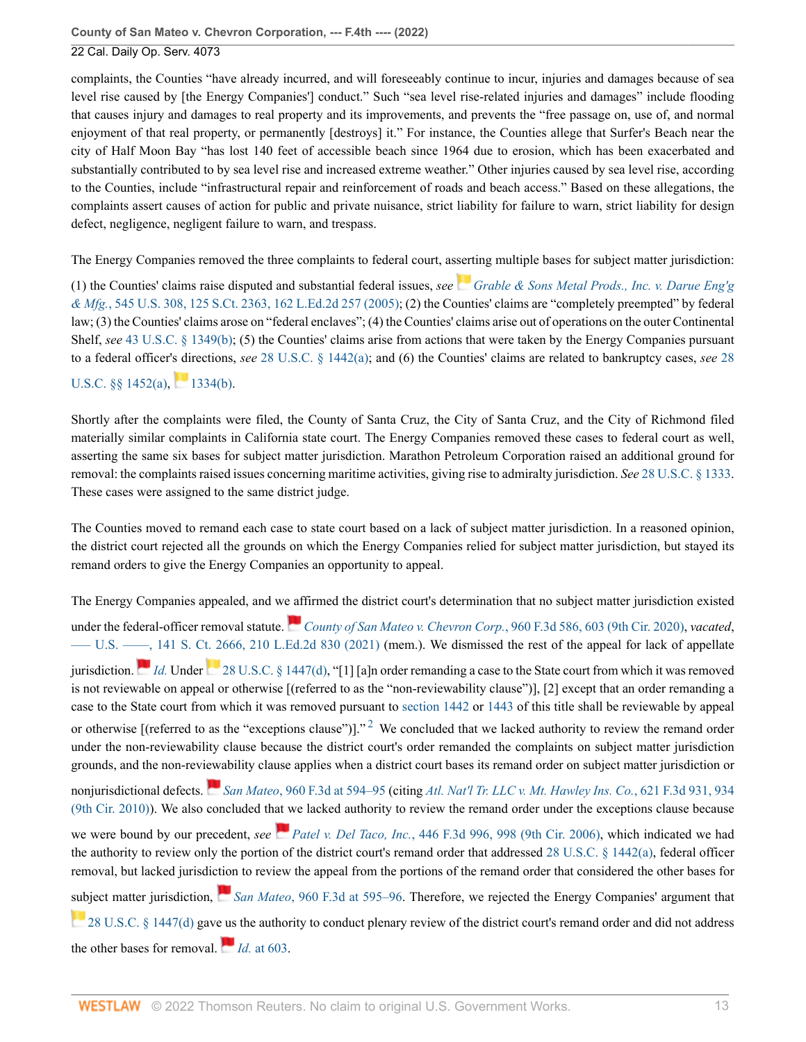complaints, the Counties "have already incurred, and will foreseeably continue to incur, injuries and damages because of sea level rise caused by [the Energy Companies'] conduct." Such "sea level rise-related injuries and damages" include flooding that causes injury and damages to real property and its improvements, and prevents the "free passage on, use of, and normal enjoyment of that real property, or permanently [destroys] it." For instance, the Counties allege that Surfer's Beach near the city of Half Moon Bay "has lost 140 feet of accessible beach since 1964 due to erosion, which has been exacerbated and substantially contributed to by sea level rise and increased extreme weather." Other injuries caused by sea level rise, according to the Counties, include "infrastructural repair and reinforcement of roads and beach access." Based on these allegations, the complaints assert causes of action for public and private nuisance, strict liability for failure to warn, strict liability for design defect, negligence, negligent failure to warn, and trespass.

The Energy Companies removed the three complaints to federal court, asserting multiple bases for subject matter jurisdiction:

(1) the Counties' claims raise disputed and substantial federal issues, *see [Grable & Sons Metal Prods., Inc. v. Darue Eng'g](http://www.westlaw.com/Link/Document/FullText?findType=Y&serNum=2006791874&pubNum=0000708&originatingDoc=I13d9d0c0c01911eca998bccac2217b4d&refType=RP&originationContext=document&vr=3.0&rs=cblt1.0&transitionType=DocumentItem&contextData=(sc.Search)) & Mfg.*[, 545 U.S. 308, 125 S.Ct. 2363, 162 L.Ed.2d 257 \(2005\)](http://www.westlaw.com/Link/Document/FullText?findType=Y&serNum=2006791874&pubNum=0000708&originatingDoc=I13d9d0c0c01911eca998bccac2217b4d&refType=RP&originationContext=document&vr=3.0&rs=cblt1.0&transitionType=DocumentItem&contextData=(sc.Search)); (2) the Counties' claims are "completely preempted" by federal law; (3) the Counties' claims arose on "federal enclaves"; (4) the Counties' claims arise out of operations on the outer Continental Shelf, *see* [43 U.S.C. § 1349\(b\);](http://www.westlaw.com/Link/Document/FullText?findType=L&pubNum=1000546&cite=43USCAS1349&originatingDoc=I13d9d0c0c01911eca998bccac2217b4d&refType=RB&originationContext=document&vr=3.0&rs=cblt1.0&transitionType=DocumentItem&contextData=(sc.Search)#co_pp_a83b000018c76) (5) the Counties' claims arise from actions that were taken by the Energy Companies pursuant to a federal officer's directions, *see* [28 U.S.C. § 1442\(a\)](http://www.westlaw.com/Link/Document/FullText?findType=L&pubNum=1000546&cite=28USCAS1442&originatingDoc=I13d9d0c0c01911eca998bccac2217b4d&refType=RB&originationContext=document&vr=3.0&rs=cblt1.0&transitionType=DocumentItem&contextData=(sc.Search)#co_pp_8b3b0000958a4); and (6) the Counties' claims are related to bankruptcy cases, *see* [28](http://www.westlaw.com/Link/Document/FullText?findType=L&pubNum=1000546&cite=28USCAS1452&originatingDoc=I13d9d0c0c01911eca998bccac2217b4d&refType=RB&originationContext=document&vr=3.0&rs=cblt1.0&transitionType=DocumentItem&contextData=(sc.Search)#co_pp_8b3b0000958a4)

# U.S.C. $\S$ § 1452(a), [1334\(b\)](http://www.westlaw.com/Link/Document/FullText?findType=L&pubNum=1000546&cite=28USCAS1334&originatingDoc=I13d9d0c0c01911eca998bccac2217b4d&refType=RB&originationContext=document&vr=3.0&rs=cblt1.0&transitionType=DocumentItem&contextData=(sc.Search)#co_pp_a83b000018c76).

Shortly after the complaints were filed, the County of Santa Cruz, the City of Santa Cruz, and the City of Richmond filed materially similar complaints in California state court. The Energy Companies removed these cases to federal court as well, asserting the same six bases for subject matter jurisdiction. Marathon Petroleum Corporation raised an additional ground for removal: the complaints raised issues concerning maritime activities, giving rise to admiralty jurisdiction. *See* [28 U.S.C. § 1333.](http://www.westlaw.com/Link/Document/FullText?findType=L&pubNum=1000546&cite=28USCAS1333&originatingDoc=I13d9d0c0c01911eca998bccac2217b4d&refType=LQ&originationContext=document&vr=3.0&rs=cblt1.0&transitionType=DocumentItem&contextData=(sc.Search)) These cases were assigned to the same district judge.

The Counties moved to remand each case to state court based on a lack of subject matter jurisdiction. In a reasoned opinion, the district court rejected all the grounds on which the Energy Companies relied for subject matter jurisdiction, but stayed its remand orders to give the Energy Companies an opportunity to appeal.

The Energy Companies appealed, and w[e aff](https://1.next.westlaw.com/Link/RelatedInformation/Flag?documentGuid=I3b3b6cd09fa211ea8cb395d22c142a61&transitionType=InlineKeyCiteFlags&originationContext=docHeaderFlag&Rank=0&ppcid=a9b114f5abe4428c96a100fd82d3083a&contextData=(sc.Search) )irmed the district court's determination that no subject matter jurisdiction existed

<span id="page-12-0"></span>under the federal-officer removal statute. *[County of San Mateo v. Chevron Corp.](http://www.westlaw.com/Link/Document/FullText?findType=Y&serNum=2051128797&pubNum=0000506&originatingDoc=I13d9d0c0c01911eca998bccac2217b4d&refType=RP&fi=co_pp_sp_506_603&originationContext=document&vr=3.0&rs=cblt1.0&transitionType=DocumentItem&contextData=(sc.Search)#co_pp_sp_506_603)*, 960 F.3d 586, 603 (9th Cir. 2020), *vacated*, [––– U.S. ––––, 141 S. Ct. 2666, 210 L.Ed.2d 830 \(2021\)](http://www.westlaw.com/Link/Document/FullText?findType=Y&pubNum=0000708&cite=141SCT2666&originatingDoc=I13d9d0c0c01911eca998bccac2217b4d&refType=RP&originationContext=document&vr=3.0&rs=cblt1.0&transitionType=DocumentItem&contextData=(sc.Search)) (mem.). We dismissed the rest of the appeal for lack of appellate jurisdiction. *[Id.](http://www.westlaw.com/Link/Document/FullText?findType=Y&serNum=2051128797&pubNum=0000506&originatingDoc=I13d9d0c0c01911eca998bccac2217b4d&refType=RP&originationContext=document&vr=3.0&rs=cblt1.0&transitionType=DocumentItem&contextData=(sc.Search))* Under[28 U.S.C. § 1447\(d\),](http://www.westlaw.com/Link/Document/FullText?findType=L&pubNum=1000546&cite=28USCAS1447&originatingDoc=I13d9d0c0c01911eca998bccac2217b4d&refType=RB&originationContext=document&vr=3.0&rs=cblt1.0&transitionType=DocumentItem&contextData=(sc.Search)#co_pp_5ba1000067d06) "[1] [a]n order remanding a case to the State court from which it was removed is not reviewable on appeal or otherwise [(referred to as the "non-reviewability clause")], [2] except that an order remanding a case to the State court from which it was removed pursuant to [section 1442](http://www.westlaw.com/Link/Document/FullText?findType=L&pubNum=1000546&cite=28USCAS1442&originatingDoc=I13d9d0c0c01911eca998bccac2217b4d&refType=LQ&originationContext=document&vr=3.0&rs=cblt1.0&transitionType=DocumentItem&contextData=(sc.Search)) or [1443](http://www.westlaw.com/Link/Document/FullText?findType=L&pubNum=1000546&cite=28USCAS1443&originatingDoc=I13d9d0c0c01911eca998bccac2217b4d&refType=LQ&originationContext=document&vr=3.0&rs=cblt1.0&transitionType=DocumentItem&contextData=(sc.Search)) of this title shall be reviewable by appeal or otherwise [(referred to as the "exceptions clause")]." <sup>[2](#page-26-1)</sup> We concluded that we lacked authority to review the remand order under the non-reviewability clause because the district court's order remanded the complaints on subject matter jurisdiction grounds, and the non-revi[ewa](https://1.next.westlaw.com/Link/RelatedInformation/Flag?documentGuid=I3b3b6cd09fa211ea8cb395d22c142a61&transitionType=InlineKeyCiteFlags&originationContext=docHeaderFlag&Rank=0&ppcid=a9b114f5abe4428c96a100fd82d3083a&contextData=(sc.Search) )bility clause applies when a district court bases its remand order on subject matter jurisdiction or nonjurisdictional defects. *San Mateo*[, 960 F.3d at 594–95](http://www.westlaw.com/Link/Document/FullText?findType=Y&serNum=2051128797&pubNum=0000506&originatingDoc=I13d9d0c0c01911eca998bccac2217b4d&refType=RP&fi=co_pp_sp_506_594&originationContext=document&vr=3.0&rs=cblt1.0&transitionType=DocumentItem&contextData=(sc.Search)#co_pp_sp_506_594) (citing *[Atl. Nat'l Tr. LLC v. Mt. Hawley Ins. Co.](http://www.westlaw.com/Link/Document/FullText?findType=Y&serNum=2022907265&pubNum=0000506&originatingDoc=I13d9d0c0c01911eca998bccac2217b4d&refType=RP&fi=co_pp_sp_506_934&originationContext=document&vr=3.0&rs=cblt1.0&transitionType=DocumentItem&contextData=(sc.Search)#co_pp_sp_506_934)*, 621 F.3d 931, 934 [\(9th Cir. 2010\)\)](http://www.westlaw.com/Link/Document/FullText?findType=Y&serNum=2022907265&pubNum=0000506&originatingDoc=I13d9d0c0c01911eca998bccac2217b4d&refType=RP&fi=co_pp_sp_506_934&originationContext=document&vr=3.0&rs=cblt1.0&transitionType=DocumentItem&contextData=(sc.Search)#co_pp_sp_506_934). We also concluded that we lacked authority to review the remand order under the exceptions clause because we were bound by our precedent, *see [P](https://1.next.westlaw.com/Link/RelatedInformation/Flag?documentGuid=Ia5b12223d9dd11da8b56def3c325596e&transitionType=InlineKeyCiteFlags&originationContext=docHeaderFlag&Rank=0&ppcid=a9b114f5abe4428c96a100fd82d3083a&contextData=(sc.Search) )atel v. Del Taco, Inc.*[, 446 F.3d 996, 998 \(9th Cir. 2006\),](http://www.westlaw.com/Link/Document/FullText?findType=Y&serNum=2009070653&pubNum=0000506&originatingDoc=I13d9d0c0c01911eca998bccac2217b4d&refType=RP&fi=co_pp_sp_506_998&originationContext=document&vr=3.0&rs=cblt1.0&transitionType=DocumentItem&contextData=(sc.Search)#co_pp_sp_506_998) which indicated we had the authority to review only the portion of the district court's remand order that addressed [28 U.S.C. § 1442\(a\)](http://www.westlaw.com/Link/Document/FullText?findType=L&pubNum=1000546&cite=28USCAS1442&originatingDoc=I13d9d0c0c01911eca998bccac2217b4d&refType=RB&originationContext=document&vr=3.0&rs=cblt1.0&transitionType=DocumentItem&contextData=(sc.Search)#co_pp_8b3b0000958a4), federal officer removal, but lacked jurisdi[ction](https://1.next.westlaw.com/Link/RelatedInformation/Flag?documentGuid=I3b3b6cd09fa211ea8cb395d22c142a61&transitionType=InlineKeyCiteFlags&originationContext=docHeaderFlag&Rank=0&ppcid=a9b114f5abe4428c96a100fd82d3083a&contextData=(sc.Search) ) to review the appeal from the portions of the remand order that considered the other bases for [sub](https://1.next.westlaw.com/Link/RelatedInformation/Flag?documentGuid=ND6F78B30149711E1A7F78D1F2D4D2473&transitionType=InlineKeyCiteFlags&originationContext=docHeaderFlag&Rank=0&ppcid=a9b114f5abe4428c96a100fd82d3083a&contextData=(sc.Search) )ject matter jurisdiction, **San Mateo**[, 960 F.3d at 595–96.](http://www.westlaw.com/Link/Document/FullText?findType=Y&serNum=2051128797&pubNum=0000506&originatingDoc=I13d9d0c0c01911eca998bccac2217b4d&refType=RP&fi=co_pp_sp_506_595&originationContext=document&vr=3.0&rs=cblt1.0&transitionType=DocumentItem&contextData=(sc.Search)#co_pp_sp_506_595) Therefore, we rejected the Energy Companies' argument that [28 U.S.C. § 1447\(d\)](http://www.westlaw.com/Link/Document/FullText?findType=L&pubNum=1000546&cite=28USCAS1447&originatingDoc=I13d9d0c0c01911eca998bccac2217b4d&refType=RB&originationContext=document&vr=3.0&rs=cblt1.0&transitionType=DocumentItem&contextData=(sc.Search)#co_pp_5ba1000067d06) gav[e us](https://1.next.westlaw.com/Link/RelatedInformation/Flag?documentGuid=I3b3b6cd09fa211ea8cb395d22c142a61&transitionType=InlineKeyCiteFlags&originationContext=docHeaderFlag&Rank=0&ppcid=a9b114f5abe4428c96a100fd82d3083a&contextData=(sc.Search) ) the authority to conduct plenary review of the district court's remand order and did not address the other bases for removal.  $\blacksquare$  *Id.* [at 603.](http://www.westlaw.com/Link/Document/FullText?findType=Y&serNum=2051128797&pubNum=0000506&originatingDoc=I13d9d0c0c01911eca998bccac2217b4d&refType=RP&fi=co_pp_sp_506_603&originationContext=document&vr=3.0&rs=cblt1.0&transitionType=DocumentItem&contextData=(sc.Search)#co_pp_sp_506_603)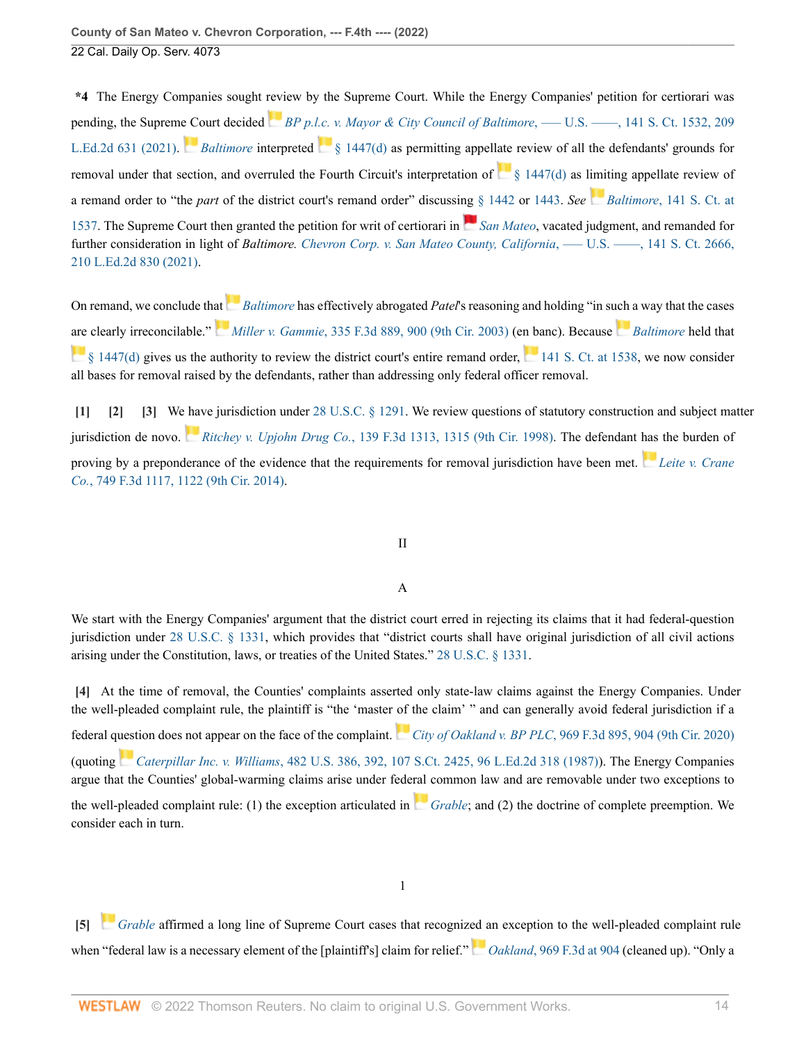**\*4** The Energy Companies sought [revi](https://1.next.westlaw.com/Link/RelatedInformation/Flag?documentGuid=I0c352015b59311eba860c827b548034a&transitionType=InlineKeyCiteFlags&originationContext=docHeaderFlag&Rank=0&ppcid=a9b114f5abe4428c96a100fd82d3083a&contextData=(sc.Search) )ew by the Supreme Court. While the Energy Companies' petition for certiorari was pending, the Suprem[e Co](https://1.next.westlaw.com/Link/RelatedInformation/Flag?documentGuid=I0c352015b59311eba860c827b548034a&transitionType=InlineKeyCiteFlags&originationContext=docHeaderFlag&Rank=0&ppcid=a9b114f5abe4428c96a100fd82d3083a&contextData=(sc.Search) )urt decided *[BP p.l.c. v. Mayor & City Council of Baltimore](http://www.westlaw.com/Link/Document/FullText?findType=Y&serNum=2053637634&pubNum=0000708&originatingDoc=I13d9d0c0c01911eca998bccac2217b4d&refType=RP&originationContext=document&vr=3.0&rs=cblt1.0&transitionType=DocumentItem&contextData=(sc.Search))*, — U.S. —–, 141 S. Ct. 1532, 209 [L.Ed.2d 631 \(2021\)](http://www.westlaw.com/Link/Document/FullText?findType=Y&serNum=2053637634&pubNum=0000708&originatingDoc=I13d9d0c0c01911eca998bccac2217b4d&refType=RP&originationContext=document&vr=3.0&rs=cblt1.0&transitionType=DocumentItem&contextData=(sc.Search)). *[Baltimore](http://www.westlaw.com/Link/Document/FullText?findType=Y&serNum=2053637634&pubNum=0000708&originatingDoc=I13d9d0c0c01911eca998bccac2217b4d&refType=RP&originationContext=document&vr=3.0&rs=cblt1.0&transitionType=DocumentItem&contextData=(sc.Search))* interpreted [§ 1447\(d\)](http://www.westlaw.com/Link/Document/FullText?findType=L&pubNum=1000546&cite=28USCAS1447&originatingDoc=I13d9d0c0c01911eca998bccac2217b4d&refType=RB&originationContext=document&vr=3.0&rs=cblt1.0&transitionType=DocumentItem&contextData=(sc.Search)#co_pp_5ba1000067d06) as permitting appellate review of all the defendants' grounds for removal under that section, and overruled the Fourth Circuit's interpretation of  $\frac{1}{8}$  1447(d) as limiting appellate review of a remand order to "the *part* of the district court's remand order" discussi[ng](https://1.next.westlaw.com/Link/RelatedInformation/Flag?documentGuid=I3b3b6cd09fa211ea8cb395d22c142a61&transitionType=InlineKeyCiteFlags&originationContext=docHeaderFlag&Rank=0&ppcid=a9b114f5abe4428c96a100fd82d3083a&contextData=(sc.Search) ) [§ 1442](http://www.westlaw.com/Link/Document/FullText?findType=L&pubNum=1000546&cite=28USCAS1442&originatingDoc=I13d9d0c0c01911eca998bccac2217b4d&refType=LQ&originationContext=document&vr=3.0&rs=cblt1.0&transitionType=DocumentItem&contextData=(sc.Search)) or [1443.](http://www.westlaw.com/Link/Document/FullText?findType=L&pubNum=1000546&cite=28USCAS1443&originatingDoc=I13d9d0c0c01911eca998bccac2217b4d&refType=LQ&originationContext=document&vr=3.0&rs=cblt1.0&transitionType=DocumentItem&contextData=(sc.Search)) See Baltimore[, 141 S. Ct. at](http://www.westlaw.com/Link/Document/FullText?findType=Y&serNum=2053637634&pubNum=0000708&originatingDoc=I13d9d0c0c01911eca998bccac2217b4d&refType=RP&fi=co_pp_sp_708_1537&originationContext=document&vr=3.0&rs=cblt1.0&transitionType=DocumentItem&contextData=(sc.Search)#co_pp_sp_708_1537) [1537](http://www.westlaw.com/Link/Document/FullText?findType=Y&serNum=2053637634&pubNum=0000708&originatingDoc=I13d9d0c0c01911eca998bccac2217b4d&refType=RP&fi=co_pp_sp_708_1537&originationContext=document&vr=3.0&rs=cblt1.0&transitionType=DocumentItem&contextData=(sc.Search)#co_pp_sp_708_1537). The Supreme Court then granted the petition for writ of certiorari in *[San Mateo](http://www.westlaw.com/Link/Document/FullText?findType=Y&serNum=2051128797&pubNum=0000506&originatingDoc=I13d9d0c0c01911eca998bccac2217b4d&refType=RP&originationContext=document&vr=3.0&rs=cblt1.0&transitionType=DocumentItem&contextData=(sc.Search))*, vacated judgment, and remanded for further consideration in light of *Baltimore. [Chevron Corp. v. San Mateo County, California](http://www.westlaw.com/Link/Document/FullText?findType=Y&serNum=2053680184&pubNum=0000708&originatingDoc=I13d9d0c0c01911eca998bccac2217b4d&refType=RP&originationContext=document&vr=3.0&rs=cblt1.0&transitionType=DocumentItem&contextData=(sc.Search))*, -- U.S. ----, 141 S. Ct. 2666, [210 L.Ed.2d 830 \(2021\)](http://www.westlaw.com/Link/Document/FullText?findType=Y&serNum=2053680184&pubNum=0000708&originatingDoc=I13d9d0c0c01911eca998bccac2217b4d&refType=RP&originationContext=document&vr=3.0&rs=cblt1.0&transitionType=DocumentItem&contextData=(sc.Search)).

On remand, we conclude th[at](https://1.next.westlaw.com/Link/RelatedInformation/Flag?documentGuid=Ie9f2550089e111d9903eeb4634b8d78e&transitionType=InlineKeyCiteFlags&originationContext=docHeaderFlag&Rank=0&ppcid=a9b114f5abe4428c96a100fd82d3083a&contextData=(sc.Search) ) *[Baltimore](http://www.westlaw.com/Link/Document/FullText?findType=Y&serNum=2053637634&pubNum=0000708&originatingDoc=I13d9d0c0c01911eca998bccac2217b4d&refType=RP&originationContext=document&vr=3.0&rs=cblt1.0&transitionType=DocumentItem&contextData=(sc.Search))* has effectively abrogated *Patel*'s reasoning and holding "in s[uch a](https://1.next.westlaw.com/Link/RelatedInformation/Flag?documentGuid=I0c352015b59311eba860c827b548034a&transitionType=InlineKeyCiteFlags&originationContext=docHeaderFlag&Rank=0&ppcid=a9b114f5abe4428c96a100fd82d3083a&contextData=(sc.Search) ) way that the cases [are](https://1.next.westlaw.com/Link/RelatedInformation/Flag?documentGuid=ND6F78B30149711E1A7F78D1F2D4D2473&transitionType=InlineKeyCiteFlags&originationContext=docHeaderFlag&Rank=0&ppcid=a9b114f5abe4428c96a100fd82d3083a&contextData=(sc.Search) ) clearly irreconcilable." *Miller v. Gammie*[, 335 F.3d 889, 900 \(9th Cir. 2003\)](http://www.westlaw.com/Link/Document/FullText?findType=Y&serNum=2003481959&pubNum=0000506&originatingDoc=I13d9d0c0c01911eca998bccac2217b4d&refType=RP&fi=co_pp_sp_506_900&originationContext=document&vr=3.0&rs=cblt1.0&transitionType=DocumentItem&contextData=(sc.Search)#co_pp_sp_506_900) (en banc). Because *[Baltimore](http://www.westlaw.com/Link/Document/FullText?findType=Y&serNum=2053637634&pubNum=0000708&originatingDoc=I13d9d0c0c01911eca998bccac2217b4d&refType=RP&originationContext=document&vr=3.0&rs=cblt1.0&transitionType=DocumentItem&contextData=(sc.Search))* held that  $\frac{1}{2}$  [§ 1447\(d\)](http://www.westlaw.com/Link/Document/FullText?findType=L&pubNum=1000546&cite=28USCAS1447&originatingDoc=I13d9d0c0c01911eca998bccac2217b4d&refType=RB&originationContext=document&vr=3.0&rs=cblt1.0&transitionType=DocumentItem&contextData=(sc.Search)#co_pp_5ba1000067d06) gives us the authority to review the district court's entire remand order, [141 S. Ct. at 1538](http://www.westlaw.com/Link/Document/FullText?findType=Y&serNum=2053637634&pubNum=0000708&originatingDoc=I13d9d0c0c01911eca998bccac2217b4d&refType=RP&fi=co_pp_sp_708_1538&originationContext=document&vr=3.0&rs=cblt1.0&transitionType=DocumentItem&contextData=(sc.Search)#co_pp_sp_708_1538), we now consider all bases for removal raised by the defendants, rather than addressing only federal officer removal.

<span id="page-13-2"></span><span id="page-13-1"></span><span id="page-13-0"></span>**[\[1\]](#page-1-0) [\[2\]](#page-1-1) [\[3\]](#page-2-2)** We [hav](https://1.next.westlaw.com/Link/RelatedInformation/Flag?documentGuid=Ie92b1482944111d9bdd1cfdd544ca3a4&transitionType=InlineKeyCiteFlags&originationContext=docHeaderFlag&Rank=0&ppcid=a9b114f5abe4428c96a100fd82d3083a&contextData=(sc.Search) )e jurisdiction under [28 U.S.C. § 1291.](http://www.westlaw.com/Link/Document/FullText?findType=L&pubNum=1000546&cite=28USCAS1291&originatingDoc=I13d9d0c0c01911eca998bccac2217b4d&refType=LQ&originationContext=document&vr=3.0&rs=cblt1.0&transitionType=DocumentItem&contextData=(sc.Search)) We review questions of statutory construction and subject matter jurisdiction de novo. *Ritchey v. Upjohn Drug Co.*[, 139 F.3d 1313, 1315 \(9th Cir. 1998\)](http://www.westlaw.com/Link/Document/FullText?findType=Y&serNum=1998082189&pubNum=0000506&originatingDoc=I13d9d0c0c01911eca998bccac2217b4d&refType=RP&fi=co_pp_sp_506_1315&originationContext=document&vr=3.0&rs=cblt1.0&transitionType=DocumentItem&contextData=(sc.Search)#co_pp_sp_506_1315). The defendant [has](https://1.next.westlaw.com/Link/RelatedInformation/Flag?documentGuid=Iff81107cccb211e398918a57b3f325e0&transitionType=InlineKeyCiteFlags&originationContext=docHeaderFlag&Rank=0&ppcid=a9b114f5abe4428c96a100fd82d3083a&contextData=(sc.Search) ) the burden of proving by a preponderance of the evidence that the requirements for removal jurisdiction have been met. *[Leite v. Crane](http://www.westlaw.com/Link/Document/FullText?findType=Y&serNum=2033271442&pubNum=0000506&originatingDoc=I13d9d0c0c01911eca998bccac2217b4d&refType=RP&fi=co_pp_sp_506_1122&originationContext=document&vr=3.0&rs=cblt1.0&transitionType=DocumentItem&contextData=(sc.Search)#co_pp_sp_506_1122) Co.*[, 749 F.3d 1117, 1122 \(9th Cir. 2014\).](http://www.westlaw.com/Link/Document/FullText?findType=Y&serNum=2033271442&pubNum=0000506&originatingDoc=I13d9d0c0c01911eca998bccac2217b4d&refType=RP&fi=co_pp_sp_506_1122&originationContext=document&vr=3.0&rs=cblt1.0&transitionType=DocumentItem&contextData=(sc.Search)#co_pp_sp_506_1122)

# II

### A

We start with the Energy Companies' argument that the district court erred in rejecting its claims that it had federal-question jurisdiction under [28 U.S.C. § 1331,](http://www.westlaw.com/Link/Document/FullText?findType=L&pubNum=1000546&cite=28USCAS1331&originatingDoc=I13d9d0c0c01911eca998bccac2217b4d&refType=LQ&originationContext=document&vr=3.0&rs=cblt1.0&transitionType=DocumentItem&contextData=(sc.Search)) which provides that "district courts shall have original jurisdiction of all civil actions arising under the Constitution, laws, or treaties of the United States." [28 U.S.C. § 1331](http://www.westlaw.com/Link/Document/FullText?findType=L&pubNum=1000546&cite=28USCAS1331&originatingDoc=I13d9d0c0c01911eca998bccac2217b4d&refType=LQ&originationContext=document&vr=3.0&rs=cblt1.0&transitionType=DocumentItem&contextData=(sc.Search)).

<span id="page-13-3"></span>**[\[4\]](#page-2-3)** At the time of removal, the Counties' complaints asserted only state-law claims against the Energy Companies. Under the well-pleaded complaint rule, the plaintiff is "the 'master [of t](https://1.next.westlaw.com/Link/RelatedInformation/Flag?documentGuid=Id6b0e480dce511ea8f0eec838d2c18dc&transitionType=InlineKeyCiteFlags&originationContext=docHeaderFlag&Rank=0&ppcid=a9b114f5abe4428c96a100fd82d3083a&contextData=(sc.Search) )he claim' " and can generally avoid federal jurisdiction if a federal q[uest](https://1.next.westlaw.com/Link/RelatedInformation/Flag?documentGuid=I6173846f9c1f11d9bc61beebb95be672&transitionType=InlineKeyCiteFlags&originationContext=docHeaderFlag&Rank=0&ppcid=a9b114f5abe4428c96a100fd82d3083a&contextData=(sc.Search) )ion does not appear on the face of the complaint. *City of Oakland v. BP PLC*[, 969 F.3d 895, 904 \(9th Cir. 2020\)](http://www.westlaw.com/Link/Document/FullText?findType=Y&serNum=2051642656&pubNum=0000506&originatingDoc=I13d9d0c0c01911eca998bccac2217b4d&refType=RP&fi=co_pp_sp_506_904&originationContext=document&vr=3.0&rs=cblt1.0&transitionType=DocumentItem&contextData=(sc.Search)#co_pp_sp_506_904) (quoting *Caterpillar Inc. v. Williams*[, 482 U.S. 386, 392, 107 S.Ct. 2425, 96 L.Ed.2d 318 \(1987\)\)](http://www.westlaw.com/Link/Document/FullText?findType=Y&serNum=1987071665&pubNum=0000780&originatingDoc=I13d9d0c0c01911eca998bccac2217b4d&refType=RP&fi=co_pp_sp_780_392&originationContext=document&vr=3.0&rs=cblt1.0&transitionType=DocumentItem&contextData=(sc.Search)#co_pp_sp_780_392). The Energy Companies argue that the Counties' global-warming claims arise under fede[ral](https://1.next.westlaw.com/Link/RelatedInformation/Flag?documentGuid=Id4e1c90ddc0e11d983e7e9deff98dc6f&transitionType=InlineKeyCiteFlags&originationContext=docHeaderFlag&Rank=0&ppcid=a9b114f5abe4428c96a100fd82d3083a&contextData=(sc.Search) ) common law and are removable under two exceptions to the well-pleaded complaint rule: (1) the exception articulated in *[Grable](http://www.westlaw.com/Link/Document/FullText?findType=Y&serNum=2006791874&pubNum=0000780&originatingDoc=I13d9d0c0c01911eca998bccac2217b4d&refType=RP&originationContext=document&vr=3.0&rs=cblt1.0&transitionType=DocumentItem&contextData=(sc.Search))*; and (2) the doctrine of complete preemption. We consider each in turn.

1

<span id="page-13-4"></span>**[\[5\]](#page-2-4)** *[Grable](http://www.westlaw.com/Link/Document/FullText?findType=Y&serNum=2006791874&pubNum=0000780&originatingDoc=I13d9d0c0c01911eca998bccac2217b4d&refType=RP&originationContext=document&vr=3.0&rs=cblt1.0&transitionType=DocumentItem&contextData=(sc.Search))* affirmed a long line of Supreme Court cases that recogniz[ed a](https://1.next.westlaw.com/Link/RelatedInformation/Flag?documentGuid=Id6b0e480dce511ea8f0eec838d2c18dc&transitionType=InlineKeyCiteFlags&originationContext=docHeaderFlag&Rank=0&ppcid=a9b114f5abe4428c96a100fd82d3083a&contextData=(sc.Search) )n exception to the well-pleaded complaint rule when "federal law is a necessary element of the [plaintiff's] claim for relief." *Oakland*[, 969 F.3d at 904](http://www.westlaw.com/Link/Document/FullText?findType=Y&serNum=2051642656&pubNum=0000506&originatingDoc=I13d9d0c0c01911eca998bccac2217b4d&refType=RP&fi=co_pp_sp_506_904&originationContext=document&vr=3.0&rs=cblt1.0&transitionType=DocumentItem&contextData=(sc.Search)#co_pp_sp_506_904) (cleaned up). "Only a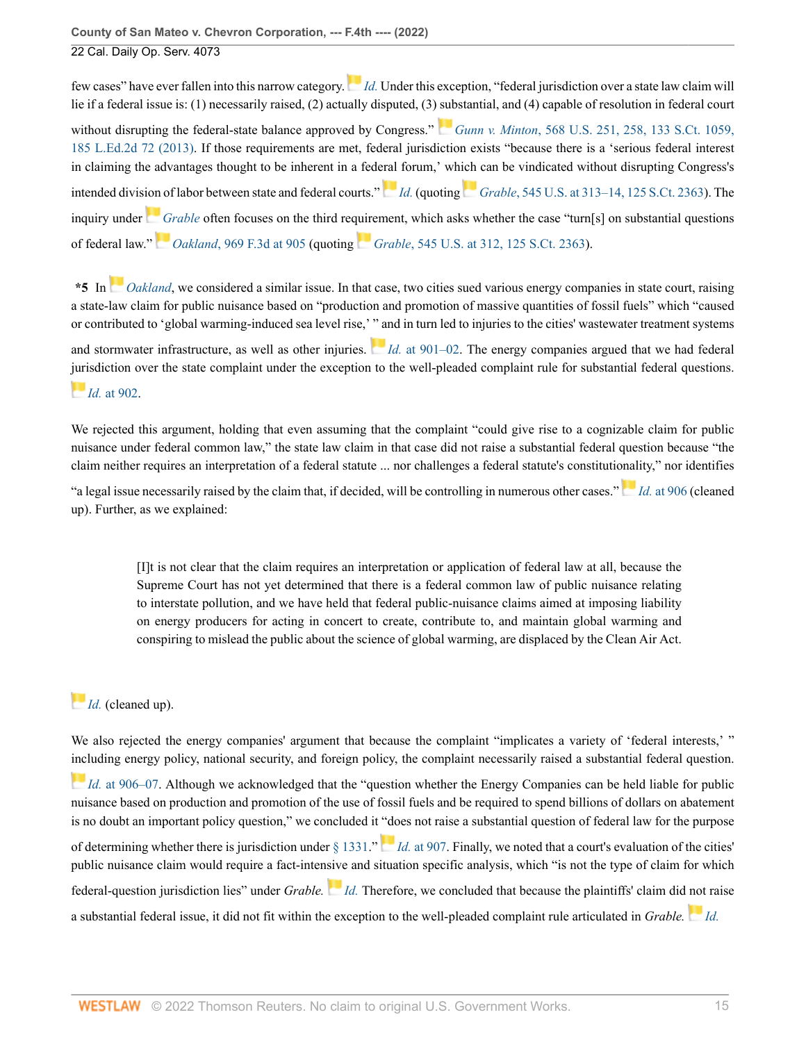few cases" have ever fallen into this narrow category.*[Id.](http://www.westlaw.com/Link/Document/FullText?findType=Y&serNum=2051642656&pubNum=0000506&originatingDoc=I13d9d0c0c01911eca998bccac2217b4d&refType=RP&originationContext=document&vr=3.0&rs=cblt1.0&transitionType=DocumentItem&contextData=(sc.Search))* Under this exception, "federal jurisdiction over a state law claim will lie if a federal issue is: (1) necessarily raised, (2) actually disputed, (3) [sub](https://1.next.westlaw.com/Link/RelatedInformation/Flag?documentGuid=Id7bdad407b6d11e280719c3f0e80bdd0&transitionType=InlineKeyCiteFlags&originationContext=docHeaderFlag&Rank=0&ppcid=a9b114f5abe4428c96a100fd82d3083a&contextData=(sc.Search) )stantial, and (4) capable of resolution in federal court without disrupting the federal-state balance approved by Congress." *Gunn v. Minton*[, 568 U.S. 251, 258, 133 S.Ct. 1059,](http://www.westlaw.com/Link/Document/FullText?findType=Y&serNum=2029898029&pubNum=0000780&originatingDoc=I13d9d0c0c01911eca998bccac2217b4d&refType=RP&fi=co_pp_sp_780_258&originationContext=document&vr=3.0&rs=cblt1.0&transitionType=DocumentItem&contextData=(sc.Search)#co_pp_sp_780_258) [185 L.Ed.2d 72 \(2013\)](http://www.westlaw.com/Link/Document/FullText?findType=Y&serNum=2029898029&pubNum=0000780&originatingDoc=I13d9d0c0c01911eca998bccac2217b4d&refType=RP&fi=co_pp_sp_780_258&originationContext=document&vr=3.0&rs=cblt1.0&transitionType=DocumentItem&contextData=(sc.Search)#co_pp_sp_780_258). If those requirements are met, federal jurisdiction exists "because there is a 'serious federal interest in claiming the advantages thought to be inherent in a fed[eral](https://1.next.westlaw.com/Link/RelatedInformation/Flag?documentGuid=Id7bdad407b6d11e280719c3f0e80bdd0&transitionType=InlineKeyCiteFlags&originationContext=docHeaderFlag&Rank=0&ppcid=a9b114f5abe4428c96a100fd82d3083a&contextData=(sc.Search) ) forum,' wh[ich](https://1.next.westlaw.com/Link/RelatedInformation/Flag?documentGuid=Id4e1c90ddc0e11d983e7e9deff98dc6f&transitionType=InlineKeyCiteFlags&originationContext=docHeaderFlag&Rank=0&ppcid=a9b114f5abe4428c96a100fd82d3083a&contextData=(sc.Search) ) can be vindicated without disrupting Congress's intended divis[ion](https://1.next.westlaw.com/Link/RelatedInformation/Flag?documentGuid=Id4e1c90ddc0e11d983e7e9deff98dc6f&transitionType=InlineKeyCiteFlags&originationContext=docHeaderFlag&Rank=0&ppcid=a9b114f5abe4428c96a100fd82d3083a&contextData=(sc.Search) ) of labor between state and federal courts." *[Id.](http://www.westlaw.com/Link/Document/FullText?findType=Y&serNum=2029898029&pubNum=0000780&originatingDoc=I13d9d0c0c01911eca998bccac2217b4d&refType=RP&originationContext=document&vr=3.0&rs=cblt1.0&transitionType=DocumentItem&contextData=(sc.Search))* (quoting *Grable*[, 545 U.S. at 313–14, 125 S.Ct. 2363\)](http://www.westlaw.com/Link/Document/FullText?findType=Y&serNum=2006791874&pubNum=0000780&originatingDoc=I13d9d0c0c01911eca998bccac2217b4d&refType=RP&fi=co_pp_sp_780_313&originationContext=document&vr=3.0&rs=cblt1.0&transitionType=DocumentItem&contextData=(sc.Search)#co_pp_sp_780_313). The inquiry under *[Grable](http://www.westlaw.com/Link/Document/FullText?findType=Y&serNum=2006791874&pubNum=0000780&originatingDoc=I13d9d0c0c01911eca998bccac2217b4d&refType=RP&originationContext=document&vr=3.0&rs=cblt1.0&transitionType=DocumentItem&contextData=(sc.Search))* often focuses on the third re[quire](https://1.next.westlaw.com/Link/RelatedInformation/Flag?documentGuid=Id4e1c90ddc0e11d983e7e9deff98dc6f&transitionType=InlineKeyCiteFlags&originationContext=docHeaderFlag&Rank=0&ppcid=a9b114f5abe4428c96a100fd82d3083a&contextData=(sc.Search) )ment, which asks whether the case "turn[s] on substantial questions

of federal law." *Oakland*[, 969 F.3d at 905](http://www.westlaw.com/Link/Document/FullText?findType=Y&serNum=2051642656&pubNum=0000506&originatingDoc=I13d9d0c0c01911eca998bccac2217b4d&refType=RP&fi=co_pp_sp_506_905&originationContext=document&vr=3.0&rs=cblt1.0&transitionType=DocumentItem&contextData=(sc.Search)#co_pp_sp_506_905) (quoting *Grable*[, 545 U.S. at 312, 125 S.Ct. 2363\)](http://www.westlaw.com/Link/Document/FullText?findType=Y&serNum=2006791874&pubNum=0000780&originatingDoc=I13d9d0c0c01911eca998bccac2217b4d&refType=RP&fi=co_pp_sp_780_312&originationContext=document&vr=3.0&rs=cblt1.0&transitionType=DocumentItem&contextData=(sc.Search)#co_pp_sp_780_312).

**\*5** In*[Oakland](http://www.westlaw.com/Link/Document/FullText?findType=Y&serNum=2051642656&pubNum=0000506&originatingDoc=I13d9d0c0c01911eca998bccac2217b4d&refType=RP&originationContext=document&vr=3.0&rs=cblt1.0&transitionType=DocumentItem&contextData=(sc.Search))*, we considered a similar issue. In that case, two cities sued various energy companies in state court, raising a state-law claim for public nuisance based on "production and promotion of massive quantities of fossil fuels" which "caused or contributed to 'global warming-induced sea level rise,' [" an](https://1.next.westlaw.com/Link/RelatedInformation/Flag?documentGuid=Id6b0e480dce511ea8f0eec838d2c18dc&transitionType=InlineKeyCiteFlags&originationContext=docHeaderFlag&Rank=0&ppcid=a9b114f5abe4428c96a100fd82d3083a&contextData=(sc.Search) )d in turn led to injuries to the cities' wastewater treatment systems and stormwater infrastructure, as well as other injuries. *Id.* [at 901–02](http://www.westlaw.com/Link/Document/FullText?findType=Y&serNum=2051642656&pubNum=0000506&originatingDoc=I13d9d0c0c01911eca998bccac2217b4d&refType=RP&fi=co_pp_sp_506_901&originationContext=document&vr=3.0&rs=cblt1.0&transitionType=DocumentItem&contextData=(sc.Search)#co_pp_sp_506_901). The energy companies argued that we had federal [juri](https://1.next.westlaw.com/Link/RelatedInformation/Flag?documentGuid=Id6b0e480dce511ea8f0eec838d2c18dc&transitionType=InlineKeyCiteFlags&originationContext=docHeaderFlag&Rank=0&ppcid=a9b114f5abe4428c96a100fd82d3083a&contextData=(sc.Search) )sdiction over the state complaint under the exception to the well-pleaded complaint rule for substantial federal questions. *Id.* [at 902.](http://www.westlaw.com/Link/Document/FullText?findType=Y&serNum=2051642656&pubNum=0000506&originatingDoc=I13d9d0c0c01911eca998bccac2217b4d&refType=RP&fi=co_pp_sp_506_902&originationContext=document&vr=3.0&rs=cblt1.0&transitionType=DocumentItem&contextData=(sc.Search)#co_pp_sp_506_902)

We rejected this argument, holding that even assuming that the complaint "could give rise to a cognizable claim for public nuisance under federal common law," the state law claim in that case did not raise a substantial federal question because "the claim neither requires an interpretation of a federal statute ... nor challenges a federal statute's constituti[onal](https://1.next.westlaw.com/Link/RelatedInformation/Flag?documentGuid=Id6b0e480dce511ea8f0eec838d2c18dc&transitionType=InlineKeyCiteFlags&originationContext=docHeaderFlag&Rank=0&ppcid=a9b114f5abe4428c96a100fd82d3083a&contextData=(sc.Search) )ity," nor identifies

"a legal issue necessarily raised by the claim that, if decided, will be controlling in numerous other cases." *Id.* [at 906](http://www.westlaw.com/Link/Document/FullText?findType=Y&serNum=2051642656&pubNum=0000506&originatingDoc=I13d9d0c0c01911eca998bccac2217b4d&refType=RP&fi=co_pp_sp_506_906&originationContext=document&vr=3.0&rs=cblt1.0&transitionType=DocumentItem&contextData=(sc.Search)#co_pp_sp_506_906) (cleaned up). Further, as we explained:

[I]t is not clear that the claim requires an interpretation or application of federal law at all, because the Supreme Court has not yet determined that there is a federal common law of public nuisance relating to interstate pollution, and we have held that federal public-nuisance claims aimed at imposing liability on energy producers for acting in concert to create, contribute to, and maintain global warming and conspiring to mislead the public about the science of global warming, are displaced by the Clean Air Act.

# *[Id.](http://www.westlaw.com/Link/Document/FullText?findType=Y&serNum=2051642656&pubNum=0000506&originatingDoc=I13d9d0c0c01911eca998bccac2217b4d&refType=RP&originationContext=document&vr=3.0&rs=cblt1.0&transitionType=DocumentItem&contextData=(sc.Search))* (cleaned up).

We also rejected the energy companies' argument that because the complaint "implicates a variety of 'federal interests,' " [incl](https://1.next.westlaw.com/Link/RelatedInformation/Flag?documentGuid=Id6b0e480dce511ea8f0eec838d2c18dc&transitionType=InlineKeyCiteFlags&originationContext=docHeaderFlag&Rank=0&ppcid=a9b114f5abe4428c96a100fd82d3083a&contextData=(sc.Search) )uding energy policy, national security, and foreign policy, the complaint necessarily raised a substantial federal question.

*Id.* [at 906–07](http://www.westlaw.com/Link/Document/FullText?findType=Y&serNum=2051642656&pubNum=0000506&originatingDoc=I13d9d0c0c01911eca998bccac2217b4d&refType=RP&fi=co_pp_sp_506_906&originationContext=document&vr=3.0&rs=cblt1.0&transitionType=DocumentItem&contextData=(sc.Search)#co_pp_sp_506_906). Although we acknowledged that the "question whether the Energy Companies can be held liable for public nuisance based on production and promotion of the use of fossil fuels and be required to spend billions of dollars on abatement is no doubt an important policy question," we concluded it ["do](https://1.next.westlaw.com/Link/RelatedInformation/Flag?documentGuid=Id6b0e480dce511ea8f0eec838d2c18dc&transitionType=InlineKeyCiteFlags&originationContext=docHeaderFlag&Rank=0&ppcid=a9b114f5abe4428c96a100fd82d3083a&contextData=(sc.Search) )es not raise a substantial question of federal law for the purpose of determining whether there is jurisdiction under [§ 1331.](http://www.westlaw.com/Link/Document/FullText?findType=L&pubNum=1000546&cite=28USCAS1331&originatingDoc=I13d9d0c0c01911eca998bccac2217b4d&refType=LQ&originationContext=document&vr=3.0&rs=cblt1.0&transitionType=DocumentItem&contextData=(sc.Search))" *Id.* [at 907](http://www.westlaw.com/Link/Document/FullText?findType=Y&serNum=2051642656&pubNum=0000506&originatingDoc=I13d9d0c0c01911eca998bccac2217b4d&refType=RP&fi=co_pp_sp_506_907&originationContext=document&vr=3.0&rs=cblt1.0&transitionType=DocumentItem&contextData=(sc.Search)#co_pp_sp_506_907). Finally, we noted that a court's evaluation of the cities' public nuisance claim would require a fact-intensive and situation specific analysis, which "is not the type of claim for which federal-question jurisdiction lies" under *Grable. [Id.](http://www.westlaw.com/Link/Document/FullText?findType=Y&serNum=2051642656&pubNum=0000506&originatingDoc=I13d9d0c0c01911eca998bccac2217b4d&refType=RP&originationContext=document&vr=3.0&rs=cblt1.0&transitionType=DocumentItem&contextData=(sc.Search))* Therefore, we concluded that because the plaintiffs' claim did not raise a substantial federal issue, it did not fit within the exception to the well-pleaded complaint rule articulated in *Grable.[Id.](http://www.westlaw.com/Link/Document/FullText?findType=Y&serNum=2051642656&pubNum=0000506&originatingDoc=I13d9d0c0c01911eca998bccac2217b4d&refType=RP&originationContext=document&vr=3.0&rs=cblt1.0&transitionType=DocumentItem&contextData=(sc.Search))*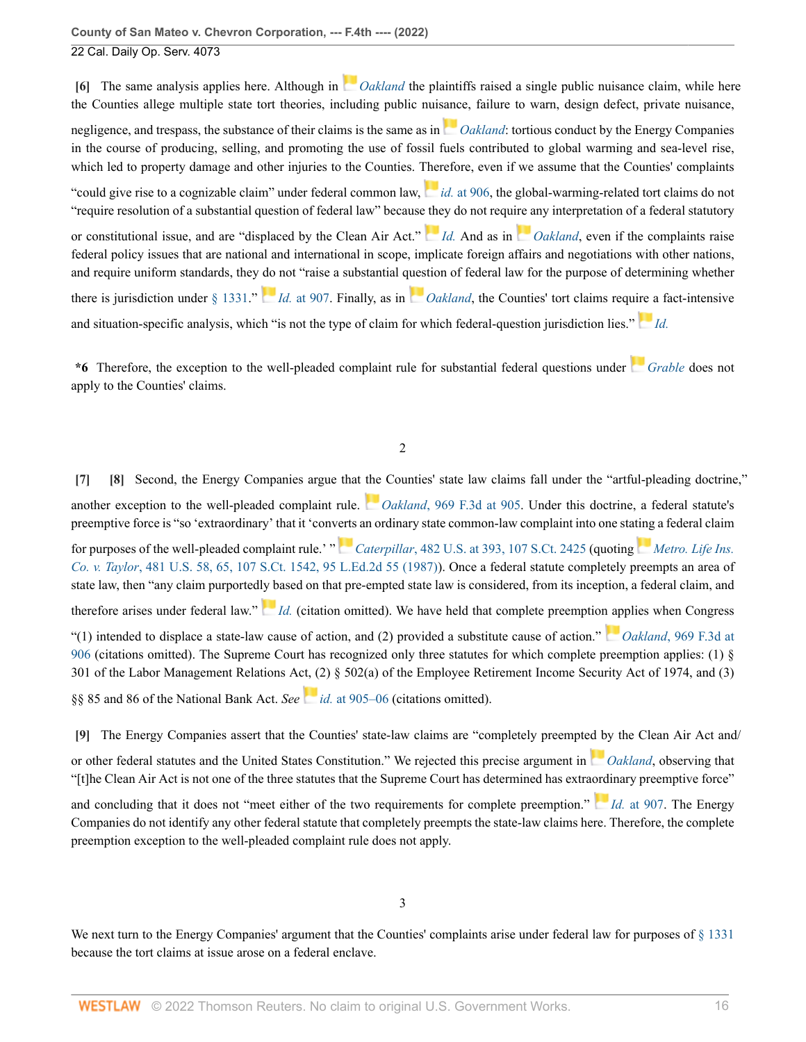<span id="page-15-0"></span>**[\[6\]](#page-2-0)** The same analysis applies here. Although in *[Oakland](http://www.westlaw.com/Link/Document/FullText?findType=Y&serNum=2051642656&pubNum=0000506&originatingDoc=I13d9d0c0c01911eca998bccac2217b4d&refType=RP&originationContext=document&vr=3.0&rs=cblt1.0&transitionType=DocumentItem&contextData=(sc.Search))* the plaintiffs raised a single public nuisance claim, while here the Counties allege multiple state tort theories, including public nui[sanc](https://1.next.westlaw.com/Link/RelatedInformation/Flag?documentGuid=Id6b0e480dce511ea8f0eec838d2c18dc&transitionType=InlineKeyCiteFlags&originationContext=docHeaderFlag&Rank=0&ppcid=a9b114f5abe4428c96a100fd82d3083a&contextData=(sc.Search) )e, failure to warn, design defect, private nuisance,

negligence, and trespass, the substance of their claims is the same as in *[Oakland](http://www.westlaw.com/Link/Document/FullText?findType=Y&serNum=2051642656&pubNum=0000506&originatingDoc=I13d9d0c0c01911eca998bccac2217b4d&refType=RP&originationContext=document&vr=3.0&rs=cblt1.0&transitionType=DocumentItem&contextData=(sc.Search))*: tortious conduct by the Energy Companies in the course of producing, selling, and promoting the use of fossil fuels contributed to global warming and sea-level rise, which led to property damage and other injuries to the Counties. [Ther](https://1.next.westlaw.com/Link/RelatedInformation/Flag?documentGuid=Id6b0e480dce511ea8f0eec838d2c18dc&transitionType=InlineKeyCiteFlags&originationContext=docHeaderFlag&Rank=0&ppcid=a9b114f5abe4428c96a100fd82d3083a&contextData=(sc.Search) )efore, even if we assume that the Counties' complaints

"could give rise to a cognizable claim" under federal common law, id. [at 906](http://www.westlaw.com/Link/Document/FullText?findType=Y&serNum=2051642656&pubNum=0000506&originatingDoc=I13d9d0c0c01911eca998bccac2217b4d&refType=RP&fi=co_pp_sp_506_906&originationContext=document&vr=3.0&rs=cblt1.0&transitionType=DocumentItem&contextData=(sc.Search)#co_pp_sp_506_906), the global-warming-related tort claims do not "require resolution of a substantial question of federal law" becaus[e the](https://1.next.westlaw.com/Link/RelatedInformation/Flag?documentGuid=Id6b0e480dce511ea8f0eec838d2c18dc&transitionType=InlineKeyCiteFlags&originationContext=docHeaderFlag&Rank=0&ppcid=a9b114f5abe4428c96a100fd82d3083a&contextData=(sc.Search) )y do not requi[re a](https://1.next.westlaw.com/Link/RelatedInformation/Flag?documentGuid=Id6b0e480dce511ea8f0eec838d2c18dc&transitionType=InlineKeyCiteFlags&originationContext=docHeaderFlag&Rank=0&ppcid=a9b114f5abe4428c96a100fd82d3083a&contextData=(sc.Search) )ny interpretation of a federal statutory

or constitutional issue, and are "displaced by the Clean Air Act." *[Id.](http://www.westlaw.com/Link/Document/FullText?findType=Y&serNum=2051642656&pubNum=0000506&originatingDoc=I13d9d0c0c01911eca998bccac2217b4d&refType=RP&originationContext=document&vr=3.0&rs=cblt1.0&transitionType=DocumentItem&contextData=(sc.Search))* And as in *[Oakland](http://www.westlaw.com/Link/Document/FullText?findType=Y&serNum=2051642656&pubNum=0000506&originatingDoc=I13d9d0c0c01911eca998bccac2217b4d&refType=RP&originationContext=document&vr=3.0&rs=cblt1.0&transitionType=DocumentItem&contextData=(sc.Search))*, even if the complaints raise federal policy issues that are national and international in scope, implicate foreign affairs and negotiations with other nations, and require uniform standards, they [do](https://1.next.westlaw.com/Link/RelatedInformation/Flag?documentGuid=Id6b0e480dce511ea8f0eec838d2c18dc&transitionType=InlineKeyCiteFlags&originationContext=docHeaderFlag&Rank=0&ppcid=a9b114f5abe4428c96a100fd82d3083a&contextData=(sc.Search) ) not "raise a substantial q[ues](https://1.next.westlaw.com/Link/RelatedInformation/Flag?documentGuid=Id6b0e480dce511ea8f0eec838d2c18dc&transitionType=InlineKeyCiteFlags&originationContext=docHeaderFlag&Rank=0&ppcid=a9b114f5abe4428c96a100fd82d3083a&contextData=(sc.Search) )tion of federal law for the purpose of determining whether there is jurisdiction under [§ 1331.](http://www.westlaw.com/Link/Document/FullText?findType=L&pubNum=1000546&cite=28USCAS1331&originatingDoc=I13d9d0c0c01911eca998bccac2217b4d&refType=LQ&originationContext=document&vr=3.0&rs=cblt1.0&transitionType=DocumentItem&contextData=(sc.Search))" *Id.* [at 907](http://www.westlaw.com/Link/Document/FullText?findType=Y&serNum=2051642656&pubNum=0000506&originatingDoc=I13d9d0c0c01911eca998bccac2217b4d&refType=RP&fi=co_pp_sp_506_907&originationContext=document&vr=3.0&rs=cblt1.0&transitionType=DocumentItem&contextData=(sc.Search)#co_pp_sp_506_907). Finally, as in *[Oakland](http://www.westlaw.com/Link/Document/FullText?findType=Y&serNum=2051642656&pubNum=0000506&originatingDoc=I13d9d0c0c01911eca998bccac2217b4d&refType=RP&originationContext=document&vr=3.0&rs=cblt1.0&transitionType=DocumentItem&contextData=(sc.Search))*, the Counties' tort claims requ[ire a](https://1.next.westlaw.com/Link/RelatedInformation/Flag?documentGuid=Id4e1c90ddc0e11d983e7e9deff98dc6f&transitionType=InlineKeyCiteFlags&originationContext=docHeaderFlag&Rank=0&ppcid=a9b114f5abe4428c96a100fd82d3083a&contextData=(sc.Search) ) fact-intensive

and situation-specific analysis, which "is not the type of claim for which federal-question jurisdiction lies." *[Id.](http://www.westlaw.com/Link/Document/FullText?findType=Y&serNum=2006791874&pubNum=0000780&originatingDoc=I13d9d0c0c01911eca998bccac2217b4d&refType=RP&originationContext=document&vr=3.0&rs=cblt1.0&transitionType=DocumentItem&contextData=(sc.Search))*

**\*6** Therefore, the exception to the well-pleaded complaint rule for substantial federal questions under *[Grable](http://www.westlaw.com/Link/Document/FullText?findType=Y&serNum=2006791874&pubNum=0000780&originatingDoc=I13d9d0c0c01911eca998bccac2217b4d&refType=RP&originationContext=document&vr=3.0&rs=cblt1.0&transitionType=DocumentItem&contextData=(sc.Search))* does not apply to the Counties' claims.

### 2

<span id="page-15-2"></span><span id="page-15-1"></span>**[\[7\]](#page-2-5) [\[8\]](#page-2-6)** Second, the Energy Companies argue that [the](https://1.next.westlaw.com/Link/RelatedInformation/Flag?documentGuid=Id6b0e480dce511ea8f0eec838d2c18dc&transitionType=InlineKeyCiteFlags&originationContext=docHeaderFlag&Rank=0&ppcid=a9b114f5abe4428c96a100fd82d3083a&contextData=(sc.Search) ) Counties' state law claims fall under the "artful-pleading doctrine," another exception to the well-pleaded complaint rule. *Oakland*[, 969 F.3d at 905.](http://www.westlaw.com/Link/Document/FullText?findType=Y&serNum=2051642656&pubNum=0000506&originatingDoc=I13d9d0c0c01911eca998bccac2217b4d&refType=RP&fi=co_pp_sp_506_905&originationContext=document&vr=3.0&rs=cblt1.0&transitionType=DocumentItem&contextData=(sc.Search)#co_pp_sp_506_905) Under this doctrine, a federal statute's preemptive force is "so 'extraordinary' that it 'conv[erts](https://1.next.westlaw.com/Link/RelatedInformation/Flag?documentGuid=I6173846f9c1f11d9bc61beebb95be672&transitionType=InlineKeyCiteFlags&originationContext=docHeaderFlag&Rank=0&ppcid=a9b114f5abe4428c96a100fd82d3083a&contextData=(sc.Search) ) an ordinary state common-law complaint into one sta[ting](https://1.next.westlaw.com/Link/RelatedInformation/Flag?documentGuid=I2353b2a59c1e11d9bdd1cfdd544ca3a4&transitionType=InlineKeyCiteFlags&originationContext=docHeaderFlag&Rank=0&ppcid=a9b114f5abe4428c96a100fd82d3083a&contextData=(sc.Search) ) a federal claim for purposes of the well-pleaded complaint rule.' " *Caterpillar*[, 482 U.S. at 393, 107 S.Ct. 2425](http://www.westlaw.com/Link/Document/FullText?findType=Y&serNum=1987071665&pubNum=0000780&originatingDoc=I13d9d0c0c01911eca998bccac2217b4d&refType=RP&fi=co_pp_sp_780_393&originationContext=document&vr=3.0&rs=cblt1.0&transitionType=DocumentItem&contextData=(sc.Search)#co_pp_sp_780_393) (quoting *[Metro. Life Ins.](http://www.westlaw.com/Link/Document/FullText?findType=Y&serNum=1987042951&pubNum=0000780&originatingDoc=I13d9d0c0c01911eca998bccac2217b4d&refType=RP&fi=co_pp_sp_780_65&originationContext=document&vr=3.0&rs=cblt1.0&transitionType=DocumentItem&contextData=(sc.Search)#co_pp_sp_780_65) Co. v. Taylor*[, 481 U.S. 58, 65, 107 S.Ct. 1542, 95 L.Ed.2d 55 \(1987\)\)](http://www.westlaw.com/Link/Document/FullText?findType=Y&serNum=1987042951&pubNum=0000780&originatingDoc=I13d9d0c0c01911eca998bccac2217b4d&refType=RP&fi=co_pp_sp_780_65&originationContext=document&vr=3.0&rs=cblt1.0&transitionType=DocumentItem&contextData=(sc.Search)#co_pp_sp_780_65). Once a federal statute completely preempts an area of state law, then "any claim purported[ly b](https://1.next.westlaw.com/Link/RelatedInformation/Flag?documentGuid=I6173846f9c1f11d9bc61beebb95be672&transitionType=InlineKeyCiteFlags&originationContext=docHeaderFlag&Rank=0&ppcid=a9b114f5abe4428c96a100fd82d3083a&contextData=(sc.Search) )ased on that pre-empted state law is considered, from its inception, a federal claim, and therefore arises under federal law." *[Id.](http://www.westlaw.com/Link/Document/FullText?findType=Y&serNum=1987071665&pubNum=0000780&originatingDoc=I13d9d0c0c01911eca998bccac2217b4d&refType=RP&originationContext=document&vr=3.0&rs=cblt1.0&transitionType=DocumentItem&contextData=(sc.Search))* (citation omitted). We have held that complete preemptio[n ap](https://1.next.westlaw.com/Link/RelatedInformation/Flag?documentGuid=Id6b0e480dce511ea8f0eec838d2c18dc&transitionType=InlineKeyCiteFlags&originationContext=docHeaderFlag&Rank=0&ppcid=a9b114f5abe4428c96a100fd82d3083a&contextData=(sc.Search) )plies when Congress "(1) intended to displace a state-law cause of action, and (2) provided a substitute cause of action." *Oakland*[, 969 F.3d at](http://www.westlaw.com/Link/Document/FullText?findType=Y&serNum=2051642656&pubNum=0000506&originatingDoc=I13d9d0c0c01911eca998bccac2217b4d&refType=RP&fi=co_pp_sp_506_906&originationContext=document&vr=3.0&rs=cblt1.0&transitionType=DocumentItem&contextData=(sc.Search)#co_pp_sp_506_906) [906](http://www.westlaw.com/Link/Document/FullText?findType=Y&serNum=2051642656&pubNum=0000506&originatingDoc=I13d9d0c0c01911eca998bccac2217b4d&refType=RP&fi=co_pp_sp_506_906&originationContext=document&vr=3.0&rs=cblt1.0&transitionType=DocumentItem&contextData=(sc.Search)#co_pp_sp_506_906) (citations omitted). The Supreme Court has recognized only three statutes for which complete preemption applies: (1) § 301 of the Labor Management Relations Act, (2) § 502(a) of the Employee Retirement Income Security Act of 1974, and (3) §§ 85 and 86 of the National Bank Act. *See [i](https://1.next.westlaw.com/Link/RelatedInformation/Flag?documentGuid=Id6b0e480dce511ea8f0eec838d2c18dc&transitionType=InlineKeyCiteFlags&originationContext=docHeaderFlag&Rank=0&ppcid=a9b114f5abe4428c96a100fd82d3083a&contextData=(sc.Search) )d.* [at 905–06](http://www.westlaw.com/Link/Document/FullText?findType=Y&serNum=2051642656&pubNum=0000506&originatingDoc=I13d9d0c0c01911eca998bccac2217b4d&refType=RP&fi=co_pp_sp_506_905&originationContext=document&vr=3.0&rs=cblt1.0&transitionType=DocumentItem&contextData=(sc.Search)#co_pp_sp_506_905) (citations omitted).

<span id="page-15-3"></span>**[\[9\]](#page-2-1)** The Energy Companies assert that the Counties' state-law claims are "completely preempt[ed b](https://1.next.westlaw.com/Link/RelatedInformation/Flag?documentGuid=Id6b0e480dce511ea8f0eec838d2c18dc&transitionType=InlineKeyCiteFlags&originationContext=docHeaderFlag&Rank=0&ppcid=a9b114f5abe4428c96a100fd82d3083a&contextData=(sc.Search) )y the Clean Air Act and/ or other federal statutes and the United States Constitution." We rejected this precise argument in *[Oakland](http://www.westlaw.com/Link/Document/FullText?findType=Y&serNum=2051642656&pubNum=0000506&originatingDoc=I13d9d0c0c01911eca998bccac2217b4d&refType=RP&originationContext=document&vr=3.0&rs=cblt1.0&transitionType=DocumentItem&contextData=(sc.Search))*, observing that "[t]he Clean Air Act is not one of the three statutes that the Supreme Court has determined has extra[ordi](https://1.next.westlaw.com/Link/RelatedInformation/Flag?documentGuid=Id6b0e480dce511ea8f0eec838d2c18dc&transitionType=InlineKeyCiteFlags&originationContext=docHeaderFlag&Rank=0&ppcid=a9b114f5abe4428c96a100fd82d3083a&contextData=(sc.Search) )nary preemptive force"

and concluding that it does not "meet either of the two requirements for complete preemption." *Id.* [at 907](http://www.westlaw.com/Link/Document/FullText?findType=Y&serNum=2051642656&pubNum=0000506&originatingDoc=I13d9d0c0c01911eca998bccac2217b4d&refType=RP&fi=co_pp_sp_506_907&originationContext=document&vr=3.0&rs=cblt1.0&transitionType=DocumentItem&contextData=(sc.Search)#co_pp_sp_506_907). The Energy Companies do not identify any other federal statute that completely preempts the state-law claims here. Therefore, the complete preemption exception to the well-pleaded complaint rule does not apply.

3

We next turn to the Energy Companies' argument that the Counties' complaints arise under federal law for purposes of  $\S$  1331 because the tort claims at issue arose on a federal enclave.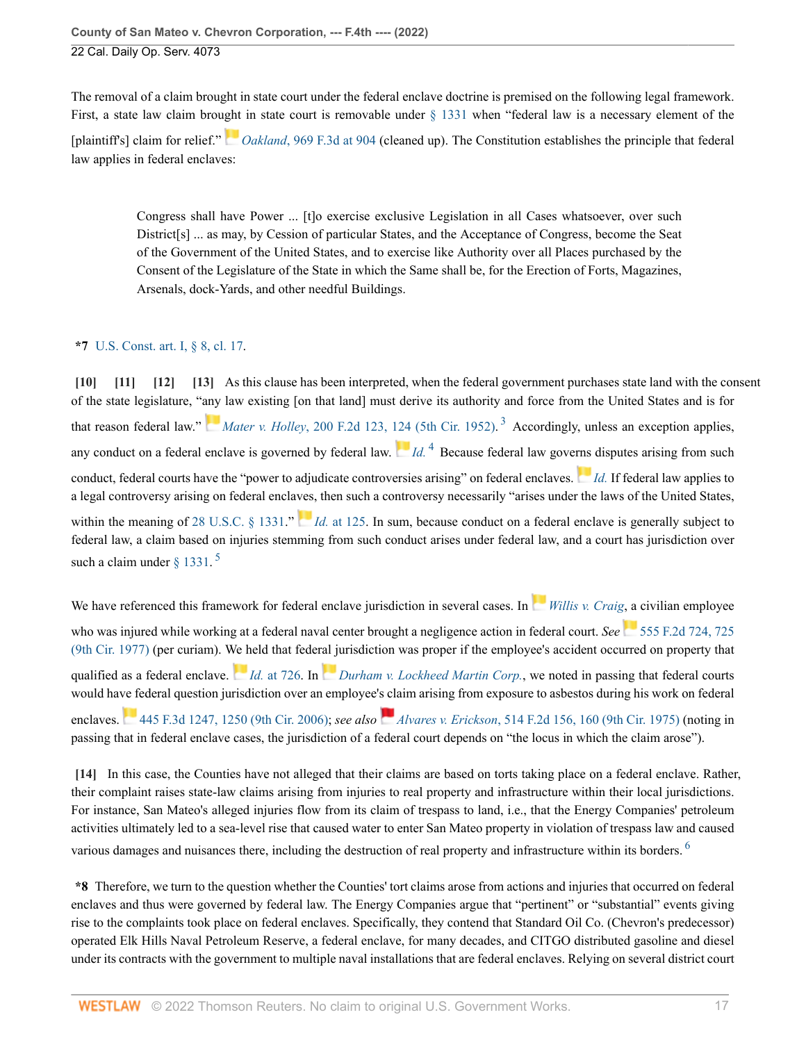The removal of a claim brought in state court under the federal enclave doctrine is premised on the following legal framework. First, a state law claim brou[ght](https://1.next.westlaw.com/Link/RelatedInformation/Flag?documentGuid=Id6b0e480dce511ea8f0eec838d2c18dc&transitionType=InlineKeyCiteFlags&originationContext=docHeaderFlag&Rank=0&ppcid=a9b114f5abe4428c96a100fd82d3083a&contextData=(sc.Search) ) in state court is removable under [§ 1331](http://www.westlaw.com/Link/Document/FullText?findType=L&pubNum=1000546&cite=28USCAS1331&originatingDoc=I13d9d0c0c01911eca998bccac2217b4d&refType=LQ&originationContext=document&vr=3.0&rs=cblt1.0&transitionType=DocumentItem&contextData=(sc.Search)) when "federal law is a necessary element of the

[plaintiff's] claim for relief." *Oakland*[, 969 F.3d at 904](http://www.westlaw.com/Link/Document/FullText?findType=Y&serNum=2051642656&pubNum=0000506&originatingDoc=I13d9d0c0c01911eca998bccac2217b4d&refType=RP&fi=co_pp_sp_506_904&originationContext=document&vr=3.0&rs=cblt1.0&transitionType=DocumentItem&contextData=(sc.Search)#co_pp_sp_506_904) (cleaned up). The Constitution establishes the principle that federal law applies in federal enclaves:

> <span id="page-16-5"></span>Congress shall have Power ... [t]o exercise exclusive Legislation in all Cases whatsoever, over such District[s] ... as may, by Cession of particular States, and the Acceptance of Congress, become the Seat of the Government of the United States, and to exercise like Authority over all Places purchased by the Consent of the Legislature of the State in which the Same shall be, for the Erection of Forts, Magazines, Arsenals, dock-Yards, and other needful Buildings.

# **\*7** [U.S. Const. art. I, § 8, cl. 17.](http://www.westlaw.com/Link/Document/FullText?findType=L&pubNum=1000583&cite=USCOARTIS8CL17&originatingDoc=I13d9d0c0c01911eca998bccac2217b4d&refType=LQ&originationContext=document&vr=3.0&rs=cblt1.0&transitionType=DocumentItem&contextData=(sc.Search))

<span id="page-16-6"></span><span id="page-16-3"></span><span id="page-16-2"></span><span id="page-16-1"></span><span id="page-16-0"></span>**[\[10\]](#page-3-1) [\[11\]](#page-3-2) [\[12\]](#page-3-3) [\[13\]](#page-3-4)** As this clause has been interpreted, when the federal government purchases state land with the consent of the state legislature, "[any](https://1.next.westlaw.com/Link/RelatedInformation/Flag?documentGuid=I9d593f908e7511d9bc61beebb95be672&transitionType=InlineKeyCiteFlags&originationContext=docHeaderFlag&Rank=0&ppcid=a9b114f5abe4428c96a100fd82d3083a&contextData=(sc.Search) ) law existing [on that land] must derive its authority and force from the United States and is for that reason federal law." *Mater v. Holley*[, 200 F.2d 123, 124 \(5th Cir. 1952\)](http://www.westlaw.com/Link/Document/FullText?findType=Y&serNum=1953118603&pubNum=0000350&originatingDoc=I13d9d0c0c01911eca998bccac2217b4d&refType=RP&fi=co_pp_sp_350_124&originationContext=document&vr=3.0&rs=cblt1.0&transitionType=DocumentItem&contextData=(sc.Search)#co_pp_sp_350_124).<sup>[3](#page-26-2)</sup> Accordingly, unless an exception applies, any conduct on a federal enclave is governed by federal law.  $Id$ .  $4$  Because federal law gove[rns](https://1.next.westlaw.com/Link/RelatedInformation/Flag?documentGuid=I9d593f908e7511d9bc61beebb95be672&transitionType=InlineKeyCiteFlags&originationContext=docHeaderFlag&Rank=0&ppcid=a9b114f5abe4428c96a100fd82d3083a&contextData=(sc.Search) ) disputes arising from such conduct, federal courts have the "power to adjudicate controversies arising" on federal enclaves. *[Id.](http://www.westlaw.com/Link/Document/FullText?findType=Y&serNum=1953118603&pubNum=0000350&originatingDoc=I13d9d0c0c01911eca998bccac2217b4d&refType=RP&originationContext=document&vr=3.0&rs=cblt1.0&transitionType=DocumentItem&contextData=(sc.Search))* If federal law applies to a legal controversy arising on federal encla[ves,](https://1.next.westlaw.com/Link/RelatedInformation/Flag?documentGuid=I9d593f908e7511d9bc61beebb95be672&transitionType=InlineKeyCiteFlags&originationContext=docHeaderFlag&Rank=0&ppcid=a9b114f5abe4428c96a100fd82d3083a&contextData=(sc.Search) ) then such a controversy necessarily "arises under the laws of the United States, within the meaning of [28 U.S.C. § 1331](http://www.westlaw.com/Link/Document/FullText?findType=L&pubNum=1000546&cite=28USCAS1331&originatingDoc=I13d9d0c0c01911eca998bccac2217b4d&refType=LQ&originationContext=document&vr=3.0&rs=cblt1.0&transitionType=DocumentItem&contextData=(sc.Search))." *Id.* [at 125.](http://www.westlaw.com/Link/Document/FullText?findType=Y&serNum=1953118603&pubNum=0000350&originatingDoc=I13d9d0c0c01911eca998bccac2217b4d&refType=RP&fi=co_pp_sp_350_125&originationContext=document&vr=3.0&rs=cblt1.0&transitionType=DocumentItem&contextData=(sc.Search)#co_pp_sp_350_125) In sum, because conduct on a federal enclave is generally subject to federal law, a claim based on injuries stemming from such conduct arises under federal law, and a court has jurisdiction over such a claim under  $\S 1331$ .<sup>[5](#page-26-4)</sup>

<span id="page-16-7"></span>We have referenced this framework for federal enclave jurisdiction in several cases. In *[Willis v. Craig](http://www.westlaw.com/Link/Document/FullText?findType=Y&serNum=1977105350&pubNum=0000350&originatingDoc=I13d9d0c0c01911eca998bccac2217b4d&refType=RP&originationContext=document&vr=3.0&rs=cblt1.0&transitionType=DocumentItem&contextData=(sc.Search))*[, a](https://1.next.westlaw.com/Link/RelatedInformation/Flag?documentGuid=I10cf0645910411d993e6d35cc61aab4a&transitionType=InlineKeyCiteFlags&originationContext=docHeaderFlag&Rank=0&ppcid=a9b114f5abe4428c96a100fd82d3083a&contextData=(sc.Search) ) civilian employee who was injured while working at a federal naval center brought a negligence action in federal court. *See* [555 F.2d 724, 725](http://www.westlaw.com/Link/Document/FullText?findType=Y&serNum=1977105350&pubNum=0000350&originatingDoc=I13d9d0c0c01911eca998bccac2217b4d&refType=RP&fi=co_pp_sp_350_725&originationContext=document&vr=3.0&rs=cblt1.0&transitionType=DocumentItem&contextData=(sc.Search)#co_pp_sp_350_725) [\(9th Cir. 1977\)](http://www.westlaw.com/Link/Document/FullText?findType=Y&serNum=1977105350&pubNum=0000350&originatingDoc=I13d9d0c0c01911eca998bccac2217b4d&refType=RP&fi=co_pp_sp_350_725&originationContext=document&vr=3.0&rs=cblt1.0&transitionType=DocumentItem&contextData=(sc.Search)#co_pp_sp_350_725) (per curiam). [We h](https://1.next.westlaw.com/Link/RelatedInformation/Flag?documentGuid=I10cf0645910411d993e6d35cc61aab4a&transitionType=InlineKeyCiteFlags&originationContext=docHeaderFlag&Rank=0&ppcid=a9b114f5abe4428c96a100fd82d3083a&contextData=(sc.Search) )eld that feder[al ju](https://1.next.westlaw.com/Link/RelatedInformation/Flag?documentGuid=Idd49a152d54911da8424c18ffedb8551&transitionType=InlineKeyCiteFlags&originationContext=docHeaderFlag&Rank=0&ppcid=a9b114f5abe4428c96a100fd82d3083a&contextData=(sc.Search) )risdiction was proper if the employee's accident occurred on property that qualified as a federal enclave. *Id.* [at 726](http://www.westlaw.com/Link/Document/FullText?findType=Y&serNum=1977105350&pubNum=0000350&originatingDoc=I13d9d0c0c01911eca998bccac2217b4d&refType=RP&fi=co_pp_sp_350_726&originationContext=document&vr=3.0&rs=cblt1.0&transitionType=DocumentItem&contextData=(sc.Search)#co_pp_sp_350_726). In *[Durham v. Lockheed Martin Corp.](http://www.westlaw.com/Link/Document/FullText?findType=Y&serNum=2008989023&pubNum=0000506&originatingDoc=I13d9d0c0c01911eca998bccac2217b4d&refType=RP&originationContext=document&vr=3.0&rs=cblt1.0&transitionType=DocumentItem&contextData=(sc.Search))*, we noted in passing that federal courts would have federal question jurisdiction over an employee's claim arising from exposure to asbestos during his work on federal enclaves.[445 F.3d 1247, 1250 \(9th Cir. 2006\)](http://www.westlaw.com/Link/Document/FullText?findType=Y&serNum=2008989023&pubNum=0000506&originatingDoc=I13d9d0c0c01911eca998bccac2217b4d&refType=RP&fi=co_pp_sp_506_1250&originationContext=document&vr=3.0&rs=cblt1.0&transitionType=DocumentItem&contextData=(sc.Search)#co_pp_sp_506_1250); *see also [A](https://1.next.westlaw.com/Link/RelatedInformation/Flag?documentGuid=Ib6f2c2b8909511d98e8fb00d6c6a02dd&transitionType=InlineKeyCiteFlags&originationContext=docHeaderFlag&Rank=0&ppcid=a9b114f5abe4428c96a100fd82d3083a&contextData=(sc.Search) )lvares v. Erickson*[, 514 F.2d 156, 160 \(9th Cir. 1975\)](http://www.westlaw.com/Link/Document/FullText?findType=Y&serNum=1975110477&pubNum=0000350&originatingDoc=I13d9d0c0c01911eca998bccac2217b4d&refType=RP&fi=co_pp_sp_350_160&originationContext=document&vr=3.0&rs=cblt1.0&transitionType=DocumentItem&contextData=(sc.Search)#co_pp_sp_350_160) (noting in passing that in federal enclave cases, the jurisdiction of a federal court depends on "the locus in which the claim arose").

<span id="page-16-4"></span>**[\[14\]](#page-3-0)** In this case, the Counties have not alleged that their claims are based on torts taking place on a federal enclave. Rather, their complaint raises state-law claims arising from injuries to real property and infrastructure within their local jurisdictions. For instance, San Mateo's alleged injuries flow from its claim of trespass to land, i.e., that the Energy Companies' petroleum activities ultimately led to a sea-level rise that caused water to enter San Mateo property in violation of trespass law and caused various damages and nuisances there, including the destruction of real property and infrastructure within its borders. <sup>[6](#page-26-5)</sup>

<span id="page-16-8"></span>**\*8** Therefore, we turn to the question whether the Counties' tort claims arose from actions and injuries that occurred on federal enclaves and thus were governed by federal law. The Energy Companies argue that "pertinent" or "substantial" events giving rise to the complaints took place on federal enclaves. Specifically, they contend that Standard Oil Co. (Chevron's predecessor) operated Elk Hills Naval Petroleum Reserve, a federal enclave, for many decades, and CITGO distributed gasoline and diesel under its contracts with the government to multiple naval installations that are federal enclaves. Relying on several district court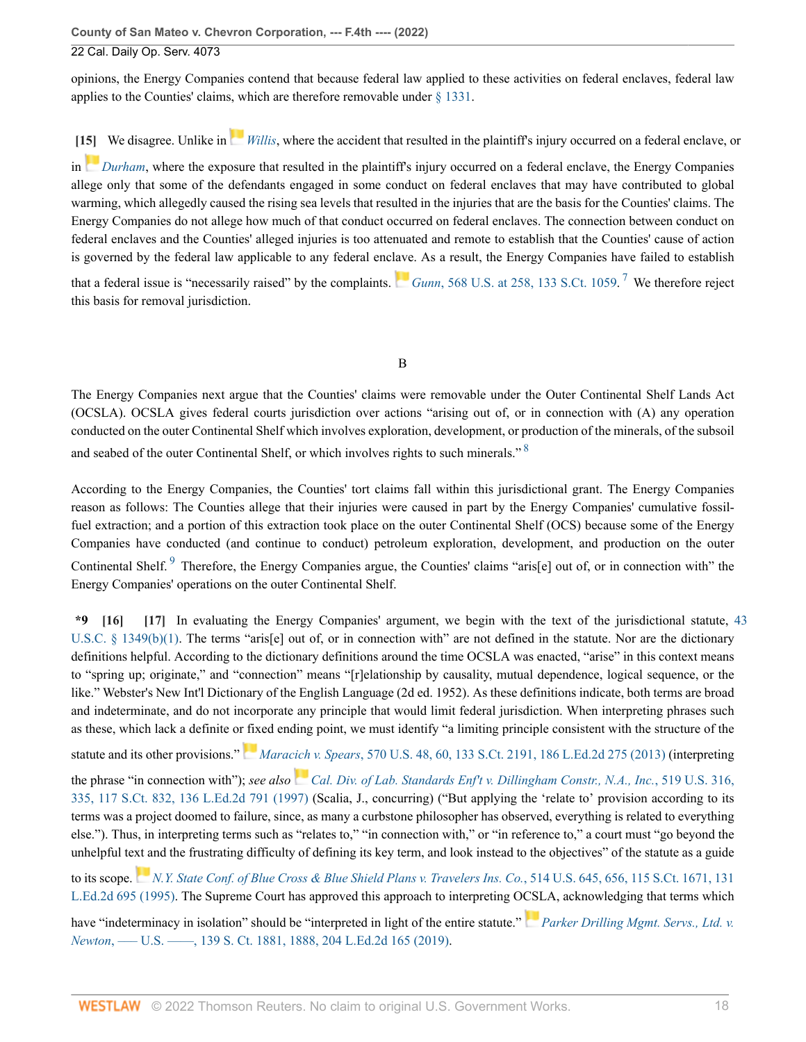opinions, the Energy Companies contend that because federal law applied to these activities on federal enclaves, federal law applies to the Counties' claims, which are therefore removable under [§ 1331](http://www.westlaw.com/Link/Document/FullText?findType=L&pubNum=1000546&cite=28USCAS1331&originatingDoc=I13d9d0c0c01911eca998bccac2217b4d&refType=LQ&originationContext=document&vr=3.0&rs=cblt1.0&transitionType=DocumentItem&contextData=(sc.Search)).

<span id="page-17-0"></span>**[\[15\]](#page-3-5)** We disagree. Unlike in *[Willis](http://www.westlaw.com/Link/Document/FullText?findType=Y&serNum=1977105350&pubNum=0000350&originatingDoc=I13d9d0c0c01911eca998bccac2217b4d&refType=RP&originationContext=document&vr=3.0&rs=cblt1.0&transitionType=DocumentItem&contextData=(sc.Search))*, where the accident that resulted in the plaintiff's injury occurred on a federal enclave, or

in *[Durham](http://www.westlaw.com/Link/Document/FullText?findType=Y&serNum=2008989023&pubNum=0000506&originatingDoc=I13d9d0c0c01911eca998bccac2217b4d&refType=RP&originationContext=document&vr=3.0&rs=cblt1.0&transitionType=DocumentItem&contextData=(sc.Search))*, where the exposure that resulted in the plaintiff's injury occurred on a federal enclave, the Energy Companies allege only that some of the defendants engaged in some conduct on federal enclaves that may have contributed to global warming, which allegedly caused the rising sea levels that resulted in the injuries that are the basis for the Counties' claims. The Energy Companies do not allege how much of that conduct occurred on federal enclaves. The connection between conduct on federal enclaves and the Counties' alleged injuries is too attenuated and remote to establish that the Counties' cause of action is governed by the federal law applicable to any federal enc[lave](https://1.next.westlaw.com/Link/RelatedInformation/Flag?documentGuid=Id7bdad407b6d11e280719c3f0e80bdd0&transitionType=InlineKeyCiteFlags&originationContext=docHeaderFlag&Rank=0&ppcid=a9b114f5abe4428c96a100fd82d3083a&contextData=(sc.Search) ). As a result, the Energy Companies have failed to establish

that a federal issue is "necessarily raised" by the complaints. *Gunn*[, 568 U.S. at 258, 133 S.Ct. 1059.](http://www.westlaw.com/Link/Document/FullText?findType=Y&serNum=2029898029&pubNum=0000780&originatingDoc=I13d9d0c0c01911eca998bccac2217b4d&refType=RP&fi=co_pp_sp_780_258&originationContext=document&vr=3.0&rs=cblt1.0&transitionType=DocumentItem&contextData=(sc.Search)#co_pp_sp_780_258) [7](#page-27-0) We therefore reject this basis for removal jurisdiction.

#### <span id="page-17-4"></span><span id="page-17-3"></span>B

The Energy Companies next argue that the Counties' claims were removable under the Outer Continental Shelf Lands Act (OCSLA). OCSLA gives federal courts jurisdiction over actions "arising out of, or in connection with (A) any operation conducted on the outer Continental Shelf which involves exploration, development, or production of the minerals, of the subsoil and seabed of the outer Continental Shelf, or which involves rights to such minerals." [8](#page-27-1)

According to the Energy Companies, the Counties' tort claims fall within this jurisdictional grant. The Energy Companies reason as follows: The Counties allege that their injuries were caused in part by the Energy Companies' cumulative fossilfuel extraction; and a portion of this extraction took place on the outer Continental Shelf (OCS) because some of the Energy Companies have conducted (and continue to conduct) petroleum exploration, development, and production on the outer Continental Shelf.<sup>[9](#page-27-2)</sup> Therefore, the Energy Companies argue, the Counties' claims "aris[e] out of, or in connection with" the Energy Companies' operations on the outer Continental Shelf.

<span id="page-17-5"></span><span id="page-17-2"></span><span id="page-17-1"></span>**\*9 [\[16\]](#page-3-6) [\[17\]](#page-4-1)** In evaluating the Energy Companies' argument, we begin with the text of the jurisdictional statute, [43](http://www.westlaw.com/Link/Document/FullText?findType=L&pubNum=1000546&cite=43USCAS1349&originatingDoc=I13d9d0c0c01911eca998bccac2217b4d&refType=RB&originationContext=document&vr=3.0&rs=cblt1.0&transitionType=DocumentItem&contextData=(sc.Search)#co_pp_3fed000053a85) [U.S.C. § 1349\(b\)\(1\).](http://www.westlaw.com/Link/Document/FullText?findType=L&pubNum=1000546&cite=43USCAS1349&originatingDoc=I13d9d0c0c01911eca998bccac2217b4d&refType=RB&originationContext=document&vr=3.0&rs=cblt1.0&transitionType=DocumentItem&contextData=(sc.Search)#co_pp_3fed000053a85) The terms "aris[e] out of, or in connection with" are not defined in the statute. Nor are the dictionary definitions helpful. According to the dictionary definitions around the time OCSLA was enacted, "arise" in this context means to "spring up; originate," and "connection" means "[r]elationship by causality, mutual dependence, logical sequence, or the like." Webster's New Int'l Dictionary of the English Language (2d ed. 1952). As these definitions indicate, both terms are broad and indeterminate, and do not incorporate any principle that would limit federal jurisdiction. When interpreting phrases such as these, which lack a definite o[r fix](https://1.next.westlaw.com/Link/RelatedInformation/Flag?documentGuid=I7e32911bd74311e2a98ec867961a22de&transitionType=InlineKeyCiteFlags&originationContext=docHeaderFlag&Rank=0&ppcid=a9b114f5abe4428c96a100fd82d3083a&contextData=(sc.Search) )ed ending point, we must identify "a limiting principle consistent with the structure of the

statute and its other provisions." *Maracich v. Spears*[, 570 U.S. 48, 60, 133 S.Ct. 2191, 186 L.Ed.2d 275 \(2013\)](http://www.westlaw.com/Link/Document/FullText?findType=Y&serNum=2030794223&pubNum=0000780&originatingDoc=I13d9d0c0c01911eca998bccac2217b4d&refType=RP&fi=co_pp_sp_780_60&originationContext=document&vr=3.0&rs=cblt1.0&transitionType=DocumentItem&contextData=(sc.Search)#co_pp_sp_780_60) (interpreting

the phrase "in connection with"); *see also [Cal. Div. of Lab. Standards Enf't v. Dillingham Constr., N.A., Inc.](http://www.westlaw.com/Link/Document/FullText?findType=Y&serNum=1997052890&pubNum=0000780&originatingDoc=I13d9d0c0c01911eca998bccac2217b4d&refType=RP&fi=co_pp_sp_780_335&originationContext=document&vr=3.0&rs=cblt1.0&transitionType=DocumentItem&contextData=(sc.Search)#co_pp_sp_780_335)*, 519 U.S. 316, [335, 117 S.Ct. 832, 136 L.Ed.2d 791 \(1997\)](http://www.westlaw.com/Link/Document/FullText?findType=Y&serNum=1997052890&pubNum=0000780&originatingDoc=I13d9d0c0c01911eca998bccac2217b4d&refType=RP&fi=co_pp_sp_780_335&originationContext=document&vr=3.0&rs=cblt1.0&transitionType=DocumentItem&contextData=(sc.Search)#co_pp_sp_780_335) (Scalia, J., concurring) ("But applying the 'relate to' provision according to its terms was a project doomed to failure, since, as many a curbstone philosopher has observed, everything is related to everything else."). Thus, in interpreting terms such as "relates to," "in connection with," or "in reference to," a court must "go beyond the unhelpful te[xt a](https://1.next.westlaw.com/Link/RelatedInformation/Flag?documentGuid=Ia6a7c6229bd611d9bdd1cfdd544ca3a4&transitionType=InlineKeyCiteFlags&originationContext=docHeaderFlag&Rank=0&ppcid=a9b114f5abe4428c96a100fd82d3083a&contextData=(sc.Search) )nd the frustrating difficulty of defining its key term, and look instead to the objectives" of the statute as a guide

to its scope. *[N.Y. State Conf. of Blue Cross & Blue Shield Plans v. Travelers Ins. Co.](http://www.westlaw.com/Link/Document/FullText?findType=Y&serNum=1995096310&pubNum=0000780&originatingDoc=I13d9d0c0c01911eca998bccac2217b4d&refType=RP&fi=co_pp_sp_780_656&originationContext=document&vr=3.0&rs=cblt1.0&transitionType=DocumentItem&contextData=(sc.Search)#co_pp_sp_780_656)*, 514 U.S. 645, 656, 115 S.Ct. 1671, 131 [L.Ed.2d 695 \(1995\).](http://www.westlaw.com/Link/Document/FullText?findType=Y&serNum=1995096310&pubNum=0000780&originatingDoc=I13d9d0c0c01911eca998bccac2217b4d&refType=RP&fi=co_pp_sp_780_656&originationContext=document&vr=3.0&rs=cblt1.0&transitionType=DocumentItem&contextData=(sc.Search)#co_pp_sp_780_656) The Supreme Court has approved this approach to interpreting O[CSL](https://1.next.westlaw.com/Link/RelatedInformation/Flag?documentGuid=I939f47b58b8911e99b14f2ee541cf11a&transitionType=InlineKeyCiteFlags&originationContext=docHeaderFlag&Rank=0&ppcid=a9b114f5abe4428c96a100fd82d3083a&contextData=(sc.Search) )A, acknowledging that terms which

have "indeterminacy in isolation" should be "interpreted in light of the entire statute." *[Parker Drilling Mgmt. Servs., Ltd. v.](http://www.westlaw.com/Link/Document/FullText?findType=Y&serNum=2048450416&pubNum=0000708&originatingDoc=I13d9d0c0c01911eca998bccac2217b4d&refType=RP&fi=co_pp_sp_708_1888&originationContext=document&vr=3.0&rs=cblt1.0&transitionType=DocumentItem&contextData=(sc.Search)#co_pp_sp_708_1888) Newton*, —– U.S. —–, 139 S. Ct. 1881, 1888, 204 L.Ed.2d 165 (2019).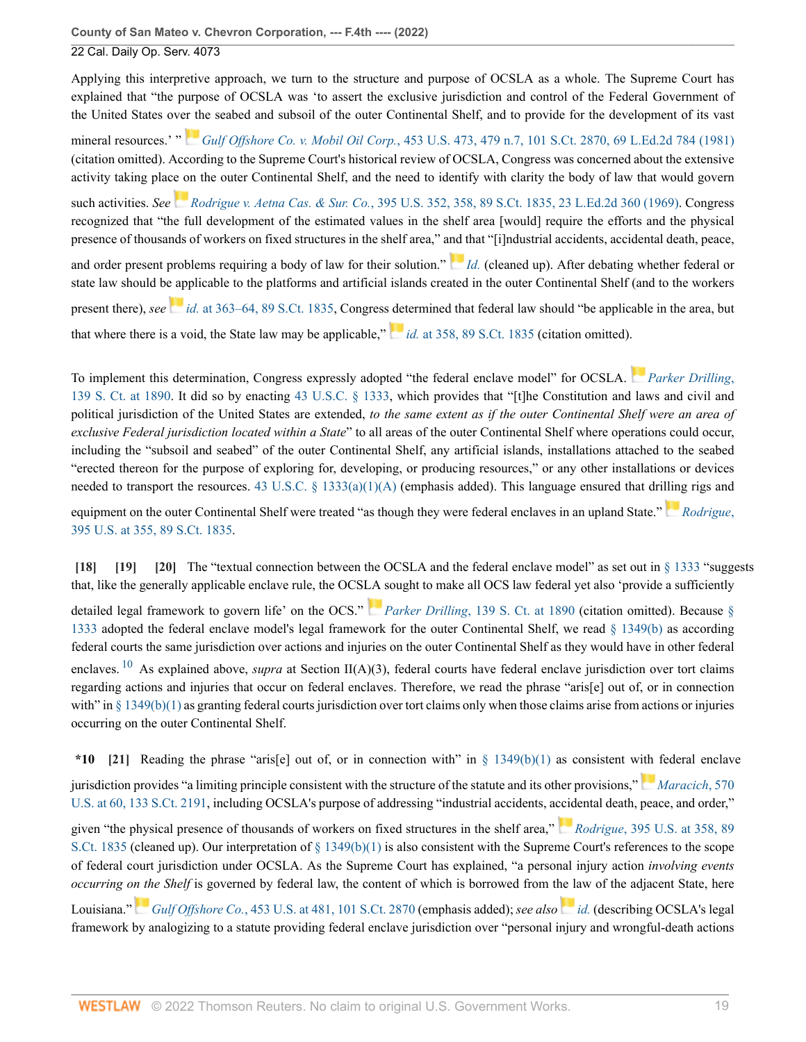Applying this interpretive approach, we turn to the structure and purpose of OCSLA as a whole. The Supreme Court has explained that "the purpose of OCSLA was 'to assert the exclusive jurisdiction and control of the Federal Government of the United States ov[er th](https://1.next.westlaw.com/Link/RelatedInformation/Flag?documentGuid=I1795e9129c1f11d993e6d35cc61aab4a&transitionType=InlineKeyCiteFlags&originationContext=docHeaderFlag&Rank=0&ppcid=a9b114f5abe4428c96a100fd82d3083a&contextData=(sc.Search) )e seabed and subsoil of the outer Continental Shelf, and to provide for the development of its vast

mineral resources.' " *Gulf Offshore Co. v. Mobil Oil Corp.*[, 453 U.S. 473, 479 n.7, 101 S.Ct. 2870, 69 L.Ed.2d 784 \(1981\)](http://www.westlaw.com/Link/Document/FullText?findType=Y&serNum=1981128878&pubNum=0000780&originatingDoc=I13d9d0c0c01911eca998bccac2217b4d&refType=RP&fi=co_pp_sp_780_479&originationContext=document&vr=3.0&rs=cblt1.0&transitionType=DocumentItem&contextData=(sc.Search)#co_pp_sp_780_479) (citation omitted). According to the Supreme Court's historical review of OCSLA, Congress was concerned about the extensive activity taking place on the outer Continental Shelf, and the need to identify with clarity the body of law that would govern such activities. *See [R](https://1.next.westlaw.com/Link/RelatedInformation/Flag?documentGuid=Id3967b059be911d993e6d35cc61aab4a&transitionType=InlineKeyCiteFlags&originationContext=docHeaderFlag&Rank=0&ppcid=a9b114f5abe4428c96a100fd82d3083a&contextData=(sc.Search) )odrigue v. Aetna Cas. & Sur. Co.*[, 395 U.S. 352, 358, 89 S.Ct. 1835, 23 L.Ed.2d 360 \(1969\).](http://www.westlaw.com/Link/Document/FullText?findType=Y&serNum=1969133008&pubNum=0000780&originatingDoc=I13d9d0c0c01911eca998bccac2217b4d&refType=RP&fi=co_pp_sp_780_358&originationContext=document&vr=3.0&rs=cblt1.0&transitionType=DocumentItem&contextData=(sc.Search)#co_pp_sp_780_358) Congress recognized that "the full development of the estimated values in the shelf area [would] require the efforts and the physical presence of thousands of workers on fixed structures in the shelf area," a[nd t](https://1.next.westlaw.com/Link/RelatedInformation/Flag?documentGuid=Id3967b059be911d993e6d35cc61aab4a&transitionType=InlineKeyCiteFlags&originationContext=docHeaderFlag&Rank=0&ppcid=a9b114f5abe4428c96a100fd82d3083a&contextData=(sc.Search) )hat "[i]ndustrial accidents, accidental death, peace,

and order present problems requiring a body of law for their solution." *[Id.](http://www.westlaw.com/Link/Document/FullText?findType=Y&serNum=1969133008&pubNum=0000780&originatingDoc=I13d9d0c0c01911eca998bccac2217b4d&refType=RP&originationContext=document&vr=3.0&rs=cblt1.0&transitionType=DocumentItem&contextData=(sc.Search))* (cleaned up). After debating whether federal or state law should be applicable to the platforms and artificial islands created in the outer Continental Shelf (and to the workers present there), see id. [at 363–64, 89 S.Ct. 1835,](http://www.westlaw.com/Link/Document/FullText?findType=Y&serNum=1969133008&pubNum=0000708&originatingDoc=I13d9d0c0c01911eca998bccac2217b4d&refType=RP&originationContext=document&vr=3.0&rs=cblt1.0&transitionType=DocumentItem&contextData=(sc.Search)) Congress [det](https://1.next.westlaw.com/Link/RelatedInformation/Flag?documentGuid=Id3967b059be911d993e6d35cc61aab4a&transitionType=InlineKeyCiteFlags&originationContext=docHeaderFlag&Rank=0&ppcid=a9b114f5abe4428c96a100fd82d3083a&contextData=(sc.Search) )ermined that federal law should "be applicable in the area, but that where there is a void, the State law may be applicable," *id.* [at 358, 89 S.Ct. 1835](http://www.westlaw.com/Link/Document/FullText?findType=Y&serNum=1969133008&pubNum=0000708&originatingDoc=I13d9d0c0c01911eca998bccac2217b4d&refType=RP&originationContext=document&vr=3.0&rs=cblt1.0&transitionType=DocumentItem&contextData=(sc.Search)) (citation omitted).

To implement this determination, Congress expressly adopted "the federal enclave model" for OCSLA. *[Parker Drilling](http://www.westlaw.com/Link/Document/FullText?findType=Y&serNum=2048450416&pubNum=0000708&originatingDoc=I13d9d0c0c01911eca998bccac2217b4d&refType=RP&fi=co_pp_sp_708_1890&originationContext=document&vr=3.0&rs=cblt1.0&transitionType=DocumentItem&contextData=(sc.Search)#co_pp_sp_708_1890)*, [139 S. Ct. at 1890.](http://www.westlaw.com/Link/Document/FullText?findType=Y&serNum=2048450416&pubNum=0000708&originatingDoc=I13d9d0c0c01911eca998bccac2217b4d&refType=RP&fi=co_pp_sp_708_1890&originationContext=document&vr=3.0&rs=cblt1.0&transitionType=DocumentItem&contextData=(sc.Search)#co_pp_sp_708_1890) It did so by enacting [43 U.S.C. § 1333,](http://www.westlaw.com/Link/Document/FullText?findType=L&pubNum=1000546&cite=43USCAS1333&originatingDoc=I13d9d0c0c01911eca998bccac2217b4d&refType=LQ&originationContext=document&vr=3.0&rs=cblt1.0&transitionType=DocumentItem&contextData=(sc.Search)) which provides that "[t]he Constitution and laws and civil and political jurisdiction of the United States are extended, *to the same extent as if the outer Continental Shelf were an area of exclusive Federal jurisdiction located within a State*" to all areas of the outer Continental Shelf where operations could occur, including the "subsoil and seabed" of the outer Continental Shelf, any artificial islands, installations attached to the seabed "erected thereon for the purpose of exploring for, developing, or producing resources," or any other installations or devices needed to transport the resources. [43 U.S.C. § 1333\(a\)\(1\)\(A\)](http://www.westlaw.com/Link/Document/FullText?findType=L&pubNum=1000546&cite=43USCAS1333&originatingDoc=I13d9d0c0c01911eca998bccac2217b4d&refType=RB&originationContext=document&vr=3.0&rs=cblt1.0&transitionType=DocumentItem&contextData=(sc.Search)#co_pp_a5e1000094854) (emphasis added). This language ensured that dri[lling](https://1.next.westlaw.com/Link/RelatedInformation/Flag?documentGuid=Id3967b059be911d993e6d35cc61aab4a&transitionType=InlineKeyCiteFlags&originationContext=docHeaderFlag&Rank=0&ppcid=a9b114f5abe4428c96a100fd82d3083a&contextData=(sc.Search) ) rigs and

equipment on the outer Continental Shelf were treated "as though they were federal enclaves in an upland State." *[Rodrigue](http://www.westlaw.com/Link/Document/FullText?findType=Y&serNum=1969133008&pubNum=0000780&originatingDoc=I13d9d0c0c01911eca998bccac2217b4d&refType=RP&fi=co_pp_sp_780_355&originationContext=document&vr=3.0&rs=cblt1.0&transitionType=DocumentItem&contextData=(sc.Search)#co_pp_sp_780_355)*, [395 U.S. at 355, 89 S.Ct. 1835](http://www.westlaw.com/Link/Document/FullText?findType=Y&serNum=1969133008&pubNum=0000780&originatingDoc=I13d9d0c0c01911eca998bccac2217b4d&refType=RP&fi=co_pp_sp_780_355&originationContext=document&vr=3.0&rs=cblt1.0&transitionType=DocumentItem&contextData=(sc.Search)#co_pp_sp_780_355).

<span id="page-18-2"></span><span id="page-18-1"></span><span id="page-18-0"></span>**[\[18\]](#page-4-2) [\[19\]](#page-4-3) [\[20\]](#page-4-4)** The "textual connection between the OCSLA and the federal enclave model" as set out in [§ 1333](http://www.westlaw.com/Link/Document/FullText?findType=L&pubNum=1000546&cite=43USCAS1333&originatingDoc=I13d9d0c0c01911eca998bccac2217b4d&refType=LQ&originationContext=document&vr=3.0&rs=cblt1.0&transitionType=DocumentItem&contextData=(sc.Search)) "suggests that, like the generally applicable enclave rule, the OCS[LA](https://1.next.westlaw.com/Link/RelatedInformation/Flag?documentGuid=I939f47b58b8911e99b14f2ee541cf11a&transitionType=InlineKeyCiteFlags&originationContext=docHeaderFlag&Rank=0&ppcid=a9b114f5abe4428c96a100fd82d3083a&contextData=(sc.Search) ) sought to make all OCS law federal yet also 'provide a sufficiently

<span id="page-18-4"></span>detailed legal framework to govern life' on the OCS." *Parker Drilling*[, 139 S. Ct. at 1890](http://www.westlaw.com/Link/Document/FullText?findType=Y&serNum=2048450416&pubNum=0000708&originatingDoc=I13d9d0c0c01911eca998bccac2217b4d&refType=RP&fi=co_pp_sp_708_1890&originationContext=document&vr=3.0&rs=cblt1.0&transitionType=DocumentItem&contextData=(sc.Search)#co_pp_sp_708_1890) (citation omitted). Because [§](http://www.westlaw.com/Link/Document/FullText?findType=L&pubNum=1000546&cite=43USCAS1333&originatingDoc=I13d9d0c0c01911eca998bccac2217b4d&refType=LQ&originationContext=document&vr=3.0&rs=cblt1.0&transitionType=DocumentItem&contextData=(sc.Search)) [1333](http://www.westlaw.com/Link/Document/FullText?findType=L&pubNum=1000546&cite=43USCAS1333&originatingDoc=I13d9d0c0c01911eca998bccac2217b4d&refType=LQ&originationContext=document&vr=3.0&rs=cblt1.0&transitionType=DocumentItem&contextData=(sc.Search)) adopted the federal enclave model's legal framework for the outer Continental Shelf, we read [§ 1349\(b\)](http://www.westlaw.com/Link/Document/FullText?findType=L&pubNum=1000546&cite=43USCAS1349&originatingDoc=I13d9d0c0c01911eca998bccac2217b4d&refType=RB&originationContext=document&vr=3.0&rs=cblt1.0&transitionType=DocumentItem&contextData=(sc.Search)#co_pp_a83b000018c76) as according federal courts the same jurisdiction over actions and injuries on the outer Continental Shelf as they would have in other federal enclaves. <sup>[10](#page-27-3)</sup> As explained above, *supra* at Section II(A)(3), federal courts have federal enclave jurisdiction over tort claims regarding actions and injuries that occur on federal enclaves. Therefore, we read the phrase "aris[e] out of, or in connection with" in  $\S$  1349(b)(1) as granting federal courts jurisdiction over tort claims only when those claims arise from actions or injuries occurring on the outer Continental Shelf.

<span id="page-18-3"></span>**\*10 [\[21\]](#page-4-5)** Reading the phrase "aris[e] out of, or in connection with" in [§ 1349\(b\)\(1\)](http://www.westlaw.com/Link/Document/FullText?findType=L&pubNum=1000546&cite=43USCAS1349&originatingDoc=I13d9d0c0c01911eca998bccac2217b4d&refType=RB&originationContext=document&vr=3.0&rs=cblt1.0&transitionType=DocumentItem&contextData=(sc.Search)#co_pp_3fed000053a85) as consistent w[ith](https://1.next.westlaw.com/Link/RelatedInformation/Flag?documentGuid=I7e32911bd74311e2a98ec867961a22de&transitionType=InlineKeyCiteFlags&originationContext=docHeaderFlag&Rank=0&ppcid=a9b114f5abe4428c96a100fd82d3083a&contextData=(sc.Search) ) federal enclave jurisdiction provides "a limiting principle consistent with the structure of the statute and its other provisions," *[Maracich](http://www.westlaw.com/Link/Document/FullText?findType=Y&serNum=2030794223&pubNum=0000780&originatingDoc=I13d9d0c0c01911eca998bccac2217b4d&refType=RP&fi=co_pp_sp_780_60&originationContext=document&vr=3.0&rs=cblt1.0&transitionType=DocumentItem&contextData=(sc.Search)#co_pp_sp_780_60)*, 570 [U.S. at 60, 133 S.Ct. 2191](http://www.westlaw.com/Link/Document/FullText?findType=Y&serNum=2030794223&pubNum=0000780&originatingDoc=I13d9d0c0c01911eca998bccac2217b4d&refType=RP&fi=co_pp_sp_780_60&originationContext=document&vr=3.0&rs=cblt1.0&transitionType=DocumentItem&contextData=(sc.Search)#co_pp_sp_780_60), including OCSLA's purpose of addressing "industrial accidents, a[ccid](https://1.next.westlaw.com/Link/RelatedInformation/Flag?documentGuid=Id3967b059be911d993e6d35cc61aab4a&transitionType=InlineKeyCiteFlags&originationContext=docHeaderFlag&Rank=0&ppcid=a9b114f5abe4428c96a100fd82d3083a&contextData=(sc.Search) )ental death, peace, and order,"

given "the physical presence of thousands of workers on fixed structures in the shelf area," *Rodrigue*[, 395 U.S. at 358, 89](http://www.westlaw.com/Link/Document/FullText?findType=Y&serNum=1969133008&pubNum=0000780&originatingDoc=I13d9d0c0c01911eca998bccac2217b4d&refType=RP&fi=co_pp_sp_780_358&originationContext=document&vr=3.0&rs=cblt1.0&transitionType=DocumentItem&contextData=(sc.Search)#co_pp_sp_780_358) [S.Ct. 1835](http://www.westlaw.com/Link/Document/FullText?findType=Y&serNum=1969133008&pubNum=0000780&originatingDoc=I13d9d0c0c01911eca998bccac2217b4d&refType=RP&fi=co_pp_sp_780_358&originationContext=document&vr=3.0&rs=cblt1.0&transitionType=DocumentItem&contextData=(sc.Search)#co_pp_sp_780_358) (cleaned up). Our interpretation of [§ 1349\(b\)\(1\)](http://www.westlaw.com/Link/Document/FullText?findType=L&pubNum=1000546&cite=43USCAS1349&originatingDoc=I13d9d0c0c01911eca998bccac2217b4d&refType=RB&originationContext=document&vr=3.0&rs=cblt1.0&transitionType=DocumentItem&contextData=(sc.Search)#co_pp_3fed000053a85) is also consistent with the Supreme Court's references to the scope of federal court jurisdiction under OCSLA. As the Supreme Court has explained, "a personal injury action *involving events occurring o[n th](https://1.next.westlaw.com/Link/RelatedInformation/Flag?documentGuid=I1795e9129c1f11d993e6d35cc61aab4a&transitionType=InlineKeyCiteFlags&originationContext=docHeaderFlag&Rank=0&ppcid=a9b114f5abe4428c96a100fd82d3083a&contextData=(sc.Search) )e Shelf* is governed by federal law, the content of which is borrowed from the law of the adjacent State, here Louisiana." *Gulf Offshore Co.*[, 453 U.S. at 481, 101 S.Ct. 2870](http://www.westlaw.com/Link/Document/FullText?findType=Y&serNum=1981128878&pubNum=0000780&originatingDoc=I13d9d0c0c01911eca998bccac2217b4d&refType=RP&fi=co_pp_sp_780_481&originationContext=document&vr=3.0&rs=cblt1.0&transitionType=DocumentItem&contextData=(sc.Search)#co_pp_sp_780_481) (emphasis added); *see also[id.](http://www.westlaw.com/Link/Document/FullText?findType=Y&serNum=1981128878&pubNum=0000780&originatingDoc=I13d9d0c0c01911eca998bccac2217b4d&refType=RP&originationContext=document&vr=3.0&rs=cblt1.0&transitionType=DocumentItem&contextData=(sc.Search))* (describing OCSLA's legal framework by analogizing to a statute providing federal enclave jurisdiction over "personal injury and wrongful-death actions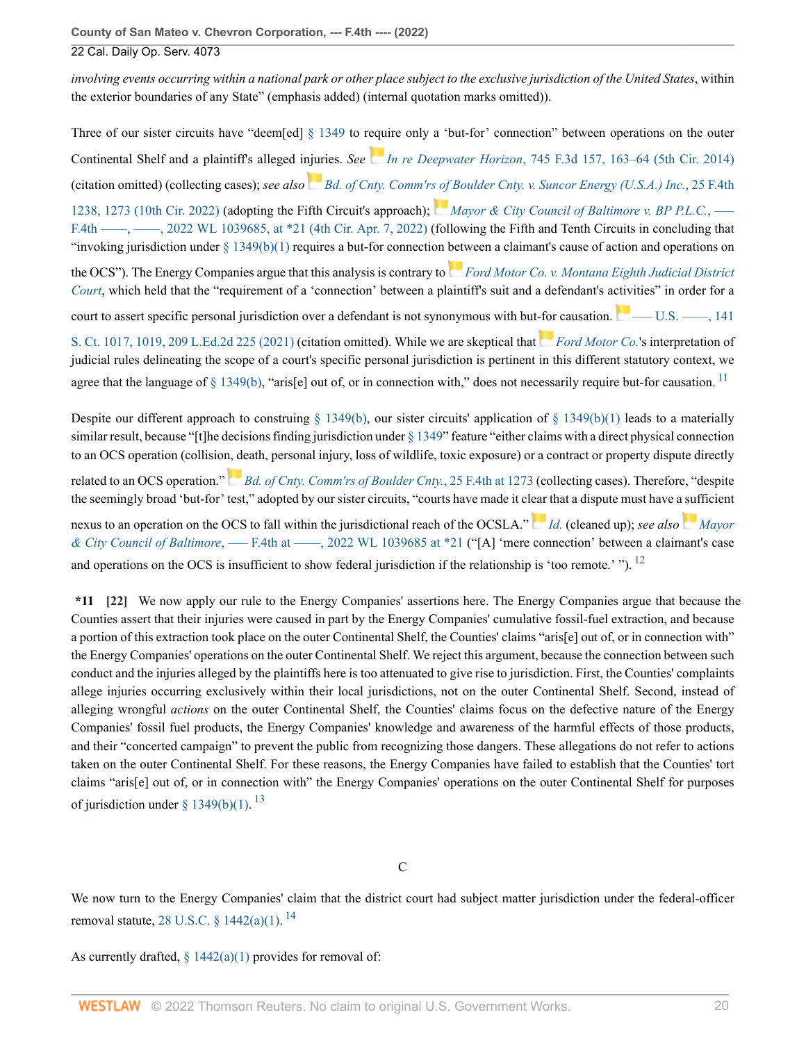*involving events occurring within a national park or other place subject to the exclusive jurisdiction of the United States*, within the exterior boundaries of any State" (emphasis added) (internal quotation marks omitted)).

Three of our sister circuits have "deem[ed] [§ 1349](http://www.westlaw.com/Link/Document/FullText?findType=L&pubNum=1000546&cite=43USCAS1349&originatingDoc=I13d9d0c0c01911eca998bccac2217b4d&refType=LQ&originationContext=document&vr=3.0&rs=cblt1.0&transitionType=DocumentItem&contextData=(sc.Search)) to require only a 'but-for' connection" between operations on the outer Continental Shelf and a plaintiff's alleged injuries. *See [I](https://1.next.westlaw.com/Link/RelatedInformation/Flag?documentGuid=I8709b6f69e2b11e3a659df62eba144e8&transitionType=InlineKeyCiteFlags&originationContext=docHeaderFlag&Rank=0&ppcid=a9b114f5abe4428c96a100fd82d3083a&contextData=(sc.Search) )n re Deepwater Horizon*[, 745 F.3d 157, 163–64 \(5th Cir. 2014\)](http://www.westlaw.com/Link/Document/FullText?findType=Y&serNum=2032778690&pubNum=0000506&originatingDoc=I13d9d0c0c01911eca998bccac2217b4d&refType=RP&fi=co_pp_sp_506_163&originationContext=document&vr=3.0&rs=cblt1.0&transitionType=DocumentItem&contextData=(sc.Search)#co_pp_sp_506_163) (citation omitted) (collecting cases); *see also[Bd. of Cnty. Comm'rs of Boulder Cnty. v. Suncor Energy \(U.S.A.\) Inc.](http://www.westlaw.com/Link/Document/FullText?findType=Y&serNum=2055530649&pubNum=0008173&originatingDoc=I13d9d0c0c01911eca998bccac2217b4d&refType=RP&fi=co_pp_sp_8173_1273&originationContext=document&vr=3.0&rs=cblt1.0&transitionType=DocumentItem&contextData=(sc.Search)#co_pp_sp_8173_1273)*, 25 F.4th [1238, 1273 \(10th Cir. 2022\)](http://www.westlaw.com/Link/Document/FullText?findType=Y&serNum=2055530649&pubNum=0008173&originatingDoc=I13d9d0c0c01911eca998bccac2217b4d&refType=RP&fi=co_pp_sp_8173_1273&originationContext=document&vr=3.0&rs=cblt1.0&transitionType=DocumentItem&contextData=(sc.Search)#co_pp_sp_8173_1273) (adopting the Fifth Circuit's approach); *[Mayor & City Council of Baltimore v. BP P.L.C.](http://www.westlaw.com/Link/Document/FullText?findType=Y&serNum=2055900183&pubNum=0000999&originatingDoc=I13d9d0c0c01911eca998bccac2217b4d&refType=RP&fi=co_pp_sp_999_21&originationContext=document&vr=3.0&rs=cblt1.0&transitionType=DocumentItem&contextData=(sc.Search)#co_pp_sp_999_21)*, — F.4th  $\frac{m}{r}$ , 2022 WL 1039685, at \*21 (4th Cir. Apr. 7, 2022) (following the Fifth and Tenth Circuits in concluding that "invoking jurisdiction under  $\S 1349(b)(1)$  requires a but-for connection [betw](https://1.next.westlaw.com/Link/RelatedInformation/Flag?documentGuid=I9123ccef8d5911ebbb10beece37c6119&transitionType=InlineKeyCiteFlags&originationContext=docHeaderFlag&Rank=0&ppcid=a9b114f5abe4428c96a100fd82d3083a&contextData=(sc.Search) )een a claimant's cause of action and operations on the OCS"). The Energy Companies argue that this analysis is contrary to *[Ford Motor Co. v. Montana Eighth Judicial District](http://www.westlaw.com/Link/Document/FullText?findType=Y&serNum=2053324519&pubNum=0000708&originatingDoc=I13d9d0c0c01911eca998bccac2217b4d&refType=RP&originationContext=document&vr=3.0&rs=cblt1.0&transitionType=DocumentItem&contextData=(sc.Search)) [Court](http://www.westlaw.com/Link/Document/FullText?findType=Y&serNum=2053324519&pubNum=0000708&originatingDoc=I13d9d0c0c01911eca998bccac2217b4d&refType=RP&originationContext=document&vr=3.0&rs=cblt1.0&transitionType=DocumentItem&contextData=(sc.Search))*, which held that the "requirement of a 'connection' between a plaintiff's suit and a defendant's activities" in order for a court to assert specific personal jurisdiction over a defendant is not synonymous with but[-for](https://1.next.westlaw.com/Link/RelatedInformation/Flag?documentGuid=I9123ccef8d5911ebbb10beece37c6119&transitionType=InlineKeyCiteFlags&originationContext=docHeaderFlag&Rank=0&ppcid=a9b114f5abe4428c96a100fd82d3083a&contextData=(sc.Search) )causation.  $\Box$  = U.S. = 141 [S. Ct. 1017, 1019, 209 L.Ed.2d 225 \(2021\)](http://www.westlaw.com/Link/Document/FullText?findType=Y&serNum=2053324519&pubNum=0000708&originatingDoc=I13d9d0c0c01911eca998bccac2217b4d&refType=RP&fi=co_pp_sp_708_1019&originationContext=document&vr=3.0&rs=cblt1.0&transitionType=DocumentItem&contextData=(sc.Search)#co_pp_sp_708_1019) (citation omitted). While we are skeptical that *[Ford Motor Co.](http://www.westlaw.com/Link/Document/FullText?findType=Y&serNum=2053324519&originatingDoc=I13d9d0c0c01911eca998bccac2217b4d&refType=RP&originationContext=document&vr=3.0&rs=cblt1.0&transitionType=DocumentItem&contextData=(sc.Search))*'s interpretation of judicial rules delineating the scope of a court's specific personal jurisdiction is pertinent in this different statutory context, we agree that the language of  $\S 1349(b)$ , "aris[e] out of, or in connection with," does not necessarily require but-for causation. <sup>[11](#page-27-4)</sup>

Despite our different approach to construing  $\S$  1349(b), our sister circuits' application of  $\S$  1349(b)(1) leads to a materially similar result, because "[t]he decisions finding jurisdiction under  $\S 1349$ " feature "either claims with a direct physical connection to an OCS operation (collisio[n, de](https://1.next.westlaw.com/Link/RelatedInformation/Flag?documentGuid=I14261d80891a11ecb8c3e5aec2742444&transitionType=InlineKeyCiteFlags&originationContext=docHeaderFlag&Rank=0&ppcid=a9b114f5abe4428c96a100fd82d3083a&contextData=(sc.Search) )ath, personal injury, loss of wildlife, toxic exposure) or a contract or property dispute directly related to an OCS operation." *[Bd. of Cnty. Comm'rs of Boulder Cnty.](http://www.westlaw.com/Link/Document/FullText?findType=Y&serNum=2055530649&pubNum=0008173&originatingDoc=I13d9d0c0c01911eca998bccac2217b4d&refType=RP&fi=co_pp_sp_8173_1273&originationContext=document&vr=3.0&rs=cblt1.0&transitionType=DocumentItem&contextData=(sc.Search)#co_pp_sp_8173_1273)*, 25 F.4th at 1273 (collecting cases). Therefore, "despite the seemingly broad 'but-for' test," adopted by our sister circuits, "courts have made it cl[ear](https://1.next.westlaw.com/Link/RelatedInformation/Flag?documentGuid=I14261d80891a11ecb8c3e5aec2742444&transitionType=InlineKeyCiteFlags&originationContext=docHeaderFlag&Rank=0&ppcid=a9b114f5abe4428c96a100fd82d3083a&contextData=(sc.Search) ) that a dispute must have a sufficient nexus to an operation on the OCS to fall within the jurisdictional reach of the OCSLA." *[Id.](http://www.westlaw.com/Link/Document/FullText?findType=Y&serNum=2055530649&pubNum=0008173&originatingDoc=I13d9d0c0c01911eca998bccac2217b4d&refType=RP&originationContext=document&vr=3.0&rs=cblt1.0&transitionType=DocumentItem&contextData=(sc.Search))* (cleaned up); *see also [Mayor](http://www.westlaw.com/Link/Document/FullText?findType=Y&serNum=2055900183&pubNum=0000999&originatingDoc=I13d9d0c0c01911eca998bccac2217b4d&refType=RP&fi=co_pp_sp_999_21&originationContext=document&vr=3.0&rs=cblt1.0&transitionType=DocumentItem&contextData=(sc.Search)#co_pp_sp_999_21) & City Council of Baltimore*[, ––– F.4th at ––––, 2022 WL 1039685 at \\*21](http://www.westlaw.com/Link/Document/FullText?findType=Y&serNum=2055900183&pubNum=0000999&originatingDoc=I13d9d0c0c01911eca998bccac2217b4d&refType=RP&fi=co_pp_sp_999_21&originationContext=document&vr=3.0&rs=cblt1.0&transitionType=DocumentItem&contextData=(sc.Search)#co_pp_sp_999_21) ("[A] 'mere connection' between a claimant's case and operations on the OCS is insufficient to show federal jurisdiction if the relationship is 'too remote.' "). <sup>[12](#page-27-5)</sup>

<span id="page-19-0"></span>**\*11 [\[22\]](#page-4-0)** We now apply our rule to the Energy Companies' assertions here. The Energy Companies argue that because the Counties assert that their injuries were caused in part by the Energy Companies' cumulative fossil-fuel extraction, and because a portion of this extraction took place on the outer Continental Shelf, the Counties' claims "aris[e] out of, or in connection with" the Energy Companies' operations on the outer Continental Shelf. We reject this argument, because the connection between such conduct and the injuries alleged by the plaintiffs here is too attenuated to give rise to jurisdiction. First, the Counties' complaints allege injuries occurring exclusively within their local jurisdictions, not on the outer Continental Shelf. Second, instead of alleging wrongful *actions* on the outer Continental Shelf, the Counties' claims focus on the defective nature of the Energy Companies' fossil fuel products, the Energy Companies' knowledge and awareness of the harmful effects of those products, and their "concerted campaign" to prevent the public from recognizing those dangers. These allegations do not refer to actions taken on the outer Continental Shelf. For these reasons, the Energy Companies have failed to establish that the Counties' tort claims "aris[e] out of, or in connection with" the Energy Companies' operations on the outer Continental Shelf for purposes of jurisdiction under  $\S$  [13](#page-27-6)49(b)(1).<sup>13</sup>

<span id="page-19-4"></span><span id="page-19-3"></span><span id="page-19-2"></span><span id="page-19-1"></span>C

We now turn to the Energy Companies' claim that the district court had subject matter jurisdiction under the federal-officer removal statute, 28 U.S.C.  $\S$  [14](#page-27-7)42(a)(1).<sup>14</sup>

As currently drafted,  $\S$  1442(a)(1) provides for removal of: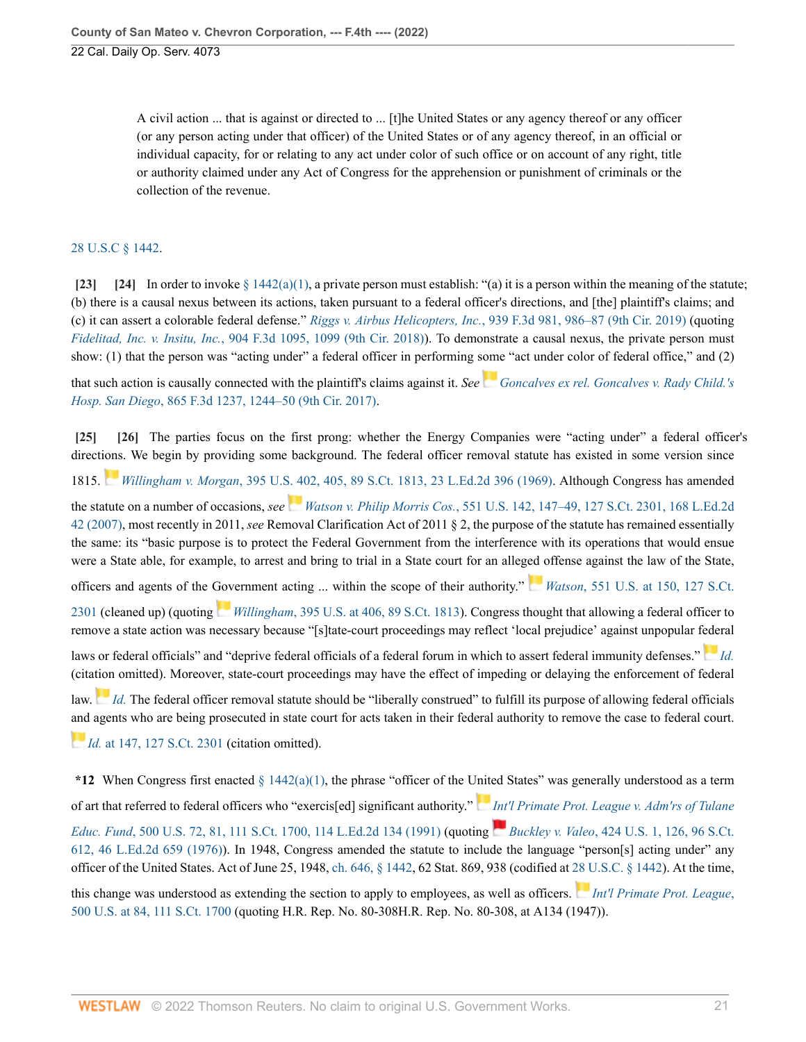A civil action ... that is against or directed to ... [t]he United States or any agency thereof or any officer (or any person acting under that officer) of the United States or of any agency thereof, in an official or individual capacity, for or relating to any act under color of such office or on account of any right, title or authority claimed under any Act of Congress for the apprehension or punishment of criminals or the collection of the revenue.

# [28 U.S.C § 1442.](http://www.westlaw.com/Link/Document/FullText?findType=L&pubNum=1000546&cite=28USCAS1442&originatingDoc=I13d9d0c0c01911eca998bccac2217b4d&refType=LQ&originationContext=document&vr=3.0&rs=cblt1.0&transitionType=DocumentItem&contextData=(sc.Search))

<span id="page-20-1"></span><span id="page-20-0"></span>[\[23\]](#page-5-0) [\[24](#page-5-1)] In order to invoke  $\S 1442(a)(1)$ , a private person must establish: "(a) it is a person within the meaning of the statute; (b) there is a causal nexus between its actions, taken pursuant to a federal officer's directions, and [the] plaintiff's claims; and (c) it can assert a colorable federal defense." *Riggs v. Airbus Helicopters, Inc.*[, 939 F.3d 981, 986–87 \(9th Cir. 2019\)](http://www.westlaw.com/Link/Document/FullText?findType=Y&serNum=2049231315&pubNum=0000506&originatingDoc=I13d9d0c0c01911eca998bccac2217b4d&refType=RP&fi=co_pp_sp_506_986&originationContext=document&vr=3.0&rs=cblt1.0&transitionType=DocumentItem&contextData=(sc.Search)#co_pp_sp_506_986) (quoting *Fidelitad, Inc. v. Insitu, Inc.*[, 904 F.3d 1095, 1099 \(9th Cir. 2018\)](http://www.westlaw.com/Link/Document/FullText?findType=Y&serNum=2045573059&pubNum=0000506&originatingDoc=I13d9d0c0c01911eca998bccac2217b4d&refType=RP&fi=co_pp_sp_506_1099&originationContext=document&vr=3.0&rs=cblt1.0&transitionType=DocumentItem&contextData=(sc.Search)#co_pp_sp_506_1099)). To demonstrate a causal nexus, the private person must show: (1) that the person was "acting under" a federal officer in performing some "act under color of federal office," and (2)

that such action is causally connected with the plaintiff's claims against it. *See [Goncalves ex rel. Goncalves v. Rady Child.'s](http://www.westlaw.com/Link/Document/FullText?findType=Y&serNum=2042293461&pubNum=0000506&originatingDoc=I13d9d0c0c01911eca998bccac2217b4d&refType=RP&fi=co_pp_sp_506_1244&originationContext=document&vr=3.0&rs=cblt1.0&transitionType=DocumentItem&contextData=(sc.Search)#co_pp_sp_506_1244) Hosp. San Diego*[, 865 F.3d 1237, 1244–50 \(9th Cir. 2017\).](http://www.westlaw.com/Link/Document/FullText?findType=Y&serNum=2042293461&pubNum=0000506&originatingDoc=I13d9d0c0c01911eca998bccac2217b4d&refType=RP&fi=co_pp_sp_506_1244&originationContext=document&vr=3.0&rs=cblt1.0&transitionType=DocumentItem&contextData=(sc.Search)#co_pp_sp_506_1244)

<span id="page-20-3"></span><span id="page-20-2"></span>**[\[25\]](#page-5-2) [\[26\]](#page-5-3)** The parties focus on the first prong: whether the Energy Companies were "acting under" a federal officer's direct[ions](https://1.next.westlaw.com/Link/RelatedInformation/Flag?documentGuid=I64e760509c1d11d9bc61beebb95be672&transitionType=InlineKeyCiteFlags&originationContext=docHeaderFlag&Rank=0&ppcid=a9b114f5abe4428c96a100fd82d3083a&contextData=(sc.Search) ). We begin by providing some background. The federal officer removal statute has existed in some version since

1815. *Willingham v. Morgan*[, 395 U.S. 402, 405, 89 S.Ct. 1813, 23 L.Ed.2d 396 \(1969\).](http://www.westlaw.com/Link/Document/FullText?findType=Y&serNum=1969133004&pubNum=0000780&originatingDoc=I13d9d0c0c01911eca998bccac2217b4d&refType=RP&fi=co_pp_sp_780_405&originationContext=document&vr=3.0&rs=cblt1.0&transitionType=DocumentItem&contextData=(sc.Search)#co_pp_sp_780_405) Although Congress has amended

the statute on a number of occasions, *see Watson v. Philip Morris Cos.*[, 551 U.S. 142, 147–49, 127 S.Ct. 2301, 168 L.Ed.2d](http://www.westlaw.com/Link/Document/FullText?findType=Y&serNum=2012447002&pubNum=0000780&originatingDoc=I13d9d0c0c01911eca998bccac2217b4d&refType=RP&fi=co_pp_sp_780_147&originationContext=document&vr=3.0&rs=cblt1.0&transitionType=DocumentItem&contextData=(sc.Search)#co_pp_sp_780_147) [42 \(2007\),](http://www.westlaw.com/Link/Document/FullText?findType=Y&serNum=2012447002&pubNum=0000780&originatingDoc=I13d9d0c0c01911eca998bccac2217b4d&refType=RP&fi=co_pp_sp_780_147&originationContext=document&vr=3.0&rs=cblt1.0&transitionType=DocumentItem&contextData=(sc.Search)#co_pp_sp_780_147) most recently in 2011, *see* Removal Clarification Act of 2011 § 2, the purpose of the statute has remained essentially the same: its "basic purpose is to protect the Federal Government from the interference with its operations that would ensue were a State able, for example, to arrest and bring to trial in a State court for an alleg[ed o](https://1.next.westlaw.com/Link/RelatedInformation/Flag?documentGuid=I81158945181e11dc9b239dfedc9bb45f&transitionType=InlineKeyCiteFlags&originationContext=docHeaderFlag&Rank=0&ppcid=a9b114f5abe4428c96a100fd82d3083a&contextData=(sc.Search) )ffense against the law of the State,

officers and agents of the [Gov](https://1.next.westlaw.com/Link/RelatedInformation/Flag?documentGuid=I64e760509c1d11d9bc61beebb95be672&transitionType=InlineKeyCiteFlags&originationContext=docHeaderFlag&Rank=0&ppcid=a9b114f5abe4428c96a100fd82d3083a&contextData=(sc.Search) )ernment acting ... within the scope of their authority." *Watson*[, 551 U.S. at 150, 127 S.Ct.](http://www.westlaw.com/Link/Document/FullText?findType=Y&serNum=2012447002&pubNum=0000780&originatingDoc=I13d9d0c0c01911eca998bccac2217b4d&refType=RP&fi=co_pp_sp_780_150&originationContext=document&vr=3.0&rs=cblt1.0&transitionType=DocumentItem&contextData=(sc.Search)#co_pp_sp_780_150)

[2301](http://www.westlaw.com/Link/Document/FullText?findType=Y&serNum=2012447002&pubNum=0000780&originatingDoc=I13d9d0c0c01911eca998bccac2217b4d&refType=RP&fi=co_pp_sp_780_150&originationContext=document&vr=3.0&rs=cblt1.0&transitionType=DocumentItem&contextData=(sc.Search)#co_pp_sp_780_150) (cleaned up) (quoting *Willingham*[, 395 U.S. at 406, 89 S.Ct. 1813](http://www.westlaw.com/Link/Document/FullText?findType=Y&serNum=1969133004&pubNum=0000780&originatingDoc=I13d9d0c0c01911eca998bccac2217b4d&refType=RP&fi=co_pp_sp_780_406&originationContext=document&vr=3.0&rs=cblt1.0&transitionType=DocumentItem&contextData=(sc.Search)#co_pp_sp_780_406)). Congress thought that allowing a federal officer to remove a state action was necessary because "[s]tate-court proceedings may reflect 'local prejudice' against unpopular f[ede](https://1.next.westlaw.com/Link/RelatedInformation/Flag?documentGuid=I81158945181e11dc9b239dfedc9bb45f&transitionType=InlineKeyCiteFlags&originationContext=docHeaderFlag&Rank=0&ppcid=a9b114f5abe4428c96a100fd82d3083a&contextData=(sc.Search) )ral

laws or federal officials" and "deprive federal officials of a federal forum in which to assert federal immunity defenses." *[Id.](http://www.westlaw.com/Link/Document/FullText?findType=Y&serNum=2012447002&pubNum=0000780&originatingDoc=I13d9d0c0c01911eca998bccac2217b4d&refType=RP&originationContext=document&vr=3.0&rs=cblt1.0&transitionType=DocumentItem&contextData=(sc.Search))* (cita[tion](https://1.next.westlaw.com/Link/RelatedInformation/Flag?documentGuid=I81158945181e11dc9b239dfedc9bb45f&transitionType=InlineKeyCiteFlags&originationContext=docHeaderFlag&Rank=0&ppcid=a9b114f5abe4428c96a100fd82d3083a&contextData=(sc.Search) ) omitted). Moreover, state-court proceedings may have the effect of impeding or delaying the enforcement of federal

law. *[Id.](http://www.westlaw.com/Link/Document/FullText?findType=Y&serNum=2012447002&pubNum=0000780&originatingDoc=I13d9d0c0c01911eca998bccac2217b4d&refType=RP&originationContext=document&vr=3.0&rs=cblt1.0&transitionType=DocumentItem&contextData=(sc.Search))* The federal officer removal statute should be "liberally construed" to fulfill its purpose of allowing federal officials [and](https://1.next.westlaw.com/Link/RelatedInformation/Flag?documentGuid=I81158945181e11dc9b239dfedc9bb45f&transitionType=InlineKeyCiteFlags&originationContext=docHeaderFlag&Rank=0&ppcid=a9b114f5abe4428c96a100fd82d3083a&contextData=(sc.Search) ) agents who are being prosecuted in state court for acts taken in their federal authority to remove the case to federal court.

*Id.* [at 147, 127 S.Ct. 2301](http://www.westlaw.com/Link/Document/FullText?findType=Y&serNum=2012447002&pubNum=0000708&originatingDoc=I13d9d0c0c01911eca998bccac2217b4d&refType=RP&originationContext=document&vr=3.0&rs=cblt1.0&transitionType=DocumentItem&contextData=(sc.Search)) (citation omitted).

**\*12** When Congress first enacted [§ 1442\(a\)\(1\),](http://www.westlaw.com/Link/Document/FullText?findType=L&pubNum=1000546&cite=28USCAS1442&originatingDoc=I13d9d0c0c01911eca998bccac2217b4d&refType=RB&originationContext=document&vr=3.0&rs=cblt1.0&transitionType=DocumentItem&contextData=(sc.Search)#co_pp_7b9b000044381) the phrase "officer of the [Unite](https://1.next.westlaw.com/Link/RelatedInformation/Flag?documentGuid=I5df2b0bb9c9011d9bc61beebb95be672&transitionType=InlineKeyCiteFlags&originationContext=docHeaderFlag&Rank=0&ppcid=a9b114f5abe4428c96a100fd82d3083a&contextData=(sc.Search) )d States" was generally understood as a term of art that referred to federal officers who "exercis[ed] significant authority." *[Int'l Primate Prot. League v. Adm'rs of Tulane](http://www.westlaw.com/Link/Document/FullText?findType=Y&serNum=1991093612&pubNum=0000780&originatingDoc=I13d9d0c0c01911eca998bccac2217b4d&refType=RP&fi=co_pp_sp_780_81&originationContext=document&vr=3.0&rs=cblt1.0&transitionType=DocumentItem&contextData=(sc.Search)#co_pp_sp_780_81) Educ. Fund*[, 500 U.S. 72, 81, 111 S.Ct. 1700, 114 L.Ed.2d 134 \(1991\)](http://www.westlaw.com/Link/Document/FullText?findType=Y&serNum=1991093612&pubNum=0000780&originatingDoc=I13d9d0c0c01911eca998bccac2217b4d&refType=RP&fi=co_pp_sp_780_81&originationContext=document&vr=3.0&rs=cblt1.0&transitionType=DocumentItem&contextData=(sc.Search)#co_pp_sp_780_81) (quoting *Buckley v. Valeo*[, 424 U.S. 1, 126, 96 S.Ct.](http://www.westlaw.com/Link/Document/FullText?findType=Y&serNum=1976142308&pubNum=0000780&originatingDoc=I13d9d0c0c01911eca998bccac2217b4d&refType=RP&fi=co_pp_sp_780_126&originationContext=document&vr=3.0&rs=cblt1.0&transitionType=DocumentItem&contextData=(sc.Search)#co_pp_sp_780_126) [612, 46 L.Ed.2d 659 \(1976\)](http://www.westlaw.com/Link/Document/FullText?findType=Y&serNum=1976142308&pubNum=0000780&originatingDoc=I13d9d0c0c01911eca998bccac2217b4d&refType=RP&fi=co_pp_sp_780_126&originationContext=document&vr=3.0&rs=cblt1.0&transitionType=DocumentItem&contextData=(sc.Search)#co_pp_sp_780_126)). In 1948, Congress amended the statute to include the language "person[s] acting under" any officer of the United States. Act of June 25, 1948, [ch. 646, § 1442](http://www.westlaw.com/Link/Document/FullText?findType=L&pubNum=1000546&cite=28USCAS1442&originatingDoc=I13d9d0c0c01911eca998bccac2217b4d&refType=LQ&originationContext=document&vr=3.0&rs=cblt1.0&transitionType=DocumentItem&contextData=(sc.Search)), 62 Stat. 869, 938 (codified at [28 U.S.C. § 1442](http://www.westlaw.com/Link/Document/FullText?findType=L&pubNum=1000546&cite=28USCAS1442&originatingDoc=I13d9d0c0c01911eca998bccac2217b4d&refType=LQ&originationContext=document&vr=3.0&rs=cblt1.0&transitionType=DocumentItem&contextData=(sc.Search))). At the time,

this change was understood as extending the section to apply to employees, as well as officers. *[Int'l Primate Prot. League](http://www.westlaw.com/Link/Document/FullText?findType=Y&serNum=1991093612&pubNum=0000780&originatingDoc=I13d9d0c0c01911eca998bccac2217b4d&refType=RP&fi=co_pp_sp_780_84&originationContext=document&vr=3.0&rs=cblt1.0&transitionType=DocumentItem&contextData=(sc.Search)#co_pp_sp_780_84)*, [500 U.S. at 84, 111 S.Ct. 1700](http://www.westlaw.com/Link/Document/FullText?findType=Y&serNum=1991093612&pubNum=0000780&originatingDoc=I13d9d0c0c01911eca998bccac2217b4d&refType=RP&fi=co_pp_sp_780_84&originationContext=document&vr=3.0&rs=cblt1.0&transitionType=DocumentItem&contextData=(sc.Search)#co_pp_sp_780_84) (quoting H.R. Rep. No. 80-308H.R. Rep. No. 80-308, at A134 (1947)).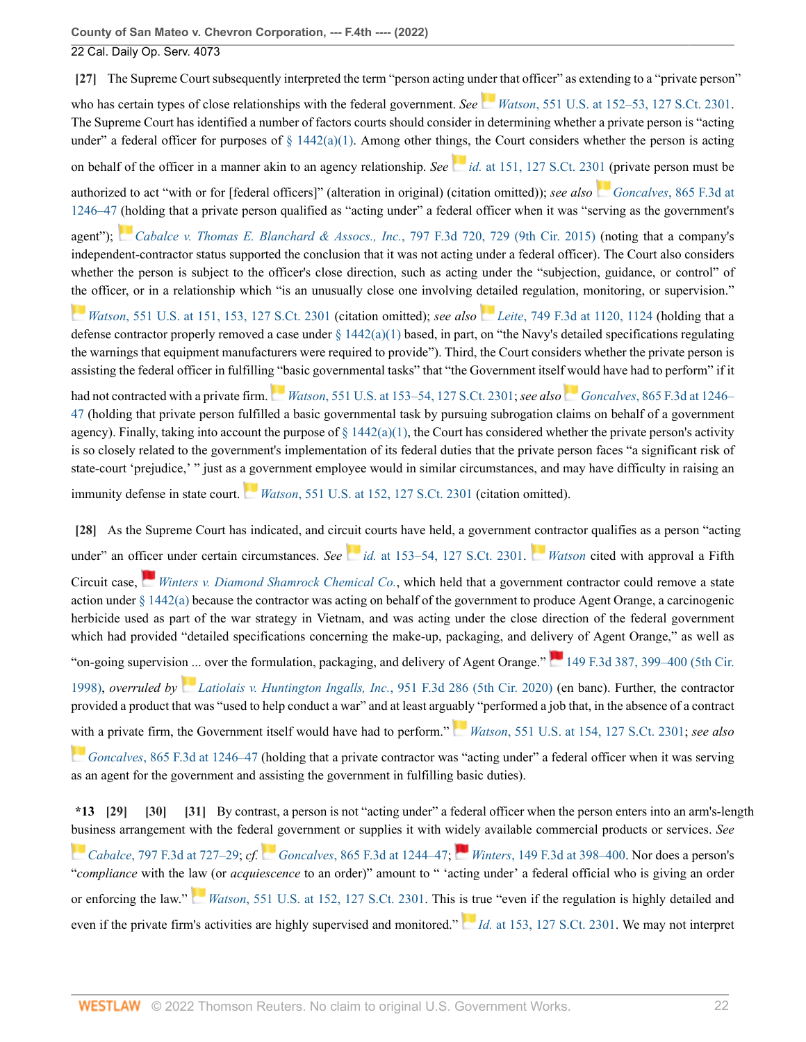**County of San Mateo v. Chevron Corporation, --- F.4th ---- (2022)** 22 Cal. Daily Op. Serv. 4073

<span id="page-21-0"></span>**[\[27\]](#page-5-4)** The Supreme Court subsequently interpreted the term "person acting under that officer" as extending to a "private person"

who has certain types of close relationships with the federal government. *See* Watson[, 551 U.S. at 152–53, 127 S.Ct. 2301](http://www.westlaw.com/Link/Document/FullText?findType=Y&serNum=2012447002&pubNum=0000780&originatingDoc=I13d9d0c0c01911eca998bccac2217b4d&refType=RP&fi=co_pp_sp_780_152&originationContext=document&vr=3.0&rs=cblt1.0&transitionType=DocumentItem&contextData=(sc.Search)#co_pp_sp_780_152). The Supreme Court has identified a number of factors courts should consider in determining whether a private person is "acting under" a federal officer for purposes of  $\S$  1442(a)(1). Among other things, the Court considers whether the person is acting on behalf of the officer in a manner akin to an agency relationship. *See* id. [at 151, 127 S.Ct. 2301](http://www.westlaw.com/Link/Document/FullText?findType=Y&serNum=2012447002&pubNum=0000708&originatingDoc=I13d9d0c0c01911eca998bccac2217b4d&refType=RP&originationContext=document&vr=3.0&rs=cblt1.0&transitionType=DocumentItem&contextData=(sc.Search)) (private person must be authorized to act "with or for [federal officers]" (alteration in original) (citation omitted)); *see also [G](https://1.next.westlaw.com/Link/RelatedInformation/Flag?documentGuid=Ifd74165077bc11e7bb97edaf3db64019&transitionType=InlineKeyCiteFlags&originationContext=docHeaderFlag&Rank=0&ppcid=a9b114f5abe4428c96a100fd82d3083a&contextData=(sc.Search) )oncalves*[, 865 F.3d at](http://www.westlaw.com/Link/Document/FullText?findType=Y&serNum=2042293461&pubNum=0000506&originatingDoc=I13d9d0c0c01911eca998bccac2217b4d&refType=RP&fi=co_pp_sp_506_1246&originationContext=document&vr=3.0&rs=cblt1.0&transitionType=DocumentItem&contextData=(sc.Search)#co_pp_sp_506_1246) [1246–47](http://www.westlaw.com/Link/Document/FullText?findType=Y&serNum=2042293461&pubNum=0000506&originatingDoc=I13d9d0c0c01911eca998bccac2217b4d&refType=RP&fi=co_pp_sp_506_1246&originationContext=document&vr=3.0&rs=cblt1.0&transitionType=DocumentItem&contextData=(sc.Search)#co_pp_sp_506_1246) [\(ho](https://1.next.westlaw.com/Link/RelatedInformation/Flag?documentGuid=I7659cc6341e911e5b4bafa136b480ad2&transitionType=InlineKeyCiteFlags&originationContext=docHeaderFlag&Rank=0&ppcid=a9b114f5abe4428c96a100fd82d3083a&contextData=(sc.Search) )lding that a private person qualified as "acting under" a federal officer when it was "serving as the government's

agent"); *[Cabalce v. Thomas E. Blanchard & Assocs., Inc.](http://www.westlaw.com/Link/Document/FullText?findType=Y&serNum=2036871008&pubNum=0000506&originatingDoc=I13d9d0c0c01911eca998bccac2217b4d&refType=RP&fi=co_pp_sp_506_729&originationContext=document&vr=3.0&rs=cblt1.0&transitionType=DocumentItem&contextData=(sc.Search)#co_pp_sp_506_729)*, 797 F.3d 720, 729 (9th Cir. 2015) (noting that a company's independent-contractor status supported the conclusion that it was not acting under a federal officer). The Court also considers whether the person is subject to the officer's close direction, such as acting under the "subjection, guidance, or control" of [the](https://1.next.westlaw.com/Link/RelatedInformation/Flag?documentGuid=I81158945181e11dc9b239dfedc9bb45f&transitionType=InlineKeyCiteFlags&originationContext=docHeaderFlag&Rank=0&ppcid=a9b114f5abe4428c96a100fd82d3083a&contextData=(sc.Search) ) officer, or in a relationship which "is an unusually close one involving detailed regulation, monitoring, or supervision."

*Watson*[, 551 U.S. at 151, 153, 127 S.Ct. 2301](http://www.westlaw.com/Link/Document/FullText?findType=Y&serNum=2012447002&pubNum=0000780&originatingDoc=I13d9d0c0c01911eca998bccac2217b4d&refType=RP&fi=co_pp_sp_780_151&originationContext=document&vr=3.0&rs=cblt1.0&transitionType=DocumentItem&contextData=(sc.Search)#co_pp_sp_780_151) (citation omitted); *see also [L](https://1.next.westlaw.com/Link/RelatedInformation/Flag?documentGuid=Iff81107cccb211e398918a57b3f325e0&transitionType=InlineKeyCiteFlags&originationContext=docHeaderFlag&Rank=0&ppcid=a9b114f5abe4428c96a100fd82d3083a&contextData=(sc.Search) )eite*[, 749 F.3d at 1120, 1124](http://www.westlaw.com/Link/Document/FullText?findType=Y&serNum=2033271442&pubNum=0000506&originatingDoc=I13d9d0c0c01911eca998bccac2217b4d&refType=RP&fi=co_pp_sp_506_1120&originationContext=document&vr=3.0&rs=cblt1.0&transitionType=DocumentItem&contextData=(sc.Search)#co_pp_sp_506_1120) (holding that a defense contractor properly removed a case under  $\S 1442(a)(1)$  based, in part, on "the Navy's detailed specifications regulating the warnings that equipment manufacturers were required to provide"). Third, the Court considers whether the private person is assisting the federal officer in fulfillin[g "b](https://1.next.westlaw.com/Link/RelatedInformation/Flag?documentGuid=I81158945181e11dc9b239dfedc9bb45f&transitionType=InlineKeyCiteFlags&originationContext=docHeaderFlag&Rank=0&ppcid=a9b114f5abe4428c96a100fd82d3083a&contextData=(sc.Search) )asic governmental tasks" that "the Government itself would have had to perform" if it

had not contracted with a private firm. *Watson*[, 551 U.S. at 153–54, 127 S.Ct. 2301;](http://www.westlaw.com/Link/Document/FullText?findType=Y&serNum=2012447002&pubNum=0000780&originatingDoc=I13d9d0c0c01911eca998bccac2217b4d&refType=RP&fi=co_pp_sp_780_153&originationContext=document&vr=3.0&rs=cblt1.0&transitionType=DocumentItem&contextData=(sc.Search)#co_pp_sp_780_153) *see alsoGoncalves*[, 865 F.3d at 1246–](http://www.westlaw.com/Link/Document/FullText?findType=Y&serNum=2042293461&pubNum=0000506&originatingDoc=I13d9d0c0c01911eca998bccac2217b4d&refType=RP&fi=co_pp_sp_506_1246&originationContext=document&vr=3.0&rs=cblt1.0&transitionType=DocumentItem&contextData=(sc.Search)#co_pp_sp_506_1246) [47](http://www.westlaw.com/Link/Document/FullText?findType=Y&serNum=2042293461&pubNum=0000506&originatingDoc=I13d9d0c0c01911eca998bccac2217b4d&refType=RP&fi=co_pp_sp_506_1246&originationContext=document&vr=3.0&rs=cblt1.0&transitionType=DocumentItem&contextData=(sc.Search)#co_pp_sp_506_1246) (holding that private person fulfilled a basic governmental task by pursuing subrogation claims on behalf of a government agency). Finally, taking into account the purpose of  $\S 1442(a)(1)$ , the Court has considered whether the private person's activity is so closely related to the government's implementation of its federal duties that the private person faces "a significant risk of state-court 'prejudice,' " just as [a go](https://1.next.westlaw.com/Link/RelatedInformation/Flag?documentGuid=I81158945181e11dc9b239dfedc9bb45f&transitionType=InlineKeyCiteFlags&originationContext=docHeaderFlag&Rank=0&ppcid=a9b114f5abe4428c96a100fd82d3083a&contextData=(sc.Search) )vernment employee would in similar circumstances, and may have difficulty in raising an

immunity defense in state court. *Watson*[, 551 U.S. at 152, 127 S.Ct. 2301](http://www.westlaw.com/Link/Document/FullText?findType=Y&serNum=2012447002&pubNum=0000780&originatingDoc=I13d9d0c0c01911eca998bccac2217b4d&refType=RP&fi=co_pp_sp_780_152&originationContext=document&vr=3.0&rs=cblt1.0&transitionType=DocumentItem&contextData=(sc.Search)#co_pp_sp_780_152) (citation omitted).

<span id="page-21-1"></span>**[\[28\]](#page-5-5)** As the Supreme Court has indicated, and circuit courts have held, a government [con](https://1.next.westlaw.com/Link/RelatedInformation/Flag?documentGuid=I81158945181e11dc9b239dfedc9bb45f&transitionType=InlineKeyCiteFlags&originationContext=docHeaderFlag&Rank=0&ppcid=a9b114f5abe4428c96a100fd82d3083a&contextData=(sc.Search) )tractor qualifies as a person "acting under" an of[fice](https://1.next.westlaw.com/Link/RelatedInformation/Flag?documentGuid=Ic97e26df945111d9bc61beebb95be672&transitionType=InlineKeyCiteFlags&originationContext=docHeaderFlag&Rank=0&ppcid=a9b114f5abe4428c96a100fd82d3083a&contextData=(sc.Search) )r under certain circumstances. *See id.* [at 153–54, 127 S.Ct. 2301.](http://www.westlaw.com/Link/Document/FullText?findType=Y&serNum=2012447002&pubNum=0000708&originatingDoc=I13d9d0c0c01911eca998bccac2217b4d&refType=RP&fi=co_pp_sp_708_153&originationContext=document&vr=3.0&rs=cblt1.0&transitionType=DocumentItem&contextData=(sc.Search)#co_pp_sp_708_153) *[Watson](http://www.westlaw.com/Link/Document/FullText?findType=Y&serNum=2012447002&originatingDoc=I13d9d0c0c01911eca998bccac2217b4d&refType=RP&originationContext=document&vr=3.0&rs=cblt1.0&transitionType=DocumentItem&contextData=(sc.Search))* cited with approval a Fifth Circuit case, *[Winters v. Diamond Shamrock Chemical Co.](http://www.westlaw.com/Link/Document/FullText?findType=Y&serNum=1998161448&pubNum=0000506&originatingDoc=I13d9d0c0c01911eca998bccac2217b4d&refType=RP&originationContext=document&vr=3.0&rs=cblt1.0&transitionType=DocumentItem&contextData=(sc.Search))*, which held that a government contractor could remove a state action under [§ 1442\(a\)](http://www.westlaw.com/Link/Document/FullText?findType=L&pubNum=1000546&cite=28USCAS1442&originatingDoc=I13d9d0c0c01911eca998bccac2217b4d&refType=RB&originationContext=document&vr=3.0&rs=cblt1.0&transitionType=DocumentItem&contextData=(sc.Search)#co_pp_8b3b0000958a4) because the contractor was acting on behalf of the government to produce Agent Orange, a carcinogenic herbicide used as part of the war strategy in Vietnam, and was acting under the close direction of the federal government which had provided "detailed specifications concerning the make-up, packaging, and delivery of Agent Orange," as well as "on-going supervision ... over the formulation, packaging, and delivery of Agent Orange."[149 F.3d 387, 399–400 \(5th Cir.](http://www.westlaw.com/Link/Document/FullText?findType=Y&serNum=1998161448&pubNum=0000506&originatingDoc=I13d9d0c0c01911eca998bccac2217b4d&refType=RP&fi=co_pp_sp_506_399&originationContext=document&vr=3.0&rs=cblt1.0&transitionType=DocumentItem&contextData=(sc.Search)#co_pp_sp_506_399) [1998\)](http://www.westlaw.com/Link/Document/FullText?findType=Y&serNum=1998161448&pubNum=0000506&originatingDoc=I13d9d0c0c01911eca998bccac2217b4d&refType=RP&fi=co_pp_sp_506_399&originationContext=document&vr=3.0&rs=cblt1.0&transitionType=DocumentItem&contextData=(sc.Search)#co_pp_sp_506_399), *overruled by [Latiolais v. Huntington Ingalls, Inc.](http://www.westlaw.com/Link/Document/FullText?findType=Y&serNum=2050423329&pubNum=0000506&originatingDoc=I13d9d0c0c01911eca998bccac2217b4d&refType=RP&originationContext=document&vr=3.0&rs=cblt1.0&transitionType=DocumentItem&contextData=(sc.Search))*, 951 F.3d 286 (5th Cir. 2020) (en banc). Further, the contractor provided a product that was "used to help conduct a war" and at least argu[ably](https://1.next.westlaw.com/Link/RelatedInformation/Flag?documentGuid=I81158945181e11dc9b239dfedc9bb45f&transitionType=InlineKeyCiteFlags&originationContext=docHeaderFlag&Rank=0&ppcid=a9b114f5abe4428c96a100fd82d3083a&contextData=(sc.Search) ) "performed a job that, in the absence of a contract [with](https://1.next.westlaw.com/Link/RelatedInformation/Flag?documentGuid=Ifd74165077bc11e7bb97edaf3db64019&transitionType=InlineKeyCiteFlags&originationContext=docHeaderFlag&Rank=0&ppcid=a9b114f5abe4428c96a100fd82d3083a&contextData=(sc.Search) ) a private firm, the Government itself would have had to perform." *Watson*[, 551 U.S. at 154, 127 S.Ct. 2301](http://www.westlaw.com/Link/Document/FullText?findType=Y&serNum=2012447002&pubNum=0000780&originatingDoc=I13d9d0c0c01911eca998bccac2217b4d&refType=RP&fi=co_pp_sp_780_154&originationContext=document&vr=3.0&rs=cblt1.0&transitionType=DocumentItem&contextData=(sc.Search)#co_pp_sp_780_154); *see also Goncalves*[, 865 F.3d at 1246–47](http://www.westlaw.com/Link/Document/FullText?findType=Y&serNum=2042293461&pubNum=0000506&originatingDoc=I13d9d0c0c01911eca998bccac2217b4d&refType=RP&fi=co_pp_sp_506_1246&originationContext=document&vr=3.0&rs=cblt1.0&transitionType=DocumentItem&contextData=(sc.Search)#co_pp_sp_506_1246) (holding that a private contractor was "acting under" a federal officer when it was serving as an agent for the government and assisting the government in fulfilling basic duties).

<span id="page-21-4"></span><span id="page-21-3"></span><span id="page-21-2"></span>**\*13 [\[29\]](#page-6-1) [\[30\]](#page-6-2) [\[31\]](#page-6-3)** By contrast, a person is not "acting under" a federal officer when the person enters into an arm's-length [bus](https://1.next.westlaw.com/Link/RelatedInformation/Flag?documentGuid=I7659cc6341e911e5b4bafa136b480ad2&transitionType=InlineKeyCiteFlags&originationContext=docHeaderFlag&Rank=0&ppcid=a9b114f5abe4428c96a100fd82d3083a&contextData=(sc.Search) )iness arrangement with the federal government or supplies it with [widel](https://1.next.westlaw.com/Link/RelatedInformation/Flag?documentGuid=Ic97e26df945111d9bc61beebb95be672&transitionType=InlineKeyCiteFlags&originationContext=docHeaderFlag&Rank=0&ppcid=a9b114f5abe4428c96a100fd82d3083a&contextData=(sc.Search) )y available commercial products or services. *See*

*Cabalce*[, 797 F.3d at 727–29;](http://www.westlaw.com/Link/Document/FullText?findType=Y&serNum=2036871008&pubNum=0000506&originatingDoc=I13d9d0c0c01911eca998bccac2217b4d&refType=RP&fi=co_pp_sp_506_727&originationContext=document&vr=3.0&rs=cblt1.0&transitionType=DocumentItem&contextData=(sc.Search)#co_pp_sp_506_727) *cf. [G](https://1.next.westlaw.com/Link/RelatedInformation/Flag?documentGuid=Ifd74165077bc11e7bb97edaf3db64019&transitionType=InlineKeyCiteFlags&originationContext=docHeaderFlag&Rank=0&ppcid=a9b114f5abe4428c96a100fd82d3083a&contextData=(sc.Search) )oncalves*[, 865 F.3d at 1244–47](http://www.westlaw.com/Link/Document/FullText?findType=Y&serNum=2042293461&pubNum=0000506&originatingDoc=I13d9d0c0c01911eca998bccac2217b4d&refType=RP&fi=co_pp_sp_506_1244&originationContext=document&vr=3.0&rs=cblt1.0&transitionType=DocumentItem&contextData=(sc.Search)#co_pp_sp_506_1244); *Winters*[, 149 F.3d at 398–400](http://www.westlaw.com/Link/Document/FullText?findType=Y&serNum=1998161448&pubNum=0000506&originatingDoc=I13d9d0c0c01911eca998bccac2217b4d&refType=RP&fi=co_pp_sp_506_398&originationContext=document&vr=3.0&rs=cblt1.0&transitionType=DocumentItem&contextData=(sc.Search)#co_pp_sp_506_398). Nor does a person's "*compliance* with the [law](https://1.next.westlaw.com/Link/RelatedInformation/Flag?documentGuid=I81158945181e11dc9b239dfedc9bb45f&transitionType=InlineKeyCiteFlags&originationContext=docHeaderFlag&Rank=0&ppcid=a9b114f5abe4428c96a100fd82d3083a&contextData=(sc.Search) ) (or *acquiescence* to an order)" amount to " 'acting under' a federal official who is giving an order or enforcing the law." *Watson*[, 551 U.S. at 152, 127 S.Ct. 2301.](http://www.westlaw.com/Link/Document/FullText?findType=Y&serNum=2012447002&pubNum=0000780&originatingDoc=I13d9d0c0c01911eca998bccac2217b4d&refType=RP&fi=co_pp_sp_780_152&originationContext=document&vr=3.0&rs=cblt1.0&transitionType=DocumentItem&contextData=(sc.Search)#co_pp_sp_780_152) This [is tr](https://1.next.westlaw.com/Link/RelatedInformation/Flag?documentGuid=I81158945181e11dc9b239dfedc9bb45f&transitionType=InlineKeyCiteFlags&originationContext=docHeaderFlag&Rank=0&ppcid=a9b114f5abe4428c96a100fd82d3083a&contextData=(sc.Search) )ue "even if the regulation is highly detailed and even if the private firm's activities are highly supervised and monitored." *Id.* [at 153, 127 S.Ct. 2301.](http://www.westlaw.com/Link/Document/FullText?findType=Y&serNum=2012447002&pubNum=0000708&originatingDoc=I13d9d0c0c01911eca998bccac2217b4d&refType=RP&originationContext=document&vr=3.0&rs=cblt1.0&transitionType=DocumentItem&contextData=(sc.Search)) We may not interpret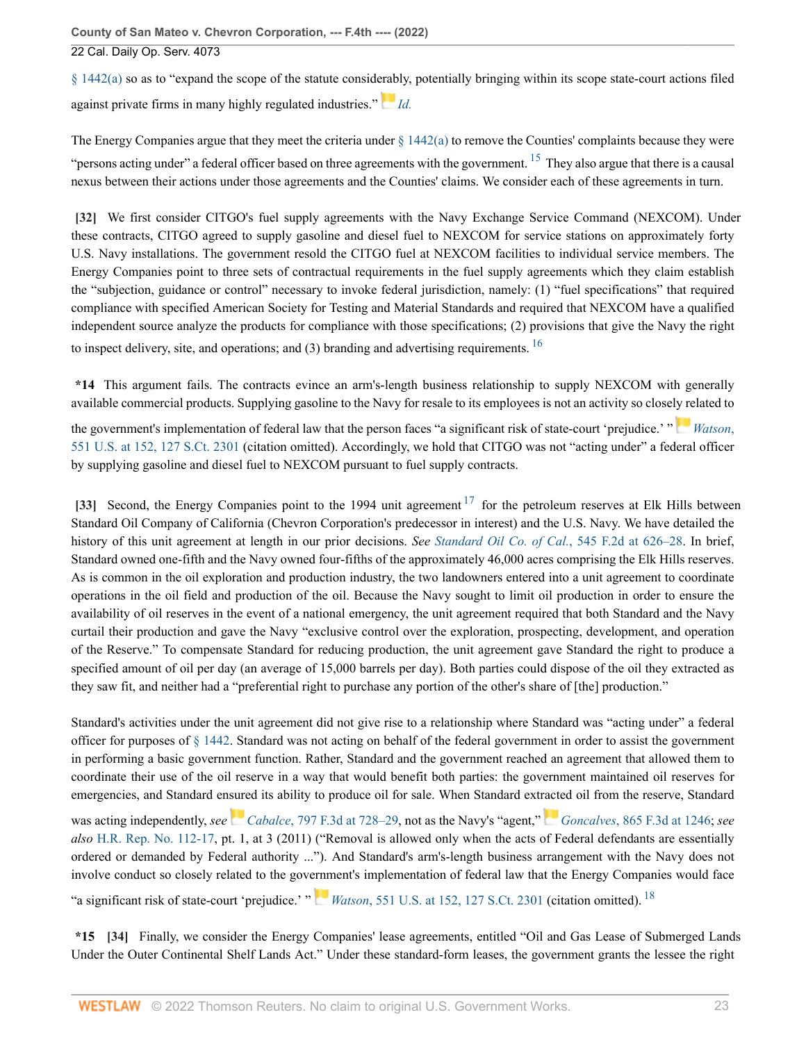[§ 1442\(a\)](http://www.westlaw.com/Link/Document/FullText?findType=L&pubNum=1000546&cite=28USCAS1442&originatingDoc=I13d9d0c0c01911eca998bccac2217b4d&refType=RB&originationContext=document&vr=3.0&rs=cblt1.0&transitionType=DocumentItem&contextData=(sc.Search)#co_pp_8b3b0000958a4) so as to "expand the scope of the statute consid[erab](https://1.next.westlaw.com/Link/RelatedInformation/Flag?documentGuid=I81158945181e11dc9b239dfedc9bb45f&transitionType=InlineKeyCiteFlags&originationContext=docHeaderFlag&Rank=0&ppcid=a9b114f5abe4428c96a100fd82d3083a&contextData=(sc.Search) )ly, potentially bringing within its scope state-court actions filed against private firms in many highly regulated industries." *[Id.](http://www.westlaw.com/Link/Document/FullText?findType=Y&serNum=2012447002&pubNum=0000780&originatingDoc=I13d9d0c0c01911eca998bccac2217b4d&refType=RP&originationContext=document&vr=3.0&rs=cblt1.0&transitionType=DocumentItem&contextData=(sc.Search))*

<span id="page-22-3"></span>The Energy Companies argue that they meet the criteria under  $\S 1442(a)$  to remove the Counties' complaints because they were "persons acting under" a federal officer based on three agreements with the government.<sup>[15](#page-27-8)</sup> They also argue that there is a causal nexus between their actions under those agreements and the Counties' claims. We consider each of these agreements in turn.

<span id="page-22-0"></span>**[\[32\]](#page-6-0)** We first consider CITGO's fuel supply agreements with the Navy Exchange Service Command (NEXCOM). Under these contracts, CITGO agreed to supply gasoline and diesel fuel to NEXCOM for service stations on approximately forty U.S. Navy installations. The government resold the CITGO fuel at NEXCOM facilities to individual service members. The Energy Companies point to three sets of contractual requirements in the fuel supply agreements which they claim establish the "subjection, guidance or control" necessary to invoke federal jurisdiction, namely: (1) "fuel specifications" that required compliance with specified American Society for Testing and Material Standards and required that NEXCOM have a qualified independent source analyze the products for compliance with those specifications; (2) provisions that give the Navy the right to inspect delivery, site, and operations; and  $(3)$  branding and advertising requirements.  $16$ 

<span id="page-22-4"></span>**\*14** This argument fails. The contracts evince an arm's-length business relationship to supply NEXCOM with generally available commercial products. Supplying gasoline to the Navy for resale to its employees is not an activity so closel[y re](https://1.next.westlaw.com/Link/RelatedInformation/Flag?documentGuid=I81158945181e11dc9b239dfedc9bb45f&transitionType=InlineKeyCiteFlags&originationContext=docHeaderFlag&Rank=0&ppcid=a9b114f5abe4428c96a100fd82d3083a&contextData=(sc.Search) )lated to

the government's implementation of federal law that the person faces "a significant risk of state-court 'prejudice.' " *[Watson](http://www.westlaw.com/Link/Document/FullText?findType=Y&serNum=2012447002&pubNum=0000780&originatingDoc=I13d9d0c0c01911eca998bccac2217b4d&refType=RP&fi=co_pp_sp_780_152&originationContext=document&vr=3.0&rs=cblt1.0&transitionType=DocumentItem&contextData=(sc.Search)#co_pp_sp_780_152)*, [551 U.S. at 152, 127 S.Ct. 2301](http://www.westlaw.com/Link/Document/FullText?findType=Y&serNum=2012447002&pubNum=0000780&originatingDoc=I13d9d0c0c01911eca998bccac2217b4d&refType=RP&fi=co_pp_sp_780_152&originationContext=document&vr=3.0&rs=cblt1.0&transitionType=DocumentItem&contextData=(sc.Search)#co_pp_sp_780_152) (citation omitted). Accordingly, we hold that CITGO was not "acting under" a federal officer by supplying gasoline and diesel fuel to NEXCOM pursuant to fuel supply contracts.

<span id="page-22-5"></span><span id="page-22-1"></span>[\[33\]](#page-6-4) Second, the Energy Companies point to the 1994 unit agreement  $17$  for the petroleum reserves at Elk Hills between Standard Oil Company of California (Chevron Corporation's predecessor in interest) and the U.S. Navy. We have detailed the history of this unit agreement at length in our prior decisions. *See [Standard Oil Co. of Cal.](http://www.westlaw.com/Link/Document/FullText?findType=Y&serNum=1976125479&pubNum=0000350&originatingDoc=I13d9d0c0c01911eca998bccac2217b4d&refType=RP&fi=co_pp_sp_350_626&originationContext=document&vr=3.0&rs=cblt1.0&transitionType=DocumentItem&contextData=(sc.Search)#co_pp_sp_350_626)*, 545 F.2d at 626–28. In brief, Standard owned one-fifth and the Navy owned four-fifths of the approximately 46,000 acres comprising the Elk Hills reserves. As is common in the oil exploration and production industry, the two landowners entered into a unit agreement to coordinate operations in the oil field and production of the oil. Because the Navy sought to limit oil production in order to ensure the availability of oil reserves in the event of a national emergency, the unit agreement required that both Standard and the Navy curtail their production and gave the Navy "exclusive control over the exploration, prospecting, development, and operation of the Reserve." To compensate Standard for reducing production, the unit agreement gave Standard the right to produce a specified amount of oil per day (an average of 15,000 barrels per day). Both parties could dispose of the oil they extracted as they saw fit, and neither had a "preferential right to purchase any portion of the other's share of [the] production."

Standard's activities under the unit agreement did not give rise to a relationship where Standard was "acting under" a federal officer for purposes of [§ 1442.](http://www.westlaw.com/Link/Document/FullText?findType=L&pubNum=1000546&cite=28USCAS1442&originatingDoc=I13d9d0c0c01911eca998bccac2217b4d&refType=LQ&originationContext=document&vr=3.0&rs=cblt1.0&transitionType=DocumentItem&contextData=(sc.Search)) Standard was not acting on behalf of the federal government in order to assist the government in performing a basic government function. Rather, Standard and the government reached an agreement that allowed them to coordinate their use of the oil reserve in a way that would benefit both parties: the government maintained oil reserves for emergencies, and Standard ensured its ability to produce oil for sale. When Standard ext[racte](https://1.next.westlaw.com/Link/RelatedInformation/Flag?documentGuid=Ifd74165077bc11e7bb97edaf3db64019&transitionType=InlineKeyCiteFlags&originationContext=docHeaderFlag&Rank=0&ppcid=a9b114f5abe4428c96a100fd82d3083a&contextData=(sc.Search) )d oil from the reserve, Standard

was acting independently, *see [C](https://1.next.westlaw.com/Link/RelatedInformation/Flag?documentGuid=I7659cc6341e911e5b4bafa136b480ad2&transitionType=InlineKeyCiteFlags&originationContext=docHeaderFlag&Rank=0&ppcid=a9b114f5abe4428c96a100fd82d3083a&contextData=(sc.Search) )abalce*[, 797 F.3d at 728–29,](http://www.westlaw.com/Link/Document/FullText?findType=Y&serNum=2036871008&pubNum=0000506&originatingDoc=I13d9d0c0c01911eca998bccac2217b4d&refType=RP&fi=co_pp_sp_506_728&originationContext=document&vr=3.0&rs=cblt1.0&transitionType=DocumentItem&contextData=(sc.Search)#co_pp_sp_506_728) not as the Navy's "agent," *Goncalves*[, 865 F.3d at 1246](http://www.westlaw.com/Link/Document/FullText?findType=Y&serNum=2042293461&pubNum=0000506&originatingDoc=I13d9d0c0c01911eca998bccac2217b4d&refType=RP&fi=co_pp_sp_506_1246&originationContext=document&vr=3.0&rs=cblt1.0&transitionType=DocumentItem&contextData=(sc.Search)#co_pp_sp_506_1246); *see also* [H.R. Rep. No. 112-17,](http://www.westlaw.com/Link/Document/FullText?findType=Y&serNum=0358975970&pubNum=0100014&originatingDoc=I13d9d0c0c01911eca998bccac2217b4d&refType=TV&originationContext=document&vr=3.0&rs=cblt1.0&transitionType=DocumentItem&contextData=(sc.Search)) pt. 1, at 3 (2011) ("Removal is allowed only when the acts of Federal defendants are essentially ordered or demanded by Federal authority ..."). And Standard's arm's-length business arrangement with the Navy does not involve conduct so closely related to the gov[ernm](https://1.next.westlaw.com/Link/RelatedInformation/Flag?documentGuid=I81158945181e11dc9b239dfedc9bb45f&transitionType=InlineKeyCiteFlags&originationContext=docHeaderFlag&Rank=0&ppcid=a9b114f5abe4428c96a100fd82d3083a&contextData=(sc.Search) )ent's implementation of federal law that the Energy Companies would face

<span id="page-22-6"></span>"a significant risk of state-court 'prejudice.' " *Watson*[, 551 U.S. at 152, 127 S.Ct. 2301](http://www.westlaw.com/Link/Document/FullText?findType=Y&serNum=2012447002&pubNum=0000780&originatingDoc=I13d9d0c0c01911eca998bccac2217b4d&refType=RP&fi=co_pp_sp_780_152&originationContext=document&vr=3.0&rs=cblt1.0&transitionType=DocumentItem&contextData=(sc.Search)#co_pp_sp_780_152) (citation omitted). [18](#page-28-2)

<span id="page-22-2"></span>**\*15 [\[34\]](#page-6-5)** Finally, we consider the Energy Companies' lease agreements, entitled "Oil and Gas Lease of Submerged Lands Under the Outer Continental Shelf Lands Act." Under these standard-form leases, the government grants the lessee the right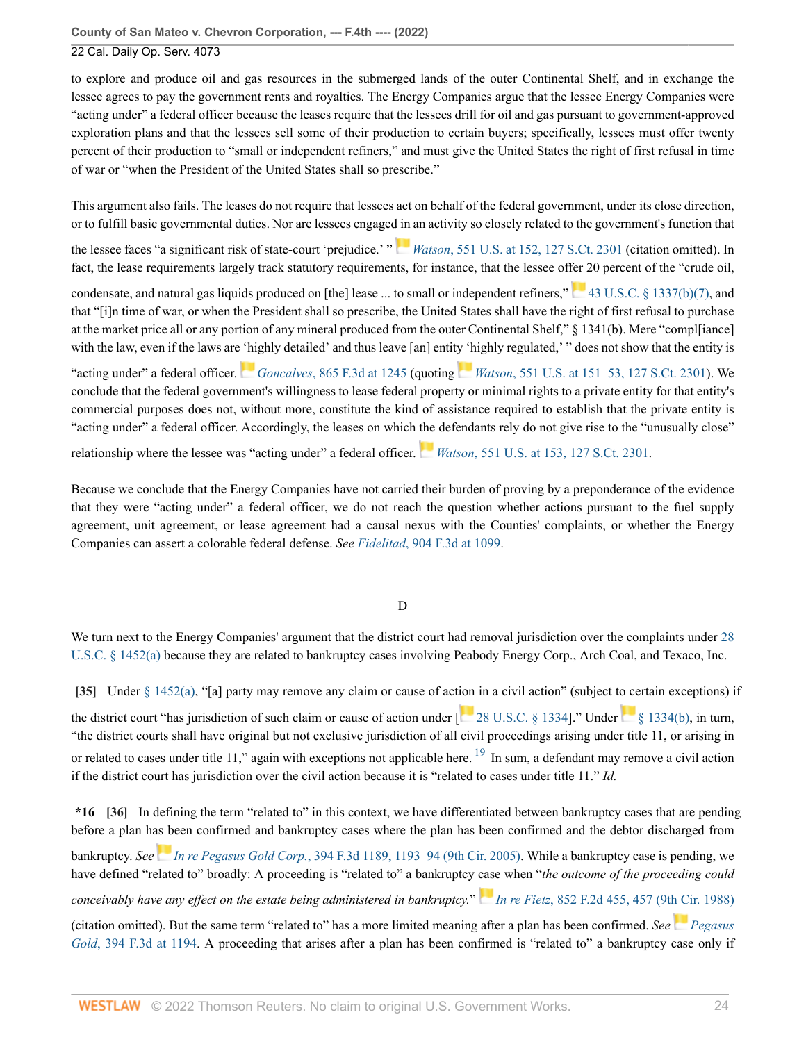to explore and produce oil and gas resources in the submerged lands of the outer Continental Shelf, and in exchange the lessee agrees to pay the government rents and royalties. The Energy Companies argue that the lessee Energy Companies were "acting under" a federal officer because the leases require that the lessees drill for oil and gas pursuant to government-approved exploration plans and that the lessees sell some of their production to certain buyers; specifically, lessees must offer twenty percent of their production to "small or independent refiners," and must give the United States the right of first refusal in time of war or "when the President of the United States shall so prescribe."

This argument also fails. The leases do not require that lessees act on behalf of the federal government, under its close direction, or to fulfill basic governmental duties. Nor are lessees engage[d in](https://1.next.westlaw.com/Link/RelatedInformation/Flag?documentGuid=I81158945181e11dc9b239dfedc9bb45f&transitionType=InlineKeyCiteFlags&originationContext=docHeaderFlag&Rank=0&ppcid=a9b114f5abe4428c96a100fd82d3083a&contextData=(sc.Search) ) an activity so closely related to the government's function that

the lessee faces "a significant risk of state-court 'prejudice.' " *Watson*[, 551 U.S. at 152, 127 S.Ct. 2301](http://www.westlaw.com/Link/Document/FullText?findType=Y&serNum=2012447002&pubNum=0000780&originatingDoc=I13d9d0c0c01911eca998bccac2217b4d&refType=RP&fi=co_pp_sp_780_152&originationContext=document&vr=3.0&rs=cblt1.0&transitionType=DocumentItem&contextData=(sc.Search)#co_pp_sp_780_152) (citation omitted). In fact, the lease requirements largely track statutory requirements, for instance, that the lessee offer 20 percent of the "crude oil,

condensate,and natural gas liquids produced on [the] lease ... to small or independent refiners," [43 U.S.C. § 1337\(b\)\(7\),](http://www.westlaw.com/Link/Document/FullText?findType=L&pubNum=1000546&cite=43USCAS1337&originatingDoc=I13d9d0c0c01911eca998bccac2217b4d&refType=RB&originationContext=document&vr=3.0&rs=cblt1.0&transitionType=DocumentItem&contextData=(sc.Search)#co_pp_d4550000b17c3) and that "[i]n time of war, or when the President shall so prescribe, the United States shall have the right of first refusal to purchase at the market price all or any portion of any mineral produced from the outer Continental Shelf," § 1341(b). Mere "compl[iance] with the law, even if the laws are ['hi](https://1.next.westlaw.com/Link/RelatedInformation/Flag?documentGuid=Ifd74165077bc11e7bb97edaf3db64019&transitionType=InlineKeyCiteFlags&originationContext=docHeaderFlag&Rank=0&ppcid=a9b114f5abe4428c96a100fd82d3083a&contextData=(sc.Search) )ghly detailed' and thus leave [an] entit[y 'h](https://1.next.westlaw.com/Link/RelatedInformation/Flag?documentGuid=I81158945181e11dc9b239dfedc9bb45f&transitionType=InlineKeyCiteFlags&originationContext=docHeaderFlag&Rank=0&ppcid=a9b114f5abe4428c96a100fd82d3083a&contextData=(sc.Search) )ighly regulated,' " does not show that the entity is

"acting under" a federal officer. *Goncalves*[, 865 F.3d at 1245](http://www.westlaw.com/Link/Document/FullText?findType=Y&serNum=2042293461&pubNum=0000506&originatingDoc=I13d9d0c0c01911eca998bccac2217b4d&refType=RP&fi=co_pp_sp_506_1245&originationContext=document&vr=3.0&rs=cblt1.0&transitionType=DocumentItem&contextData=(sc.Search)#co_pp_sp_506_1245) (quoting *Watson*[, 551 U.S. at 151–53, 127 S.Ct. 2301\)](http://www.westlaw.com/Link/Document/FullText?findType=Y&serNum=2012447002&pubNum=0000780&originatingDoc=I13d9d0c0c01911eca998bccac2217b4d&refType=RP&fi=co_pp_sp_780_151&originationContext=document&vr=3.0&rs=cblt1.0&transitionType=DocumentItem&contextData=(sc.Search)#co_pp_sp_780_151). We conclude that the federal government's willingness to lease federal property or minimal rights to a private entity for that entity's commercial purposes does not, without more, constitute the kind of assistance required to establish that the private entity is "acting under" a federal officer. Accordingly, the leases on which [the](https://1.next.westlaw.com/Link/RelatedInformation/Flag?documentGuid=I81158945181e11dc9b239dfedc9bb45f&transitionType=InlineKeyCiteFlags&originationContext=docHeaderFlag&Rank=0&ppcid=a9b114f5abe4428c96a100fd82d3083a&contextData=(sc.Search) ) defendants rely do not give rise to the "unusually close"

relationship where the lessee was "acting under" a federal officer. *Watson*[, 551 U.S. at 153, 127 S.Ct. 2301](http://www.westlaw.com/Link/Document/FullText?findType=Y&serNum=2012447002&pubNum=0000780&originatingDoc=I13d9d0c0c01911eca998bccac2217b4d&refType=RP&fi=co_pp_sp_780_153&originationContext=document&vr=3.0&rs=cblt1.0&transitionType=DocumentItem&contextData=(sc.Search)#co_pp_sp_780_153).

Because we conclude that the Energy Companies have not carried their burden of proving by a preponderance of the evidence that they were "acting under" a federal officer, we do not reach the question whether actions pursuant to the fuel supply agreement, unit agreement, or lease agreement had a causal nexus with the Counties' complaints, or whether the Energy Companies can assert a colorable federal defense. *See Fidelitad*[, 904 F.3d at 1099](http://www.westlaw.com/Link/Document/FullText?findType=Y&serNum=2045573059&pubNum=0000506&originatingDoc=I13d9d0c0c01911eca998bccac2217b4d&refType=RP&fi=co_pp_sp_506_1099&originationContext=document&vr=3.0&rs=cblt1.0&transitionType=DocumentItem&contextData=(sc.Search)#co_pp_sp_506_1099).

<span id="page-23-2"></span>D

We turn next to the Energy Companies' argument that the district court had removal jurisdiction over the complaints under [28](http://www.westlaw.com/Link/Document/FullText?findType=L&pubNum=1000546&cite=28USCAS1452&originatingDoc=I13d9d0c0c01911eca998bccac2217b4d&refType=RB&originationContext=document&vr=3.0&rs=cblt1.0&transitionType=DocumentItem&contextData=(sc.Search)#co_pp_8b3b0000958a4) [U.S.C. § 1452\(a\)](http://www.westlaw.com/Link/Document/FullText?findType=L&pubNum=1000546&cite=28USCAS1452&originatingDoc=I13d9d0c0c01911eca998bccac2217b4d&refType=RB&originationContext=document&vr=3.0&rs=cblt1.0&transitionType=DocumentItem&contextData=(sc.Search)#co_pp_8b3b0000958a4) because they are related to bankruptcy cases involving Peabody Energy Corp., Arch Coal, and Texaco, Inc.

<span id="page-23-0"></span>**[\[35\]](#page-7-1)** Under [§ 1452\(a\)](http://www.westlaw.com/Link/Document/FullText?findType=L&pubNum=1000546&cite=28USCAS1452&originatingDoc=I13d9d0c0c01911eca998bccac2217b4d&refType=RB&originationContext=document&vr=3.0&rs=cblt1.0&transitionType=DocumentItem&contextData=(sc.Search)#co_pp_8b3b0000958a4), "[a] party may remove any claim or cause of act[ion](https://1.next.westlaw.com/Link/RelatedInformation/Flag?documentGuid=NF9DE2F00198A11DA859BCD030BBEEB74&transitionType=InlineKeyCiteFlags&originationContext=docHeaderFlag&Rank=0&ppcid=a9b114f5abe4428c96a100fd82d3083a&contextData=(sc.Search) ) in a civil action" (subject to certain exceptions) if

the district court "has jurisdiction of such claim or cause of action under  $\lceil 28 \text{ U.S.C.} \rceil \rceil$  [28 U.S.C. § 1334\]](http://www.westlaw.com/Link/Document/FullText?findType=L&pubNum=1000546&cite=28USCAS1334&originatingDoc=I13d9d0c0c01911eca998bccac2217b4d&refType=LQ&originationContext=document&vr=3.0&rs=cblt1.0&transitionType=DocumentItem&contextData=(sc.Search))." Under  $\lceil \rceil$  [§ 1334\(b\),](http://www.westlaw.com/Link/Document/FullText?findType=L&pubNum=1000546&cite=28USCAS1334&originatingDoc=I13d9d0c0c01911eca998bccac2217b4d&refType=RB&originationContext=document&vr=3.0&rs=cblt1.0&transitionType=DocumentItem&contextData=(sc.Search)#co_pp_a83b000018c76) in turn, "the district courts shall have original but not exclusive jurisdiction of all civil proceedings arising under title 11, or arising in or related to cases under title 11," again with exceptions not applicable here.  $^{19}$  $^{19}$  $^{19}$  In sum, a defendant may remove a civil action if the district court has jurisdiction over the civil action because it is "related to cases under title 11." *Id.*

<span id="page-23-1"></span>**\*16 [\[36\]](#page-7-2)** In defining the term "related to" in this context, we have differentiated between bankruptcy cases that are pending before a plan has been confirmed and bankruptcy cases where the plan has been confirmed and the debtor discharged from bankruptcy. *SeeIn re Pegasus Gold Corp.*[, 394 F.3d 1189, 1193–94 \(9th Cir. 2005\)](http://www.westlaw.com/Link/Document/FullText?findType=Y&serNum=2005966811&pubNum=0000506&originatingDoc=I13d9d0c0c01911eca998bccac2217b4d&refType=RP&fi=co_pp_sp_506_1193&originationContext=document&vr=3.0&rs=cblt1.0&transitionType=DocumentItem&contextData=(sc.Search)#co_pp_sp_506_1193). While a bankruptcy case is pending, we have defined "related to" broadly: A proceeding is "related to" a bankruptcy [case](https://1.next.westlaw.com/Link/RelatedInformation/Flag?documentGuid=Ia30a9c5b95ae11d9bc61beebb95be672&transitionType=InlineKeyCiteFlags&originationContext=docHeaderFlag&Rank=0&ppcid=a9b114f5abe4428c96a100fd82d3083a&contextData=(sc.Search) ) when "*the outcome of the proceeding could conceivably have any effect on the estate being administered in bankruptcy.*" *In re Fietz*[, 852 F.2d 455, 457 \(9th Cir. 1988\)](http://www.westlaw.com/Link/Document/FullText?findType=Y&serNum=1988094495&pubNum=0000350&originatingDoc=I13d9d0c0c01911eca998bccac2217b4d&refType=RP&fi=co_pp_sp_350_457&originationContext=document&vr=3.0&rs=cblt1.0&transitionType=DocumentItem&contextData=(sc.Search)#co_pp_sp_350_457)

(citation omitted). But the same term "related to" has a more limited meaning after a plan has been confirmed. *See[Pegasus](http://www.westlaw.com/Link/Document/FullText?findType=Y&serNum=2005966811&pubNum=0000506&originatingDoc=I13d9d0c0c01911eca998bccac2217b4d&refType=RP&fi=co_pp_sp_506_1194&originationContext=document&vr=3.0&rs=cblt1.0&transitionType=DocumentItem&contextData=(sc.Search)#co_pp_sp_506_1194) Gold*[, 394 F.3d at 1194](http://www.westlaw.com/Link/Document/FullText?findType=Y&serNum=2005966811&pubNum=0000506&originatingDoc=I13d9d0c0c01911eca998bccac2217b4d&refType=RP&fi=co_pp_sp_506_1194&originationContext=document&vr=3.0&rs=cblt1.0&transitionType=DocumentItem&contextData=(sc.Search)#co_pp_sp_506_1194). A proceeding that arises after a plan has been confirmed is "related to" a bankruptcy case only if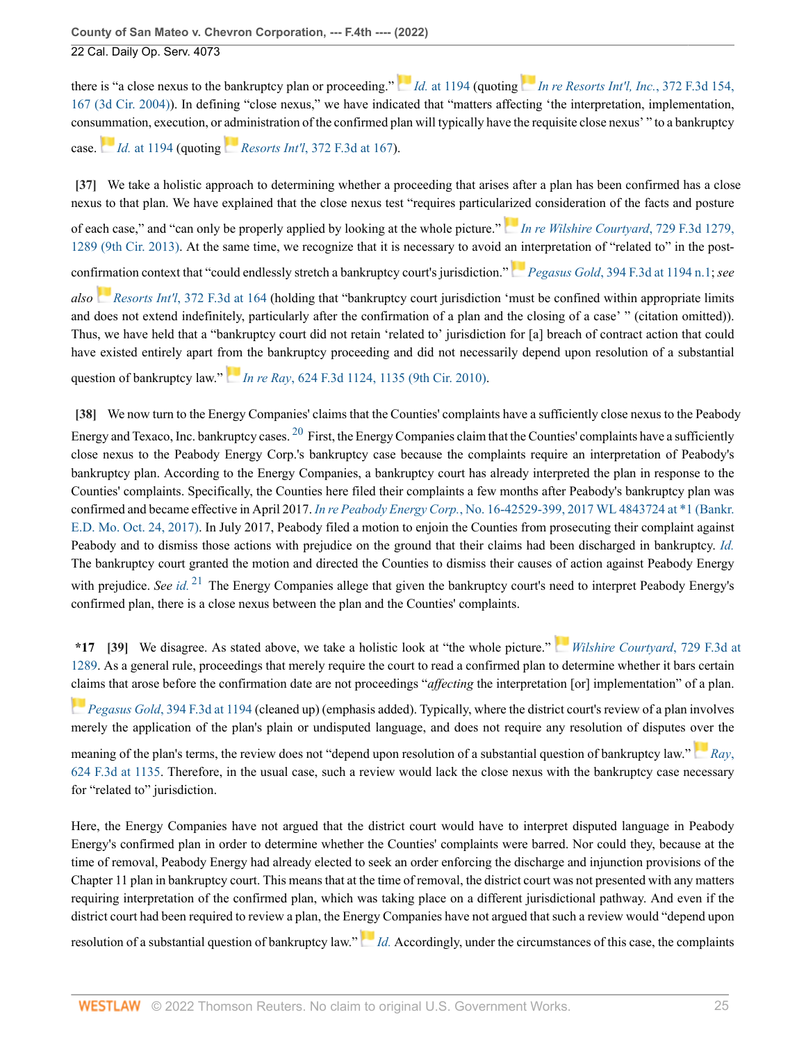there is "a close nexus to the bankruptcy plan or proceeding." *[I](https://1.next.westlaw.com/Link/RelatedInformation/Flag?documentGuid=I5e270ac179ec11d99c4dbb2f0352441d&transitionType=InlineKeyCiteFlags&originationContext=docHeaderFlag&Rank=0&ppcid=a9b114f5abe4428c96a100fd82d3083a&contextData=(sc.Search) )d.* [at 1194](http://www.westlaw.com/Link/Document/FullText?findType=Y&serNum=2005966811&pubNum=0000506&originatingDoc=I13d9d0c0c01911eca998bccac2217b4d&refType=RP&fi=co_pp_sp_506_1194&originationContext=document&vr=3.0&rs=cblt1.0&transitionType=DocumentItem&contextData=(sc.Search)#co_pp_sp_506_1194) (quoting *[In re Resorts Int'l, Inc.](http://www.westlaw.com/Link/Document/FullText?findType=Y&serNum=2004615996&pubNum=0000506&originatingDoc=I13d9d0c0c01911eca998bccac2217b4d&refType=RP&fi=co_pp_sp_506_167&originationContext=document&vr=3.0&rs=cblt1.0&transitionType=DocumentItem&contextData=(sc.Search)#co_pp_sp_506_167)*, 372 F.3d 154, [167 \(3d Cir. 2004\)](http://www.westlaw.com/Link/Document/FullText?findType=Y&serNum=2004615996&pubNum=0000506&originatingDoc=I13d9d0c0c01911eca998bccac2217b4d&refType=RP&fi=co_pp_sp_506_167&originationContext=document&vr=3.0&rs=cblt1.0&transitionType=DocumentItem&contextData=(sc.Search)#co_pp_sp_506_167)). In defining "close nexus," we have indicated that "matters affecting 'the interpretation, implementation, cons[umm](https://1.next.westlaw.com/Link/RelatedInformation/Flag?documentGuid=I5e270ac179ec11d99c4dbb2f0352441d&transitionType=InlineKeyCiteFlags&originationContext=docHeaderFlag&Rank=0&ppcid=a9b114f5abe4428c96a100fd82d3083a&contextData=(sc.Search) )ation, execution, or [adm](https://1.next.westlaw.com/Link/RelatedInformation/Flag?documentGuid=Ibe96fc8c8b9e11d99dcc8cc3e68b51e9&transitionType=InlineKeyCiteFlags&originationContext=docHeaderFlag&Rank=0&ppcid=a9b114f5abe4428c96a100fd82d3083a&contextData=(sc.Search) )inistration of the confirmed plan will typically have the requisite close nexus' " to a bankruptcy case. *Id.* [at 1194](http://www.westlaw.com/Link/Document/FullText?findType=Y&serNum=2005966811&pubNum=0000506&originatingDoc=I13d9d0c0c01911eca998bccac2217b4d&refType=RP&fi=co_pp_sp_506_1194&originationContext=document&vr=3.0&rs=cblt1.0&transitionType=DocumentItem&contextData=(sc.Search)#co_pp_sp_506_1194) (quoting *Resorts Int'l*[, 372 F.3d at 167\)](http://www.westlaw.com/Link/Document/FullText?findType=Y&serNum=2004615996&pubNum=0000506&originatingDoc=I13d9d0c0c01911eca998bccac2217b4d&refType=RP&fi=co_pp_sp_506_167&originationContext=document&vr=3.0&rs=cblt1.0&transitionType=DocumentItem&contextData=(sc.Search)#co_pp_sp_506_167).

<span id="page-24-0"></span>**[\[37\]](#page-7-3)** We take a holistic approach to determining whether a proceeding that arises after a plan has been confirmed has a close nexus to that plan. We have explained that the close nexus test "requires particul[arize](https://1.next.westlaw.com/Link/RelatedInformation/Flag?documentGuid=I79bd0ac11a4311e3a555d241dae65084&transitionType=InlineKeyCiteFlags&originationContext=docHeaderFlag&Rank=0&ppcid=a9b114f5abe4428c96a100fd82d3083a&contextData=(sc.Search) )d consideration of the facts and posture

of each case," and "can only be properly applied by looking at the whole picture." *[In re Wilshire Courtyard](http://www.westlaw.com/Link/Document/FullText?findType=Y&serNum=2031508372&pubNum=0000506&originatingDoc=I13d9d0c0c01911eca998bccac2217b4d&refType=RP&fi=co_pp_sp_506_1289&originationContext=document&vr=3.0&rs=cblt1.0&transitionType=DocumentItem&contextData=(sc.Search)#co_pp_sp_506_1289)*, 729 F.3d 1279, [1289 \(9th Cir. 2013\)](http://www.westlaw.com/Link/Document/FullText?findType=Y&serNum=2031508372&pubNum=0000506&originatingDoc=I13d9d0c0c01911eca998bccac2217b4d&refType=RP&fi=co_pp_sp_506_1289&originationContext=document&vr=3.0&rs=cblt1.0&transitionType=DocumentItem&contextData=(sc.Search)#co_pp_sp_506_1289). At the same time, we recognize that it is necessary to avoid [an in](https://1.next.westlaw.com/Link/RelatedInformation/Flag?documentGuid=I5e270ac179ec11d99c4dbb2f0352441d&transitionType=InlineKeyCiteFlags&originationContext=docHeaderFlag&Rank=0&ppcid=a9b114f5abe4428c96a100fd82d3083a&contextData=(sc.Search) )terpretation of "related to" in the post-

confirmation context that "could endlessly stretch a bankruptcy court's jurisdiction." *Pegasus Gold*[, 394 F.3d at 1194 n.1](http://www.westlaw.com/Link/Document/FullText?findType=Y&serNum=2005966811&pubNum=0000506&originatingDoc=I13d9d0c0c01911eca998bccac2217b4d&refType=RP&fi=co_pp_sp_506_1194&originationContext=document&vr=3.0&rs=cblt1.0&transitionType=DocumentItem&contextData=(sc.Search)#co_pp_sp_506_1194); *see*

*alsoResorts Int'l*[, 372 F.3d at 164](http://www.westlaw.com/Link/Document/FullText?findType=Y&serNum=2004615996&pubNum=0000506&originatingDoc=I13d9d0c0c01911eca998bccac2217b4d&refType=RP&fi=co_pp_sp_506_164&originationContext=document&vr=3.0&rs=cblt1.0&transitionType=DocumentItem&contextData=(sc.Search)#co_pp_sp_506_164) (holding that "bankruptcy court jurisdiction 'must be confined within appropriate limits and does not extend indefinitely, particularly after the confirmation of a plan and the closing of a case' " (citation omitted)). Thus, we have held that a "bankruptcy court did not retain 'related to' jurisdiction for [a] breach of contract action that could have existed entirely apart fr[om](https://1.next.westlaw.com/Link/RelatedInformation/Flag?documentGuid=I8b6bbf74e06411df8228ac372eb82649&transitionType=InlineKeyCiteFlags&originationContext=docHeaderFlag&Rank=0&ppcid=a9b114f5abe4428c96a100fd82d3083a&contextData=(sc.Search) ) the bankruptcy proceeding and did not necessarily depend upon resolution of a substantial

question of bankruptcy law." *In re Ray*[, 624 F.3d 1124, 1135 \(9th Cir. 2010\).](http://www.westlaw.com/Link/Document/FullText?findType=Y&serNum=2023458625&pubNum=0000506&originatingDoc=I13d9d0c0c01911eca998bccac2217b4d&refType=RP&fi=co_pp_sp_506_1135&originationContext=document&vr=3.0&rs=cblt1.0&transitionType=DocumentItem&contextData=(sc.Search)#co_pp_sp_506_1135)

<span id="page-24-3"></span><span id="page-24-1"></span>**[\[38\]](#page-7-0)** We now turn to the Energy Companies' claims that the Counties' complaints have a sufficiently close nexus to the Peabody Energy and Texaco, Inc. bankruptcy cases.  $^{20}$  $^{20}$  $^{20}$  First, the Energy Companies claim that the Counties' complaints have a sufficiently close nexus to the Peabody Energy Corp.'s bankruptcy case because the complaints require an interpretation of Peabody's bankruptcy plan. According to the Energy Companies, a bankruptcy court has already interpreted the plan in response to the Counties' complaints. Specifically, the Counties here filed their complaints a few months after Peabody's bankruptcy plan was confirmed and became effective in April 2017. *In re Peabody Energy Corp.*[, No. 16-42529-399, 2017 WL 4843724 at \\*1 \(Bankr.](http://www.westlaw.com/Link/Document/FullText?findType=Y&serNum=2042970719&pubNum=0000999&originatingDoc=I13d9d0c0c01911eca998bccac2217b4d&refType=RP&fi=co_pp_sp_999_1&originationContext=document&vr=3.0&rs=cblt1.0&transitionType=DocumentItem&contextData=(sc.Search)#co_pp_sp_999_1) [E.D. Mo. Oct. 24, 2017\)](http://www.westlaw.com/Link/Document/FullText?findType=Y&serNum=2042970719&pubNum=0000999&originatingDoc=I13d9d0c0c01911eca998bccac2217b4d&refType=RP&fi=co_pp_sp_999_1&originationContext=document&vr=3.0&rs=cblt1.0&transitionType=DocumentItem&contextData=(sc.Search)#co_pp_sp_999_1). In July 2017, Peabody filed a motion to enjoin the Counties from prosecuting their complaint against Peabody and to dismiss those actions with prejudice on the ground that their claims had been discharged in bankruptcy. *[Id.](http://www.westlaw.com/Link/Document/FullText?findType=Y&serNum=2042970719&pubNum=0000999&originatingDoc=I13d9d0c0c01911eca998bccac2217b4d&refType=RP&originationContext=document&vr=3.0&rs=cblt1.0&transitionType=DocumentItem&contextData=(sc.Search))* The bankruptcy court granted the motion and directed the Counties to dismiss their causes of action against Peabody Energy with prejudice. *See [id.](http://www.westlaw.com/Link/Document/FullText?findType=Y&serNum=2042970719&pubNum=0000999&originatingDoc=I13d9d0c0c01911eca998bccac2217b4d&refType=RP&originationContext=document&vr=3.0&rs=cblt1.0&transitionType=DocumentItem&contextData=(sc.Search))* <sup>[21](#page-28-5)</sup> The Energy Companies allege that given the bankruptcy court's need to interpret Peabody Energy's confirmed plan, there is a close nexus between the plan and the Counties' complaints.

<span id="page-24-4"></span><span id="page-24-2"></span>**\*17 [\[39\]](#page-7-4)** We disagree. As stated above, we take a holistic look at "the whole picture." *[Wilshire Courtyard](http://www.westlaw.com/Link/Document/FullText?findType=Y&serNum=2031508372&pubNum=0000506&originatingDoc=I13d9d0c0c01911eca998bccac2217b4d&refType=RP&fi=co_pp_sp_506_1289&originationContext=document&vr=3.0&rs=cblt1.0&transitionType=DocumentItem&contextData=(sc.Search)#co_pp_sp_506_1289)*, 729 F.3d at [1289](http://www.westlaw.com/Link/Document/FullText?findType=Y&serNum=2031508372&pubNum=0000506&originatingDoc=I13d9d0c0c01911eca998bccac2217b4d&refType=RP&fi=co_pp_sp_506_1289&originationContext=document&vr=3.0&rs=cblt1.0&transitionType=DocumentItem&contextData=(sc.Search)#co_pp_sp_506_1289). As a general rule, proceedings that merely require the court to read a confirmed plan to determine whether it bars certain [clai](https://1.next.westlaw.com/Link/RelatedInformation/Flag?documentGuid=I5e270ac179ec11d99c4dbb2f0352441d&transitionType=InlineKeyCiteFlags&originationContext=docHeaderFlag&Rank=0&ppcid=a9b114f5abe4428c96a100fd82d3083a&contextData=(sc.Search) )ms that arose before the confirmation date are not proceedings "*affecting* the interpretation [or] implementation" of a plan.

*Pegasus Gold*[, 394 F.3d at 1194](http://www.westlaw.com/Link/Document/FullText?findType=Y&serNum=2005966811&pubNum=0000506&originatingDoc=I13d9d0c0c01911eca998bccac2217b4d&refType=RP&fi=co_pp_sp_506_1194&originationContext=document&vr=3.0&rs=cblt1.0&transitionType=DocumentItem&contextData=(sc.Search)#co_pp_sp_506_1194) (cleaned up) (emphasis added). Typically, where the district court's review of a plan involves merely the application of the plan's plain or undisputed language, and does not require any resolution of disputes [over](https://1.next.westlaw.com/Link/RelatedInformation/Flag?documentGuid=I8b6bbf74e06411df8228ac372eb82649&transitionType=InlineKeyCiteFlags&originationContext=docHeaderFlag&Rank=0&ppcid=a9b114f5abe4428c96a100fd82d3083a&contextData=(sc.Search) ) the

meaning of the plan's terms, the review does not "depend upon resolution of a substantial question of bankruptcy law." *[Ray](http://www.westlaw.com/Link/Document/FullText?findType=Y&serNum=2023458625&pubNum=0000506&originatingDoc=I13d9d0c0c01911eca998bccac2217b4d&refType=RP&fi=co_pp_sp_506_1135&originationContext=document&vr=3.0&rs=cblt1.0&transitionType=DocumentItem&contextData=(sc.Search)#co_pp_sp_506_1135)*, [624 F.3d at 1135.](http://www.westlaw.com/Link/Document/FullText?findType=Y&serNum=2023458625&pubNum=0000506&originatingDoc=I13d9d0c0c01911eca998bccac2217b4d&refType=RP&fi=co_pp_sp_506_1135&originationContext=document&vr=3.0&rs=cblt1.0&transitionType=DocumentItem&contextData=(sc.Search)#co_pp_sp_506_1135) Therefore, in the usual case, such a review would lack the close nexus with the bankruptcy case necessary for "related to" jurisdiction.

Here, the Energy Companies have not argued that the district court would have to interpret disputed language in Peabody Energy's confirmed plan in order to determine whether the Counties' complaints were barred. Nor could they, because at the time of removal, Peabody Energy had already elected to seek an order enforcing the discharge and injunction provisions of the Chapter 11 plan in bankruptcy court. This means that at the time of removal, the district court was not presented with any matters requiring interpretation of the confirmed plan, which was taking place on a different jurisdictional pathway. And even if the district court had been required to review a plan, the En[ergy](https://1.next.westlaw.com/Link/RelatedInformation/Flag?documentGuid=I8b6bbf74e06411df8228ac372eb82649&transitionType=InlineKeyCiteFlags&originationContext=docHeaderFlag&Rank=0&ppcid=a9b114f5abe4428c96a100fd82d3083a&contextData=(sc.Search) ) Companies have not argued that such a review would "depend upon

resolution of a substantial question of bankruptcy law." *[Id.](http://www.westlaw.com/Link/Document/FullText?findType=Y&serNum=2023458625&pubNum=0000506&originatingDoc=I13d9d0c0c01911eca998bccac2217b4d&refType=RP&originationContext=document&vr=3.0&rs=cblt1.0&transitionType=DocumentItem&contextData=(sc.Search))* Accordingly, under the circumstances of this case, the complaints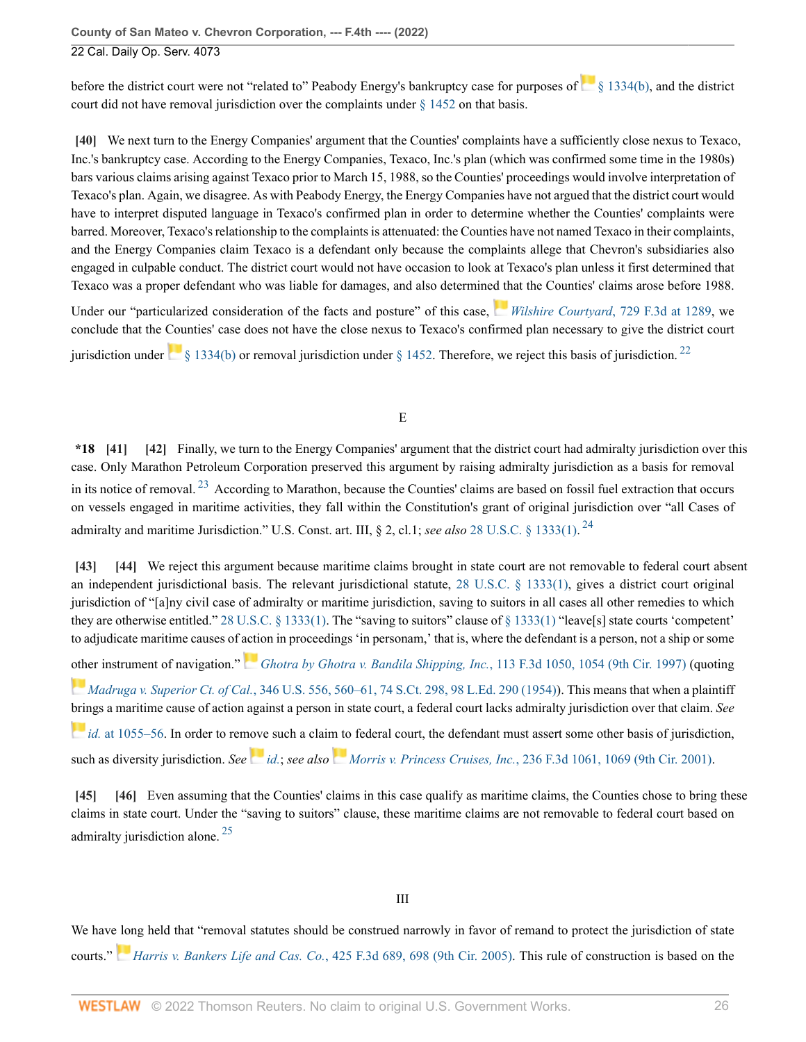beforethe district court were not "related to" Peabody Energy's bankruptcy case for purposes of [§ 1334\(b\)](http://www.westlaw.com/Link/Document/FullText?findType=L&pubNum=1000546&cite=28USCAS1334&originatingDoc=I13d9d0c0c01911eca998bccac2217b4d&refType=RB&originationContext=document&vr=3.0&rs=cblt1.0&transitionType=DocumentItem&contextData=(sc.Search)#co_pp_a83b000018c76), and the district court did not have removal jurisdiction over the complaints under  $\&$  1452 on that basis.

<span id="page-25-0"></span>**[\[40\]](#page-7-5)** We next turn to the Energy Companies' argument that the Counties' complaints have a sufficiently close nexus to Texaco, Inc.'s bankruptcy case. According to the Energy Companies, Texaco, Inc.'s plan (which was confirmed some time in the 1980s) bars various claims arising against Texaco prior to March 15, 1988, so the Counties' proceedings would involve interpretation of Texaco's plan. Again, we disagree. As with Peabody Energy, the Energy Companies have not argued that the district court would have to interpret disputed language in Texaco's confirmed plan in order to determine whether the Counties' complaints were barred. Moreover, Texaco's relationship to the complaints is attenuated: the Counties have not named Texaco in their complaints, and the Energy Companies claim Texaco is a defendant only because the complaints allege that Chevron's subsidiaries also engaged in culpable conduct. The district court would not have occasion to look at Texaco's plan unless it first determined that Texaco was a proper defendant who was liable for damages, and also determine[d th](https://1.next.westlaw.com/Link/RelatedInformation/Flag?documentGuid=I79bd0ac11a4311e3a555d241dae65084&transitionType=InlineKeyCiteFlags&originationContext=docHeaderFlag&Rank=0&ppcid=a9b114f5abe4428c96a100fd82d3083a&contextData=(sc.Search) )at the Counties' claims arose before 1988.

Under our "particularized consideration of the facts and posture" of this case, *[Wilshire Courtyard](http://www.westlaw.com/Link/Document/FullText?findType=Y&serNum=2031508372&pubNum=0000506&originatingDoc=I13d9d0c0c01911eca998bccac2217b4d&refType=RP&fi=co_pp_sp_506_1289&originationContext=document&vr=3.0&rs=cblt1.0&transitionType=DocumentItem&contextData=(sc.Search)#co_pp_sp_506_1289)*, 729 F.3d at 1289, we conclude that the Counties' case does not have the close nexus to Texaco's confirmed plan necessary to give the district court jurisdictionunder  $\frac{8}{1334(b)}$  or removal jurisdiction under [§ 1452](http://www.westlaw.com/Link/Document/FullText?findType=L&pubNum=1000546&cite=28USCAS1452&originatingDoc=I13d9d0c0c01911eca998bccac2217b4d&refType=LQ&originationContext=document&vr=3.0&rs=cblt1.0&transitionType=DocumentItem&contextData=(sc.Search)). Therefore, we reject this basis of jurisdiction. <sup>[22](#page-28-6)</sup>

#### <span id="page-25-9"></span><span id="page-25-7"></span>E

<span id="page-25-8"></span><span id="page-25-2"></span><span id="page-25-1"></span>**\*18 [\[41\]](#page-8-1) [\[42\]](#page-8-2)** Finally, we turn to the Energy Companies' argument that the district court had admiralty jurisdiction over this case. Only Marathon Petroleum Corporation preserved this argument by raising admiralty jurisdiction as a basis for removal in its notice of removal. [23](#page-28-7) According to Marathon, because the Counties' claims are based on fossil fuel extraction that occurs on vessels engaged in maritime activities, they fall within the Constitution's grant of original jurisdiction over "all Cases of admiralty and maritime Jurisdiction." U.S. Const. art. III, § 2, cl.1; *see also* [28 U.S.C. § 1333\(1\)](http://www.westlaw.com/Link/Document/FullText?findType=L&pubNum=1000546&cite=28USCAS1333&originatingDoc=I13d9d0c0c01911eca998bccac2217b4d&refType=RB&originationContext=document&vr=3.0&rs=cblt1.0&transitionType=DocumentItem&contextData=(sc.Search)#co_pp_f1c50000821b0).<sup>[24](#page-29-0)</sup>

<span id="page-25-4"></span><span id="page-25-3"></span>**[\[43\]](#page-8-3) [\[44\]](#page-8-4)** We reject this argument because maritime claims brought in state court are not removable to federal court absent an independent jurisdictional basis. The relevant jurisdictional statute, [28 U.S.C. § 1333\(1\),](http://www.westlaw.com/Link/Document/FullText?findType=L&pubNum=1000546&cite=28USCAS1333&originatingDoc=I13d9d0c0c01911eca998bccac2217b4d&refType=RB&originationContext=document&vr=3.0&rs=cblt1.0&transitionType=DocumentItem&contextData=(sc.Search)#co_pp_f1c50000821b0) gives a district court original jurisdiction of "[a]ny civil case of admiralty or maritime jurisdiction, saving to suitors in all cases all other remedies to which they are otherwise entitled." [28 U.S.C. § 1333\(1\).](http://www.westlaw.com/Link/Document/FullText?findType=L&pubNum=1000546&cite=28USCAS1333&originatingDoc=I13d9d0c0c01911eca998bccac2217b4d&refType=RB&originationContext=document&vr=3.0&rs=cblt1.0&transitionType=DocumentItem&contextData=(sc.Search)#co_pp_f1c50000821b0) The "saving to suitors" clause of [§ 1333\(1\)](http://www.westlaw.com/Link/Document/FullText?findType=L&pubNum=1000546&cite=28USCAS1333&originatingDoc=I13d9d0c0c01911eca998bccac2217b4d&refType=RB&originationContext=document&vr=3.0&rs=cblt1.0&transitionType=DocumentItem&contextData=(sc.Search)#co_pp_f1c50000821b0) "leave[s] state courts 'competent' to adjudicate maritime causes of [actio](https://1.next.westlaw.com/Link/RelatedInformation/Flag?documentGuid=I0c2a6e16941d11d9bdd1cfdd544ca3a4&transitionType=InlineKeyCiteFlags&originationContext=docHeaderFlag&Rank=0&ppcid=a9b114f5abe4428c96a100fd82d3083a&contextData=(sc.Search) )n in proceedings 'in personam,' that is, where the defendant is a person, not a ship or some

[othe](https://1.next.westlaw.com/Link/RelatedInformation/Flag?documentGuid=Id8e9842a9c1c11d993e6d35cc61aab4a&transitionType=InlineKeyCiteFlags&originationContext=docHeaderFlag&Rank=0&ppcid=a9b114f5abe4428c96a100fd82d3083a&contextData=(sc.Search) )r instrument of navigation." *[Ghotra by Ghotra v. Bandila Shipping, Inc.](http://www.westlaw.com/Link/Document/FullText?findType=Y&serNum=1997108805&pubNum=0000506&originatingDoc=I13d9d0c0c01911eca998bccac2217b4d&refType=RP&fi=co_pp_sp_506_1054&originationContext=document&vr=3.0&rs=cblt1.0&transitionType=DocumentItem&contextData=(sc.Search)#co_pp_sp_506_1054)*, 113 F.3d 1050, 1054 (9th Cir. 1997) (quoting

*Madruga v. Superior Ct. of Cal.*[, 346 U.S. 556, 560–61, 74 S.Ct. 298, 98 L.Ed. 290 \(1954\)\)](http://www.westlaw.com/Link/Document/FullText?findType=Y&serNum=1954121937&pubNum=0000780&originatingDoc=I13d9d0c0c01911eca998bccac2217b4d&refType=RP&fi=co_pp_sp_780_560&originationContext=document&vr=3.0&rs=cblt1.0&transitionType=DocumentItem&contextData=(sc.Search)#co_pp_sp_780_560). This means that when a plaintiff [brin](https://1.next.westlaw.com/Link/RelatedInformation/Flag?documentGuid=I0c2a6e16941d11d9bdd1cfdd544ca3a4&transitionType=InlineKeyCiteFlags&originationContext=docHeaderFlag&Rank=0&ppcid=a9b114f5abe4428c96a100fd82d3083a&contextData=(sc.Search) )gs a maritime cause of action against a person in state court, a federal court lacks admiralty jurisdiction over that claim. *See id.* [at 1055–56](http://www.westlaw.com/Link/Document/FullText?findType=Y&serNum=1997108805&pubNum=0000506&originatingDoc=I13d9d0c0c01911eca998bccac2217b4d&refType=RP&fi=co_pp_sp_506_1055&originationContext=document&vr=3.0&rs=cblt1.0&transitionType=DocumentItem&contextData=(sc.Search)#co_pp_sp_506_1055). In order to remove such a claim to federal court, the defendant must assert some other basis of jurisdiction, such as diversity jurisdiction. *See [id.](http://www.westlaw.com/Link/Document/FullText?findType=Y&serNum=1997108805&pubNum=0000506&originatingDoc=I13d9d0c0c01911eca998bccac2217b4d&refType=RP&originationContext=document&vr=3.0&rs=cblt1.0&transitionType=DocumentItem&contextData=(sc.Search))*; *see also Morris v. Princess Cruises, Inc.*[, 236 F.3d 1061, 1069 \(9th Cir. 2001\).](http://www.westlaw.com/Link/Document/FullText?findType=Y&serNum=2001060540&pubNum=0000506&originatingDoc=I13d9d0c0c01911eca998bccac2217b4d&refType=RP&fi=co_pp_sp_506_1069&originationContext=document&vr=3.0&rs=cblt1.0&transitionType=DocumentItem&contextData=(sc.Search)#co_pp_sp_506_1069)

<span id="page-25-10"></span><span id="page-25-6"></span><span id="page-25-5"></span>**[\[45\]](#page-8-0) [\[46\]](#page-8-5)** Even assuming that the Counties' claims in this case qualify as maritime claims, the Counties chose to bring these claims in state court. Under the "saving to suitors" clause, these maritime claims are not removable to federal court based on admiralty jurisdiction alone.  $25$ 

### III

We hav[e lon](https://1.next.westlaw.com/Link/RelatedInformation/Flag?documentGuid=I9a04851b369711da974abd26ac2a6030&transitionType=InlineKeyCiteFlags&originationContext=docHeaderFlag&Rank=0&ppcid=a9b114f5abe4428c96a100fd82d3083a&contextData=(sc.Search) )g held that "removal statutes should be construed narrowly in favor of remand to protect the jurisdiction of state courts." *[Harris v. Bankers Life and Cas. Co.](http://www.westlaw.com/Link/Document/FullText?findType=Y&serNum=2007431875&pubNum=0000506&originatingDoc=I13d9d0c0c01911eca998bccac2217b4d&refType=RP&fi=co_pp_sp_506_698&originationContext=document&vr=3.0&rs=cblt1.0&transitionType=DocumentItem&contextData=(sc.Search)#co_pp_sp_506_698)*, 425 F.3d 689, 698 (9th Cir. 2005). This rule of construction is based on the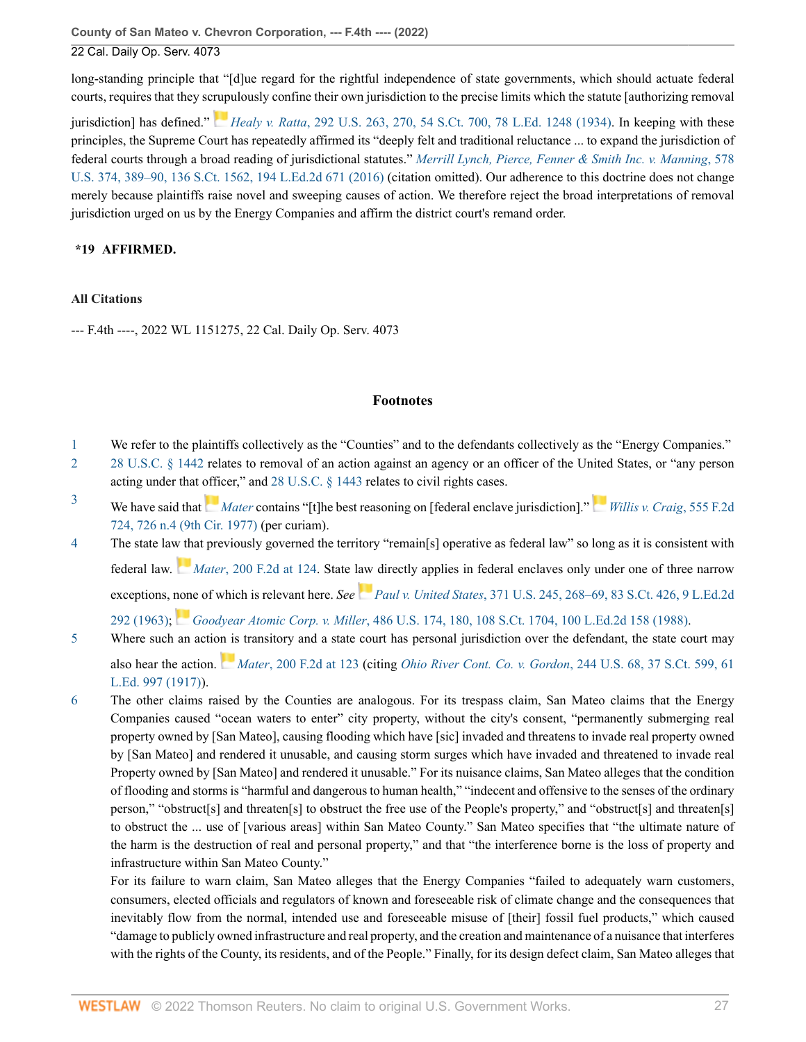**County of San Mateo v. Chevron Corporation, --- F.4th ---- (2022)**

### 22 Cal. Daily Op. Serv. 4073

long-standing principle that "[d]ue regard for the rightful independence of state governments, which should actuate federal courts, requires that they sc[rup](https://1.next.westlaw.com/Link/RelatedInformation/Flag?documentGuid=Ia6e33e1d9cbe11d9bdd1cfdd544ca3a4&transitionType=InlineKeyCiteFlags&originationContext=docHeaderFlag&Rank=0&ppcid=a9b114f5abe4428c96a100fd82d3083a&contextData=(sc.Search) )ulously confine their own jurisdiction to the precise limits which the statute [authorizing removal

jurisdiction] has defined." *Healy v. Ratta*[, 292 U.S. 263, 270, 54 S.Ct. 700, 78 L.Ed. 1248 \(1934\).](http://www.westlaw.com/Link/Document/FullText?findType=Y&serNum=1934124100&pubNum=0000780&originatingDoc=I13d9d0c0c01911eca998bccac2217b4d&refType=RP&fi=co_pp_sp_780_270&originationContext=document&vr=3.0&rs=cblt1.0&transitionType=DocumentItem&contextData=(sc.Search)#co_pp_sp_780_270) In keeping with these principles, the Supreme Court has repeatedly affirmed its "deeply felt and traditional reluctance ... to expand the jurisdiction of federal courts through a broad reading of jurisdictional statutes." *[Merrill Lynch, Pierce, Fenner & Smith Inc. v. Manning](http://www.westlaw.com/Link/Document/FullText?findType=Y&serNum=2038848367&pubNum=0000780&originatingDoc=I13d9d0c0c01911eca998bccac2217b4d&refType=RP&fi=co_pp_sp_780_389&originationContext=document&vr=3.0&rs=cblt1.0&transitionType=DocumentItem&contextData=(sc.Search)#co_pp_sp_780_389)*, 578 [U.S. 374, 389–90, 136 S.Ct. 1562, 194 L.Ed.2d 671 \(2016\)](http://www.westlaw.com/Link/Document/FullText?findType=Y&serNum=2038848367&pubNum=0000780&originatingDoc=I13d9d0c0c01911eca998bccac2217b4d&refType=RP&fi=co_pp_sp_780_389&originationContext=document&vr=3.0&rs=cblt1.0&transitionType=DocumentItem&contextData=(sc.Search)#co_pp_sp_780_389) (citation omitted). Our adherence to this doctrine does not change merely because plaintiffs raise novel and sweeping causes of action. We therefore reject the broad interpretations of removal jurisdiction urged on us by the Energy Companies and affirm the district court's remand order.

### **\*19 AFFIRMED.**

### **All Citations**

--- F.4th ----, 2022 WL 1151275, 22 Cal. Daily Op. Serv. 4073

### **Footnotes**

- <span id="page-26-0"></span>[1](#page-11-0) We refer to the plaintiffs collectively as the "Counties" and to the defendants collectively as the "Energy Companies."
- <span id="page-26-1"></span>[2](#page-12-0) [28 U.S.C. § 1442](http://www.westlaw.com/Link/Document/FullText?findType=L&pubNum=1000546&cite=28USCAS1442&originatingDoc=I13d9d0c0c01911eca998bccac2217b4d&refType=LQ&originationContext=document&vr=3.0&rs=cblt1.0&transitionType=DocumentItem&contextData=(sc.Search)) relates to removal of an action against an agency or an officer of the United States, or "any person acting under that officer," and [28 U.S.C. § 1443](http://www.westlaw.com/Link/Document/FullText?findType=L&pubNum=1000546&cite=28USCAS1443&originatingDoc=I13d9d0c0c01911eca998bccac2217b4d&refType=LQ&originationContext=document&vr=3.0&rs=cblt1.0&transitionType=DocumentItem&contextData=(sc.Search)) relates to civil rights cases.
- <span id="page-26-2"></span>[3](#page-16-5) We have said that*[Mater](http://www.westlaw.com/Link/Document/FullText?findType=Y&serNum=1953118603&pubNum=0000350&originatingDoc=I13d9d0c0c01911eca998bccac2217b4d&refType=RP&originationContext=document&vr=3.0&rs=cblt1.0&transitionType=DocumentItem&contextData=(sc.Search))* contains "[t]he best reasoning on [federal enclave jurisdiction]."*[Willis v. Craig](http://www.westlaw.com/Link/Document/FullText?findType=Y&serNum=1977105350&pubNum=0000350&originatingDoc=I13d9d0c0c01911eca998bccac2217b4d&refType=RP&fi=co_pp_sp_350_726&originationContext=document&vr=3.0&rs=cblt1.0&transitionType=DocumentItem&contextData=(sc.Search)#co_pp_sp_350_726)*, 555 F.2d [724, 726 n.4 \(9th Cir. 1977\)](http://www.westlaw.com/Link/Document/FullText?findType=Y&serNum=1977105350&pubNum=0000350&originatingDoc=I13d9d0c0c01911eca998bccac2217b4d&refType=RP&fi=co_pp_sp_350_726&originationContext=document&vr=3.0&rs=cblt1.0&transitionType=DocumentItem&contextData=(sc.Search)#co_pp_sp_350_726) (per curiam).
- <span id="page-26-3"></span>[4](#page-16-6) The state la[w th](https://1.next.westlaw.com/Link/RelatedInformation/Flag?documentGuid=I9d593f908e7511d9bc61beebb95be672&transitionType=InlineKeyCiteFlags&originationContext=docHeaderFlag&Rank=0&ppcid=a9b114f5abe4428c96a100fd82d3083a&contextData=(sc.Search) )at previously governed the territory "remain[s] operative as federal law" so long as it is consistent with federal law. *Mater*[, 200 F.2d at 124.](http://www.westlaw.com/Link/Document/FullText?findType=Y&serNum=1953118603&pubNum=0000350&originatingDoc=I13d9d0c0c01911eca998bccac2217b4d&refType=RP&fi=co_pp_sp_350_124&originationContext=document&vr=3.0&rs=cblt1.0&transitionType=DocumentItem&contextData=(sc.Search)#co_pp_sp_350_124) State law directly applies in federal enclaves only under one of three narrow exceptions, [non](https://1.next.westlaw.com/Link/RelatedInformation/Flag?documentGuid=I72ed47f99c9a11d991d0cc6b54f12d4d&transitionType=InlineKeyCiteFlags&originationContext=docHeaderFlag&Rank=0&ppcid=a9b114f5abe4428c96a100fd82d3083a&contextData=(sc.Search) )e of which is relevant here. *See [P](https://1.next.westlaw.com/Link/RelatedInformation/Flag?documentGuid=I23620a8a9c1e11d9bdd1cfdd544ca3a4&transitionType=InlineKeyCiteFlags&originationContext=docHeaderFlag&Rank=0&ppcid=a9b114f5abe4428c96a100fd82d3083a&contextData=(sc.Search) )aul v. United States*[, 371 U.S. 245, 268–69, 83 S.Ct. 426, 9 L.Ed.2d](http://www.westlaw.com/Link/Document/FullText?findType=Y&serNum=1963125281&pubNum=0000780&originatingDoc=I13d9d0c0c01911eca998bccac2217b4d&refType=RP&fi=co_pp_sp_780_268&originationContext=document&vr=3.0&rs=cblt1.0&transitionType=DocumentItem&contextData=(sc.Search)#co_pp_sp_780_268)

[292 \(1963\)](http://www.westlaw.com/Link/Document/FullText?findType=Y&serNum=1963125281&pubNum=0000780&originatingDoc=I13d9d0c0c01911eca998bccac2217b4d&refType=RP&fi=co_pp_sp_780_268&originationContext=document&vr=3.0&rs=cblt1.0&transitionType=DocumentItem&contextData=(sc.Search)#co_pp_sp_780_268); *Goodyear Atomic Corp. v. Miller*[, 486 U.S. 174, 180, 108 S.Ct. 1704, 100 L.Ed.2d 158 \(1988\).](http://www.westlaw.com/Link/Document/FullText?findType=Y&serNum=1988066951&pubNum=0000780&originatingDoc=I13d9d0c0c01911eca998bccac2217b4d&refType=RP&fi=co_pp_sp_780_180&originationContext=document&vr=3.0&rs=cblt1.0&transitionType=DocumentItem&contextData=(sc.Search)#co_pp_sp_780_180)

<span id="page-26-4"></span>[5](#page-16-7) Where such an actio[n is](https://1.next.westlaw.com/Link/RelatedInformation/Flag?documentGuid=I9d593f908e7511d9bc61beebb95be672&transitionType=InlineKeyCiteFlags&originationContext=docHeaderFlag&Rank=0&ppcid=a9b114f5abe4428c96a100fd82d3083a&contextData=(sc.Search) ) transitory and a state court has personal jurisdiction over the defendant, the state court may

also hear the action. *Mater*[, 200 F.2d at 123](http://www.westlaw.com/Link/Document/FullText?findType=Y&serNum=1953118603&pubNum=0000350&originatingDoc=I13d9d0c0c01911eca998bccac2217b4d&refType=RP&fi=co_pp_sp_350_123&originationContext=document&vr=3.0&rs=cblt1.0&transitionType=DocumentItem&contextData=(sc.Search)#co_pp_sp_350_123) (citing *[Ohio River Cont. Co. v. Gordon](http://www.westlaw.com/Link/Document/FullText?findType=Y&serNum=1917100477&pubNum=0000708&originatingDoc=I13d9d0c0c01911eca998bccac2217b4d&refType=RP&originationContext=document&vr=3.0&rs=cblt1.0&transitionType=DocumentItem&contextData=(sc.Search))*, 244 U.S. 68, 37 S.Ct. 599, 61 [L.Ed. 997 \(1917\)\)](http://www.westlaw.com/Link/Document/FullText?findType=Y&serNum=1917100477&pubNum=0000708&originatingDoc=I13d9d0c0c01911eca998bccac2217b4d&refType=RP&originationContext=document&vr=3.0&rs=cblt1.0&transitionType=DocumentItem&contextData=(sc.Search)).

<span id="page-26-5"></span>[6](#page-16-8) The other claims raised by the Counties are analogous. For its trespass claim, San Mateo claims that the Energy Companies caused "ocean waters to enter" city property, without the city's consent, "permanently submerging real property owned by [San Mateo], causing flooding which have [sic] invaded and threatens to invade real property owned by [San Mateo] and rendered it unusable, and causing storm surges which have invaded and threatened to invade real Property owned by [San Mateo] and rendered it unusable." For its nuisance claims, San Mateo alleges that the condition of flooding and storms is "harmful and dangerous to human health," "indecent and offensive to the senses of the ordinary person," "obstruct[s] and threaten[s] to obstruct the free use of the People's property," and "obstruct[s] and threaten[s] to obstruct the ... use of [various areas] within San Mateo County." San Mateo specifies that "the ultimate nature of the harm is the destruction of real and personal property," and that "the interference borne is the loss of property and infrastructure within San Mateo County."

For its failure to warn claim, San Mateo alleges that the Energy Companies "failed to adequately warn customers, consumers, elected officials and regulators of known and foreseeable risk of climate change and the consequences that inevitably flow from the normal, intended use and foreseeable misuse of [their] fossil fuel products," which caused "damage to publicly owned infrastructure and real property, and the creation and maintenance of a nuisance that interferes with the rights of the County, its residents, and of the People." Finally, for its design defect claim, San Mateo alleges that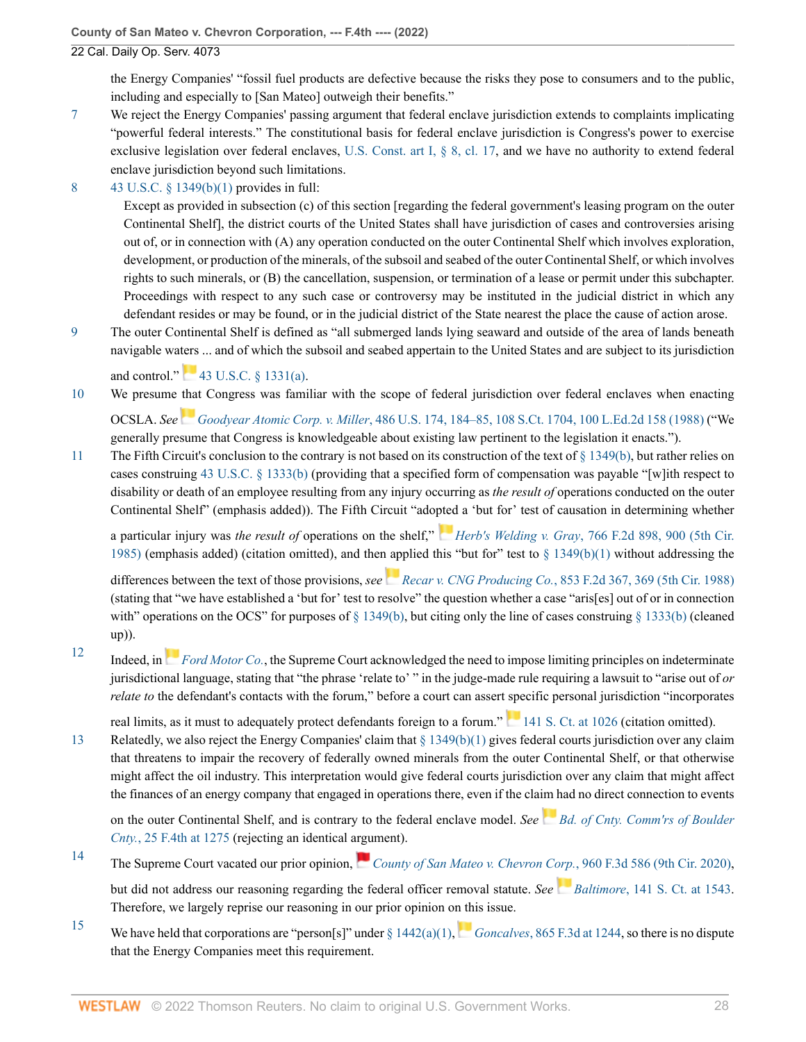the Energy Companies' "fossil fuel products are defective because the risks they pose to consumers and to the public, including and especially to [San Mateo] outweigh their benefits."

- <span id="page-27-0"></span>[7](#page-17-3) We reject the Energy Companies' passing argument that federal enclave jurisdiction extends to complaints implicating "powerful federal interests." The constitutional basis for federal enclave jurisdiction is Congress's power to exercise exclusive legislation over federal enclaves, [U.S. Const. art I, § 8, cl. 17,](http://www.westlaw.com/Link/Document/FullText?findType=L&pubNum=1000583&cite=USCOARTIS8CL17&originatingDoc=I13d9d0c0c01911eca998bccac2217b4d&refType=LQ&originationContext=document&vr=3.0&rs=cblt1.0&transitionType=DocumentItem&contextData=(sc.Search)) and we have no authority to extend federal enclave jurisdiction beyond such limitations.
- <span id="page-27-1"></span>[8](#page-17-4) [43 U.S.C. § 1349\(b\)\(1\)](http://www.westlaw.com/Link/Document/FullText?findType=L&pubNum=1000546&cite=43USCAS1349&originatingDoc=I13d9d0c0c01911eca998bccac2217b4d&refType=RB&originationContext=document&vr=3.0&rs=cblt1.0&transitionType=DocumentItem&contextData=(sc.Search)#co_pp_3fed000053a85) provides in full:

Except as provided in subsection (c) of this section [regarding the federal government's leasing program on the outer Continental Shelf], the district courts of the United States shall have jurisdiction of cases and controversies arising out of, or in connection with (A) any operation conducted on the outer Continental Shelf which involves exploration, development, or production of the minerals, of the subsoil and seabed of the outer Continental Shelf, or which involves rights to such minerals, or (B) the cancellation, suspension, or termination of a lease or permit under this subchapter. Proceedings with respect to any such case or controversy may be instituted in the judicial district in which any defendant resides or may be found, or in the judicial district of the State nearest the place the cause of action arose.

<span id="page-27-2"></span>[9](#page-17-5) The outer Continental Shelf is defined as "all submerged lands lying seaward and outside of the area of lands beneath navigable waters ... and of which the subsoil and seabed appertain to the United States and are subject to its jurisdiction

and control." [43 U.S.C. § 1331\(a\).](http://www.westlaw.com/Link/Document/FullText?findType=L&pubNum=1000546&cite=43USCAS1331&originatingDoc=I13d9d0c0c01911eca998bccac2217b4d&refType=RB&originationContext=document&vr=3.0&rs=cblt1.0&transitionType=DocumentItem&contextData=(sc.Search)#co_pp_8b3b0000958a4)

- <span id="page-27-3"></span>[10](#page-18-4) We presume that Congress was familiar with the scope of federal jurisdiction over federal enclaves when enacting OCSLA. *SeeGoodyear Atomic Corp. v. Miller*[, 486 U.S. 174, 184–85, 108 S.Ct. 1704, 100 L.Ed.2d 158 \(1988\)](http://www.westlaw.com/Link/Document/FullText?findType=Y&serNum=1988066951&pubNum=0000780&originatingDoc=I13d9d0c0c01911eca998bccac2217b4d&refType=RP&fi=co_pp_sp_780_184&originationContext=document&vr=3.0&rs=cblt1.0&transitionType=DocumentItem&contextData=(sc.Search)#co_pp_sp_780_184) ("We generally presume that Congress is knowledgeable about existing law pertinent to the legislation it enacts.").
- <span id="page-27-4"></span>[11](#page-19-1) The Fifth Circuit's conclusion to the contrary is not based on its construction of the text of [§ 1349\(b\)](http://www.westlaw.com/Link/Document/FullText?findType=L&pubNum=1000546&cite=43USCAS1349&originatingDoc=I13d9d0c0c01911eca998bccac2217b4d&refType=RB&originationContext=document&vr=3.0&rs=cblt1.0&transitionType=DocumentItem&contextData=(sc.Search)#co_pp_a83b000018c76), but rather relies on cases construing [43 U.S.C. § 1333\(b\)](http://www.westlaw.com/Link/Document/FullText?findType=L&pubNum=1000546&cite=43USCAS1333&originatingDoc=I13d9d0c0c01911eca998bccac2217b4d&refType=RB&originationContext=document&vr=3.0&rs=cblt1.0&transitionType=DocumentItem&contextData=(sc.Search)#co_pp_a83b000018c76) (providing that a specified form of compensation was payable "[w]ith respect to disability or death of an employee resulting from any injury occurring as *the result of* operations conducted on the outer Continental Shelf" (emphasis added)). The Fifth Circuit "ado[pted](https://1.next.westlaw.com/Link/RelatedInformation/Flag?documentGuid=I91314a8794ad11d9a707f4371c9c34f0&transitionType=InlineKeyCiteFlags&originationContext=docHeaderFlag&Rank=0&ppcid=a9b114f5abe4428c96a100fd82d3083a&contextData=(sc.Search) ) a 'but for' test of causation in determining whether

a particular injury was *the result of* operations on the shelf," *Herb's Welding v. Gray*[, 766 F.2d 898, 900 \(5th Cir.](http://www.westlaw.com/Link/Document/FullText?findType=Y&serNum=1985136080&pubNum=0000350&originatingDoc=I13d9d0c0c01911eca998bccac2217b4d&refType=RP&fi=co_pp_sp_350_900&originationContext=document&vr=3.0&rs=cblt1.0&transitionType=DocumentItem&contextData=(sc.Search)#co_pp_sp_350_900) [1985\)](http://www.westlaw.com/Link/Document/FullText?findType=Y&serNum=1985136080&pubNum=0000350&originatingDoc=I13d9d0c0c01911eca998bccac2217b4d&refType=RP&fi=co_pp_sp_350_900&originationContext=document&vr=3.0&rs=cblt1.0&transitionType=DocumentItem&contextData=(sc.Search)#co_pp_sp_350_900) (emphasis added) (citation omitted), and then applied this "but for" test to  $\S$  1349(b)(1) without addressing the

differences between the text of those provisions, *see [R](https://1.next.westlaw.com/Link/RelatedInformation/Flag?documentGuid=Ia2db760195ae11d9bc61beebb95be672&transitionType=InlineKeyCiteFlags&originationContext=docHeaderFlag&Rank=0&ppcid=a9b114f5abe4428c96a100fd82d3083a&contextData=(sc.Search) )ecar v. CNG Producing Co.*[, 853 F.2d 367, 369 \(5th Cir. 1988\)](http://www.westlaw.com/Link/Document/FullText?findType=Y&serNum=1988104007&pubNum=0000350&originatingDoc=I13d9d0c0c01911eca998bccac2217b4d&refType=RP&fi=co_pp_sp_350_369&originationContext=document&vr=3.0&rs=cblt1.0&transitionType=DocumentItem&contextData=(sc.Search)#co_pp_sp_350_369) (stating that "we have established a 'but for' test to resolve" the question whether a case "aris[es] out of or in connection with" operations on the OCS" for purposes of  $\S$  1349(b), but citing only the line of cases construing  $\S$  1333(b) (cleaned up)).

<span id="page-27-5"></span>[12](#page-19-2)Indeed, in *[Ford Motor Co.](http://www.westlaw.com/Link/Document/FullText?findType=Y&serNum=2053324519&pubNum=0000708&originatingDoc=I13d9d0c0c01911eca998bccac2217b4d&refType=RP&originationContext=document&vr=3.0&rs=cblt1.0&transitionType=DocumentItem&contextData=(sc.Search))*, the Supreme Court acknowledged the need to impose limiting principles on indeterminate jurisdictional language, stating that "the phrase 'relate to' " in the judge-made rule requiring a lawsuit to "arise out of *or relate to* the defendant's contacts with the forum," before a court can assert specific personal jurisdiction "incorporates

reallimits, as it must to adequately protect defendants foreign to a forum." [141 S. Ct. at 1026](http://www.westlaw.com/Link/Document/FullText?findType=Y&serNum=2053324519&pubNum=0000708&originatingDoc=I13d9d0c0c01911eca998bccac2217b4d&refType=RP&fi=co_pp_sp_708_1026&originationContext=document&vr=3.0&rs=cblt1.0&transitionType=DocumentItem&contextData=(sc.Search)#co_pp_sp_708_1026) (citation omitted).

<span id="page-27-6"></span>[13](#page-19-3) Relatedly, we also reject the Energy Companies' claim that [§ 1349\(b\)\(1\)](http://www.westlaw.com/Link/Document/FullText?findType=L&pubNum=1000546&cite=43USCAS1349&originatingDoc=I13d9d0c0c01911eca998bccac2217b4d&refType=RB&originationContext=document&vr=3.0&rs=cblt1.0&transitionType=DocumentItem&contextData=(sc.Search)#co_pp_3fed000053a85) gives federal courts jurisdiction over any claim that threatens to impair the recovery of federally owned minerals from the outer Continental Shelf, or that otherwise might affect the oil industry. This interpretation would give federal courts jurisdiction over any claim that might affect the finances of an energy company that engaged in operations there, even if the claim had no direct connection to events

on the outer Continental Shelf, and is contrary to the federal enclave model. *See [Bd. of Cnty. Comm'rs of Boulder](http://www.westlaw.com/Link/Document/FullText?findType=Y&serNum=2055530649&pubNum=0008173&originatingDoc=I13d9d0c0c01911eca998bccac2217b4d&refType=RP&fi=co_pp_sp_8173_1275&originationContext=document&vr=3.0&rs=cblt1.0&transitionType=DocumentItem&contextData=(sc.Search)#co_pp_sp_8173_1275) Cnty.*[, 25 F.4th at 1275](http://www.westlaw.com/Link/Document/FullText?findType=Y&serNum=2055530649&pubNum=0008173&originatingDoc=I13d9d0c0c01911eca998bccac2217b4d&refType=RP&fi=co_pp_sp_8173_1275&originationContext=document&vr=3.0&rs=cblt1.0&transitionType=DocumentItem&contextData=(sc.Search)#co_pp_sp_8173_1275) (rejecting an identical [argu](https://1.next.westlaw.com/Link/RelatedInformation/Flag?documentGuid=I3b3b6cd09fa211ea8cb395d22c142a61&transitionType=InlineKeyCiteFlags&originationContext=docHeaderFlag&Rank=0&ppcid=a9b114f5abe4428c96a100fd82d3083a&contextData=(sc.Search) )ment).

- <span id="page-27-7"></span>[14](#page-19-4) The Supreme Court vacated our prior opinion, *[County of San Mateo v. Chevron Corp.](http://www.westlaw.com/Link/Document/FullText?findType=Y&serNum=2051128797&pubNum=0000506&originatingDoc=I13d9d0c0c01911eca998bccac2217b4d&refType=RP&originationContext=document&vr=3.0&rs=cblt1.0&transitionType=DocumentItem&contextData=(sc.Search))*, 960 F.3d 586 (9th Cir. 2020), but did not address our reasoning regarding the federal officer removal statute. *See Baltimore*[, 141 S. Ct. at 1543](http://www.westlaw.com/Link/Document/FullText?findType=Y&serNum=2053637634&pubNum=0000708&originatingDoc=I13d9d0c0c01911eca998bccac2217b4d&refType=RP&fi=co_pp_sp_708_1543&originationContext=document&vr=3.0&rs=cblt1.0&transitionType=DocumentItem&contextData=(sc.Search)#co_pp_sp_708_1543). Therefore, we largely reprise our reasoning in our prior opinion o[n th](https://1.next.westlaw.com/Link/RelatedInformation/Flag?documentGuid=Ifd74165077bc11e7bb97edaf3db64019&transitionType=InlineKeyCiteFlags&originationContext=docHeaderFlag&Rank=0&ppcid=a9b114f5abe4428c96a100fd82d3083a&contextData=(sc.Search) )is issue.
- <span id="page-27-8"></span>[15](#page-22-3) We have held that corporations are "person[s]" under [§ 1442\(a\)\(1\)](http://www.westlaw.com/Link/Document/FullText?findType=L&pubNum=1000546&cite=28USCAS1442&originatingDoc=I13d9d0c0c01911eca998bccac2217b4d&refType=RB&originationContext=document&vr=3.0&rs=cblt1.0&transitionType=DocumentItem&contextData=(sc.Search)#co_pp_7b9b000044381), *Goncalves*[, 865 F.3d at 1244,](http://www.westlaw.com/Link/Document/FullText?findType=Y&serNum=2042293461&pubNum=0000506&originatingDoc=I13d9d0c0c01911eca998bccac2217b4d&refType=RP&fi=co_pp_sp_506_1244&originationContext=document&vr=3.0&rs=cblt1.0&transitionType=DocumentItem&contextData=(sc.Search)#co_pp_sp_506_1244) so there is no dispute that the Energy Companies meet this requirement.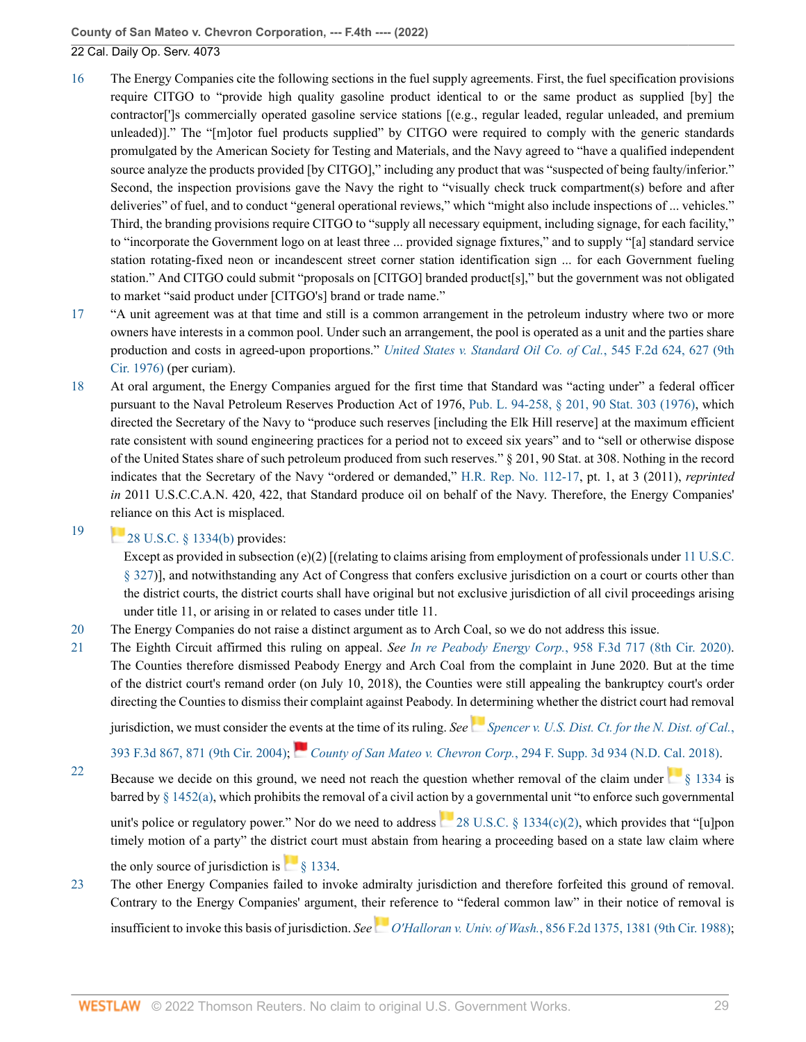- <span id="page-28-0"></span>[16](#page-22-4) The Energy Companies cite the following sections in the fuel supply agreements. First, the fuel specification provisions require CITGO to "provide high quality gasoline product identical to or the same product as supplied [by] the contractor[']s commercially operated gasoline service stations [(e.g., regular leaded, regular unleaded, and premium unleaded)]." The "[m]otor fuel products supplied" by CITGO were required to comply with the generic standards promulgated by the American Society for Testing and Materials, and the Navy agreed to "have a qualified independent source analyze the products provided [by CITGO]," including any product that was "suspected of being faulty/inferior." Second, the inspection provisions gave the Navy the right to "visually check truck compartment(s) before and after deliveries" of fuel, and to conduct "general operational reviews," which "might also include inspections of ... vehicles." Third, the branding provisions require CITGO to "supply all necessary equipment, including signage, for each facility," to "incorporate the Government logo on at least three ... provided signage fixtures," and to supply "[a] standard service station rotating-fixed neon or incandescent street corner station identification sign ... for each Government fueling station." And CITGO could submit "proposals on [CITGO] branded product[s]," but the government was not obligated to market "said product under [CITGO's] brand or trade name."
- <span id="page-28-1"></span>[17](#page-22-5) "A unit agreement was at that time and still is a common arrangement in the petroleum industry where two or more owners have interests in a common pool. Under such an arrangement, the pool is operated as a unit and the parties share production and costs in agreed-upon proportions." *[United States v. Standard Oil Co. of Cal.](http://www.westlaw.com/Link/Document/FullText?findType=Y&serNum=1976125479&pubNum=0000350&originatingDoc=I13d9d0c0c01911eca998bccac2217b4d&refType=RP&fi=co_pp_sp_350_627&originationContext=document&vr=3.0&rs=cblt1.0&transitionType=DocumentItem&contextData=(sc.Search)#co_pp_sp_350_627)*, 545 F.2d 624, 627 (9th [Cir. 1976\)](http://www.westlaw.com/Link/Document/FullText?findType=Y&serNum=1976125479&pubNum=0000350&originatingDoc=I13d9d0c0c01911eca998bccac2217b4d&refType=RP&fi=co_pp_sp_350_627&originationContext=document&vr=3.0&rs=cblt1.0&transitionType=DocumentItem&contextData=(sc.Search)#co_pp_sp_350_627) (per curiam).
- <span id="page-28-2"></span>[18](#page-22-6) At oral argument, the Energy Companies argued for the first time that Standard was "acting under" a federal officer pursuant to the Naval Petroleum Reserves Production Act of 1976, [Pub. L. 94-258, § 201, 90 Stat. 303 \(1976\)](http://www.westlaw.com/Link/Document/FullText?findType=l&pubNum=1077005&cite=UUID(I35A6E8EF93-3D49A0803AC-51664C87F34)&originatingDoc=I13d9d0c0c01911eca998bccac2217b4d&refType=SL&originationContext=document&vr=3.0&rs=cblt1.0&transitionType=DocumentItem&contextData=(sc.Search)), which directed the Secretary of the Navy to "produce such reserves [including the Elk Hill reserve] at the maximum efficient rate consistent with sound engineering practices for a period not to exceed six years" and to "sell or otherwise dispose of the United States share of such petroleum produced from such reserves." § 201, 90 Stat. at 308. Nothing in the record indicates that the Secretary of the Navy "ordered or demanded," [H.R. Rep. No. 112-17](http://www.westlaw.com/Link/Document/FullText?findType=Y&serNum=0358975970&pubNum=0100014&originatingDoc=I13d9d0c0c01911eca998bccac2217b4d&refType=TV&originationContext=document&vr=3.0&rs=cblt1.0&transitionType=DocumentItem&contextData=(sc.Search)), pt. 1, at 3 (2011), *reprinted in* 2011 U.S.C.C.A.N. 420, 422, that Standard produce oil on behalf of the Navy. Therefore, the Energy Companies' [reli](https://1.next.westlaw.com/Link/RelatedInformation/Flag?documentGuid=NF9DE2F00198A11DA859BCD030BBEEB74&transitionType=InlineKeyCiteFlags&originationContext=docHeaderFlag&Rank=0&ppcid=a9b114f5abe4428c96a100fd82d3083a&contextData=(sc.Search) )ance on this Act is misplaced.

# <span id="page-28-3"></span>[19](#page-23-2) [28 U.S.C. § 1334\(b\)](http://www.westlaw.com/Link/Document/FullText?findType=L&pubNum=1000546&cite=28USCAS1334&originatingDoc=I13d9d0c0c01911eca998bccac2217b4d&refType=RB&originationContext=document&vr=3.0&rs=cblt1.0&transitionType=DocumentItem&contextData=(sc.Search)#co_pp_a83b000018c76) provides:

Except as provided in subsection (e)(2) [(relating to claims arising from employment of professionals under [11 U.S.C.](http://www.westlaw.com/Link/Document/FullText?findType=L&pubNum=1000546&cite=11USCAS327&originatingDoc=I13d9d0c0c01911eca998bccac2217b4d&refType=LQ&originationContext=document&vr=3.0&rs=cblt1.0&transitionType=DocumentItem&contextData=(sc.Search)) [§ 327\)](http://www.westlaw.com/Link/Document/FullText?findType=L&pubNum=1000546&cite=11USCAS327&originatingDoc=I13d9d0c0c01911eca998bccac2217b4d&refType=LQ&originationContext=document&vr=3.0&rs=cblt1.0&transitionType=DocumentItem&contextData=(sc.Search))], and notwithstanding any Act of Congress that confers exclusive jurisdiction on a court or courts other than the district courts, the district courts shall have original but not exclusive jurisdiction of all civil proceedings arising under title 11, or arising in or related to cases under title 11.

- <span id="page-28-4"></span>[20](#page-24-3) The Energy Companies do not raise a distinct argument as to Arch Coal, so we do not address this issue.
- <span id="page-28-5"></span>[21](#page-24-4) The Eighth Circuit affirmed this ruling on appeal. *See In re Peabody Energy Corp.*[, 958 F.3d 717 \(8th Cir. 2020\)](http://www.westlaw.com/Link/Document/FullText?findType=Y&serNum=2050908896&pubNum=0000506&originatingDoc=I13d9d0c0c01911eca998bccac2217b4d&refType=RP&originationContext=document&vr=3.0&rs=cblt1.0&transitionType=DocumentItem&contextData=(sc.Search)). The Counties therefore dismissed Peabody Energy and Arch Coal from the complaint in June 2020. But at the time of the district court's remand order (on July 10, 2018), the Counties were still appealing the bankruptcy court's order directing the Counties to dismiss their complaint against Peabody. In determining whether the district court had removal

jurisdiction, we must consider the [even](https://1.next.westlaw.com/Link/RelatedInformation/Flag?documentGuid=I30abfe302dec11e89d46ed79fb792237&transitionType=InlineKeyCiteFlags&originationContext=docHeaderFlag&Rank=0&ppcid=a9b114f5abe4428c96a100fd82d3083a&contextData=(sc.Search) )ts at the time of its ruling. *See[Spencer v. U.S. Dist. Ct. for the N. Dist. of Cal.](http://www.westlaw.com/Link/Document/FullText?findType=Y&serNum=2005748625&pubNum=0000506&originatingDoc=I13d9d0c0c01911eca998bccac2217b4d&refType=RP&fi=co_pp_sp_506_871&originationContext=document&vr=3.0&rs=cblt1.0&transitionType=DocumentItem&contextData=(sc.Search)#co_pp_sp_506_871)*,

[393 F.3d 867, 871 \(9th Cir. 2004\);](http://www.westlaw.com/Link/Document/FullText?findType=Y&serNum=2005748625&pubNum=0000506&originatingDoc=I13d9d0c0c01911eca998bccac2217b4d&refType=RP&fi=co_pp_sp_506_871&originationContext=document&vr=3.0&rs=cblt1.0&transitionType=DocumentItem&contextData=(sc.Search)#co_pp_sp_506_871) *County of San Mateo v. Chevron Corp.*[, 294 F. Supp. 3d 934 \(N.D. Cal. 2018\).](http://www.westlaw.com/Link/Document/FullText?findType=Y&serNum=2044125687&pubNum=0007903&originatingDoc=I13d9d0c0c01911eca998bccac2217b4d&refType=RP&originationContext=document&vr=3.0&rs=cblt1.0&transitionType=DocumentItem&contextData=(sc.Search))

<span id="page-28-6"></span>[22](#page-25-7) Because we decide on this ground, we need not reach the question whether removal of the claim under  $\frac{1}{8}$  1334 is barred by [§ 1452\(a\),](http://www.westlaw.com/Link/Document/FullText?findType=L&pubNum=1000546&cite=28USCAS1452&originatingDoc=I13d9d0c0c01911eca998bccac2217b4d&refType=RB&originationContext=document&vr=3.0&rs=cblt1.0&transitionType=DocumentItem&contextData=(sc.Search)#co_pp_8b3b0000958a4) which prohibits the removal of a civil action by a governmental unit "to enforce such governmental

unit's police or regulatory power." Nor do we need to address  $28 \text{ U.S.C. }$  § 1334(c)(2), which provides that "[u]pon timely motion of a party" the district court must abstain from hearing a proceeding based on a state law claim where

the only source of jurisdiction is  $\frac{1}{8}$  1334.

<span id="page-28-7"></span>[23](#page-25-8) The other Energy Companies failed to invoke admiralty jurisdiction and therefore forfeited this ground of removal. Contrary to the Energy Companies' argument, their reference to "federal common law" in their notice of removal is insufficient to invoke this basis of jurisdiction. *SeeO'Halloran v. Univ. of Wash.*[, 856 F.2d 1375, 1381 \(9th Cir. 1988\)](http://www.westlaw.com/Link/Document/FullText?findType=Y&serNum=1988113801&pubNum=0000350&originatingDoc=I13d9d0c0c01911eca998bccac2217b4d&refType=RP&fi=co_pp_sp_350_1381&originationContext=document&vr=3.0&rs=cblt1.0&transitionType=DocumentItem&contextData=(sc.Search)#co_pp_sp_350_1381);